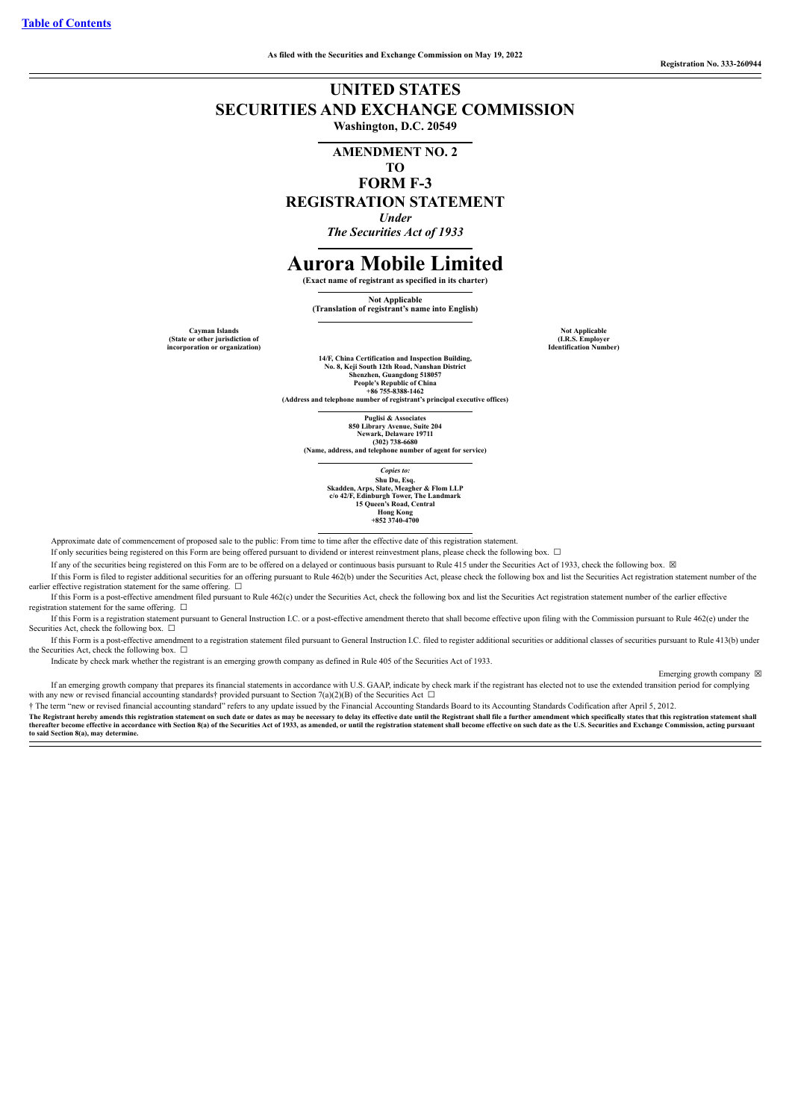# **UNITED STATES SECURITIES AND EXCHANGE COMMISSION**

**Washington, D.C. 20549**

**AMENDMENT NO. 2**

#### **TO**

**FORM F-3 REGISTRATION STATEMENT**

*Under*

*The Securities Act of 1933*

# **Aurora Mobile Limited**

**(Exact name of registrant as specified in its charter)**

**Not Applicable (Translation of registrant's name into English)**

**Cayman Islands Not Applicable (I.R.S. Employer Identification Number) (State or other jurisdiction of incorporation or organization)**

**14/F, China Certification and Inspection Building, No. 8, Keji South 12th Road, Nanshan District Shenzhen, Guangdong 518057 People's Republic of China +86 755-8388-1462 (Address and telephone number of registrant's principal executive offices)**

> **Puglisi & Associates 850 Library Avenue, Suite 204 Newark, Delaware 19711 (302) 738-6680**

**(Name, address, and telephone number of agent for service)**

*Copies to:* **Shu Du, Esq. Skadden, Arps, Slate, Meagher & Flom LLP c/o 42/F, Edinburgh Tower, The Landmark 15 Queen's Road, Central Hong Kong +852 3740-4700**

Approximate date of commencement of proposed sale to the public: From time to time after the effective date of this registration statement.

If only securities being registered on this Form are being offered pursuant to dividend or interest reinvestment plans, please check the following box. ☐

If any of the securities being registered on this Form are to be offered on a delayed or continuous basis pursuant to Rule 415 under the Securities Act of 1933, check the following box. ⊠

If this Form is filed to register additional securities for an offering pursuant to Rule 462(b) under the Securities Act, please check the following box and list the Securities Act registration statement number of the earlier effective registration statement for the same offering.  $\Box$ 

If this Form is a post-effective amendment filed pursuant to Rule 462(c) under the Securities Act, check the following box and list the Securities Act registration statement number of the earlier effective registration statement for the same offering.  $\Box$ 

If this Form is a registration statement pursuant to General Instruction I.C. or a post-effective amendment thereto that shall become effective upon filing with the Commission pursuant to Rule 462(e) under the Securities Act, check the following box.  $□$ 

If this Form is a post-effective amendment to a registration statement filed pursuant to General Instruction I.C. filed to register additional securities or additional classes of securities pursuant to Rule 413(b) under the Securities Act, check the following box.  $\Box$ 

Indicate by check mark whether the registrant is an emerging growth company as defined in Rule 405 of the Securities Act of 1933.

If an emerging growth company that prepares its financial statements in accordance with U.S. GAAP, indicate by check mark if the registrant has elected not to use the extended transition period for complying with any new or revised financial accounting standards† provided pursuant to Section 7(a)(2)(B) of the Securities Act  $\Box$ 

† The term "new or revised financial accounting standard" refers to any update issued by the Financial Accounting Standards Board to its Accounting Standards Codification after April 5, 2012.

The Registrant hereby amends this registration statement on such date or dates as may be necessary to delay its effective date until the Registrant shall file a further amendment which specifically states that this registr **to said Section 8(a), may determine.**

**Registration No. 333-260944**

Emerging growth company  $\boxtimes$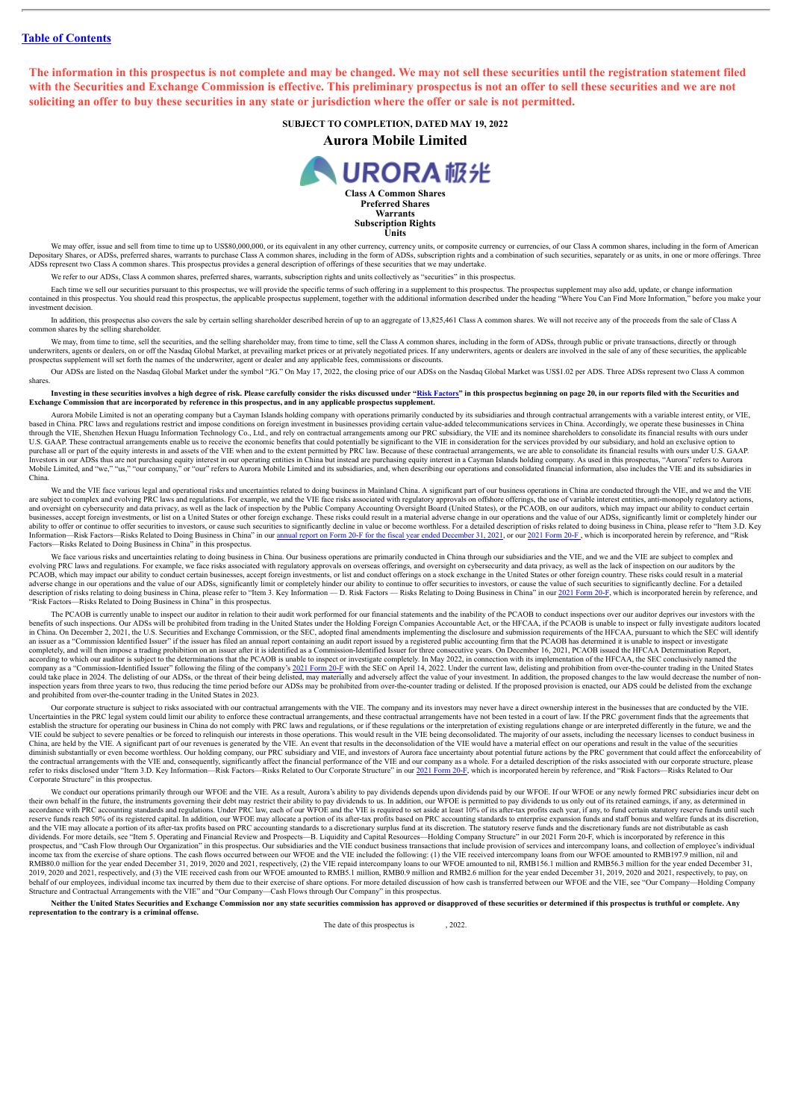The information in this prospectus is not complete and may be changed. We may not sell these securities until the registration statement filed with the Securities and Exchange Commission is effective. This preliminary prospectus is not an offer to sell these securities and we are not soliciting an offer to buy these securities in any state or jurisdiction where the offer or sale is not permitted.

**SUBJECT TO COMPLETION, DATED MAY 19, 2022**

# **Aurora Mobile Limited**



We may offer, issue and sell from time to time up to US\$80,000,000, or its equivalent in any other currency, currency units, or composite currency or currencies, of our Class A common shares, including in the form of Ameri Depositary Shares, or ADSs, preferred shares, warrants to purchase Class A common shares, including in the form of ADSs, subscription rights and a combination of such securities, separately or as units, in one or more offe

We refer to our ADSs, Class A common shares, preferred shares, warrants, subscription rights and units collectively as "securities" in this prospectus.

Each time we sell our securities pursuant to this prospectus, we will provide the specific terms of such offering in a supplement to this prospectus. The prospectus supplement may also add, update, or change information an investment decision

In addition, this prospectus also covers the sale by certain selling shareholder described herein of up to an aggregate of 13,825,461 Class A common shares. We will not receive any of the proceeds from the sale of Class A common shares by the selling shareholder.

We may, from time to time, sell the securities, and the selling shareholder may, from time to time, sell the Class A common shares, including in the form of ADSs, through public or private transactions, directly or through underwriters, agents or dealers, on or off the Nasdaq Global Market, at prevailing market prices or at privately negotiated prices. If any underwriters, agents or dealers are involved in the sale of any of these securities

Our ADSs are listed on the Nasdaq Global Market under the symbol "JG." On May 17, 2022, the closing price of our ADSs on the Nasdaq Global Market was US\$1.02 per ADS. Three ADSs represent two Class A con shares.

Investing in these securities involves a high degree of risk. Please carefully consider the risks discussed under "<u>Risk Factors</u>" in this prospectus beginning on page 20, in our reports filed with the Securities and Excha mission that are incorporated by reference in this prospectus, and in any applicable prospectus supplement.

Aurora Mobile Limited is not an operating company but a Cayman Islands holding company with operations primarily conducted by its subsidiaries and through contractual arrangements with a variable interest entity, or VIE, based in China. PRC laws and regulations restrict and impose conditions on foreign investment in businesses providing certain value-added telecommunications services in China. Accordingly, we operate these businesses in Ch U.S. GAAP. These contractual arrangements enable us to receive the economic benefits that could potentially be significant to the VIE in consideration for the services provided by our subsidiary, and hold an exclusive opti purchase all or part of the equity interests in and assets of the VIE when and to the extent permitted by PRC law. Because of these contractual arrangements, we are able to consolidate its financial results with ours under Mobile Limited, and "we," "us," "our company," or "our" refers to Aurora Mobile Limited and its subsidiaries, and, when describing our operations and consolidated financial information, also includes the VIE and its subsid China.

We and the VIE face various legal and operational risks and uncertainties related to doing business in Mainland China. A significant part of our business operations in China are conducted through the VIE, and we and the VI are subject to complex and evolving PRC laws and regulations. For example, we and the VIE face risks associated with regulatory approvals on offshore offerings, the use of variable interest entities, anti-monopoly regulato Information—Risk Factors—Risks Related to Doing Business in China" in our annual report on Form 20-F for the fiscal year ended [December](http://www.sec.gov/ix?doc=/Archives/edgar/data/0001737339/000119312522104903/d217874d20f.htm) 31, 2021, or our 2021 [Form](http://www.sec.gov/ix?doc=/Archives/edgar/data/0001737339/000119312522104903/d217874d20f.htm) 20-F, which is incorporated herein by reference, and "Risk<br>

We face various risks and uncertainties relating to doing business in China. Our business operations are primarily conducted in China through our subsidiaries and the VIE, and we and the VIE are subject to complex and evolving PRC laws and regulations. For example, we face risks associated with regulatory approvals on overseas offerings, and oversight on cybersecurity and data privacy, as well as the lack of inspection on our auditors b adverse change in our operations and the value of our ADSs, significantly limit or completely hinder our ability to continue to offer securities to investors, or cause the value of such securities to significantly decline. description of risks relating to doing business in China, please refer to "Item 3. Key Information — D. Risk Factors — Risks Relating to Doing Business in China" in our 2021 [Form](http://www.sec.gov/ix?doc=/Archives/edgar/data/0001737339/000119312522104903/d217874d20f.htm) 20-F, which is incorporated herein by refer

The PCAOB is currently unable to inspect our auditor in relation to their audit work performed for our financial statements and the inability of the PCAOB to conduct inspections over our auditor deprives our investors with in China. On December 2, 2021, the U.S. Securities and Exchange Commission, or the SEC, adopted final amendments implementing the disclosure and submission requirements of the HFCAA, pursuant to which the SEC will identify an issuer as a "Commission Identified Issuer" if the issuer has filed an annual report containing an audit report issued by a registered public accounting firm that the PCAOB has determined it is unable to inspect or inves according to which our auditor is subject to the determinations that the PCAOB is unable to inspect or investigate completely. In May 2022, in connection with its implementation of the HFCAA, the SEC conclusively named the and prohibited from over-the-counter trading in the United States in 2023.

Our corporate structure is subject to risks associated with our contractual arrangements with the VIE. The company and its investors may never have a direct ownership interest in the businesses that are conducted by the VI establish the structure for operating our business in China do not comply with PRC laws and regulations, or if these regulations or the interpretation of existing regulations change or are interpreted differently in the fu refer to risks disclosed under "Item 3.D. Key Information—Risk Factors—Risks Related to Our Corporate Structure" in our 2021 [Form](http://www.sec.gov/ix?doc=/Archives/edgar/data/0001737339/000119312522104903/d217874d20f.htm) 20-F, which is incorporated herein by reference, and "Risk Factors—Risks Related to Our Corporate Structure" in this prospectus.

We conduct our operations primarily through our WFOE and the VIE. As a result, Aurora's ability to pay dividends depends upon dividends paid by our WFOE. If our WFOE or any newly formed PRC subsidiaries incur debt on their own behalf in the future, the instruments governing their debt may restrict their ability to pay dividends to us. In addition, our WFOE is permitted to pay dividends to us only out of its retained earnings, if any, a reserve funds reach 50% of its registered capital. In addition, our WFOE may allocate a portion of its after-tax profits based on PRC accounting standards to enterprise expansion funds and staff bonus and welfare funds at prospectus, and "Cash Flow through Our Organization" in this prospectus. Our subsidiaries and the VIE conduct business transactions that include provision of services and intercompany loans, and collection of employee's in Structure and Contractual Arrangements with the VIE" and "Our Company—Cash Flows through Our Company" in this prospectus.

Neither the United States Securities and Exchange Commission nor any state securities commission has approved or disapproved of these securities or determined if this prospectus is truthful or complete. Any **representation to the contrary is a criminal offense.**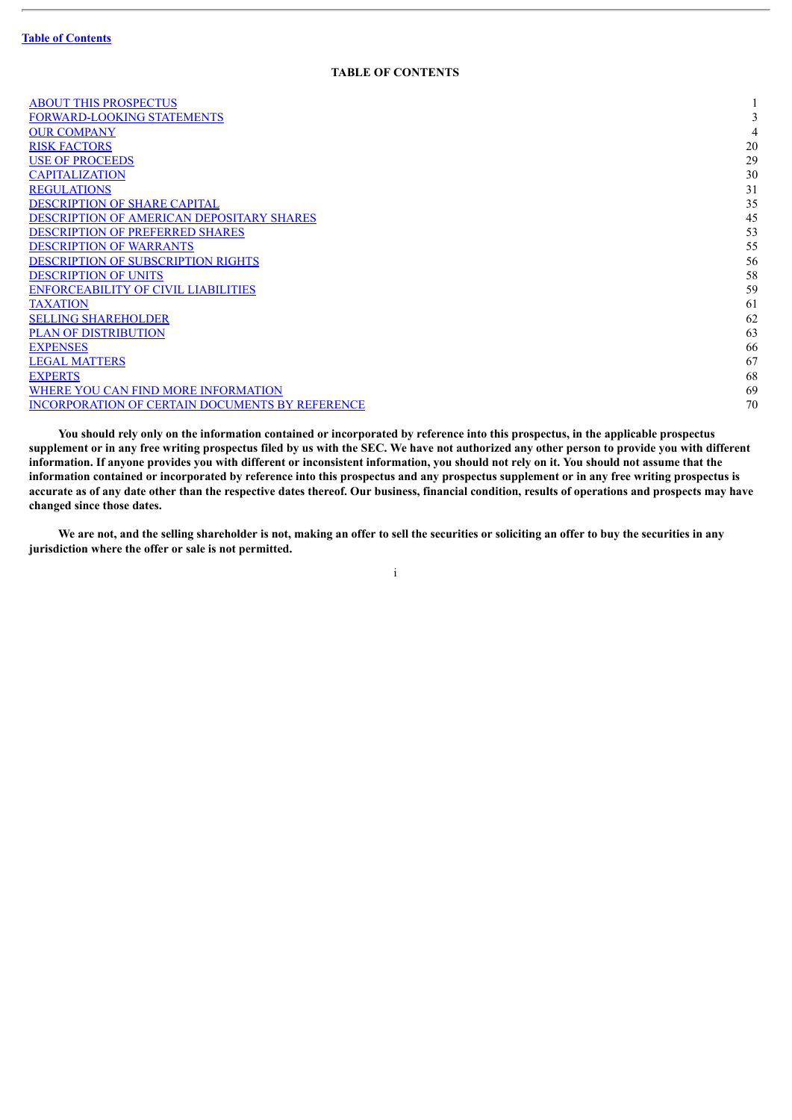# **TABLE OF CONTENTS**

<span id="page-2-0"></span>

| <b>ABOUT THIS PROSPECTUS</b>                           |    |
|--------------------------------------------------------|----|
| <b>FORWARD-LOOKING STATEMENTS</b>                      |    |
| <b>OUR COMPANY</b>                                     | 4  |
| <b>RISK FACTORS</b>                                    | 20 |
| <b>USE OF PROCEEDS</b>                                 | 29 |
| <b>CAPITALIZATION</b>                                  | 30 |
| <b>REGULATIONS</b>                                     | 31 |
| <b>DESCRIPTION OF SHARE CAPITAL</b>                    | 35 |
| <b>DESCRIPTION OF AMERICAN DEPOSITARY SHARES</b>       | 45 |
| <b>DESCRIPTION OF PREFERRED SHARES</b>                 | 53 |
| <b>DESCRIPTION OF WARRANTS</b>                         | 55 |
| <b>DESCRIPTION OF SUBSCRIPTION RIGHTS</b>              | 56 |
| <b>DESCRIPTION OF UNITS</b>                            | 58 |
| <b>ENFORCEABILITY OF CIVIL LIABILITIES</b>             | 59 |
| <b>TAXATION</b>                                        | 61 |
| <b>SELLING SHAREHOLDER</b>                             | 62 |
| <b>PLAN OF DISTRIBUTION</b>                            | 63 |
| <b>EXPENSES</b>                                        | 66 |
| <b>LEGAL MATTERS</b>                                   | 67 |
| <b>EXPERTS</b>                                         | 68 |
| WHERE YOU CAN FIND MORE INFORMATION                    | 69 |
| <b>INCORPORATION OF CERTAIN DOCUMENTS BY REFERENCE</b> | 70 |
|                                                        |    |

You should rely only on the information contained or incorporated by reference into this prospectus, in the applicable prospectus supplement or in any free writing prospectus filed by us with the SEC. We have not authorized any other person to provide you with different information. If anyone provides you with different or inconsistent information, you should not rely on it. You should not assume that the information contained or incorporated by reference into this prospectus and any prospectus supplement or in any free writing prospectus is accurate as of any date other than the respective dates thereof. Our business, financial condition, results of operations and prospects may have **changed since those dates.**

We are not, and the selling shareholder is not, making an offer to sell the securities or soliciting an offer to buy the securities in any **jurisdiction where the offer or sale is not permitted.**

i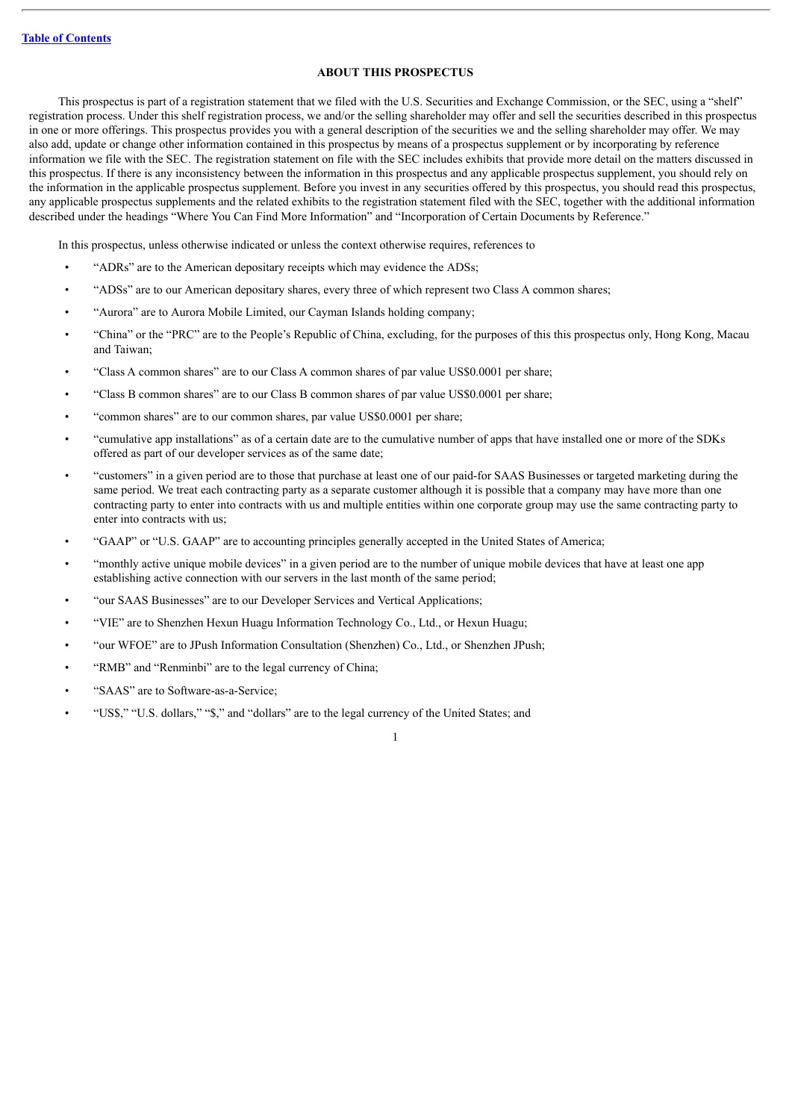# **ABOUT THIS PROSPECTUS**

<span id="page-3-0"></span>This prospectus is part of a registration statement that we filed with the U.S. Securities and Exchange Commission, or the SEC, using a "shelf" registration process. Under this shelf registration process, we and/or the selling shareholder may offer and sell the securities described in this prospectus in one or more offerings. This prospectus provides you with a general description of the securities we and the selling shareholder may offer. We may also add, update or change other information contained in this prospectus by means of a prospectus supplement or by incorporating by reference information we file with the SEC. The registration statement on file with the SEC includes exhibits that provide more detail on the matters discussed in this prospectus. If there is any inconsistency between the information in this prospectus and any applicable prospectus supplement, you should rely on the information in the applicable prospectus supplement. Before you invest in any securities offered by this prospectus, you should read this prospectus, any applicable prospectus supplements and the related exhibits to the registration statement filed with the SEC, together with the additional information described under the headings "Where You Can Find More Information" and "Incorporation of Certain Documents by Reference."

In this prospectus, unless otherwise indicated or unless the context otherwise requires, references to

- "ADRs" are to the American depositary receipts which may evidence the ADSs;
- "ADSs" are to our American depositary shares, every three of which represent two Class A common shares;
- "Aurora" are to Aurora Mobile Limited, our Cayman Islands holding company;
- "China" or the "PRC" are to the People's Republic of China, excluding, for the purposes of this this prospectus only, Hong Kong, Macau and Taiwan;
- "Class A common shares" are to our Class A common shares of par value US\$0.0001 per share;
- "Class B common shares" are to our Class B common shares of par value US\$0.0001 per share;
- "common shares" are to our common shares, par value US\$0.0001 per share;
- "cumulative app installations" as of a certain date are to the cumulative number of apps that have installed one or more of the SDKs offered as part of our developer services as of the same date;
- "customers" in a given period are to those that purchase at least one of our paid-for SAAS Businesses or targeted marketing during the same period. We treat each contracting party as a separate customer although it is possible that a company may have more than one contracting party to enter into contracts with us and multiple entities within one corporate group may use the same contracting party to enter into contracts with us;
- "GAAP" or "U.S. GAAP" are to accounting principles generally accepted in the United States of America;
- "monthly active unique mobile devices" in a given period are to the number of unique mobile devices that have at least one app establishing active connection with our servers in the last month of the same period;

- "our SAAS Businesses" are to our Developer Services and Vertical Applications;
- "VIE" are to Shenzhen Hexun Huagu Information Technology Co., Ltd., or Hexun Huagu;
- "our WFOE" are to JPush Information Consultation (Shenzhen) Co., Ltd., or Shenzhen JPush;
- "RMB" and "Renminbi" are to the legal currency of China;
- "SAAS" are to Software-as-a-Service;
- "US\$," "U.S. dollars," "\$," and "dollars" are to the legal currency of the United States; and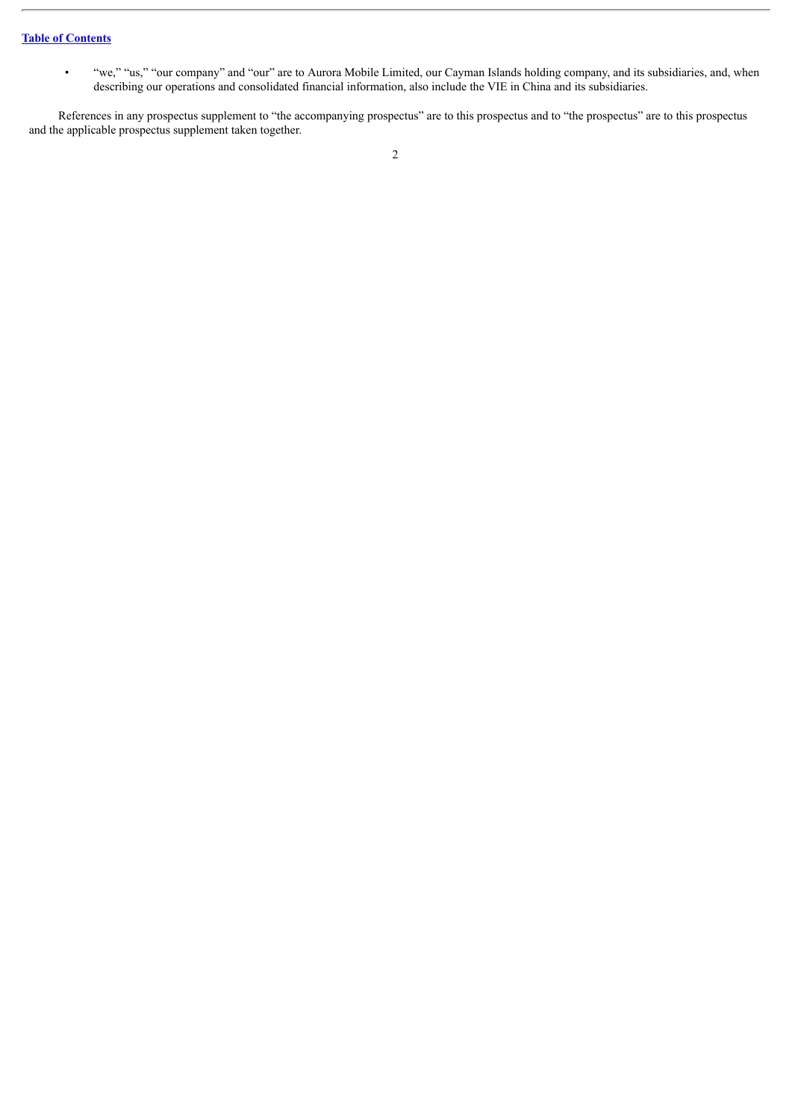• "we," "us," "our company" and "our" are to Aurora Mobile Limited, our Cayman Islands holding company, and its subsidiaries, and, when describing our operations and consolidated financial information, also include the VIE in China and its subsidiaries.

References in any prospectus supplement to "the accompanying prospectus" are to this prospectus and to "the prospectus" are to this prospectus and the applicable prospectus supplement taken together.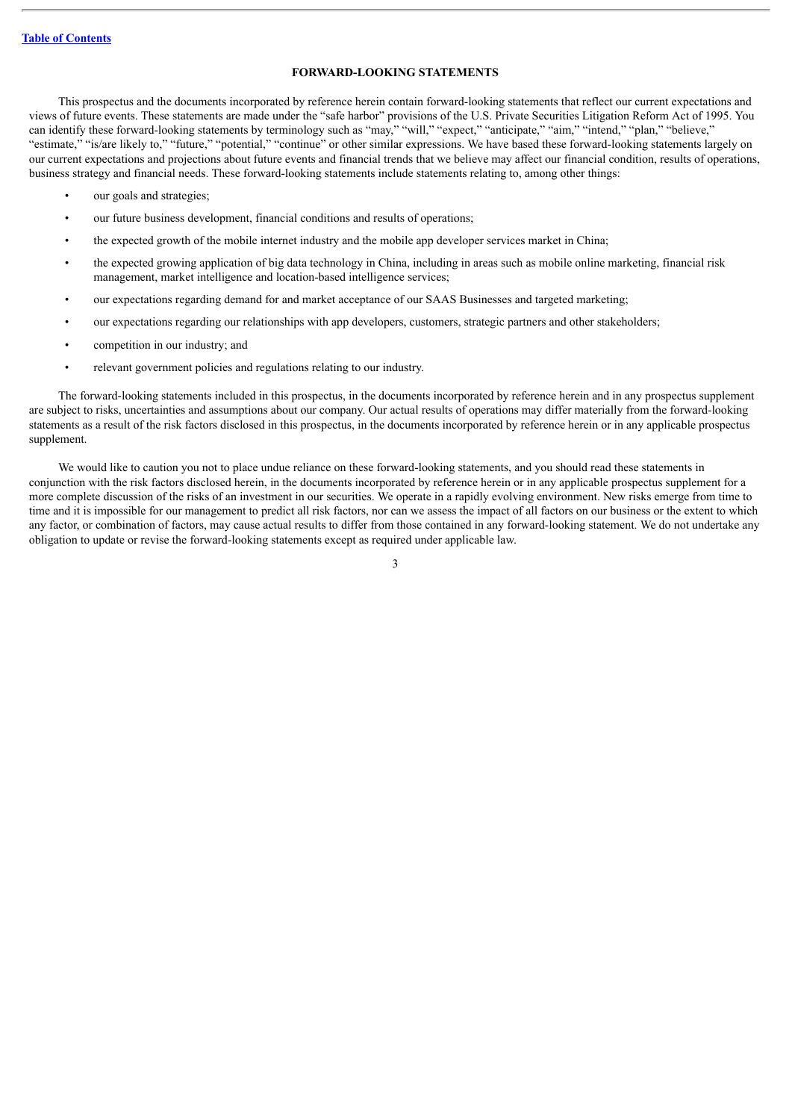# **FORWARD-LOOKING STATEMENTS**

<span id="page-5-0"></span>This prospectus and the documents incorporated by reference herein contain forward-looking statements that reflect our current expectations and views of future events. These statements are made under the "safe harbor" provisions of the U.S. Private Securities Litigation Reform Act of 1995. You can identify these forward-looking statements by terminology such as "may," "will," "expect," "anticipate," "aim," "intend," "plan," "believe," "estimate," "is/are likely to," "future," "potential," "continue" or other similar expressions. We have based these forward-looking statements largely on our current expectations and projections about future events and financial trends that we believe may affect our financial condition, results of operations, business strategy and financial needs. These forward-looking statements include statements relating to, among other things:

- our goals and strategies;
- our future business development, financial conditions and results of operations;
- the expected growth of the mobile internet industry and the mobile app developer services market in China;
- the expected growing application of big data technology in China, including in areas such as mobile online marketing, financial risk management, market intelligence and location-based intelligence services;
- our expectations regarding demand for and market acceptance of our SAAS Businesses and targeted marketing;
- our expectations regarding our relationships with app developers, customers, strategic partners and other stakeholders;
- competition in our industry; and
- relevant government policies and regulations relating to our industry.

The forward-looking statements included in this prospectus, in the documents incorporated by reference herein and in any prospectus supplement are subject to risks, uncertainties and assumptions about our company. Our actual results of operations may differ materially from the forward-looking statements as a result of the risk factors disclosed in this prospectus, in the documents incorporated by reference herein or in any applicable prospectus supplement.

We would like to caution you not to place undue reliance on these forward-looking statements, and you should read these statements in conjunction with the risk factors disclosed herein, in the documents incorporated by reference herein or in any applicable prospectus supplement for a more complete discussion of the risks of an investment in our securities. We operate in a rapidly evolving environment. New risks emerge from time to time and it is impossible for our management to predict all risk factors, nor can we assess the impact of all factors on our business or the extent to which any factor, or combination of factors, may cause actual results to differ from those contained in any forward-looking statement. We do not undertake any obligation to update or revise the forward-looking statements except as required under applicable law.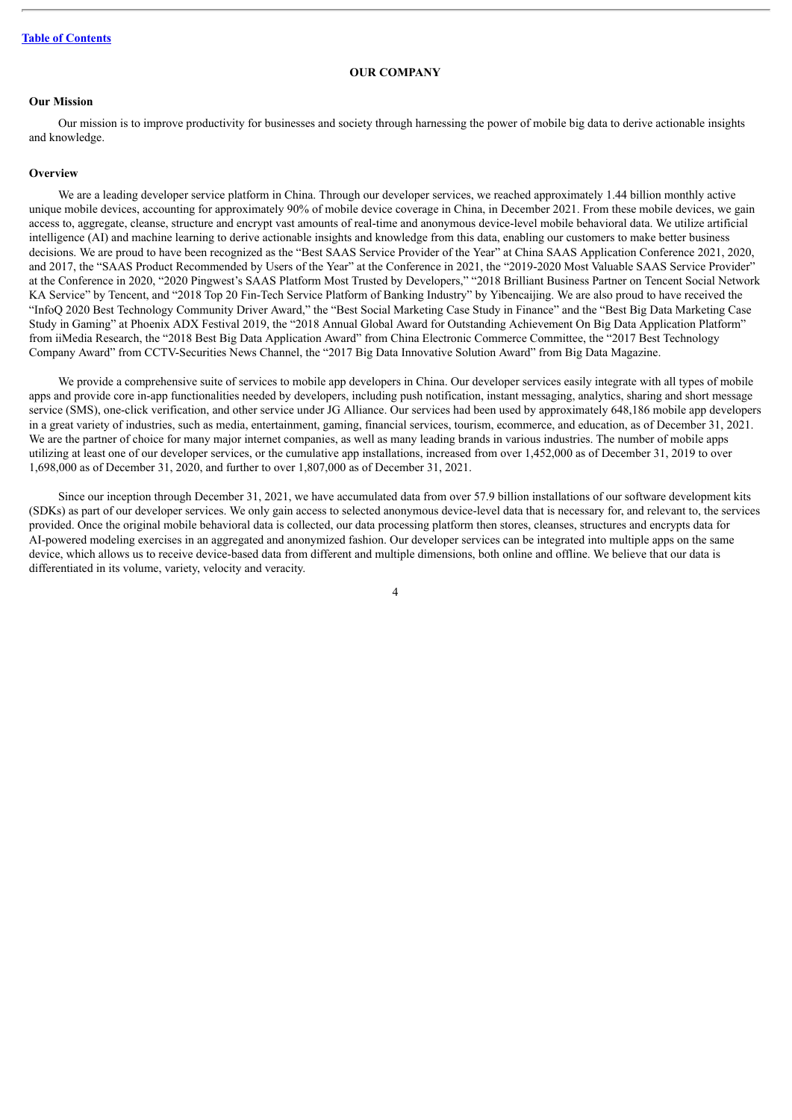### **OUR COMPANY**

### <span id="page-6-0"></span>**Our Mission**

Our mission is to improve productivity for businesses and society through harnessing the power of mobile big data to derive actionable insights and knowledge.

#### **Overview**

We are a leading developer service platform in China. Through our developer services, we reached approximately 1.44 billion monthly active unique mobile devices, accounting for approximately 90% of mobile device coverage in China, in December 2021. From these mobile devices, we gain access to, aggregate, cleanse, structure and encrypt vast amounts of real-time and anonymous device-level mobile behavioral data. We utilize artificial intelligence (AI) and machine learning to derive actionable insights and knowledge from this data, enabling our customers to make better business decisions. We are proud to have been recognized as the "Best SAAS Service Provider of the Year" at China SAAS Application Conference 2021, 2020, and 2017, the "SAAS Product Recommended by Users of the Year" at the Conference in 2021, the "2019-2020 Most Valuable SAAS Service Provider" at the Conference in 2020, "2020 Pingwest's SAAS Platform Most Trusted by Developers," "2018 Brilliant Business Partner on Tencent Social Network KA Service" by Tencent, and "2018 Top 20 Fin-Tech Service Platform of Banking Industry" by Yibencaijing. We are also proud to have received the "InfoQ 2020 Best Technology Community Driver Award," the "Best Social Marketing Case Study in Finance" and the "Best Big Data Marketing Case Study in Gaming" at Phoenix ADX Festival 2019, the "2018 Annual Global Award for Outstanding Achievement On Big Data Application Platform" from iiMedia Research, the "2018 Best Big Data Application Award" from China Electronic Commerce Committee, the "2017 Best Technology Company Award" from CCTV-Securities News Channel, the "2017 Big Data Innovative Solution Award" from Big Data Magazine.

We provide a comprehensive suite of services to mobile app developers in China. Our developer services easily integrate with all types of mobile apps and provide core in-app functionalities needed by developers, including push notification, instant messaging, analytics, sharing and short message service (SMS), one-click verification, and other service under JG Alliance. Our services had been used by approximately 648,186 mobile app developers in a great variety of industries, such as media, entertainment, gaming, financial services, tourism, ecommerce, and education, as of December 31, 2021. We are the partner of choice for many major internet companies, as well as many leading brands in various industries. The number of mobile apps utilizing at least one of our developer services, or the cumulative app installations, increased from over 1,452,000 as of December 31, 2019 to over 1,698,000 as of December 31, 2020, and further to over 1,807,000 as of December 31, 2021.

Since our inception through December 31, 2021, we have accumulated data from over 57.9 billion installations of our software development kits (SDKs) as part of our developer services. We only gain access to selected anonymous device-level data that is necessary for, and relevant to, the services provided. Once the original mobile behavioral data is collected, our data processing platform then stores, cleanses, structures and encrypts data for AI-powered modeling exercises in an aggregated and anonymized fashion. Our developer services can be integrated into multiple apps on the same device, which allows us to receive device-based data from different and multiple dimensions, both online and offline. We believe that our data is differentiated in its volume, variety, velocity and veracity.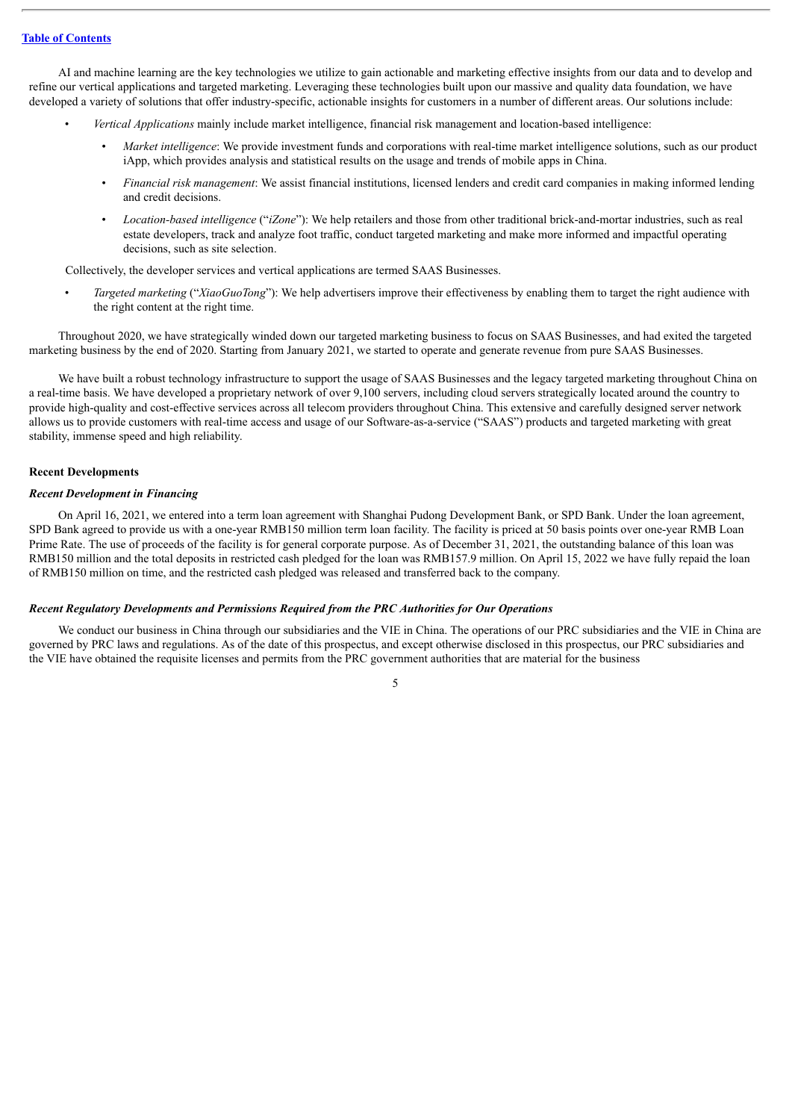AI and machine learning are the key technologies we utilize to gain actionable and marketing effective insights from our data and to develop and refine our vertical applications and targeted marketing. Leveraging these technologies built upon our massive and quality data foundation, we have developed a variety of solutions that offer industry-specific, actionable insights for customers in a number of different areas. Our solutions include:

- *Vertical Applications* mainly include market intelligence, financial risk management and location-based intelligence:
	- *Market intelligence*: We provide investment funds and corporations with real-time market intelligence solutions, such as our product iApp, which provides analysis and statistical results on the usage and trends of mobile apps in China.
	- *Financial risk management*: We assist financial institutions, licensed lenders and credit card companies in making informed lending and credit decisions.
	- *Location-based intelligence* ("*iZone*"): We help retailers and those from other traditional brick-and-mortar industries, such as real estate developers, track and analyze foot traffic, conduct targeted marketing and make more informed and impactful operating decisions, such as site selection.

Collectively, the developer services and vertical applications are termed SAAS Businesses.

• *Targeted marketing* ("*XiaoGuoTong*"): We help advertisers improve their effectiveness by enabling them to target the right audience with the right content at the right time.

Throughout 2020, we have strategically winded down our targeted marketing business to focus on SAAS Businesses, and had exited the targeted marketing business by the end of 2020. Starting from January 2021, we started to operate and generate revenue from pure SAAS Businesses.

We have built a robust technology infrastructure to support the usage of SAAS Businesses and the legacy targeted marketing throughout China on a real-time basis. We have developed a proprietary network of over 9,100 servers, including cloud servers strategically located around the country to provide high-quality and cost-effective services across all telecom providers throughout China. This extensive and carefully designed server network allows us to provide customers with real-time access and usage of our Software-as-a-service ("SAAS") products and targeted marketing with great stability, immense speed and high reliability.

### **Recent Developments**

### *Recent Development in Financing*

On April 16, 2021, we entered into a term loan agreement with Shanghai Pudong Development Bank, or SPD Bank. Under the loan agreement, SPD Bank agreed to provide us with a one-year RMB150 million term loan facility. The facility is priced at 50 basis points over one-year RMB Loan Prime Rate. The use of proceeds of the facility is for general corporate purpose. As of December 31, 2021, the outstanding balance of this loan was RMB150 million and the total deposits in restricted cash pledged for the loan was RMB157.9 million. On April 15, 2022 we have fully repaid the loan of RMB150 million on time, and the restricted cash pledged was released and transferred back to the company.

### *Recent Regulatory Developments and Permissions Required from the PRC Authorities for Our Operations*

We conduct our business in China through our subsidiaries and the VIE in China. The operations of our PRC subsidiaries and the VIE in China are governed by PRC laws and regulations. As of the date of this prospectus, and except otherwise disclosed in this prospectus, our PRC subsidiaries and the VIE have obtained the requisite licenses and permits from the PRC government authorities that are material for the business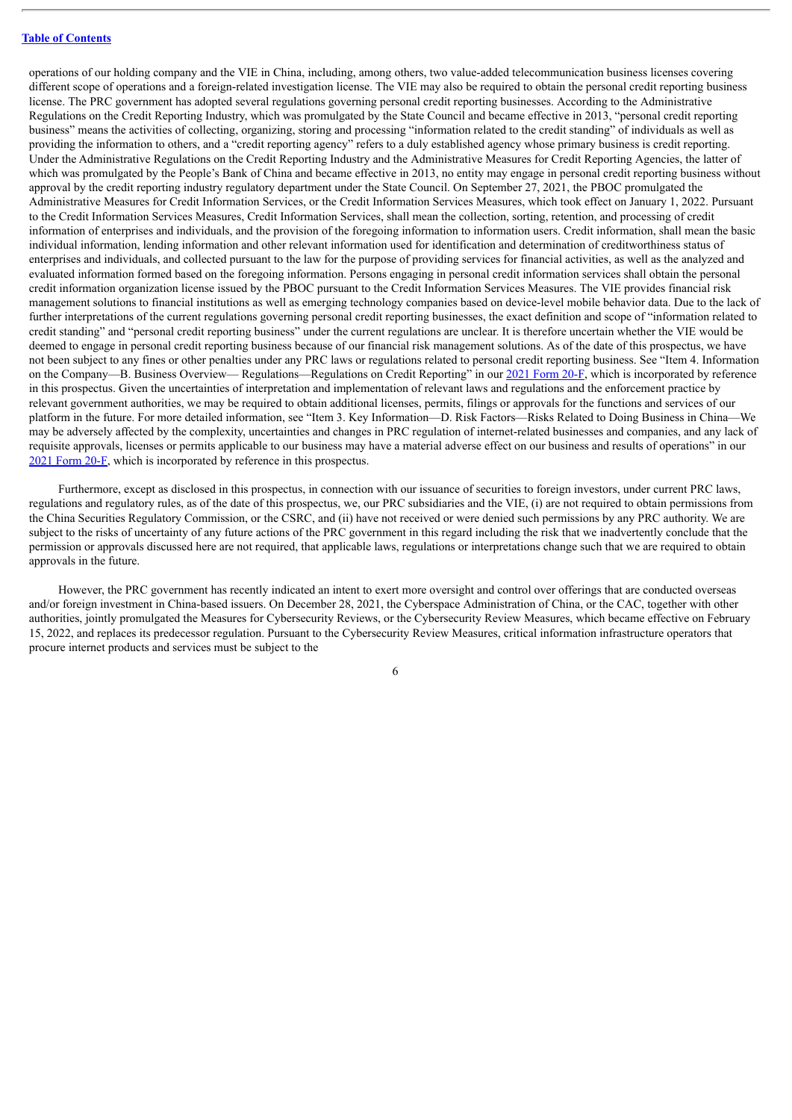operations of our holding company and the VIE in China, including, among others, two value-added telecommunication business licenses covering different scope of operations and a foreign-related investigation license. The VIE may also be required to obtain the personal credit reporting business license. The PRC government has adopted several regulations governing personal credit reporting businesses. According to the Administrative Regulations on the Credit Reporting Industry, which was promulgated by the State Council and became effective in 2013, "personal credit reporting business" means the activities of collecting, organizing, storing and processing "information related to the credit standing" of individuals as well as providing the information to others, and a "credit reporting agency" refers to a duly established agency whose primary business is credit reporting. Under the Administrative Regulations on the Credit Reporting Industry and the Administrative Measures for Credit Reporting Agencies, the latter of which was promulgated by the People's Bank of China and became effective in 2013, no entity may engage in personal credit reporting business without approval by the credit reporting industry regulatory department under the State Council. On September 27, 2021, the PBOC promulgated the Administrative Measures for Credit Information Services, or the Credit Information Services Measures, which took effect on January 1, 2022. Pursuant to the Credit Information Services Measures, Credit Information Services, shall mean the collection, sorting, retention, and processing of credit information of enterprises and individuals, and the provision of the foregoing information to information users. Credit information, shall mean the basic individual information, lending information and other relevant information used for identification and determination of creditworthiness status of enterprises and individuals, and collected pursuant to the law for the purpose of providing services for financial activities, as well as the analyzed and evaluated information formed based on the foregoing information. Persons engaging in personal credit information services shall obtain the personal credit information organization license issued by the PBOC pursuant to the Credit Information Services Measures. The VIE provides financial risk management solutions to financial institutions as well as emerging technology companies based on device-level mobile behavior data. Due to the lack of further interpretations of the current regulations governing personal credit reporting businesses, the exact definition and scope of "information related to credit standing" and "personal credit reporting business" under the current regulations are unclear. It is therefore uncertain whether the VIE would be deemed to engage in personal credit reporting business because of our financial risk management solutions. As of the date of this prospectus, we have not been subject to any fines or other penalties under any PRC laws or regulations related to personal credit reporting business. See "Item 4. Information on the Company—B. Business Overview— Regulations—Regulations on Credit Reporting" in our 2021 [Form](http://www.sec.gov/ix?doc=/Archives/edgar/data/0001737339/000119312522104903/d217874d20f.htm) 20-F, which is incorporated by reference in this prospectus. Given the uncertainties of interpretation and implementation of relevant laws and regulations and the enforcement practice by relevant government authorities, we may be required to obtain additional licenses, permits, filings or approvals for the functions and services of our platform in the future. For more detailed information, see "Item 3. Key Information—D. Risk Factors—Risks Related to Doing Business in China—We may be adversely affected by the complexity, uncertainties and changes in PRC regulation of internet-related businesses and companies, and any lack of requisite approvals, licenses or permits applicable to our business may have a material adverse effect on our business and results of operations" in our 2021 [Form](http://www.sec.gov/ix?doc=/Archives/edgar/data/0001737339/000119312522104903/d217874d20f.htm) 20-F, which is incorporated by reference in this prospectus.

Furthermore, except as disclosed in this prospectus, in connection with our issuance of securities to foreign investors, under current PRC laws. regulations and regulatory rules, as of the date of this prospectus, we, our PRC subsidiaries and the VIE, (i) are not required to obtain permissions from the China Securities Regulatory Commission, or the CSRC, and (ii) have not received or were denied such permissions by any PRC authority. We are subject to the risks of uncertainty of any future actions of the PRC government in this regard including the risk that we inadvertently conclude that the permission or approvals discussed here are not required, that applicable laws, regulations or interpretations change such that we are required to obtain approvals in the future.

However, the PRC government has recently indicated an intent to exert more oversight and control over offerings that are conducted overseas and/or foreign investment in China-based issuers. On December 28, 2021, the Cyberspace Administration of China, or the CAC, together with other authorities, jointly promulgated the Measures for Cybersecurity Reviews, or the Cybersecurity Review Measures, which became effective on February 15, 2022, and replaces its predecessor regulation. Pursuant to the Cybersecurity Review Measures, critical information infrastructure operators that procure internet products and services must be subject to the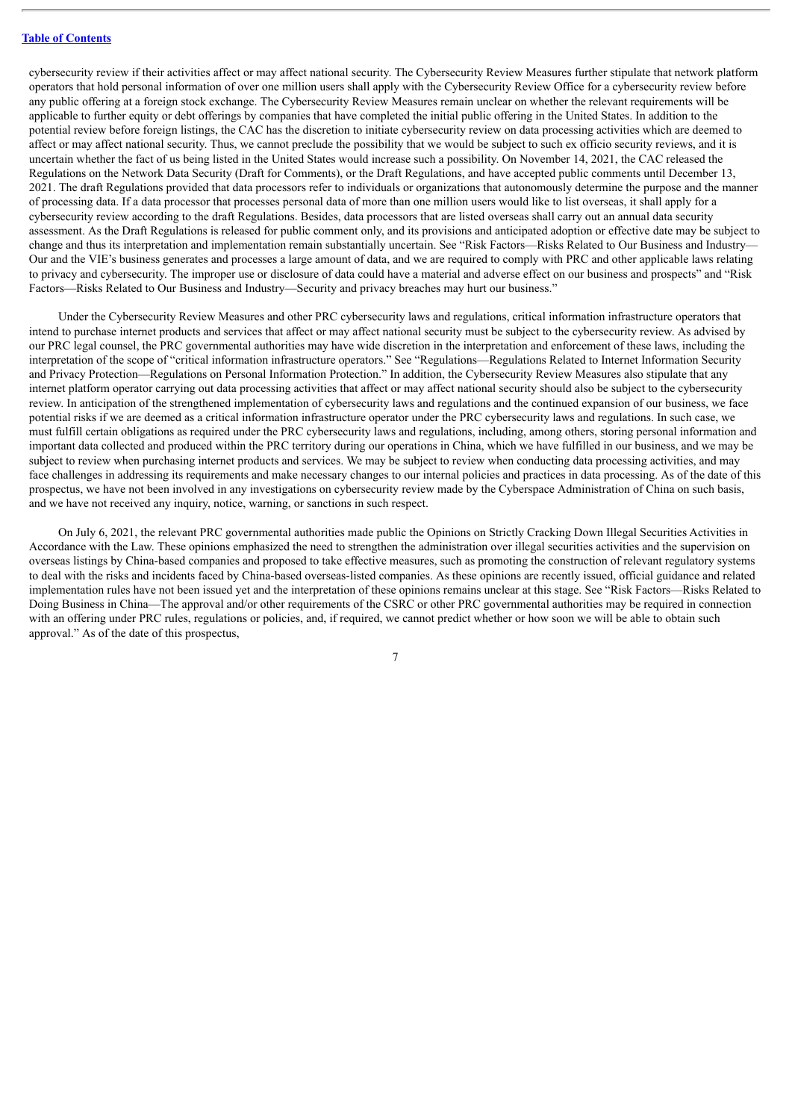cybersecurity review if their activities affect or may affect national security. The Cybersecurity Review Measures further stipulate that network platform operators that hold personal information of over one million users shall apply with the Cybersecurity Review Office for a cybersecurity review before any public offering at a foreign stock exchange. The Cybersecurity Review Measures remain unclear on whether the relevant requirements will be applicable to further equity or debt offerings by companies that have completed the initial public offering in the United States. In addition to the potential review before foreign listings, the CAC has the discretion to initiate cybersecurity review on data processing activities which are deemed to affect or may affect national security. Thus, we cannot preclude the possibility that we would be subject to such ex officio security reviews, and it is uncertain whether the fact of us being listed in the United States would increase such a possibility. On November 14, 2021, the CAC released the Regulations on the Network Data Security (Draft for Comments), or the Draft Regulations, and have accepted public comments until December 13, 2021. The draft Regulations provided that data processors refer to individuals or organizations that autonomously determine the purpose and the manner of processing data. If a data processor that processes personal data of more than one million users would like to list overseas, it shall apply for a cybersecurity review according to the draft Regulations. Besides, data processors that are listed overseas shall carry out an annual data security assessment. As the Draft Regulations is released for public comment only, and its provisions and anticipated adoption or effective date may be subject to change and thus its interpretation and implementation remain substantially uncertain. See "Risk Factors—Risks Related to Our Business and Industry— Our and the VIE's business generates and processes a large amount of data, and we are required to comply with PRC and other applicable laws relating to privacy and cybersecurity. The improper use or disclosure of data could have a material and adverse effect on our business and prospects" and "Risk Factors—Risks Related to Our Business and Industry—Security and privacy breaches may hurt our business."

Under the Cybersecurity Review Measures and other PRC cybersecurity laws and regulations, critical information infrastructure operators that intend to purchase internet products and services that affect or may affect national security must be subject to the cybersecurity review. As advised by our PRC legal counsel, the PRC governmental authorities may have wide discretion in the interpretation and enforcement of these laws, including the interpretation of the scope of "critical information infrastructure operators." See "Regulations—Regulations Related to Internet Information Security and Privacy Protection—Regulations on Personal Information Protection." In addition, the Cybersecurity Review Measures also stipulate that any internet platform operator carrying out data processing activities that affect or may affect national security should also be subject to the cybersecurity review. In anticipation of the strengthened implementation of cybersecurity laws and regulations and the continued expansion of our business, we face potential risks if we are deemed as a critical information infrastructure operator under the PRC cybersecurity laws and regulations. In such case, we must fulfill certain obligations as required under the PRC cybersecurity laws and regulations, including, among others, storing personal information and important data collected and produced within the PRC territory during our operations in China, which we have fulfilled in our business, and we may be subject to review when purchasing internet products and services. We may be subject to review when conducting data processing activities, and may face challenges in addressing its requirements and make necessary changes to our internal policies and practices in data processing. As of the date of this prospectus, we have not been involved in any investigations on cybersecurity review made by the Cyberspace Administration of China on such basis, and we have not received any inquiry, notice, warning, or sanctions in such respect.

On July 6, 2021, the relevant PRC governmental authorities made public the Opinions on Strictly Cracking Down Illegal Securities Activities in Accordance with the Law. These opinions emphasized the need to strengthen the administration over illegal securities activities and the supervision on overseas listings by China-based companies and proposed to take effective measures, such as promoting the construction of relevant regulatory systems to deal with the risks and incidents faced by China-based overseas-listed companies. As these opinions are recently issued, official guidance and related implementation rules have not been issued yet and the interpretation of these opinions remains unclear at this stage. See "Risk Factors—Risks Related to Doing Business in China—The approval and/or other requirements of the CSRC or other PRC governmental authorities may be required in connection with an offering under PRC rules, regulations or policies, and, if required, we cannot predict whether or how soon we will be able to obtain such approval." As of the date of this prospectus,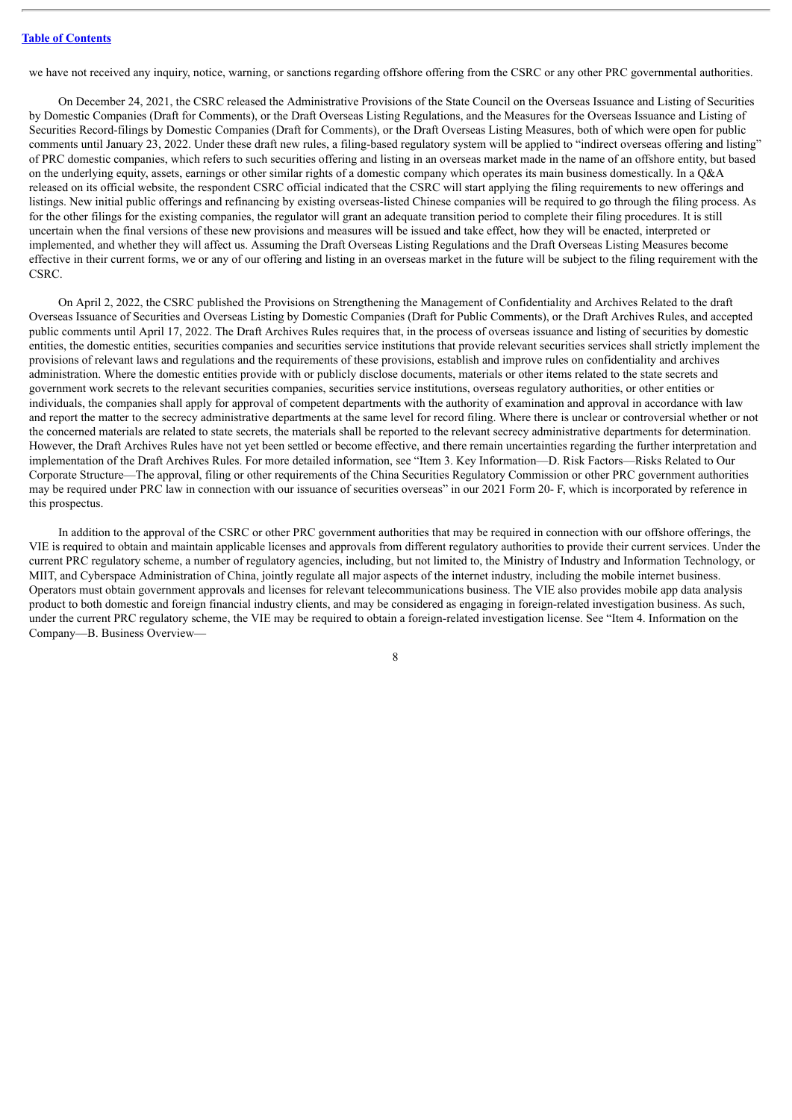we have not received any inquiry, notice, warning, or sanctions regarding offshore offering from the CSRC or any other PRC governmental authorities.

On December 24, 2021, the CSRC released the Administrative Provisions of the State Council on the Overseas Issuance and Listing of Securities by Domestic Companies (Draft for Comments), or the Draft Overseas Listing Regulations, and the Measures for the Overseas Issuance and Listing of Securities Record-filings by Domestic Companies (Draft for Comments), or the Draft Overseas Listing Measures, both of which were open for public comments until January 23, 2022. Under these draft new rules, a filing-based regulatory system will be applied to "indirect overseas offering and listing" of PRC domestic companies, which refers to such securities offering and listing in an overseas market made in the name of an offshore entity, but based on the underlying equity, assets, earnings or other similar rights of a domestic company which operates its main business domestically. In a Q&A released on its official website, the respondent CSRC official indicated that the CSRC will start applying the filing requirements to new offerings and listings. New initial public offerings and refinancing by existing overseas-listed Chinese companies will be required to go through the filing process. As for the other filings for the existing companies, the regulator will grant an adequate transition period to complete their filing procedures. It is still uncertain when the final versions of these new provisions and measures will be issued and take effect, how they will be enacted, interpreted or implemented, and whether they will affect us. Assuming the Draft Overseas Listing Regulations and the Draft Overseas Listing Measures become effective in their current forms, we or any of our offering and listing in an overseas market in the future will be subject to the filing requirement with the CSRC.

On April 2, 2022, the CSRC published the Provisions on Strengthening the Management of Confidentiality and Archives Related to the draft Overseas Issuance of Securities and Overseas Listing by Domestic Companies (Draft for Public Comments), or the Draft Archives Rules, and accepted public comments until April 17, 2022. The Draft Archives Rules requires that, in the process of overseas issuance and listing of securities by domestic entities, the domestic entities, securities companies and securities service institutions that provide relevant securities services shall strictly implement the provisions of relevant laws and regulations and the requirements of these provisions, establish and improve rules on confidentiality and archives administration. Where the domestic entities provide with or publicly disclose documents, materials or other items related to the state secrets and government work secrets to the relevant securities companies, securities service institutions, overseas regulatory authorities, or other entities or individuals, the companies shall apply for approval of competent departments with the authority of examination and approval in accordance with law and report the matter to the secrecy administrative departments at the same level for record filing. Where there is unclear or controversial whether or not the concerned materials are related to state secrets, the materials shall be reported to the relevant secrecy administrative departments for determination. However, the Draft Archives Rules have not yet been settled or become effective, and there remain uncertainties regarding the further interpretation and implementation of the Draft Archives Rules. For more detailed information, see "Item 3. Key Information—D. Risk Factors—Risks Related to Our Corporate Structure—The approval, filing or other requirements of the China Securities Regulatory Commission or other PRC government authorities may be required under PRC law in connection with our issuance of securities overseas" in our 2021 Form 20- F, which is incorporated by reference in this prospectus.

In addition to the approval of the CSRC or other PRC government authorities that may be required in connection with our offshore offerings, the VIE is required to obtain and maintain applicable licenses and approvals from different regulatory authorities to provide their current services. Under the current PRC regulatory scheme, a number of regulatory agencies, including, but not limited to, the Ministry of Industry and Information Technology, or MIIT, and Cyberspace Administration of China, jointly regulate all major aspects of the internet industry, including the mobile internet business. Operators must obtain government approvals and licenses for relevant telecommunications business. The VIE also provides mobile app data analysis product to both domestic and foreign financial industry clients, and may be considered as engaging in foreign-related investigation business. As such, under the current PRC regulatory scheme, the VIE may be required to obtain a foreign-related investigation license. See "Item 4. Information on the Company—B. Business Overview—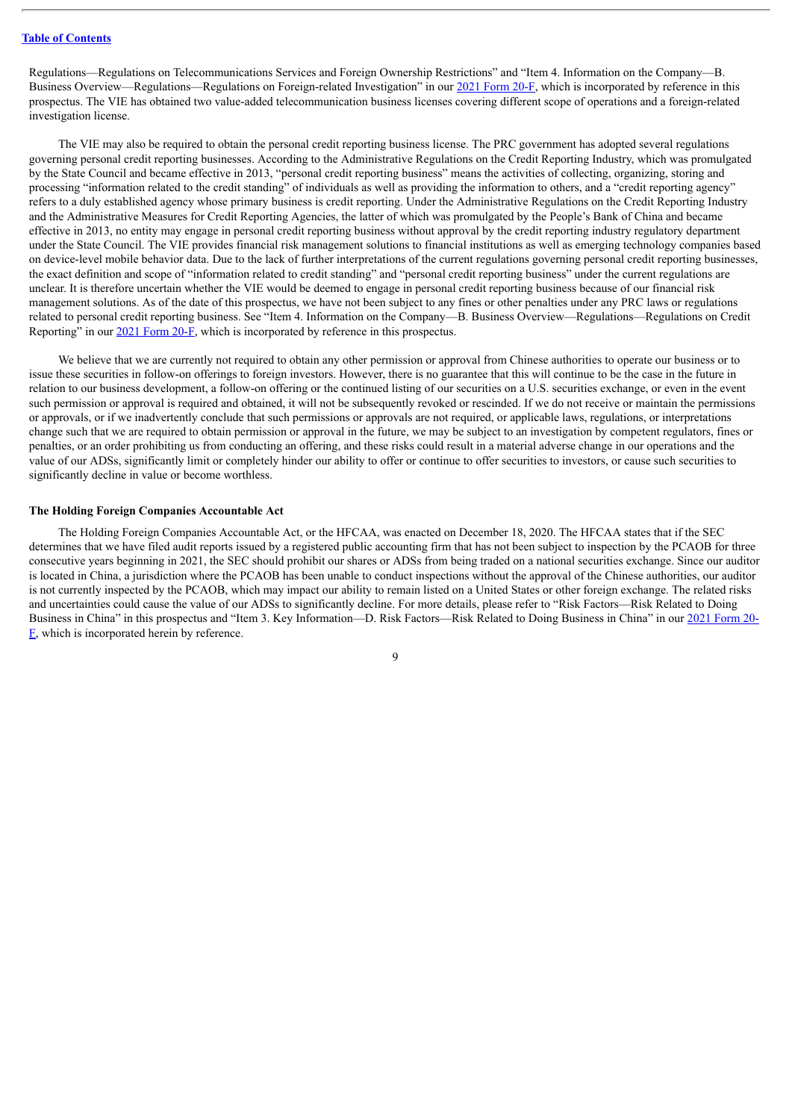Regulations—Regulations on Telecommunications Services and Foreign Ownership Restrictions" and "Item 4. Information on the Company—B. Business Overview—Regulations—Regulations on Foreign-related Investigation" in our 2021 [Form](http://www.sec.gov/ix?doc=/Archives/edgar/data/0001737339/000119312522104903/d217874d20f.htm) 20-F, which is incorporated by reference in this prospectus. The VIE has obtained two value-added telecommunication business licenses covering different scope of operations and a foreign-related investigation license.

The VIE may also be required to obtain the personal credit reporting business license. The PRC government has adopted several regulations governing personal credit reporting businesses. According to the Administrative Regulations on the Credit Reporting Industry, which was promulgated by the State Council and became effective in 2013, "personal credit reporting business" means the activities of collecting, organizing, storing and processing "information related to the credit standing" of individuals as well as providing the information to others, and a "credit reporting agency" refers to a duly established agency whose primary business is credit reporting. Under the Administrative Regulations on the Credit Reporting Industry and the Administrative Measures for Credit Reporting Agencies, the latter of which was promulgated by the People's Bank of China and became effective in 2013, no entity may engage in personal credit reporting business without approval by the credit reporting industry regulatory department under the State Council. The VIE provides financial risk management solutions to financial institutions as well as emerging technology companies based on device-level mobile behavior data. Due to the lack of further interpretations of the current regulations governing personal credit reporting businesses, the exact definition and scope of "information related to credit standing" and "personal credit reporting business" under the current regulations are unclear. It is therefore uncertain whether the VIE would be deemed to engage in personal credit reporting business because of our financial risk management solutions. As of the date of this prospectus, we have not been subject to any fines or other penalties under any PRC laws or regulations related to personal credit reporting business. See "Item 4. Information on the Company—B. Business Overview—Regulations—Regulations on Credit Reporting" in our 2021 [Form](http://www.sec.gov/ix?doc=/Archives/edgar/data/0001737339/000119312522104903/d217874d20f.htm) 20-F, which is incorporated by reference in this prospectus.

We believe that we are currently not required to obtain any other permission or approval from Chinese authorities to operate our business or to issue these securities in follow-on offerings to foreign investors. However, there is no guarantee that this will continue to be the case in the future in relation to our business development, a follow-on offering or the continued listing of our securities on a U.S. securities exchange, or even in the event such permission or approval is required and obtained, it will not be subsequently revoked or rescinded. If we do not receive or maintain the permissions or approvals, or if we inadvertently conclude that such permissions or approvals are not required, or applicable laws, regulations, or interpretations change such that we are required to obtain permission or approval in the future, we may be subject to an investigation by competent regulators, fines or penalties, or an order prohibiting us from conducting an offering, and these risks could result in a material adverse change in our operations and the value of our ADSs, significantly limit or completely hinder our ability to offer or continue to offer securities to investors, or cause such securities to significantly decline in value or become worthless.

#### **The Holding Foreign Companies Accountable Act**

The Holding Foreign Companies Accountable Act, or the HFCAA, was enacted on December 18, 2020. The HFCAA states that if the SEC determines that we have filed audit reports issued by a registered public accounting firm that has not been subject to inspection by the PCAOB for three consecutive years beginning in 2021, the SEC should prohibit our shares or ADSs from being traded on a national securities exchange. Since our auditor is located in China, a jurisdiction where the PCAOB has been unable to conduct inspections without the approval of the Chinese authorities, our auditor is not currently inspected by the PCAOB, which may impact our ability to remain listed on a United States or other foreign exchange. The related risks and uncertainties could cause the value of our ADSs to significantly decline. For more details, please refer to "Risk Factors—Risk Related to Doing Business in China" in this prospectus and "Item 3. Key [Information—D.](http://www.sec.gov/ix?doc=/Archives/edgar/data/0001737339/000119312522104903/d217874d20f.htm) Risk Factors—Risk Related to Doing Business in China" in our 2021 Form 20-F, which is incorporated herein by reference.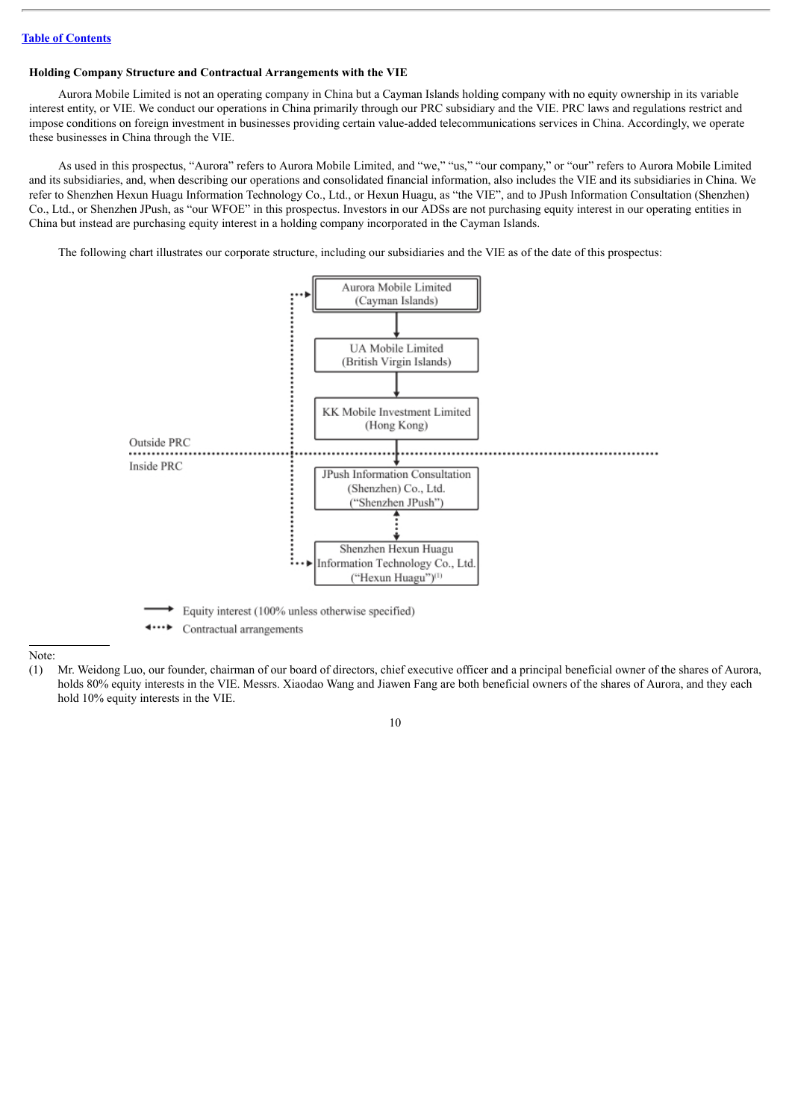#### **Holding Company Structure and Contractual Arrangements with the VIE**

Aurora Mobile Limited is not an operating company in China but a Cayman Islands holding company with no equity ownership in its variable interest entity, or VIE. We conduct our operations in China primarily through our PRC subsidiary and the VIE. PRC laws and regulations restrict and impose conditions on foreign investment in businesses providing certain value-added telecommunications services in China. Accordingly, we operate these businesses in China through the VIE.

As used in this prospectus, "Aurora" refers to Aurora Mobile Limited, and "we," "us," "our company," or "our" refers to Aurora Mobile Limited and its subsidiaries, and, when describing our operations and consolidated financial information, also includes the VIE and its subsidiaries in China. We refer to Shenzhen Hexun Huagu Information Technology Co., Ltd., or Hexun Huagu, as "the VIE", and to JPush Information Consultation (Shenzhen) Co., Ltd., or Shenzhen JPush, as "our WFOE" in this prospectus. Investors in our ADSs are not purchasing equity interest in our operating entities in China but instead are purchasing equity interest in a holding company incorporated in the Cayman Islands.

The following chart illustrates our corporate structure, including our subsidiaries and the VIE as of the date of this prospectus:



Note:

<sup>(1)</sup> Mr. Weidong Luo, our founder, chairman of our board of directors, chief executive officer and a principal beneficial owner of the shares of Aurora, holds 80% equity interests in the VIE. Messrs. Xiaodao Wang and Jiawen Fang are both beneficial owners of the shares of Aurora, and they each hold 10% equity interests in the VIE.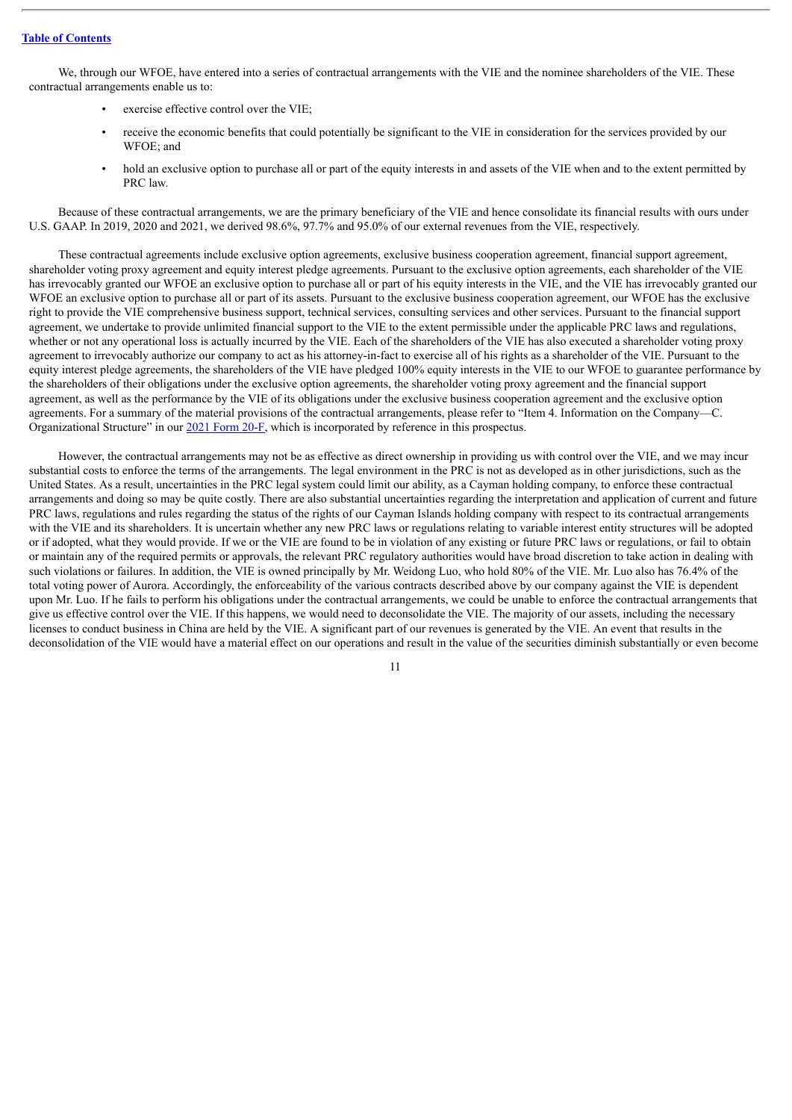We, through our WFOE, have entered into a series of contractual arrangements with the VIE and the nominee shareholders of the VIE. These contractual arrangements enable us to:

- exercise effective control over the VIE;
- receive the economic benefits that could potentially be significant to the VIE in consideration for the services provided by our WFOE; and
- hold an exclusive option to purchase all or part of the equity interests in and assets of the VIE when and to the extent permitted by PRC law.

Because of these contractual arrangements, we are the primary beneficiary of the VIE and hence consolidate its financial results with ours under U.S. GAAP. In 2019, 2020 and 2021, we derived 98.6%, 97.7% and 95.0% of our external revenues from the VIE, respectively.

These contractual agreements include exclusive option agreements, exclusive business cooperation agreement, financial support agreement, shareholder voting proxy agreement and equity interest pledge agreements. Pursuant to the exclusive option agreements, each shareholder of the VIE has irrevocably granted our WFOE an exclusive option to purchase all or part of his equity interests in the VIE, and the VIE has irrevocably granted our WFOE an exclusive option to purchase all or part of its assets. Pursuant to the exclusive business cooperation agreement, our WFOE has the exclusive right to provide the VIE comprehensive business support, technical services, consulting services and other services. Pursuant to the financial support agreement, we undertake to provide unlimited financial support to the VIE to the extent permissible under the applicable PRC laws and regulations, whether or not any operational loss is actually incurred by the VIE. Each of the shareholders of the VIE has also executed a shareholder voting proxy agreement to irrevocably authorize our company to act as his attorney-in-fact to exercise all of his rights as a shareholder of the VIE. Pursuant to the equity interest pledge agreements, the shareholders of the VIE have pledged 100% equity interests in the VIE to our WFOE to guarantee performance by the shareholders of their obligations under the exclusive option agreements, the shareholder voting proxy agreement and the financial support agreement, as well as the performance by the VIE of its obligations under the exclusive business cooperation agreement and the exclusive option agreements. For a summary of the material provisions of the contractual arrangements, please refer to "Item 4. Information on the Company—C. Organizational Structure" in our 2021 [Form](http://www.sec.gov/ix?doc=/Archives/edgar/data/0001737339/000119312522104903/d217874d20f.htm) 20-F, which is incorporated by reference in this prospectus.

However, the contractual arrangements may not be as effective as direct ownership in providing us with control over the VIE, and we may incur substantial costs to enforce the terms of the arrangements. The legal environment in the PRC is not as developed as in other jurisdictions, such as the United States. As a result, uncertainties in the PRC legal system could limit our ability, as a Cayman holding company, to enforce these contractual arrangements and doing so may be quite costly. There are also substantial uncertainties regarding the interpretation and application of current and future PRC laws, regulations and rules regarding the status of the rights of our Cayman Islands holding company with respect to its contractual arrangements with the VIE and its shareholders. It is uncertain whether any new PRC laws or regulations relating to variable interest entity structures will be adopted or if adopted, what they would provide. If we or the VIE are found to be in violation of any existing or future PRC laws or regulations, or fail to obtain or maintain any of the required permits or approvals, the relevant PRC regulatory authorities would have broad discretion to take action in dealing with such violations or failures. In addition, the VIE is owned principally by Mr. Weidong Luo, who hold 80% of the VIE. Mr. Luo also has 76.4% of the total voting power of Aurora. Accordingly, the enforceability of the various contracts described above by our company against the VIE is dependent upon Mr. Luo. If he fails to perform his obligations under the contractual arrangements, we could be unable to enforce the contractual arrangements that give us effective control over the VIE. If this happens, we would need to deconsolidate the VIE. The majority of our assets, including the necessary licenses to conduct business in China are held by the VIE. A significant part of our revenues is generated by the VIE. An event that results in the deconsolidation of the VIE would have a material effect on our operations and result in the value of the securities diminish substantially or even become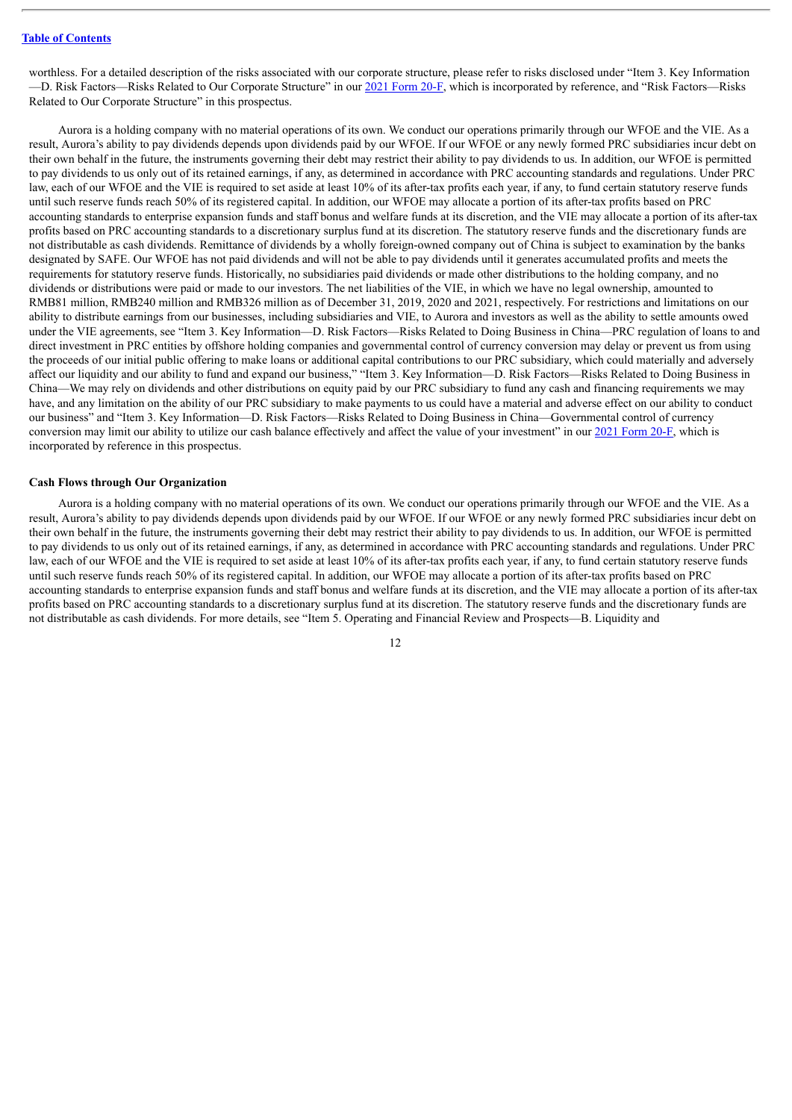worthless. For a detailed description of the risks associated with our corporate structure, please refer to risks disclosed under "Item 3. Key Information —D. Risk Factors—Risks Related to Our Corporate Structure" in our 2021 [Form](http://www.sec.gov/ix?doc=/Archives/edgar/data/0001737339/000119312522104903/d217874d20f.htm) 20-F, which is incorporated by reference, and "Risk Factors—Risks Related to Our Corporate Structure" in this prospectus.

Aurora is a holding company with no material operations of its own. We conduct our operations primarily through our WFOE and the VIE. As a result, Aurora's ability to pay dividends depends upon dividends paid by our WFOE. If our WFOE or any newly formed PRC subsidiaries incur debt on their own behalf in the future, the instruments governing their debt may restrict their ability to pay dividends to us. In addition, our WFOE is permitted to pay dividends to us only out of its retained earnings, if any, as determined in accordance with PRC accounting standards and regulations. Under PRC law, each of our WFOE and the VIE is required to set aside at least 10% of its after-tax profits each year, if any, to fund certain statutory reserve funds until such reserve funds reach 50% of its registered capital. In addition, our WFOE may allocate a portion of its after-tax profits based on PRC accounting standards to enterprise expansion funds and staff bonus and welfare funds at its discretion, and the VIE may allocate a portion of its after-tax profits based on PRC accounting standards to a discretionary surplus fund at its discretion. The statutory reserve funds and the discretionary funds are not distributable as cash dividends. Remittance of dividends by a wholly foreign-owned company out of China is subject to examination by the banks designated by SAFE. Our WFOE has not paid dividends and will not be able to pay dividends until it generates accumulated profits and meets the requirements for statutory reserve funds. Historically, no subsidiaries paid dividends or made other distributions to the holding company, and no dividends or distributions were paid or made to our investors. The net liabilities of the VIE, in which we have no legal ownership, amounted to RMB81 million, RMB240 million and RMB326 million as of December 31, 2019, 2020 and 2021, respectively. For restrictions and limitations on our ability to distribute earnings from our businesses, including subsidiaries and VIE, to Aurora and investors as well as the ability to settle amounts owed under the VIE agreements, see "Item 3. Key Information—D. Risk Factors—Risks Related to Doing Business in China—PRC regulation of loans to and direct investment in PRC entities by offshore holding companies and governmental control of currency conversion may delay or prevent us from using the proceeds of our initial public offering to make loans or additional capital contributions to our PRC subsidiary, which could materially and adversely affect our liquidity and our ability to fund and expand our business," "Item 3. Key Information—D. Risk Factors—Risks Related to Doing Business in China—We may rely on dividends and other distributions on equity paid by our PRC subsidiary to fund any cash and financing requirements we may have, and any limitation on the ability of our PRC subsidiary to make payments to us could have a material and adverse effect on our ability to conduct our business" and "Item 3. Key Information—D. Risk Factors—Risks Related to Doing Business in China—Governmental control of currency conversion may limit our ability to utilize our cash balance effectively and affect the value of your investment" in our 2021 [Form](http://www.sec.gov/ix?doc=/Archives/edgar/data/0001737339/000119312522104903/d217874d20f.htm) 20-F, which is incorporated by reference in this prospectus.

### **Cash Flows through Our Organization**

Aurora is a holding company with no material operations of its own. We conduct our operations primarily through our WFOE and the VIE. As a result, Aurora's ability to pay dividends depends upon dividends paid by our WFOE. If our WFOE or any newly formed PRC subsidiaries incur debt on their own behalf in the future, the instruments governing their debt may restrict their ability to pay dividends to us. In addition, our WFOE is permitted to pay dividends to us only out of its retained earnings, if any, as determined in accordance with PRC accounting standards and regulations. Under PRC law, each of our WFOE and the VIE is required to set aside at least 10% of its after-tax profits each year, if any, to fund certain statutory reserve funds until such reserve funds reach 50% of its registered capital. In addition, our WFOE may allocate a portion of its after-tax profits based on PRC accounting standards to enterprise expansion funds and staff bonus and welfare funds at its discretion, and the VIE may allocate a portion of its after-tax profits based on PRC accounting standards to a discretionary surplus fund at its discretion. The statutory reserve funds and the discretionary funds are not distributable as cash dividends. For more details, see "Item 5. Operating and Financial Review and Prospects—B. Liquidity and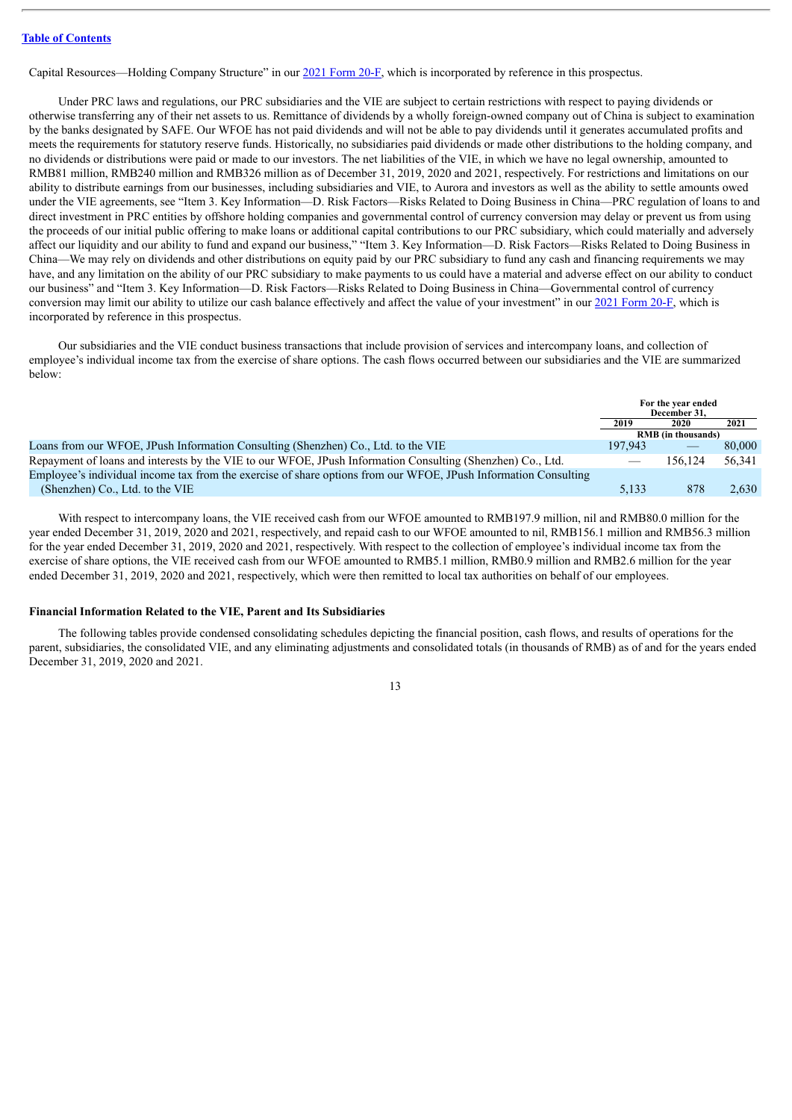Capital Resources—Holding Company Structure" in our 2021 [Form](http://www.sec.gov/ix?doc=/Archives/edgar/data/0001737339/000119312522104903/d217874d20f.htm) 20-F, which is incorporated by reference in this prospectus.

Under PRC laws and regulations, our PRC subsidiaries and the VIE are subject to certain restrictions with respect to paying dividends or otherwise transferring any of their net assets to us. Remittance of dividends by a wholly foreign-owned company out of China is subject to examination by the banks designated by SAFE. Our WFOE has not paid dividends and will not be able to pay dividends until it generates accumulated profits and meets the requirements for statutory reserve funds. Historically, no subsidiaries paid dividends or made other distributions to the holding company, and no dividends or distributions were paid or made to our investors. The net liabilities of the VIE, in which we have no legal ownership, amounted to RMB81 million, RMB240 million and RMB326 million as of December 31, 2019, 2020 and 2021, respectively. For restrictions and limitations on our ability to distribute earnings from our businesses, including subsidiaries and VIE, to Aurora and investors as well as the ability to settle amounts owed under the VIE agreements, see "Item 3. Key Information—D. Risk Factors—Risks Related to Doing Business in China—PRC regulation of loans to and direct investment in PRC entities by offshore holding companies and governmental control of currency conversion may delay or prevent us from using the proceeds of our initial public offering to make loans or additional capital contributions to our PRC subsidiary, which could materially and adversely affect our liquidity and our ability to fund and expand our business," "Item 3. Key Information—D. Risk Factors—Risks Related to Doing Business in China—We may rely on dividends and other distributions on equity paid by our PRC subsidiary to fund any cash and financing requirements we may have, and any limitation on the ability of our PRC subsidiary to make payments to us could have a material and adverse effect on our ability to conduct our business" and "Item 3. Key Information—D. Risk Factors—Risks Related to Doing Business in China—Governmental control of currency conversion may limit our ability to utilize our cash balance effectively and affect the value of your investment" in our 2021 [Form](http://www.sec.gov/ix?doc=/Archives/edgar/data/0001737339/000119312522104903/d217874d20f.htm) 20-F, which is incorporated by reference in this prospectus.

Our subsidiaries and the VIE conduct business transactions that include provision of services and intercompany loans, and collection of employee's individual income tax from the exercise of share options. The cash flows occurred between our subsidiaries and the VIE are summarized below:

|                                                                                                                 |                               | For the year ended<br>December 31. |        |
|-----------------------------------------------------------------------------------------------------------------|-------------------------------|------------------------------------|--------|
|                                                                                                                 | 2019                          | 2020                               | 2021   |
|                                                                                                                 |                               | <b>RMB</b> (in thousands)          |        |
| Loans from our WFOE, JPush Information Consulting (Shenzhen) Co., Ltd. to the VIE                               | 197.943                       |                                    | 80,000 |
| Repayment of loans and interests by the VIE to our WFOE, JPush Information Consulting (Shenzhen) Co., Ltd.      | $\overbrace{\phantom{aaaaa}}$ | 156.124                            | 56.341 |
| Employee's individual income tax from the exercise of share options from our WFOE, JPush Information Consulting |                               |                                    |        |
| (Shenzhen) Co., Ltd. to the VIE                                                                                 | 5,133                         | 878                                | 2,630  |

With respect to intercompany loans, the VIE received cash from our WFOE amounted to RMB197.9 million, nil and RMB80.0 million for the year ended December 31, 2019, 2020 and 2021, respectively, and repaid cash to our WFOE amounted to nil, RMB156.1 million and RMB56.3 million for the year ended December 31, 2019, 2020 and 2021, respectively. With respect to the collection of employee's individual income tax from the exercise of share options, the VIE received cash from our WFOE amounted to RMB5.1 million, RMB0.9 million and RMB2.6 million for the year ended December 31, 2019, 2020 and 2021, respectively, which were then remitted to local tax authorities on behalf of our employees.

#### **Financial Information Related to the VIE, Parent and Its Subsidiaries**

The following tables provide condensed consolidating schedules depicting the financial position, cash flows, and results of operations for the parent, subsidiaries, the consolidated VIE, and any eliminating adjustments and consolidated totals (in thousands of RMB) as of and for the years ended December 31, 2019, 2020 and 2021.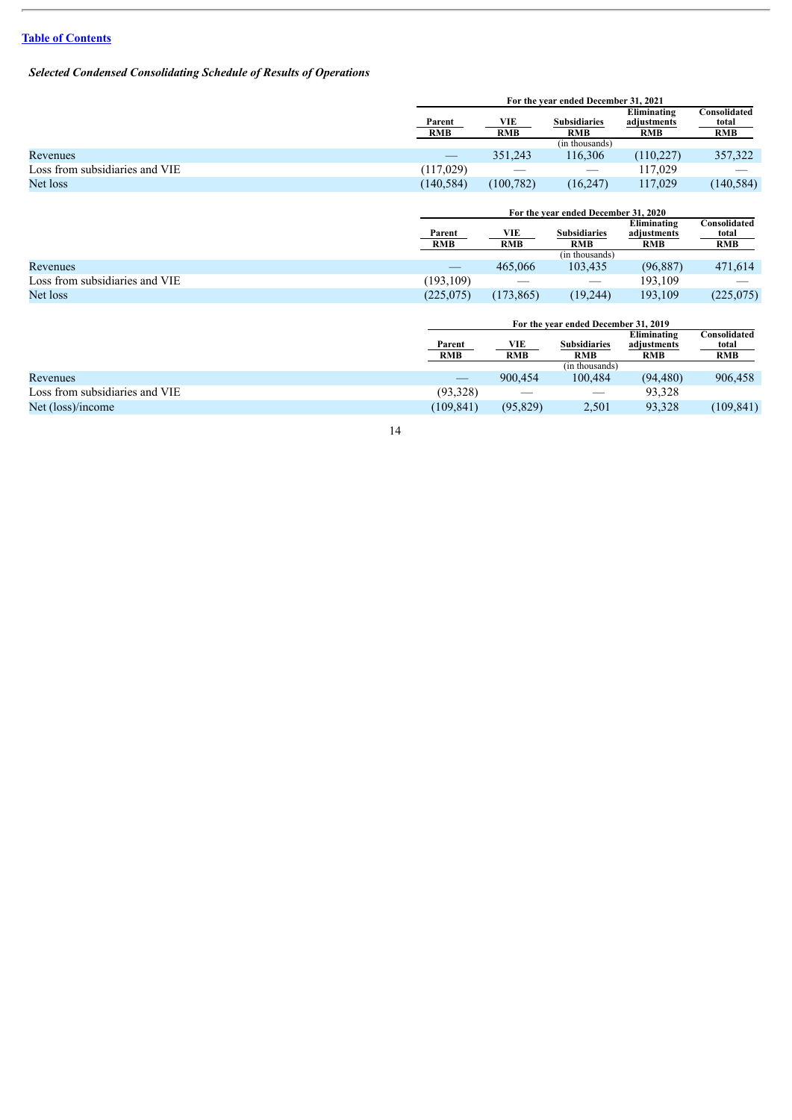# *Selected Condensed Consolidating Schedule of Results of Operations*

|                                | For the year ended December 31, 2021 |                   |                                      |                                          |                              |
|--------------------------------|--------------------------------------|-------------------|--------------------------------------|------------------------------------------|------------------------------|
|                                | Parent<br><b>RMB</b>                 | VIE<br><b>RMB</b> | <b>Subsidiaries</b><br><b>RMB</b>    | Eliminating<br>adjustments<br><b>RMB</b> | Consolidated<br>total<br>RMB |
|                                |                                      |                   | (in thousands)                       |                                          |                              |
| Revenues                       |                                      | 351,243           | 116,306                              | (110, 227)                               | 357,322                      |
| Loss from subsidiaries and VIE | (117,029)                            |                   |                                      | 117,029                                  |                              |
| Net loss                       | (140, 584)                           | (100, 782)        | (16,247)                             | 117,029                                  | (140, 584)                   |
|                                |                                      |                   | For the year ended December 31, 2020 |                                          |                              |
|                                | Parent                               | VIE               | <b>Subsidiaries</b>                  | Eliminating<br>adjustments               | Consolidated<br>total        |
|                                | <b>RMB</b>                           | <b>RMB</b>        | <b>RMB</b><br>(in thousands)         | <b>RMB</b>                               | <b>RMB</b>                   |
| Revenues                       |                                      | 465,066           | 103,435                              | (96, 887)                                | 471,614                      |
| Loss from subsidiaries and VIE | (193, 109)                           |                   |                                      | 193,109                                  |                              |
| Net loss                       | (225,075)                            | (173, 865)        | (19,244)                             | 193,109                                  | (225,075)                    |
|                                |                                      |                   |                                      |                                          |                              |
|                                |                                      |                   | For the year ended December 31, 2019 |                                          |                              |
|                                | Parent                               | VIE               | <b>Subsidiaries</b>                  | Eliminating<br>adjustments               | Consolidated<br>total        |
|                                | <b>RMB</b>                           | <b>RMB</b>        | <b>RMB</b>                           | <b>RMB</b>                               | <b>RMB</b>                   |
|                                |                                      |                   | (in thousands)                       |                                          |                              |
| Revenues                       |                                      | 900,454           | 100,484                              | (94, 480)                                | 906,458                      |
| Loss from subsidiaries and VIE | (93,328)                             |                   |                                      | 93,328                                   |                              |
| Net (loss)/income              | (109, 841)                           | (95, 829)         | 2,501                                | 93,328                                   | (109, 841)                   |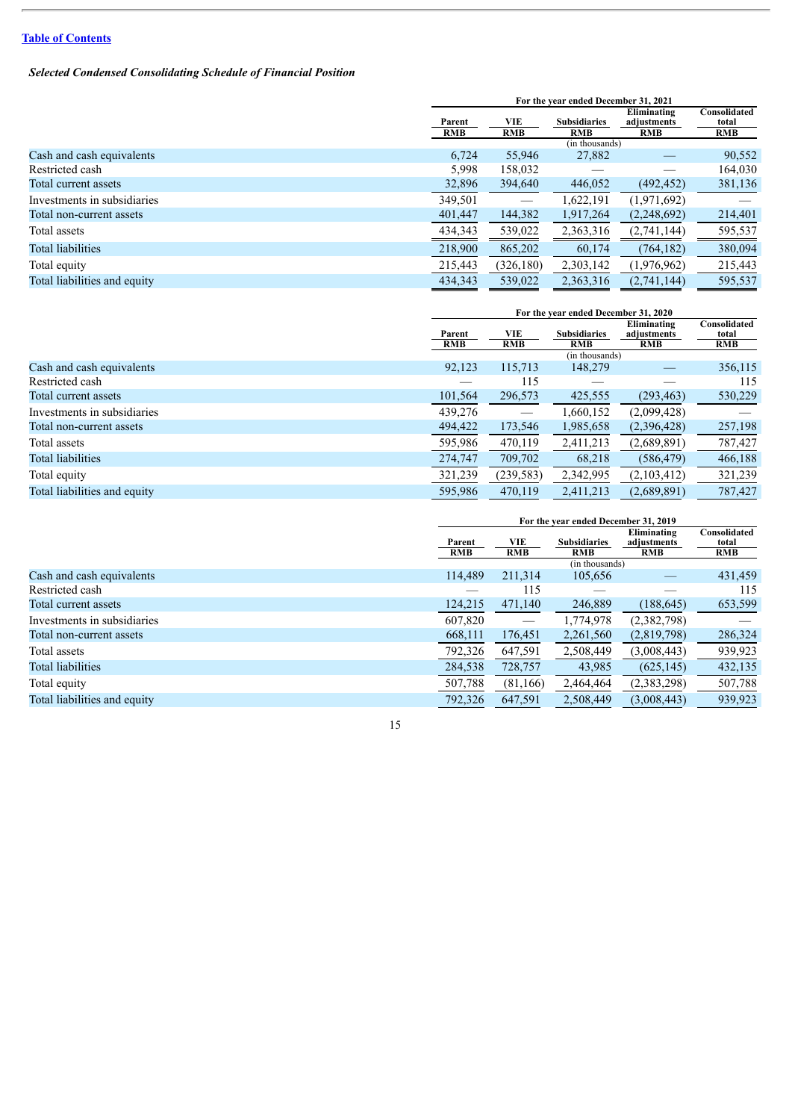# *Selected Condensed Consolidating Schedule of Financial Position*

|                              | For the year ended December 31, 2021 |            |                     |                            |                       |
|------------------------------|--------------------------------------|------------|---------------------|----------------------------|-----------------------|
|                              | Parent                               | VIE        | <b>Subsidiaries</b> | Eliminating<br>adjustments | Consolidated<br>total |
|                              | RMB                                  | <b>RMB</b> | <b>RMB</b>          | <b>RMB</b>                 | <b>RMB</b>            |
|                              |                                      |            | (in thousands)      |                            |                       |
| Cash and cash equivalents    | 6,724                                | 55,946     | 27,882              |                            | 90,552                |
| Restricted cash              | 5,998                                | 158,032    |                     |                            | 164,030               |
| Total current assets         | 32,896                               | 394,640    | 446,052             | (492, 452)                 | 381,136               |
| Investments in subsidiaries  | 349,501                              |            | 1,622,191           | (1,971,692)                |                       |
| Total non-current assets     | 401,447                              | 144,382    | 1,917,264           | (2,248,692)                | 214,401               |
| Total assets                 | 434,343                              | 539,022    | 2,363,316           | (2,741,144)                | 595,537               |
| <b>Total liabilities</b>     | 218,900                              | 865,202    | 60,174              | (764, 182)                 | 380,094               |
| Total equity                 | 215,443                              | (326, 180) | 2,303,142           | (1,976,962)                | 215,443               |
| Total liabilities and equity | 434,343                              | 539,022    | 2,363,316           | (2,741,144)                | 595,537               |
|                              |                                      |            |                     |                            |                       |

|                              |            | For the year ended December 31, 2020 |                     |                            |                       |
|------------------------------|------------|--------------------------------------|---------------------|----------------------------|-----------------------|
|                              | Parent     | VIE                                  | <b>Subsidiaries</b> | Eliminating<br>adjustments | Consolidated<br>total |
|                              | <b>RMB</b> | <b>RMB</b>                           | <b>RMB</b>          | <b>RMB</b>                 | <b>RMB</b>            |
|                              |            |                                      | (in thousands)      |                            |                       |
| Cash and cash equivalents    | 92,123     | 115,713                              | 148,279             |                            | 356,115               |
| Restricted cash              |            | 115                                  |                     |                            | 115                   |
| Total current assets         | 101,564    | 296,573                              | 425,555             | (293, 463)                 | 530,229               |
| Investments in subsidiaries  | 439,276    |                                      | 1,660,152           | (2,099,428)                |                       |
| Total non-current assets     | 494,422    | 173,546                              | 1,985,658           | (2,396,428)                | 257,198               |
| Total assets                 | 595,986    | 470,119                              | 2,411,213           | (2,689,891)                | 787,427               |
| Total liabilities            | 274,747    | 709,702                              | 68,218              | (586, 479)                 | 466,188               |
| Total equity                 | 321,239    | (239, 583)                           | 2,342,995           | (2,103,412)                | 321,239               |
| Total liabilities and equity | 595,986    | 470,119                              | 2,411,213           | (2,689,891)                | 787,427               |

|                              | For the year ended December 31, 2019 |                   |                                   |                                          |                                     |
|------------------------------|--------------------------------------|-------------------|-----------------------------------|------------------------------------------|-------------------------------------|
|                              | Parent<br>RMB                        | VIE<br><b>RMB</b> | <b>Subsidiaries</b><br><b>RMB</b> | Eliminating<br>adjustments<br><b>RMB</b> | Consolidated<br>total<br><b>RMB</b> |
|                              |                                      |                   | (in thousands)                    |                                          |                                     |
| Cash and cash equivalents    | 114.489                              | 211,314           | 105,656                           |                                          | 431,459                             |
| Restricted cash              |                                      | 115               |                                   |                                          | 115                                 |
| Total current assets         | 124,215                              | 471,140           | 246,889                           | (188, 645)                               | 653,599                             |
| Investments in subsidiaries  | 607,820                              |                   | 1,774,978                         | (2,382,798)                              |                                     |
| Total non-current assets     | 668,111                              | 176,451           | 2,261,560                         | (2,819,798)                              | 286,324                             |
| Total assets                 | 792,326                              | 647,591           | 2,508,449                         | (3,008,443)                              | 939,923                             |
| Total liabilities            | 284,538                              | 728,757           | 43,985                            | (625, 145)                               | 432,135                             |
| Total equity                 | 507,788                              | (81,166)          | 2,464,464                         | (2,383,298)                              | 507,788                             |
| Total liabilities and equity | 792,326                              | 647,591           | 2,508,449                         | (3,008,443)                              | 939,923                             |
|                              |                                      |                   |                                   |                                          |                                     |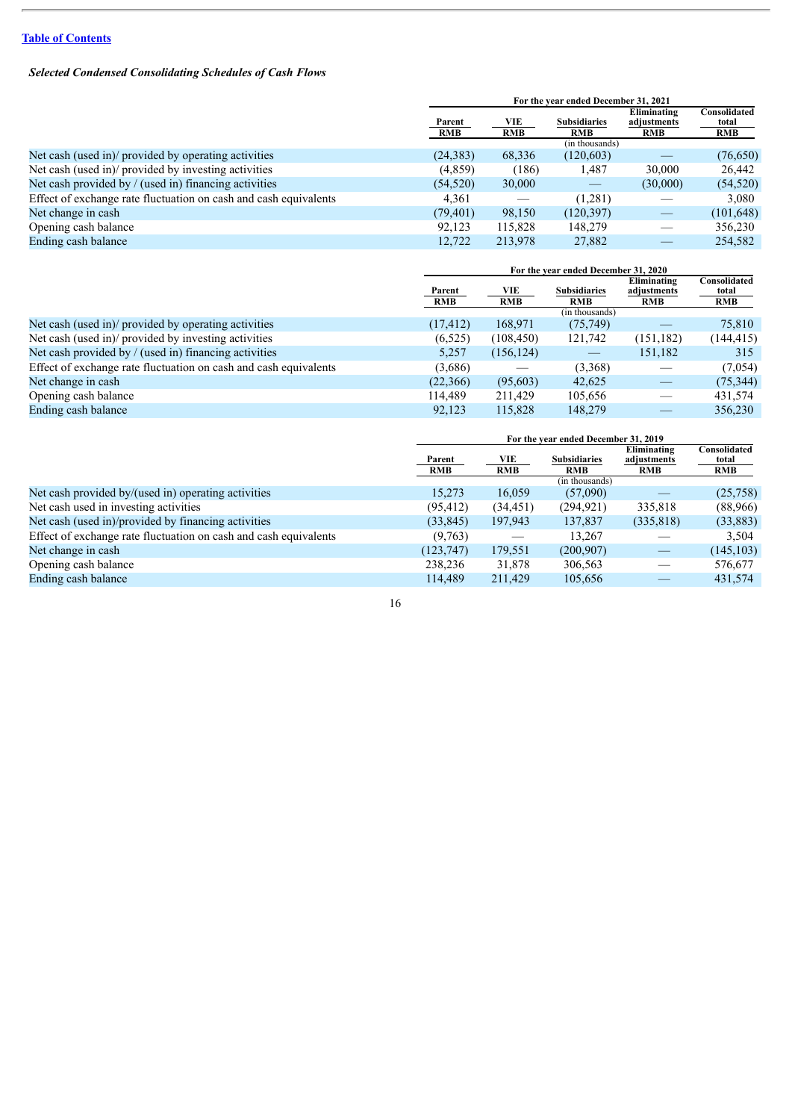# *Selected Condensed Consolidating Schedules of Cash Flows*

|                                                                  | For the year ended December 31, 2021 |                   |                            |                                   |                                     |
|------------------------------------------------------------------|--------------------------------------|-------------------|----------------------------|-----------------------------------|-------------------------------------|
|                                                                  | Parent<br>RMB                        | VIE<br><b>RMB</b> | <b>Subsidiaries</b><br>RMB | Eliminating<br>adjustments<br>RMB | Consolidated<br>total<br><b>RMB</b> |
|                                                                  |                                      |                   | (in thousands)             |                                   |                                     |
| Net cash (used in)/ provided by operating activities             | (24, 383)                            | 68,336            | (120,603)                  |                                   | (76,650)                            |
| Net cash (used in)/ provided by investing activities             | (4,859)                              | (186)             | 1.487                      | 30,000                            | 26,442                              |
| Net cash provided by $/$ (used in) financing activities          | (54, 520)                            | 30,000            |                            | (30,000)                          | (54, 520)                           |
| Effect of exchange rate fluctuation on cash and cash equivalents | 4,361                                |                   | (1,281)                    |                                   | 3,080                               |
| Net change in cash                                               | (79, 401)                            | 98,150            | (120, 397)                 | $\overline{\phantom{0}}$          | (101, 648)                          |
| Opening cash balance                                             | 92.123                               | 115.828           | 148,279                    |                                   | 356,230                             |
| Ending cash balance                                              | 12,722                               | 213.978           | 27,882                     |                                   | 254,582                             |

|                                                                  | For the year ended December 31, 2020 |                   |                                   |                                          |                              |
|------------------------------------------------------------------|--------------------------------------|-------------------|-----------------------------------|------------------------------------------|------------------------------|
|                                                                  | Parent<br>RMB                        | VIE<br><b>RMB</b> | <b>Subsidiaries</b><br><b>RMB</b> | Eliminating<br>adjustments<br><b>RMB</b> | Consolidated<br>total<br>RMB |
|                                                                  |                                      |                   | (in thousands)                    |                                          |                              |
| Net cash (used in)/ provided by operating activities             | (17, 412)                            | 168,971           | (75, 749)                         |                                          | 75,810                       |
| Net cash (used in)/ provided by investing activities             | (6,525)                              | (108, 450)        | 121,742                           | (151, 182)                               | (144, 415)                   |
| Net cash provided by / (used in) financing activities            | 5,257                                | (156, 124)        |                                   | 151,182                                  | 315                          |
| Effect of exchange rate fluctuation on cash and cash equivalents | (3,686)                              |                   | (3,368)                           |                                          | (7,054)                      |
| Net change in cash                                               | (22,366)                             | (95,603)          | 42.625                            |                                          | (75, 344)                    |
| Opening cash balance                                             | 114.489                              | 211.429           | 105,656                           |                                          | 431.574                      |
| Ending cash balance                                              | 92.123                               | 115.828           | 148.279                           |                                          | 356,230                      |

|                                                                  | For the year ended December 31, 2019 |                   |                                   |                                          |                              |
|------------------------------------------------------------------|--------------------------------------|-------------------|-----------------------------------|------------------------------------------|------------------------------|
|                                                                  | Parent<br><b>RMB</b>                 | VIE<br><b>RMB</b> | <b>Subsidiaries</b><br><b>RMB</b> | Eliminating<br>adjustments<br><b>RMB</b> | Consolidated<br>total<br>RMB |
|                                                                  |                                      |                   | (in thousands)                    |                                          |                              |
| Net cash provided by/(used in) operating activities              | 15,273                               | 16,059            | (57,090)                          |                                          | (25,758)                     |
| Net cash used in investing activities                            | (95, 412)                            | (34, 451)         | (294, 921)                        | 335,818                                  | (88,966)                     |
| Net cash (used in)/provided by financing activities              | (33, 845)                            | 197,943           | 137,837                           | (335, 818)                               | (33,883)                     |
| Effect of exchange rate fluctuation on cash and cash equivalents | (9,763)                              |                   | 13.267                            |                                          | 3,504                        |
| Net change in cash                                               | (123, 747)                           | 179,551           | (200, 907)                        |                                          | (145, 103)                   |
| Opening cash balance                                             | 238,236                              | 31,878            | 306,563                           |                                          | 576,677                      |
| Ending cash balance                                              | 114.489                              | 211.429           | 105,656                           |                                          | 431,574                      |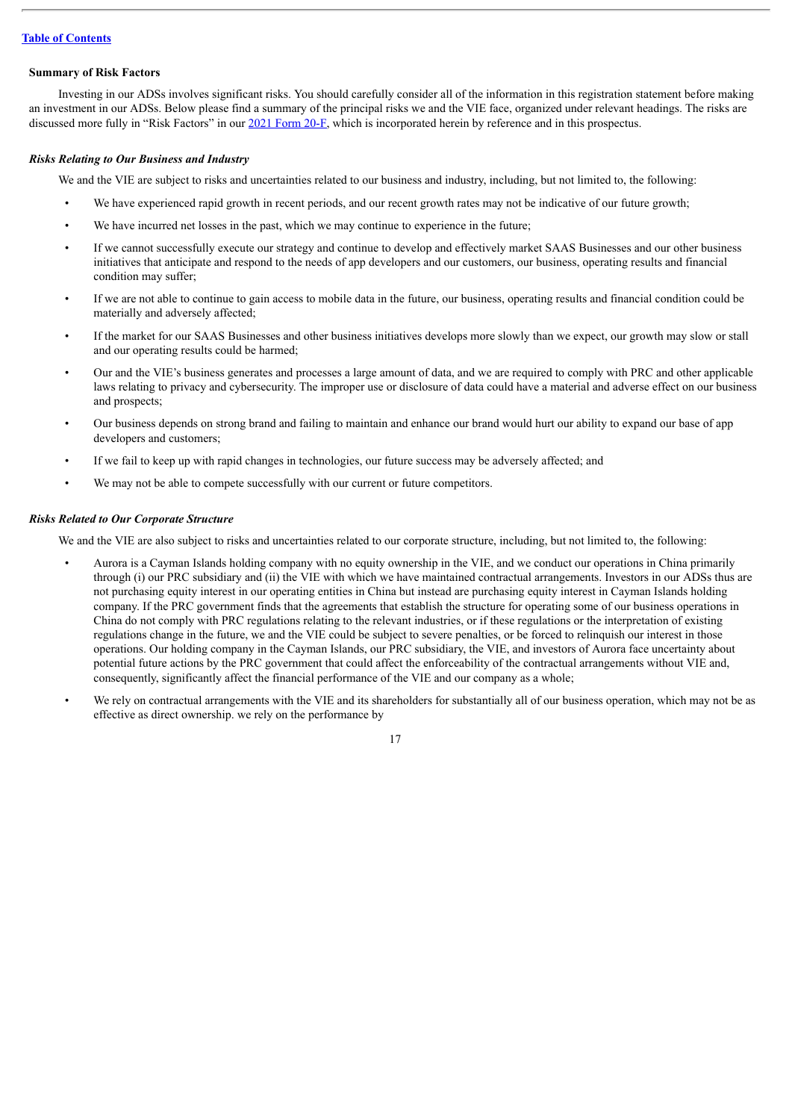# **Summary of Risk Factors**

Investing in our ADSs involves significant risks. You should carefully consider all of the information in this registration statement before making an investment in our ADSs. Below please find a summary of the principal risks we and the VIE face, organized under relevant headings. The risks are discussed more fully in "Risk Factors" in our 2021 [Form](http://www.sec.gov/ix?doc=/Archives/edgar/data/0001737339/000119312522104903/d217874d20f.htm) 20-F, which is incorporated herein by reference and in this prospectus.

### *Risks Relating to Our Business and Industry*

We and the VIE are subject to risks and uncertainties related to our business and industry, including, but not limited to, the following:

- We have experienced rapid growth in recent periods, and our recent growth rates may not be indicative of our future growth;
- We have incurred net losses in the past, which we may continue to experience in the future;
- If we cannot successfully execute our strategy and continue to develop and effectively market SAAS Businesses and our other business initiatives that anticipate and respond to the needs of app developers and our customers, our business, operating results and financial condition may suffer;
- If we are not able to continue to gain access to mobile data in the future, our business, operating results and financial condition could be materially and adversely affected;
- If the market for our SAAS Businesses and other business initiatives develops more slowly than we expect, our growth may slow or stall and our operating results could be harmed;
- Our and the VIE's business generates and processes a large amount of data, and we are required to comply with PRC and other applicable laws relating to privacy and cybersecurity. The improper use or disclosure of data could have a material and adverse effect on our business and prospects;
- Our business depends on strong brand and failing to maintain and enhance our brand would hurt our ability to expand our base of app developers and customers;
- If we fail to keep up with rapid changes in technologies, our future success may be adversely affected; and
- We may not be able to compete successfully with our current or future competitors.

# *Risks Related to Our Corporate Structure*

We and the VIE are also subject to risks and uncertainties related to our corporate structure, including, but not limited to, the following:

- Aurora is a Cayman Islands holding company with no equity ownership in the VIE, and we conduct our operations in China primarily through (i) our PRC subsidiary and (ii) the VIE with which we have maintained contractual arrangements. Investors in our ADSs thus are not purchasing equity interest in our operating entities in China but instead are purchasing equity interest in Cayman Islands holding company. If the PRC government finds that the agreements that establish the structure for operating some of our business operations in China do not comply with PRC regulations relating to the relevant industries, or if these regulations or the interpretation of existing regulations change in the future, we and the VIE could be subject to severe penalties, or be forced to relinquish our interest in those operations. Our holding company in the Cayman Islands, our PRC subsidiary, the VIE, and investors of Aurora face uncertainty about potential future actions by the PRC government that could affect the enforceability of the contractual arrangements without VIE and, consequently, significantly affect the financial performance of the VIE and our company as a whole;
- We rely on contractual arrangements with the VIE and its shareholders for substantially all of our business operation, which may not be as effective as direct ownership. we rely on the performance by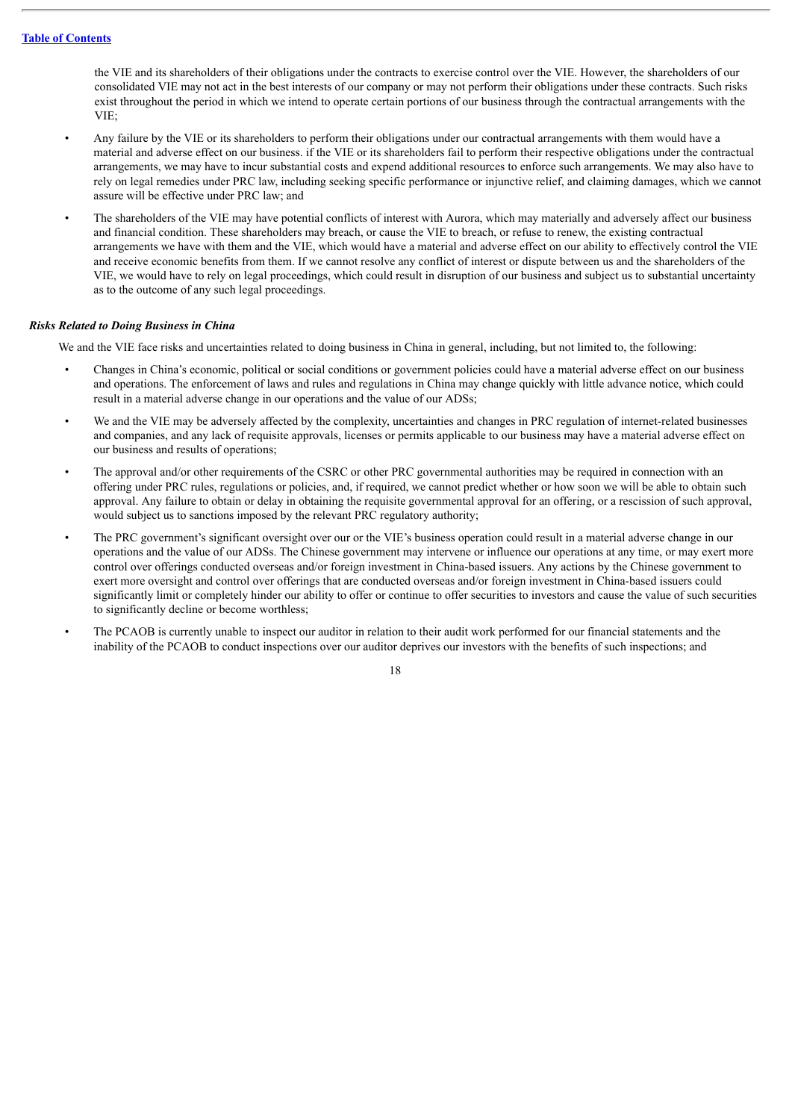the VIE and its shareholders of their obligations under the contracts to exercise control over the VIE. However, the shareholders of our consolidated VIE may not act in the best interests of our company or may not perform their obligations under these contracts. Such risks exist throughout the period in which we intend to operate certain portions of our business through the contractual arrangements with the VIE;

- Any failure by the VIE or its shareholders to perform their obligations under our contractual arrangements with them would have a material and adverse effect on our business. if the VIE or its shareholders fail to perform their respective obligations under the contractual arrangements, we may have to incur substantial costs and expend additional resources to enforce such arrangements. We may also have to rely on legal remedies under PRC law, including seeking specific performance or injunctive relief, and claiming damages, which we cannot assure will be effective under PRC law; and
- The shareholders of the VIE may have potential conflicts of interest with Aurora, which may materially and adversely affect our business and financial condition. These shareholders may breach, or cause the VIE to breach, or refuse to renew, the existing contractual arrangements we have with them and the VIE, which would have a material and adverse effect on our ability to effectively control the VIE and receive economic benefits from them. If we cannot resolve any conflict of interest or dispute between us and the shareholders of the VIE, we would have to rely on legal proceedings, which could result in disruption of our business and subject us to substantial uncertainty as to the outcome of any such legal proceedings.

### *Risks Related to Doing Business in China*

We and the VIE face risks and uncertainties related to doing business in China in general, including, but not limited to, the following:

- Changes in China's economic, political or social conditions or government policies could have a material adverse effect on our business and operations. The enforcement of laws and rules and regulations in China may change quickly with little advance notice, which could result in a material adverse change in our operations and the value of our ADSs;
- We and the VIE may be adversely affected by the complexity, uncertainties and changes in PRC regulation of internet-related businesses and companies, and any lack of requisite approvals, licenses or permits applicable to our business may have a material adverse effect on our business and results of operations;
- The approval and/or other requirements of the CSRC or other PRC governmental authorities may be required in connection with an offering under PRC rules, regulations or policies, and, if required, we cannot predict whether or how soon we will be able to obtain such approval. Any failure to obtain or delay in obtaining the requisite governmental approval for an offering, or a rescission of such approval, would subject us to sanctions imposed by the relevant PRC regulatory authority;
- The PRC government's significant oversight over our or the VIE's business operation could result in a material adverse change in our operations and the value of our ADSs. The Chinese government may intervene or influence our operations at any time, or may exert more control over offerings conducted overseas and/or foreign investment in China-based issuers. Any actions by the Chinese government to exert more oversight and control over offerings that are conducted overseas and/or foreign investment in China-based issuers could significantly limit or completely hinder our ability to offer or continue to offer securities to investors and cause the value of such securities to significantly decline or become worthless;
- The PCAOB is currently unable to inspect our auditor in relation to their audit work performed for our financial statements and the inability of the PCAOB to conduct inspections over our auditor deprives our investors with the benefits of such inspections; and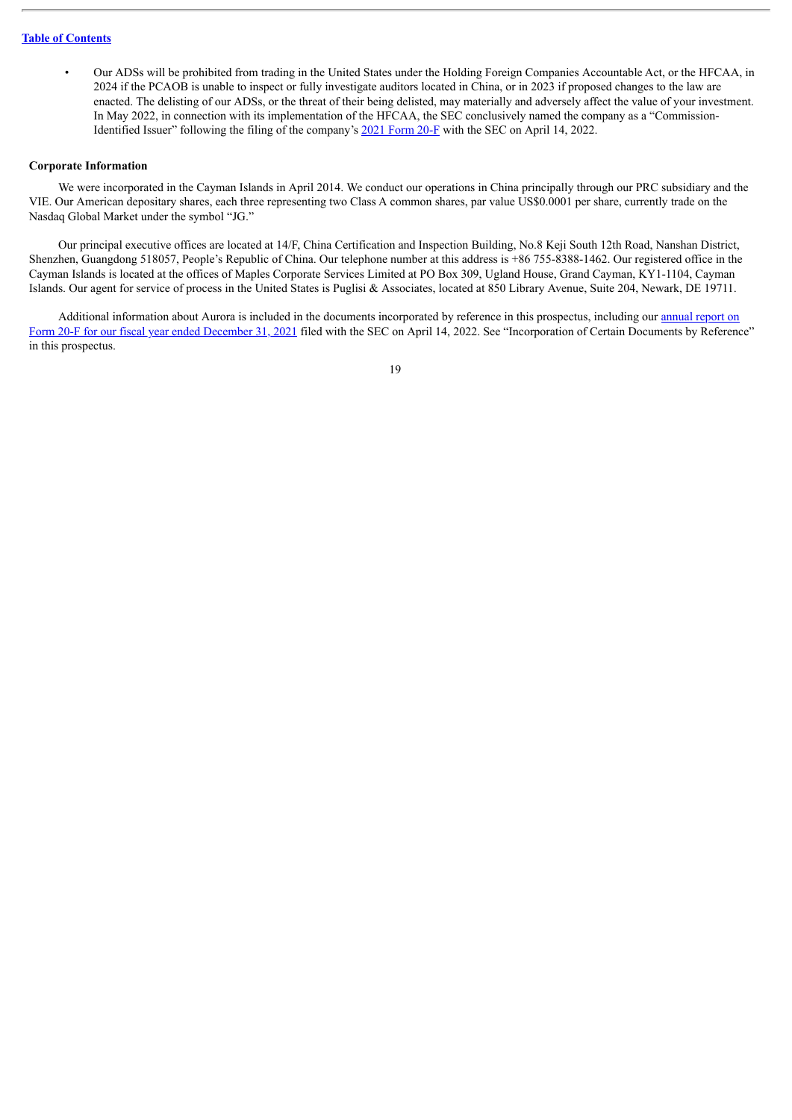• Our ADSs will be prohibited from trading in the United States under the Holding Foreign Companies Accountable Act, or the HFCAA, in 2024 if the PCAOB is unable to inspect or fully investigate auditors located in China, or in 2023 if proposed changes to the law are enacted. The delisting of our ADSs, or the threat of their being delisted, may materially and adversely affect the value of your investment. In May 2022, in connection with its implementation of the HFCAA, the SEC conclusively named the company as a "Commission-Identified Issuer" following the filing of the company's 2021 [Form](http://www.sec.gov/ix?doc=/Archives/edgar/data/0001737339/000119312522104903/d217874d20f.htm) 20-F with the SEC on April 14, 2022.

### **Corporate Information**

We were incorporated in the Cayman Islands in April 2014. We conduct our operations in China principally through our PRC subsidiary and the VIE. Our American depositary shares, each three representing two Class A common shares, par value US\$0.0001 per share, currently trade on the Nasdaq Global Market under the symbol "JG."

Our principal executive offices are located at 14/F, China Certification and Inspection Building, No.8 Keji South 12th Road, Nanshan District, Shenzhen, Guangdong 518057, People's Republic of China. Our telephone number at this address is +86 755-8388-1462. Our registered office in the Cayman Islands is located at the offices of Maples Corporate Services Limited at PO Box 309, Ugland House, Grand Cayman, KY1-1104, Cayman Islands. Our agent for service of process in the United States is Puglisi & Associates, located at 850 Library Avenue, Suite 204, Newark, DE 19711.

Additional information about Aurora is included in the documents incorporated by reference in this prospectus, including our annual report on Form 20-F for our fiscal year ended December 31, 2021 filed with the SEC on April 14, 2022. See ["Incorporation](http://www.sec.gov/ix?doc=/Archives/edgar/data/0001737339/000119312522104903/d217874d20f.htm) of Certain Documents by Reference" in this prospectus.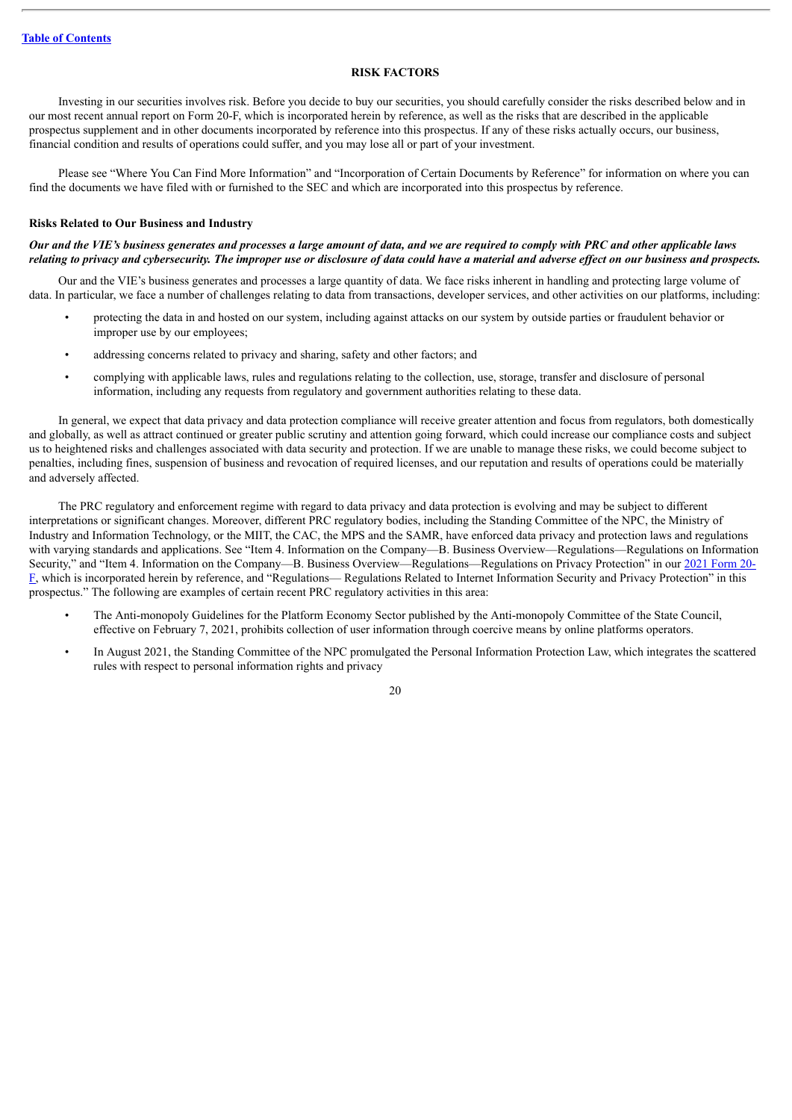### **RISK FACTORS**

<span id="page-22-0"></span>Investing in our securities involves risk. Before you decide to buy our securities, you should carefully consider the risks described below and in our most recent annual report on Form 20-F, which is incorporated herein by reference, as well as the risks that are described in the applicable prospectus supplement and in other documents incorporated by reference into this prospectus. If any of these risks actually occurs, our business, financial condition and results of operations could suffer, and you may lose all or part of your investment.

Please see "Where You Can Find More Information" and "Incorporation of Certain Documents by Reference" for information on where you can find the documents we have filed with or furnished to the SEC and which are incorporated into this prospectus by reference.

# **Risks Related to Our Business and Industry**

### Our and the VIE's business generates and processes a large amount of data, and we are required to comply with PRC and other applicable laws relating to privacy and cybersecurity. The improper use or disclosure of data could have a material and adverse effect on our business and prospects.

Our and the VIE's business generates and processes a large quantity of data. We face risks inherent in handling and protecting large volume of data. In particular, we face a number of challenges relating to data from transactions, developer services, and other activities on our platforms, including:

- protecting the data in and hosted on our system, including against attacks on our system by outside parties or fraudulent behavior or improper use by our employees;
- addressing concerns related to privacy and sharing, safety and other factors; and
- complying with applicable laws, rules and regulations relating to the collection, use, storage, transfer and disclosure of personal information, including any requests from regulatory and government authorities relating to these data.

In general, we expect that data privacy and data protection compliance will receive greater attention and focus from regulators, both domestically and globally, as well as attract continued or greater public scrutiny and attention going forward, which could increase our compliance costs and subject us to heightened risks and challenges associated with data security and protection. If we are unable to manage these risks, we could become subject to penalties, including fines, suspension of business and revocation of required licenses, and our reputation and results of operations could be materially and adversely affected.

The PRC regulatory and enforcement regime with regard to data privacy and data protection is evolving and may be subject to different interpretations or significant changes. Moreover, different PRC regulatory bodies, including the Standing Committee of the NPC, the Ministry of Industry and Information Technology, or the MIIT, the CAC, the MPS and the SAMR, have enforced data privacy and protection laws and regulations with varying standards and applications. See "Item 4. Information on the Company—B. Business Overview—Regulations—Regulations on Information Security," and "Item 4. Information on the Company—B. Business [Overview—Regulations—Regulations](http://www.sec.gov/ix?doc=/Archives/edgar/data/0001737339/000119312522104903/d217874d20f.htm) on Privacy Protection" in our 2021 Form 20- F, which is incorporated herein by reference, and "Regulations— Regulations Related to Internet Information Security and Privacy Protection" in this prospectus." The following are examples of certain recent PRC regulatory activities in this area:

- The Anti-monopoly Guidelines for the Platform Economy Sector published by the Anti-monopoly Committee of the State Council, effective on February 7, 2021, prohibits collection of user information through coercive means by online platforms operators.
- In August 2021, the Standing Committee of the NPC promulgated the Personal Information Protection Law, which integrates the scattered rules with respect to personal information rights and privacy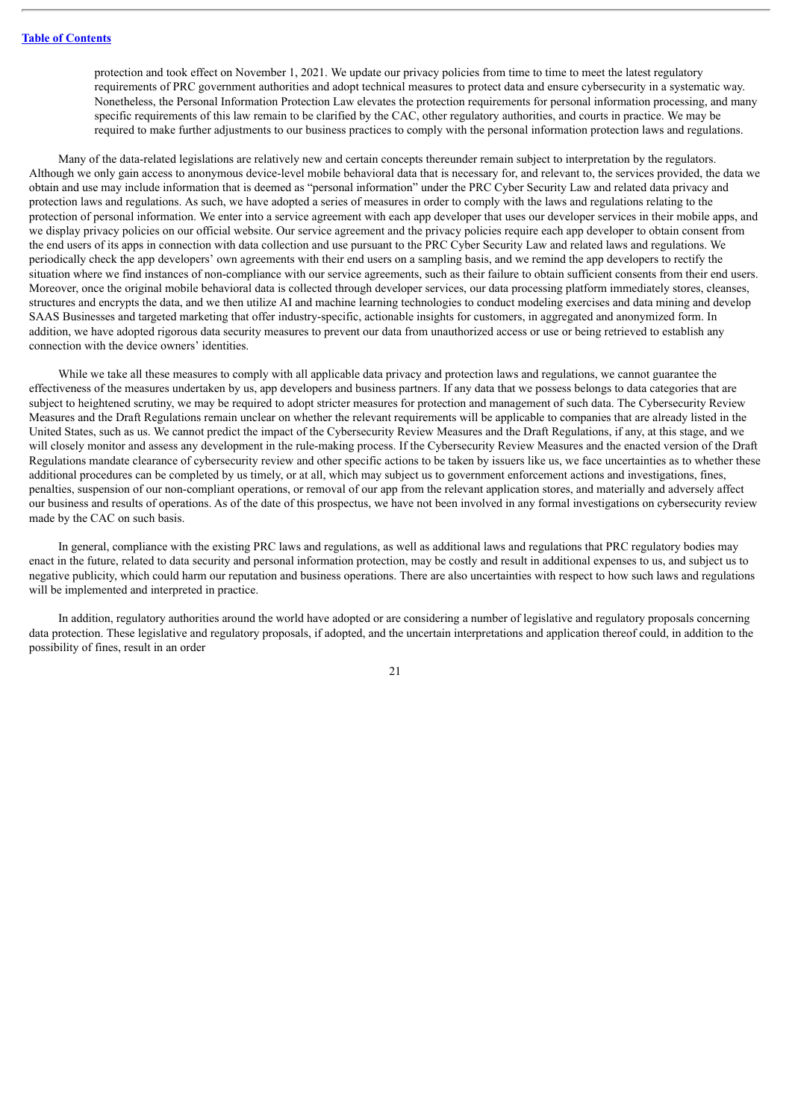protection and took effect on November 1, 2021. We update our privacy policies from time to time to meet the latest regulatory requirements of PRC government authorities and adopt technical measures to protect data and ensure cybersecurity in a systematic way. Nonetheless, the Personal Information Protection Law elevates the protection requirements for personal information processing, and many specific requirements of this law remain to be clarified by the CAC, other regulatory authorities, and courts in practice. We may be required to make further adjustments to our business practices to comply with the personal information protection laws and regulations.

Many of the data-related legislations are relatively new and certain concepts thereunder remain subject to interpretation by the regulators. Although we only gain access to anonymous device-level mobile behavioral data that is necessary for, and relevant to, the services provided, the data we obtain and use may include information that is deemed as "personal information" under the PRC Cyber Security Law and related data privacy and protection laws and regulations. As such, we have adopted a series of measures in order to comply with the laws and regulations relating to the protection of personal information. We enter into a service agreement with each app developer that uses our developer services in their mobile apps, and we display privacy policies on our official website. Our service agreement and the privacy policies require each app developer to obtain consent from the end users of its apps in connection with data collection and use pursuant to the PRC Cyber Security Law and related laws and regulations. We periodically check the app developers' own agreements with their end users on a sampling basis, and we remind the app developers to rectify the situation where we find instances of non-compliance with our service agreements, such as their failure to obtain sufficient consents from their end users. Moreover, once the original mobile behavioral data is collected through developer services, our data processing platform immediately stores, cleanses, structures and encrypts the data, and we then utilize AI and machine learning technologies to conduct modeling exercises and data mining and develop SAAS Businesses and targeted marketing that offer industry-specific, actionable insights for customers, in aggregated and anonymized form. In addition, we have adopted rigorous data security measures to prevent our data from unauthorized access or use or being retrieved to establish any connection with the device owners' identities.

While we take all these measures to comply with all applicable data privacy and protection laws and regulations, we cannot guarantee the effectiveness of the measures undertaken by us, app developers and business partners. If any data that we possess belongs to data categories that are subject to heightened scrutiny, we may be required to adopt stricter measures for protection and management of such data. The Cybersecurity Review Measures and the Draft Regulations remain unclear on whether the relevant requirements will be applicable to companies that are already listed in the United States, such as us. We cannot predict the impact of the Cybersecurity Review Measures and the Draft Regulations, if any, at this stage, and we will closely monitor and assess any development in the rule-making process. If the Cybersecurity Review Measures and the enacted version of the Draft Regulations mandate clearance of cybersecurity review and other specific actions to be taken by issuers like us, we face uncertainties as to whether these additional procedures can be completed by us timely, or at all, which may subject us to government enforcement actions and investigations, fines, penalties, suspension of our non-compliant operations, or removal of our app from the relevant application stores, and materially and adversely affect our business and results of operations. As of the date of this prospectus, we have not been involved in any formal investigations on cybersecurity review made by the CAC on such basis.

In general, compliance with the existing PRC laws and regulations, as well as additional laws and regulations that PRC regulatory bodies may enact in the future, related to data security and personal information protection, may be costly and result in additional expenses to us, and subject us to negative publicity, which could harm our reputation and business operations. There are also uncertainties with respect to how such laws and regulations will be implemented and interpreted in practice.

In addition, regulatory authorities around the world have adopted or are considering a number of legislative and regulatory proposals concerning data protection. These legislative and regulatory proposals, if adopted, and the uncertain interpretations and application thereof could, in addition to the possibility of fines, result in an order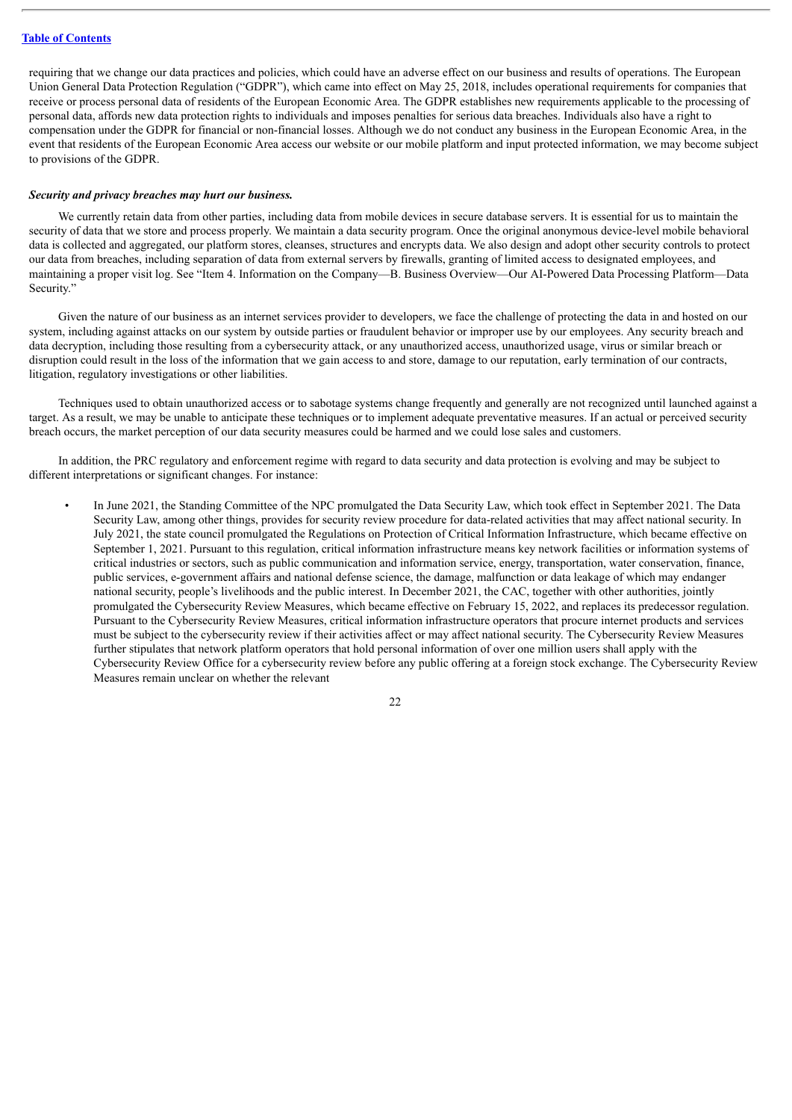requiring that we change our data practices and policies, which could have an adverse effect on our business and results of operations. The European Union General Data Protection Regulation ("GDPR"), which came into effect on May 25, 2018, includes operational requirements for companies that receive or process personal data of residents of the European Economic Area. The GDPR establishes new requirements applicable to the processing of personal data, affords new data protection rights to individuals and imposes penalties for serious data breaches. Individuals also have a right to compensation under the GDPR for financial or non-financial losses. Although we do not conduct any business in the European Economic Area, in the event that residents of the European Economic Area access our website or our mobile platform and input protected information, we may become subject to provisions of the GDPR.

### *Security and privacy breaches may hurt our business.*

We currently retain data from other parties, including data from mobile devices in secure database servers. It is essential for us to maintain the security of data that we store and process properly. We maintain a data security program. Once the original anonymous device-level mobile behavioral data is collected and aggregated, our platform stores, cleanses, structures and encrypts data. We also design and adopt other security controls to protect our data from breaches, including separation of data from external servers by firewalls, granting of limited access to designated employees, and maintaining a proper visit log. See "Item 4. Information on the Company—B. Business Overview—Our AI-Powered Data Processing Platform—Data Security."

Given the nature of our business as an internet services provider to developers, we face the challenge of protecting the data in and hosted on our system, including against attacks on our system by outside parties or fraudulent behavior or improper use by our employees. Any security breach and data decryption, including those resulting from a cybersecurity attack, or any unauthorized access, unauthorized usage, virus or similar breach or disruption could result in the loss of the information that we gain access to and store, damage to our reputation, early termination of our contracts, litigation, regulatory investigations or other liabilities.

Techniques used to obtain unauthorized access or to sabotage systems change frequently and generally are not recognized until launched against a target. As a result, we may be unable to anticipate these techniques or to implement adequate preventative measures. If an actual or perceived security breach occurs, the market perception of our data security measures could be harmed and we could lose sales and customers.

In addition, the PRC regulatory and enforcement regime with regard to data security and data protection is evolving and may be subject to different interpretations or significant changes. For instance:

• In June 2021, the Standing Committee of the NPC promulgated the Data Security Law, which took effect in September 2021. The Data Security Law, among other things, provides for security review procedure for data-related activities that may affect national security. In July 2021, the state council promulgated the Regulations on Protection of Critical Information Infrastructure, which became effective on September 1, 2021. Pursuant to this regulation, critical information infrastructure means key network facilities or information systems of critical industries or sectors, such as public communication and information service, energy, transportation, water conservation, finance, public services, e-government affairs and national defense science, the damage, malfunction or data leakage of which may endanger national security, people's livelihoods and the public interest. In December 2021, the CAC, together with other authorities, jointly promulgated the Cybersecurity Review Measures, which became effective on February 15, 2022, and replaces its predecessor regulation. Pursuant to the Cybersecurity Review Measures, critical information infrastructure operators that procure internet products and services must be subject to the cybersecurity review if their activities affect or may affect national security. The Cybersecurity Review Measures further stipulates that network platform operators that hold personal information of over one million users shall apply with the Cybersecurity Review Office for a cybersecurity review before any public offering at a foreign stock exchange. The Cybersecurity Review Measures remain unclear on whether the relevant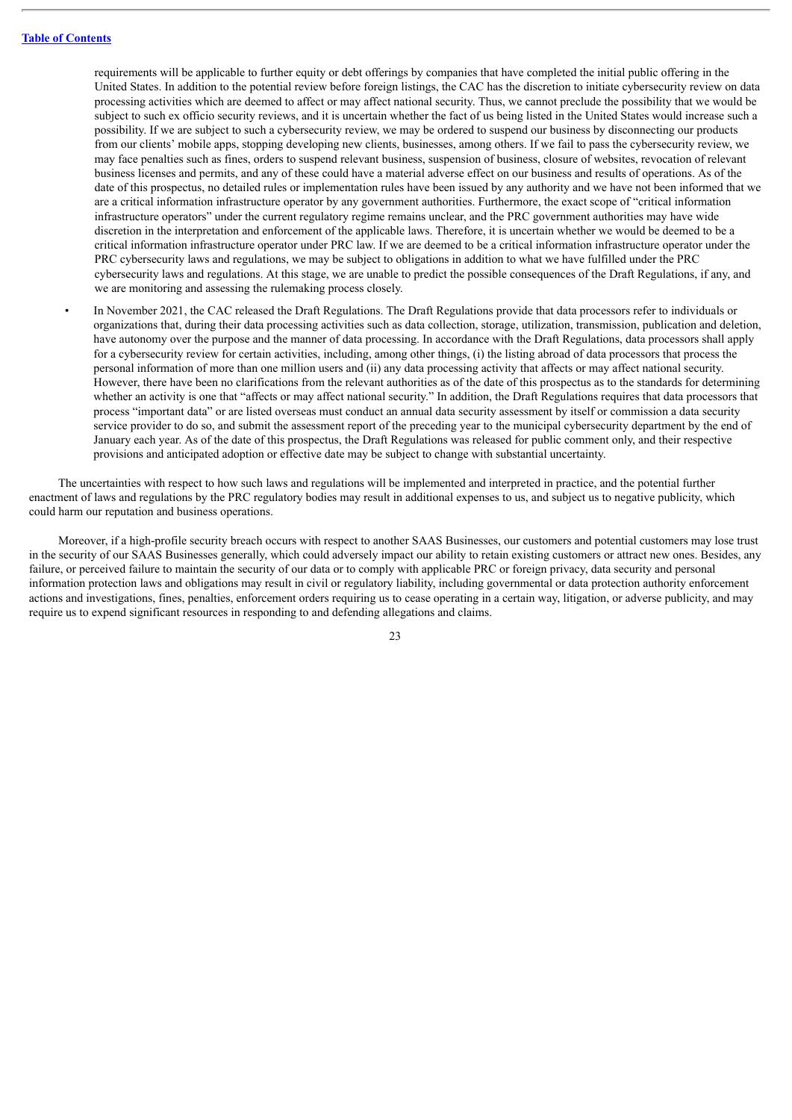requirements will be applicable to further equity or debt offerings by companies that have completed the initial public offering in the United States. In addition to the potential review before foreign listings, the CAC has the discretion to initiate cybersecurity review on data processing activities which are deemed to affect or may affect national security. Thus, we cannot preclude the possibility that we would be subject to such ex officio security reviews, and it is uncertain whether the fact of us being listed in the United States would increase such a possibility. If we are subject to such a cybersecurity review, we may be ordered to suspend our business by disconnecting our products from our clients' mobile apps, stopping developing new clients, businesses, among others. If we fail to pass the cybersecurity review, we may face penalties such as fines, orders to suspend relevant business, suspension of business, closure of websites, revocation of relevant business licenses and permits, and any of these could have a material adverse effect on our business and results of operations. As of the date of this prospectus, no detailed rules or implementation rules have been issued by any authority and we have not been informed that we are a critical information infrastructure operator by any government authorities. Furthermore, the exact scope of "critical information infrastructure operators" under the current regulatory regime remains unclear, and the PRC government authorities may have wide discretion in the interpretation and enforcement of the applicable laws. Therefore, it is uncertain whether we would be deemed to be a critical information infrastructure operator under PRC law. If we are deemed to be a critical information infrastructure operator under the PRC cybersecurity laws and regulations, we may be subject to obligations in addition to what we have fulfilled under the PRC cybersecurity laws and regulations. At this stage, we are unable to predict the possible consequences of the Draft Regulations, if any, and we are monitoring and assessing the rulemaking process closely.

• In November 2021, the CAC released the Draft Regulations. The Draft Regulations provide that data processors refer to individuals or organizations that, during their data processing activities such as data collection, storage, utilization, transmission, publication and deletion, have autonomy over the purpose and the manner of data processing. In accordance with the Draft Regulations, data processors shall apply for a cybersecurity review for certain activities, including, among other things, (i) the listing abroad of data processors that process the personal information of more than one million users and (ii) any data processing activity that affects or may affect national security. However, there have been no clarifications from the relevant authorities as of the date of this prospectus as to the standards for determining whether an activity is one that "affects or may affect national security." In addition, the Draft Regulations requires that data processors that process "important data" or are listed overseas must conduct an annual data security assessment by itself or commission a data security service provider to do so, and submit the assessment report of the preceding year to the municipal cybersecurity department by the end of January each year. As of the date of this prospectus, the Draft Regulations was released for public comment only, and their respective provisions and anticipated adoption or effective date may be subject to change with substantial uncertainty.

The uncertainties with respect to how such laws and regulations will be implemented and interpreted in practice, and the potential further enactment of laws and regulations by the PRC regulatory bodies may result in additional expenses to us, and subject us to negative publicity, which could harm our reputation and business operations.

Moreover, if a high-profile security breach occurs with respect to another SAAS Businesses, our customers and potential customers may lose trust in the security of our SAAS Businesses generally, which could adversely impact our ability to retain existing customers or attract new ones. Besides, any failure, or perceived failure to maintain the security of our data or to comply with applicable PRC or foreign privacy, data security and personal information protection laws and obligations may result in civil or regulatory liability, including governmental or data protection authority enforcement actions and investigations, fines, penalties, enforcement orders requiring us to cease operating in a certain way, litigation, or adverse publicity, and may require us to expend significant resources in responding to and defending allegations and claims.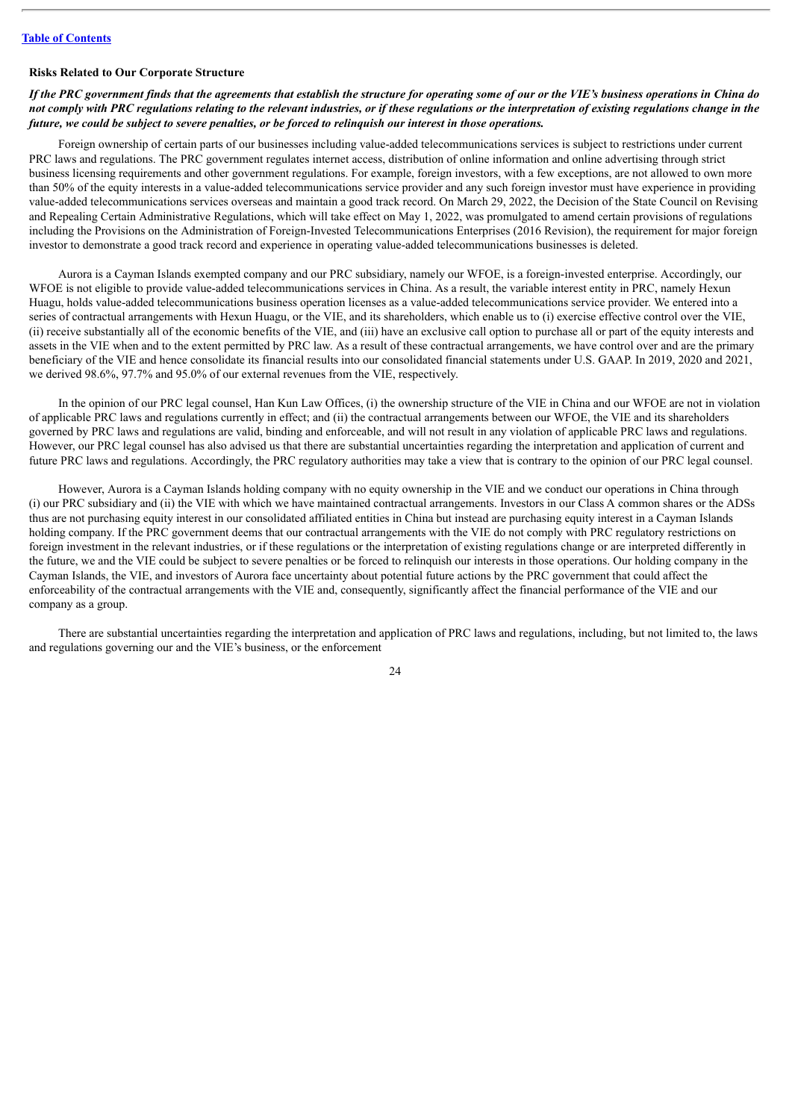#### **Risks Related to Our Corporate Structure**

If the PRC government finds that the agreements that establish the structure for operating some of our or the VIE's business operations in China do not comply with PRC regulations relating to the relevant industries, or if these regulations or the interpretation of existing regulations change in the future, we could be subject to severe penalties, or be forced to relinguish our interest in those operations.

Foreign ownership of certain parts of our businesses including value-added telecommunications services is subject to restrictions under current PRC laws and regulations. The PRC government regulates internet access, distribution of online information and online advertising through strict business licensing requirements and other government regulations. For example, foreign investors, with a few exceptions, are not allowed to own more than 50% of the equity interests in a value-added telecommunications service provider and any such foreign investor must have experience in providing value-added telecommunications services overseas and maintain a good track record. On March 29, 2022, the Decision of the State Council on Revising and Repealing Certain Administrative Regulations, which will take effect on May 1, 2022, was promulgated to amend certain provisions of regulations including the Provisions on the Administration of Foreign-Invested Telecommunications Enterprises (2016 Revision), the requirement for major foreign investor to demonstrate a good track record and experience in operating value-added telecommunications businesses is deleted.

Aurora is a Cayman Islands exempted company and our PRC subsidiary, namely our WFOE, is a foreign-invested enterprise. Accordingly, our WFOE is not eligible to provide value-added telecommunications services in China. As a result, the variable interest entity in PRC, namely Hexun Huagu, holds value-added telecommunications business operation licenses as a value-added telecommunications service provider. We entered into a series of contractual arrangements with Hexun Huagu, or the VIE, and its shareholders, which enable us to (i) exercise effective control over the VIE, (ii) receive substantially all of the economic benefits of the VIE, and (iii) have an exclusive call option to purchase all or part of the equity interests and assets in the VIE when and to the extent permitted by PRC law. As a result of these contractual arrangements, we have control over and are the primary beneficiary of the VIE and hence consolidate its financial results into our consolidated financial statements under U.S. GAAP. In 2019, 2020 and 2021, we derived 98.6%, 97.7% and 95.0% of our external revenues from the VIE, respectively.

In the opinion of our PRC legal counsel, Han Kun Law Offices, (i) the ownership structure of the VIE in China and our WFOE are not in violation of applicable PRC laws and regulations currently in effect; and (ii) the contractual arrangements between our WFOE, the VIE and its shareholders governed by PRC laws and regulations are valid, binding and enforceable, and will not result in any violation of applicable PRC laws and regulations. However, our PRC legal counsel has also advised us that there are substantial uncertainties regarding the interpretation and application of current and future PRC laws and regulations. Accordingly, the PRC regulatory authorities may take a view that is contrary to the opinion of our PRC legal counsel.

However, Aurora is a Cayman Islands holding company with no equity ownership in the VIE and we conduct our operations in China through (i) our PRC subsidiary and (ii) the VIE with which we have maintained contractual arrangements. Investors in our Class A common shares or the ADSs thus are not purchasing equity interest in our consolidated affiliated entities in China but instead are purchasing equity interest in a Cayman Islands holding company. If the PRC government deems that our contractual arrangements with the VIE do not comply with PRC regulatory restrictions on foreign investment in the relevant industries, or if these regulations or the interpretation of existing regulations change or are interpreted differently in the future, we and the VIE could be subject to severe penalties or be forced to relinquish our interests in those operations. Our holding company in the Cayman Islands, the VIE, and investors of Aurora face uncertainty about potential future actions by the PRC government that could affect the enforceability of the contractual arrangements with the VIE and, consequently, significantly affect the financial performance of the VIE and our company as a group.

There are substantial uncertainties regarding the interpretation and application of PRC laws and regulations, including, but not limited to, the laws and regulations governing our and the VIE's business, or the enforcement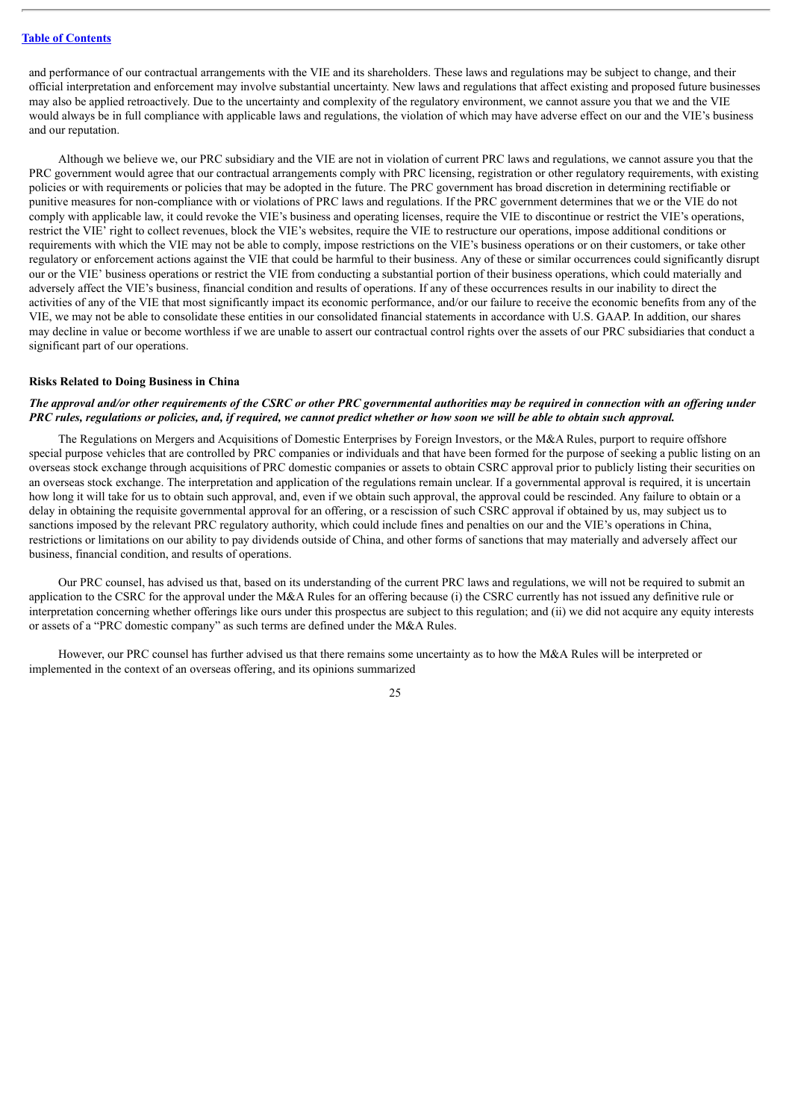and performance of our contractual arrangements with the VIE and its shareholders. These laws and regulations may be subject to change, and their official interpretation and enforcement may involve substantial uncertainty. New laws and regulations that affect existing and proposed future businesses may also be applied retroactively. Due to the uncertainty and complexity of the regulatory environment, we cannot assure you that we and the VIE would always be in full compliance with applicable laws and regulations, the violation of which may have adverse effect on our and the VIE's business and our reputation.

Although we believe we, our PRC subsidiary and the VIE are not in violation of current PRC laws and regulations, we cannot assure you that the PRC government would agree that our contractual arrangements comply with PRC licensing, registration or other regulatory requirements, with existing policies or with requirements or policies that may be adopted in the future. The PRC government has broad discretion in determining rectifiable or punitive measures for non-compliance with or violations of PRC laws and regulations. If the PRC government determines that we or the VIE do not comply with applicable law, it could revoke the VIE's business and operating licenses, require the VIE to discontinue or restrict the VIE's operations, restrict the VIE' right to collect revenues, block the VIE's websites, require the VIE to restructure our operations, impose additional conditions or requirements with which the VIE may not be able to comply, impose restrictions on the VIE's business operations or on their customers, or take other regulatory or enforcement actions against the VIE that could be harmful to their business. Any of these or similar occurrences could significantly disrupt our or the VIE' business operations or restrict the VIE from conducting a substantial portion of their business operations, which could materially and adversely affect the VIE's business, financial condition and results of operations. If any of these occurrences results in our inability to direct the activities of any of the VIE that most significantly impact its economic performance, and/or our failure to receive the economic benefits from any of the VIE, we may not be able to consolidate these entities in our consolidated financial statements in accordance with U.S. GAAP. In addition, our shares may decline in value or become worthless if we are unable to assert our contractual control rights over the assets of our PRC subsidiaries that conduct a significant part of our operations.

### **Risks Related to Doing Business in China**

# The approval and/or other requirements of the CSRC or other PRC governmental authorities may be required in connection with an offering under PRC rules, regulations or policies, and, if required, we cannot predict whether or how soon we will be able to obtain such approval.

The Regulations on Mergers and Acquisitions of Domestic Enterprises by Foreign Investors, or the M&A Rules, purport to require offshore special purpose vehicles that are controlled by PRC companies or individuals and that have been formed for the purpose of seeking a public listing on an overseas stock exchange through acquisitions of PRC domestic companies or assets to obtain CSRC approval prior to publicly listing their securities on an overseas stock exchange. The interpretation and application of the regulations remain unclear. If a governmental approval is required, it is uncertain how long it will take for us to obtain such approval, and, even if we obtain such approval, the approval could be rescinded. Any failure to obtain or a delay in obtaining the requisite governmental approval for an offering, or a rescission of such CSRC approval if obtained by us, may subject us to sanctions imposed by the relevant PRC regulatory authority, which could include fines and penalties on our and the VIE's operations in China, restrictions or limitations on our ability to pay dividends outside of China, and other forms of sanctions that may materially and adversely affect our business, financial condition, and results of operations.

Our PRC counsel, has advised us that, based on its understanding of the current PRC laws and regulations, we will not be required to submit an application to the CSRC for the approval under the M&A Rules for an offering because (i) the CSRC currently has not issued any definitive rule or interpretation concerning whether offerings like ours under this prospectus are subject to this regulation; and (ii) we did not acquire any equity interests or assets of a "PRC domestic company" as such terms are defined under the M&A Rules.

However, our PRC counsel has further advised us that there remains some uncertainty as to how the M&A Rules will be interpreted or implemented in the context of an overseas offering, and its opinions summarized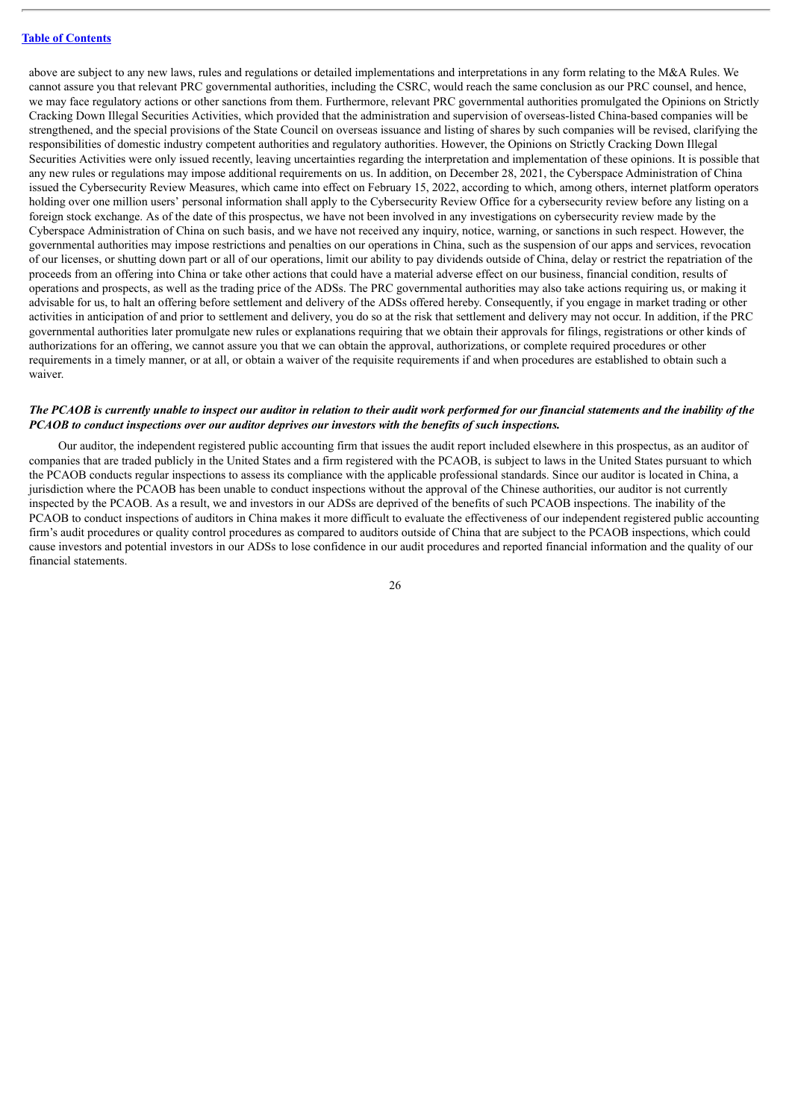above are subject to any new laws, rules and regulations or detailed implementations and interpretations in any form relating to the M&A Rules. We cannot assure you that relevant PRC governmental authorities, including the CSRC, would reach the same conclusion as our PRC counsel, and hence, we may face regulatory actions or other sanctions from them. Furthermore, relevant PRC governmental authorities promulgated the Opinions on Strictly Cracking Down Illegal Securities Activities, which provided that the administration and supervision of overseas-listed China-based companies will be strengthened, and the special provisions of the State Council on overseas issuance and listing of shares by such companies will be revised, clarifying the responsibilities of domestic industry competent authorities and regulatory authorities. However, the Opinions on Strictly Cracking Down Illegal Securities Activities were only issued recently, leaving uncertainties regarding the interpretation and implementation of these opinions. It is possible that any new rules or regulations may impose additional requirements on us. In addition, on December 28, 2021, the Cyberspace Administration of China issued the Cybersecurity Review Measures, which came into effect on February 15, 2022, according to which, among others, internet platform operators holding over one million users' personal information shall apply to the Cybersecurity Review Office for a cybersecurity review before any listing on a foreign stock exchange. As of the date of this prospectus, we have not been involved in any investigations on cybersecurity review made by the Cyberspace Administration of China on such basis, and we have not received any inquiry, notice, warning, or sanctions in such respect. However, the governmental authorities may impose restrictions and penalties on our operations in China, such as the suspension of our apps and services, revocation of our licenses, or shutting down part or all of our operations, limit our ability to pay dividends outside of China, delay or restrict the repatriation of the proceeds from an offering into China or take other actions that could have a material adverse effect on our business, financial condition, results of operations and prospects, as well as the trading price of the ADSs. The PRC governmental authorities may also take actions requiring us, or making it advisable for us, to halt an offering before settlement and delivery of the ADSs offered hereby. Consequently, if you engage in market trading or other activities in anticipation of and prior to settlement and delivery, you do so at the risk that settlement and delivery may not occur. In addition, if the PRC governmental authorities later promulgate new rules or explanations requiring that we obtain their approvals for filings, registrations or other kinds of authorizations for an offering, we cannot assure you that we can obtain the approval, authorizations, or complete required procedures or other requirements in a timely manner, or at all, or obtain a waiver of the requisite requirements if and when procedures are established to obtain such a waiver.

# The PCAOB is currently unable to inspect our auditor in relation to their audit work performed for our financial statements and the inability of the *PCAOB to conduct inspections over our auditor deprives our investors with the benefits of such inspections.*

Our auditor, the independent registered public accounting firm that issues the audit report included elsewhere in this prospectus, as an auditor of companies that are traded publicly in the United States and a firm registered with the PCAOB, is subject to laws in the United States pursuant to which the PCAOB conducts regular inspections to assess its compliance with the applicable professional standards. Since our auditor is located in China, a jurisdiction where the PCAOB has been unable to conduct inspections without the approval of the Chinese authorities, our auditor is not currently inspected by the PCAOB. As a result, we and investors in our ADSs are deprived of the benefits of such PCAOB inspections. The inability of the PCAOB to conduct inspections of auditors in China makes it more difficult to evaluate the effectiveness of our independent registered public accounting firm's audit procedures or quality control procedures as compared to auditors outside of China that are subject to the PCAOB inspections, which could cause investors and potential investors in our ADSs to lose confidence in our audit procedures and reported financial information and the quality of our financial statements.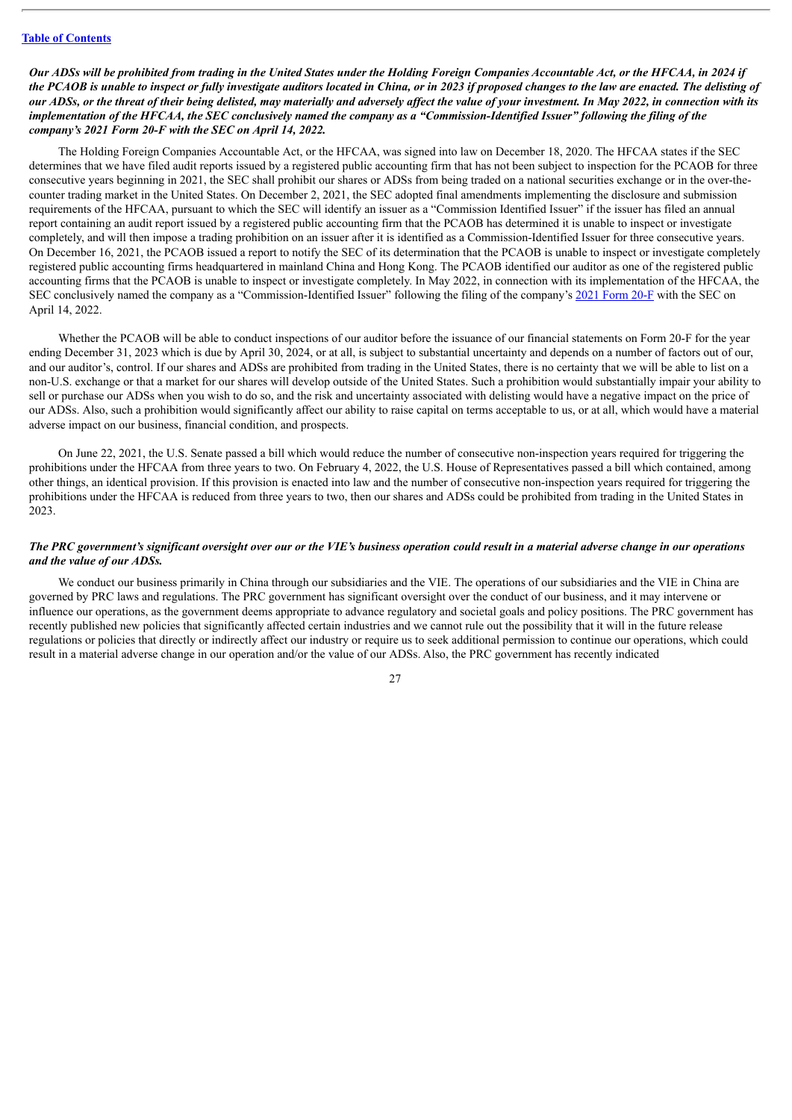Our ADSs will be prohibited from trading in the United States under the Holding Foreign Companies Accountable Act, or the HFCAA, in 2024 if the PCAOB is unable to inspect or fully investigate auditors located in China, or in 2023 if proposed changes to the law are enacted. The delisting of our ADSs, or the threat of their being delisted, may materially and adversely affect the value of your investment. In May 2022, in connection with its implementation of the HFCAA, the SEC conclusively named the company as a "Commission-Identified Issuer" following the filing of the *company's 2021 Form 20-F with the SEC on April 14, 2022.*

The Holding Foreign Companies Accountable Act, or the HFCAA, was signed into law on December 18, 2020. The HFCAA states if the SEC determines that we have filed audit reports issued by a registered public accounting firm that has not been subject to inspection for the PCAOB for three consecutive years beginning in 2021, the SEC shall prohibit our shares or ADSs from being traded on a national securities exchange or in the over-thecounter trading market in the United States. On December 2, 2021, the SEC adopted final amendments implementing the disclosure and submission requirements of the HFCAA, pursuant to which the SEC will identify an issuer as a "Commission Identified Issuer" if the issuer has filed an annual report containing an audit report issued by a registered public accounting firm that the PCAOB has determined it is unable to inspect or investigate completely, and will then impose a trading prohibition on an issuer after it is identified as a Commission-Identified Issuer for three consecutive years. On December 16, 2021, the PCAOB issued a report to notify the SEC of its determination that the PCAOB is unable to inspect or investigate completely registered public accounting firms headquartered in mainland China and Hong Kong. The PCAOB identified our auditor as one of the registered public accounting firms that the PCAOB is unable to inspect or investigate completely. In May 2022, in connection with its implementation of the HFCAA, the SEC conclusively named the company as a "Commission-Identified Issuer" following the filing of the company's 2021 [Form](http://www.sec.gov/ix?doc=/Archives/edgar/data/0001737339/000119312522104903/d217874d20f.htm) 20-F with the SEC on April 14, 2022.

Whether the PCAOB will be able to conduct inspections of our auditor before the issuance of our financial statements on Form 20-F for the year ending December 31, 2023 which is due by April 30, 2024, or at all, is subject to substantial uncertainty and depends on a number of factors out of our, and our auditor's, control. If our shares and ADSs are prohibited from trading in the United States, there is no certainty that we will be able to list on a non-U.S. exchange or that a market for our shares will develop outside of the United States. Such a prohibition would substantially impair your ability to sell or purchase our ADSs when you wish to do so, and the risk and uncertainty associated with delisting would have a negative impact on the price of our ADSs. Also, such a prohibition would significantly affect our ability to raise capital on terms acceptable to us, or at all, which would have a material adverse impact on our business, financial condition, and prospects.

On June 22, 2021, the U.S. Senate passed a bill which would reduce the number of consecutive non-inspection years required for triggering the prohibitions under the HFCAA from three years to two. On February 4, 2022, the U.S. House of Representatives passed a bill which contained, among other things, an identical provision. If this provision is enacted into law and the number of consecutive non-inspection years required for triggering the prohibitions under the HFCAA is reduced from three years to two, then our shares and ADSs could be prohibited from trading in the United States in 2023.

# The PRC government's significant oversight over our or the VIE's business operation could result in a material adverse change in our operations *and the value of our ADSs.*

We conduct our business primarily in China through our subsidiaries and the VIE. The operations of our subsidiaries and the VIE in China are governed by PRC laws and regulations. The PRC government has significant oversight over the conduct of our business, and it may intervene or influence our operations, as the government deems appropriate to advance regulatory and societal goals and policy positions. The PRC government has recently published new policies that significantly affected certain industries and we cannot rule out the possibility that it will in the future release regulations or policies that directly or indirectly affect our industry or require us to seek additional permission to continue our operations, which could result in a material adverse change in our operation and/or the value of our ADSs. Also, the PRC government has recently indicated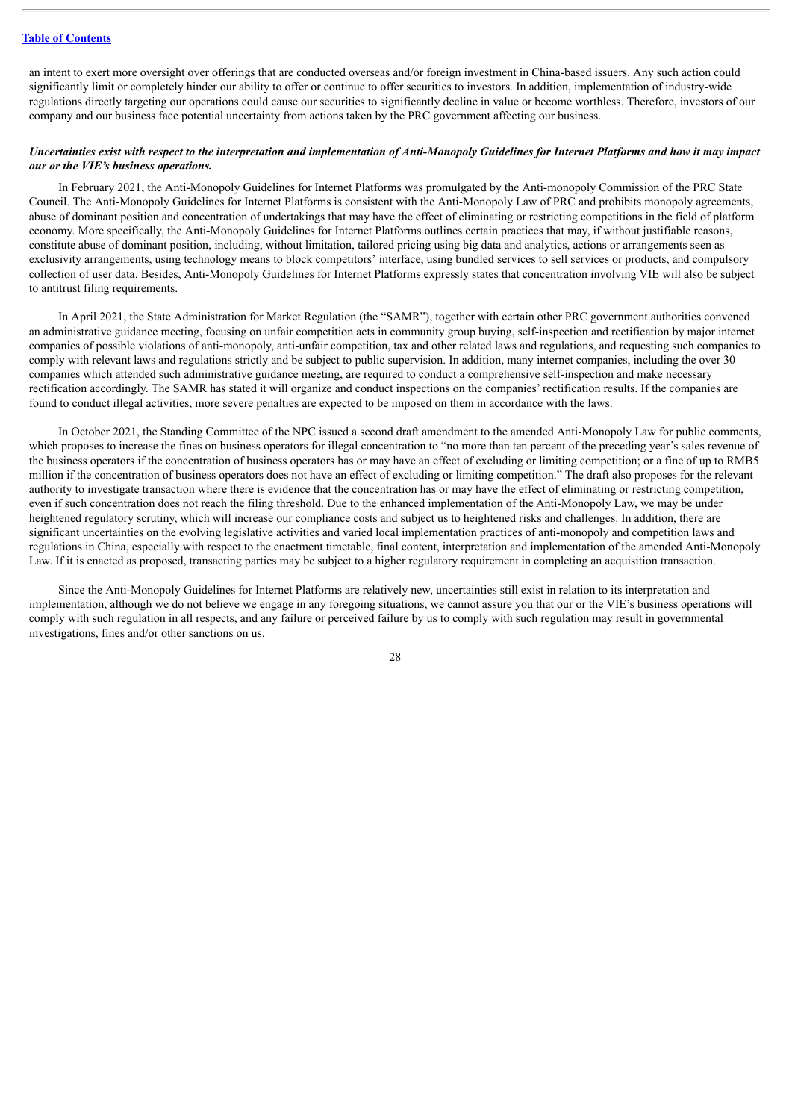an intent to exert more oversight over offerings that are conducted overseas and/or foreign investment in China-based issuers. Any such action could significantly limit or completely hinder our ability to offer or continue to offer securities to investors. In addition, implementation of industry-wide regulations directly targeting our operations could cause our securities to significantly decline in value or become worthless. Therefore, investors of our company and our business face potential uncertainty from actions taken by the PRC government affecting our business.

# Uncertainties exist with respect to the interpretation and implementation of Anti-Monopoly Guidelines for Internet Platforms and how it may impact *our or the VIE's business operations.*

In February 2021, the Anti-Monopoly Guidelines for Internet Platforms was promulgated by the Anti-monopoly Commission of the PRC State Council. The Anti-Monopoly Guidelines for Internet Platforms is consistent with the Anti-Monopoly Law of PRC and prohibits monopoly agreements, abuse of dominant position and concentration of undertakings that may have the effect of eliminating or restricting competitions in the field of platform economy. More specifically, the Anti-Monopoly Guidelines for Internet Platforms outlines certain practices that may, if without justifiable reasons, constitute abuse of dominant position, including, without limitation, tailored pricing using big data and analytics, actions or arrangements seen as exclusivity arrangements, using technology means to block competitors' interface, using bundled services to sell services or products, and compulsory collection of user data. Besides, Anti-Monopoly Guidelines for Internet Platforms expressly states that concentration involving VIE will also be subject to antitrust filing requirements.

In April 2021, the State Administration for Market Regulation (the "SAMR"), together with certain other PRC government authorities convened an administrative guidance meeting, focusing on unfair competition acts in community group buying, self-inspection and rectification by major internet companies of possible violations of anti-monopoly, anti-unfair competition, tax and other related laws and regulations, and requesting such companies to comply with relevant laws and regulations strictly and be subject to public supervision. In addition, many internet companies, including the over 30 companies which attended such administrative guidance meeting, are required to conduct a comprehensive self-inspection and make necessary rectification accordingly. The SAMR has stated it will organize and conduct inspections on the companies' rectification results. If the companies are found to conduct illegal activities, more severe penalties are expected to be imposed on them in accordance with the laws.

In October 2021, the Standing Committee of the NPC issued a second draft amendment to the amended Anti-Monopoly Law for public comments, which proposes to increase the fines on business operators for illegal concentration to "no more than ten percent of the preceding year's sales revenue of the business operators if the concentration of business operators has or may have an effect of excluding or limiting competition; or a fine of up to RMB5 million if the concentration of business operators does not have an effect of excluding or limiting competition." The draft also proposes for the relevant authority to investigate transaction where there is evidence that the concentration has or may have the effect of eliminating or restricting competition, even if such concentration does not reach the filing threshold. Due to the enhanced implementation of the Anti-Monopoly Law, we may be under heightened regulatory scrutiny, which will increase our compliance costs and subject us to heightened risks and challenges. In addition, there are significant uncertainties on the evolving legislative activities and varied local implementation practices of anti-monopoly and competition laws and regulations in China, especially with respect to the enactment timetable, final content, interpretation and implementation of the amended Anti-Monopoly Law. If it is enacted as proposed, transacting parties may be subject to a higher regulatory requirement in completing an acquisition transaction.

Since the Anti-Monopoly Guidelines for Internet Platforms are relatively new, uncertainties still exist in relation to its interpretation and implementation, although we do not believe we engage in any foregoing situations, we cannot assure you that our or the VIE's business operations will comply with such regulation in all respects, and any failure or perceived failure by us to comply with such regulation may result in governmental investigations, fines and/or other sanctions on us.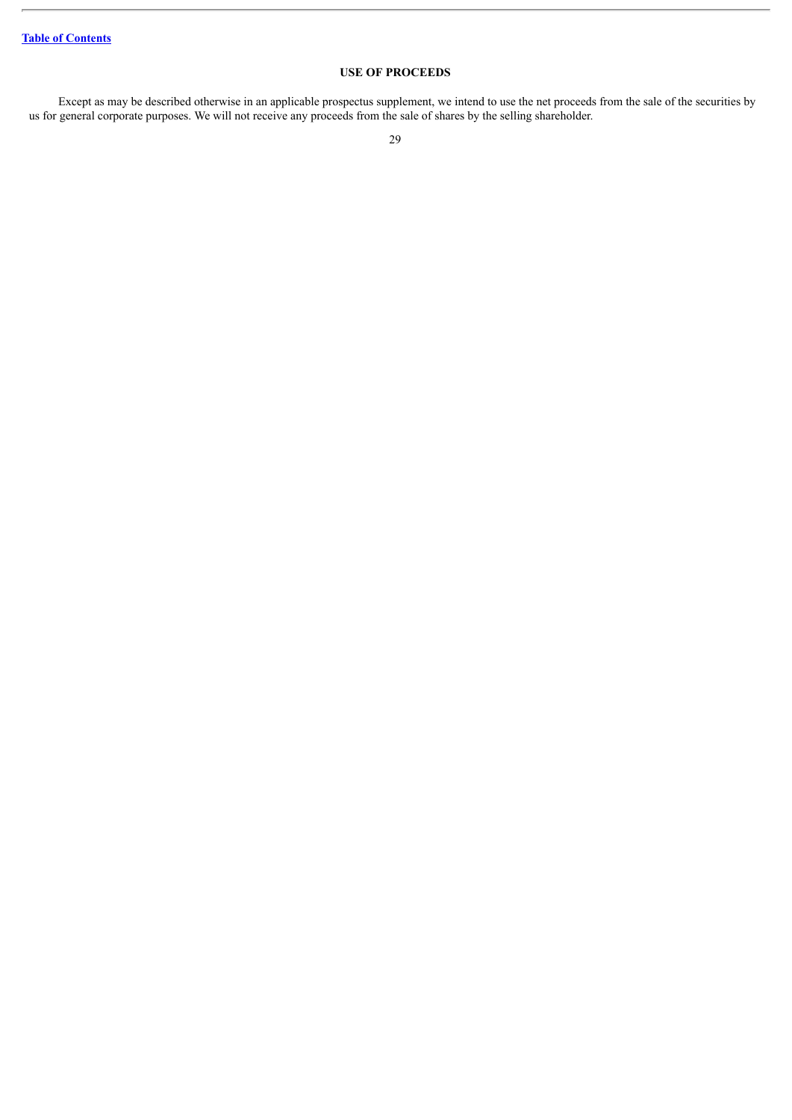# **USE OF PROCEEDS**

<span id="page-31-0"></span>Except as may be described otherwise in an applicable prospectus supplement, we intend to use the net proceeds from the sale of the securities by us for general corporate purposes. We will not receive any proceeds from the sale of shares by the selling shareholder.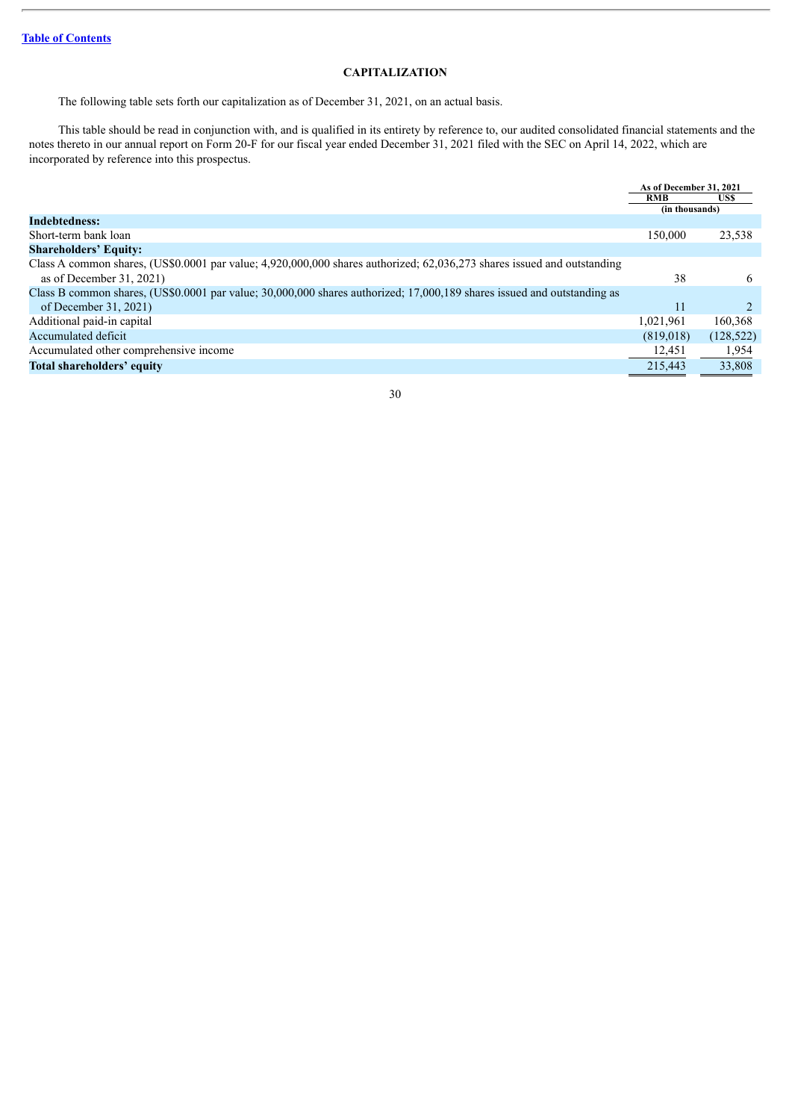# **CAPITALIZATION**

<span id="page-32-0"></span>The following table sets forth our capitalization as of December 31, 2021, on an actual basis.

This table should be read in conjunction with, and is qualified in its entirety by reference to, our audited consolidated financial statements and the notes thereto in our annual report on Form 20-F for our fiscal year ended December 31, 2021 filed with the SEC on April 14, 2022, which are incorporated by reference into this prospectus.

|                                                                                                                         | As of December 31, 2021 |            |
|-------------------------------------------------------------------------------------------------------------------------|-------------------------|------------|
|                                                                                                                         | RMB                     | US\$       |
|                                                                                                                         | (in thousands)          |            |
| <b>Indebtedness:</b>                                                                                                    |                         |            |
| Short-term bank loan                                                                                                    | 150.000                 | 23,538     |
| <b>Shareholders' Equity:</b>                                                                                            |                         |            |
| Class A common shares, (US\$0.0001 par value; 4,920,000,000 shares authorized; 62,036,273 shares issued and outstanding |                         |            |
| as of December $31, 2021$                                                                                               | 38                      | -6         |
| Class B common shares, (US\$0.0001 par value; 30,000,000 shares authorized; 17,000,189 shares issued and outstanding as |                         |            |
| of December $31, 2021$                                                                                                  | 11                      |            |
| Additional paid-in capital                                                                                              | 1,021,961               | 160,368    |
| Accumulated deficit                                                                                                     | (819,018)               | (128, 522) |
| Accumulated other comprehensive income                                                                                  | 12,451                  | 1,954      |
| Total shareholders' equity                                                                                              | 215,443                 | 33,808     |
|                                                                                                                         |                         |            |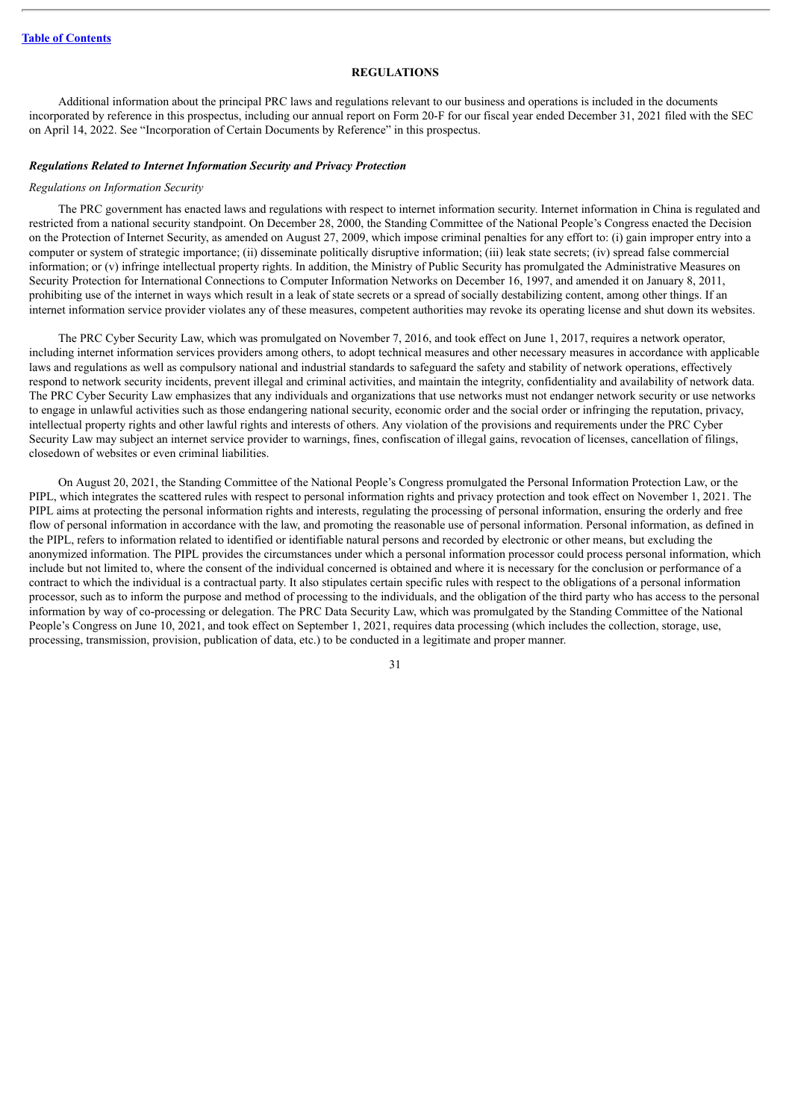### **REGULATIONS**

<span id="page-33-0"></span>Additional information about the principal PRC laws and regulations relevant to our business and operations is included in the documents incorporated by reference in this prospectus, including our annual report on Form 20-F for our fiscal year ended December 31, 2021 filed with the SEC on April 14, 2022. See "Incorporation of Certain Documents by Reference" in this prospectus.

# *Regulations Related to Internet Information Security and Privacy Protection*

### *Regulations on Information Security*

The PRC government has enacted laws and regulations with respect to internet information security. Internet information in China is regulated and restricted from a national security standpoint. On December 28, 2000, the Standing Committee of the National People's Congress enacted the Decision on the Protection of Internet Security, as amended on August 27, 2009, which impose criminal penalties for any effort to: (i) gain improper entry into a computer or system of strategic importance; (ii) disseminate politically disruptive information; (iii) leak state secrets; (iv) spread false commercial information; or (v) infringe intellectual property rights. In addition, the Ministry of Public Security has promulgated the Administrative Measures on Security Protection for International Connections to Computer Information Networks on December 16, 1997, and amended it on January 8, 2011, prohibiting use of the internet in ways which result in a leak of state secrets or a spread of socially destabilizing content, among other things. If an internet information service provider violates any of these measures, competent authorities may revoke its operating license and shut down its websites.

The PRC Cyber Security Law, which was promulgated on November 7, 2016, and took effect on June 1, 2017, requires a network operator, including internet information services providers among others, to adopt technical measures and other necessary measures in accordance with applicable laws and regulations as well as compulsory national and industrial standards to safeguard the safety and stability of network operations, effectively respond to network security incidents, prevent illegal and criminal activities, and maintain the integrity, confidentiality and availability of network data. The PRC Cyber Security Law emphasizes that any individuals and organizations that use networks must not endanger network security or use networks to engage in unlawful activities such as those endangering national security, economic order and the social order or infringing the reputation, privacy, intellectual property rights and other lawful rights and interests of others. Any violation of the provisions and requirements under the PRC Cyber Security Law may subject an internet service provider to warnings, fines, confiscation of illegal gains, revocation of licenses, cancellation of filings, closedown of websites or even criminal liabilities.

On August 20, 2021, the Standing Committee of the National People's Congress promulgated the Personal Information Protection Law, or the PIPL, which integrates the scattered rules with respect to personal information rights and privacy protection and took effect on November 1, 2021. The PIPL aims at protecting the personal information rights and interests, regulating the processing of personal information, ensuring the orderly and free flow of personal information in accordance with the law, and promoting the reasonable use of personal information. Personal information, as defined in the PIPL, refers to information related to identified or identifiable natural persons and recorded by electronic or other means, but excluding the anonymized information. The PIPL provides the circumstances under which a personal information processor could process personal information, which include but not limited to, where the consent of the individual concerned is obtained and where it is necessary for the conclusion or performance of a contract to which the individual is a contractual party. It also stipulates certain specific rules with respect to the obligations of a personal information processor, such as to inform the purpose and method of processing to the individuals, and the obligation of the third party who has access to the personal information by way of co-processing or delegation. The PRC Data Security Law, which was promulgated by the Standing Committee of the National People's Congress on June 10, 2021, and took effect on September 1, 2021, requires data processing (which includes the collection, storage, use, processing, transmission, provision, publication of data, etc.) to be conducted in a legitimate and proper manner.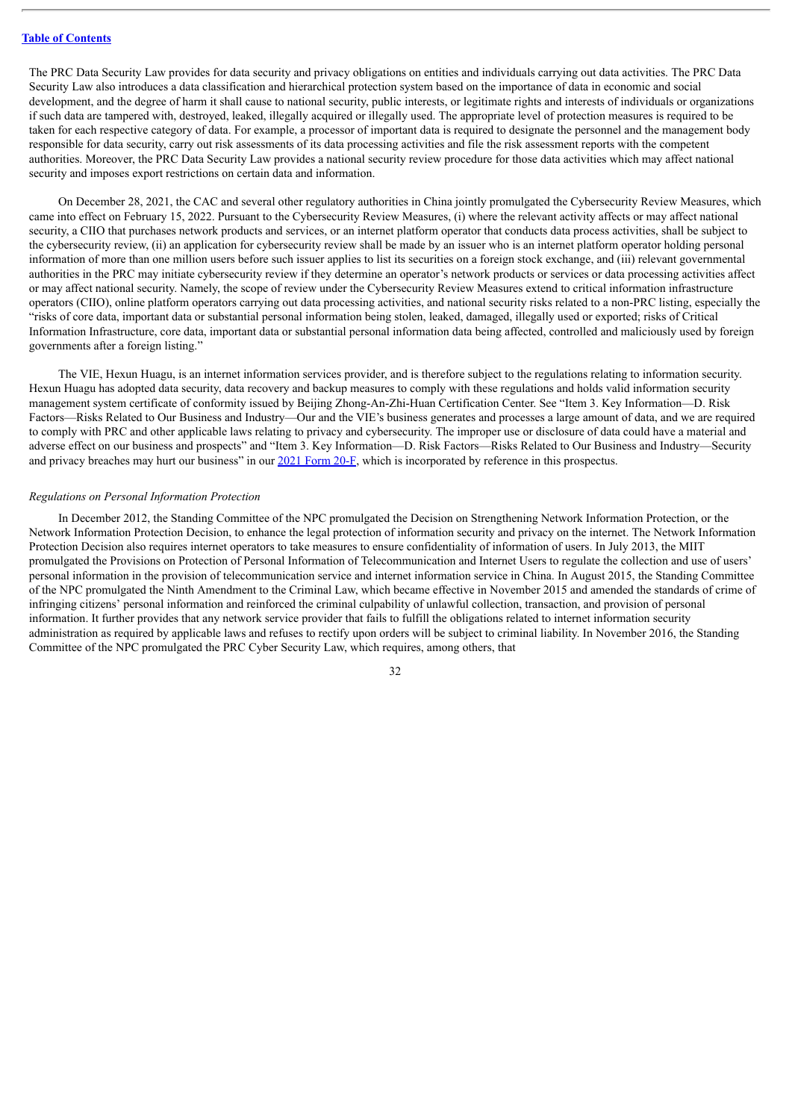The PRC Data Security Law provides for data security and privacy obligations on entities and individuals carrying out data activities. The PRC Data Security Law also introduces a data classification and hierarchical protection system based on the importance of data in economic and social development, and the degree of harm it shall cause to national security, public interests, or legitimate rights and interests of individuals or organizations if such data are tampered with, destroyed, leaked, illegally acquired or illegally used. The appropriate level of protection measures is required to be taken for each respective category of data. For example, a processor of important data is required to designate the personnel and the management body responsible for data security, carry out risk assessments of its data processing activities and file the risk assessment reports with the competent authorities. Moreover, the PRC Data Security Law provides a national security review procedure for those data activities which may affect national security and imposes export restrictions on certain data and information.

On December 28, 2021, the CAC and several other regulatory authorities in China jointly promulgated the Cybersecurity Review Measures, which came into effect on February 15, 2022. Pursuant to the Cybersecurity Review Measures, (i) where the relevant activity affects or may affect national security, a CIIO that purchases network products and services, or an internet platform operator that conducts data process activities, shall be subject to the cybersecurity review, (ii) an application for cybersecurity review shall be made by an issuer who is an internet platform operator holding personal information of more than one million users before such issuer applies to list its securities on a foreign stock exchange, and (iii) relevant governmental authorities in the PRC may initiate cybersecurity review if they determine an operator's network products or services or data processing activities affect or may affect national security. Namely, the scope of review under the Cybersecurity Review Measures extend to critical information infrastructure operators (CIIO), online platform operators carrying out data processing activities, and national security risks related to a non-PRC listing, especially the "risks of core data, important data or substantial personal information being stolen, leaked, damaged, illegally used or exported; risks of Critical Information Infrastructure, core data, important data or substantial personal information data being affected, controlled and maliciously used by foreign governments after a foreign listing."

The VIE, Hexun Huagu, is an internet information services provider, and is therefore subject to the regulations relating to information security. Hexun Huagu has adopted data security, data recovery and backup measures to comply with these regulations and holds valid information security management system certificate of conformity issued by Beijing Zhong-An-Zhi-Huan Certification Center. See "Item 3. Key Information—D. Risk Factors—Risks Related to Our Business and Industry—Our and the VIE's business generates and processes a large amount of data, and we are required to comply with PRC and other applicable laws relating to privacy and cybersecurity. The improper use or disclosure of data could have a material and adverse effect on our business and prospects" and "Item 3. Key Information—D. Risk Factors—Risks Related to Our Business and Industry—Security and privacy breaches may hurt our business" in our 2021 [Form](http://www.sec.gov/ix?doc=/Archives/edgar/data/0001737339/000119312522104903/d217874d20f.htm) 20-F, which is incorporated by reference in this prospectus.

### *Regulations on Personal Information Protection*

In December 2012, the Standing Committee of the NPC promulgated the Decision on Strengthening Network Information Protection, or the Network Information Protection Decision, to enhance the legal protection of information security and privacy on the internet. The Network Information Protection Decision also requires internet operators to take measures to ensure confidentiality of information of users. In July 2013, the MIIT promulgated the Provisions on Protection of Personal Information of Telecommunication and Internet Users to regulate the collection and use of users' personal information in the provision of telecommunication service and internet information service in China. In August 2015, the Standing Committee of the NPC promulgated the Ninth Amendment to the Criminal Law, which became effective in November 2015 and amended the standards of crime of infringing citizens' personal information and reinforced the criminal culpability of unlawful collection, transaction, and provision of personal information. It further provides that any network service provider that fails to fulfill the obligations related to internet information security administration as required by applicable laws and refuses to rectify upon orders will be subject to criminal liability. In November 2016, the Standing Committee of the NPC promulgated the PRC Cyber Security Law, which requires, among others, that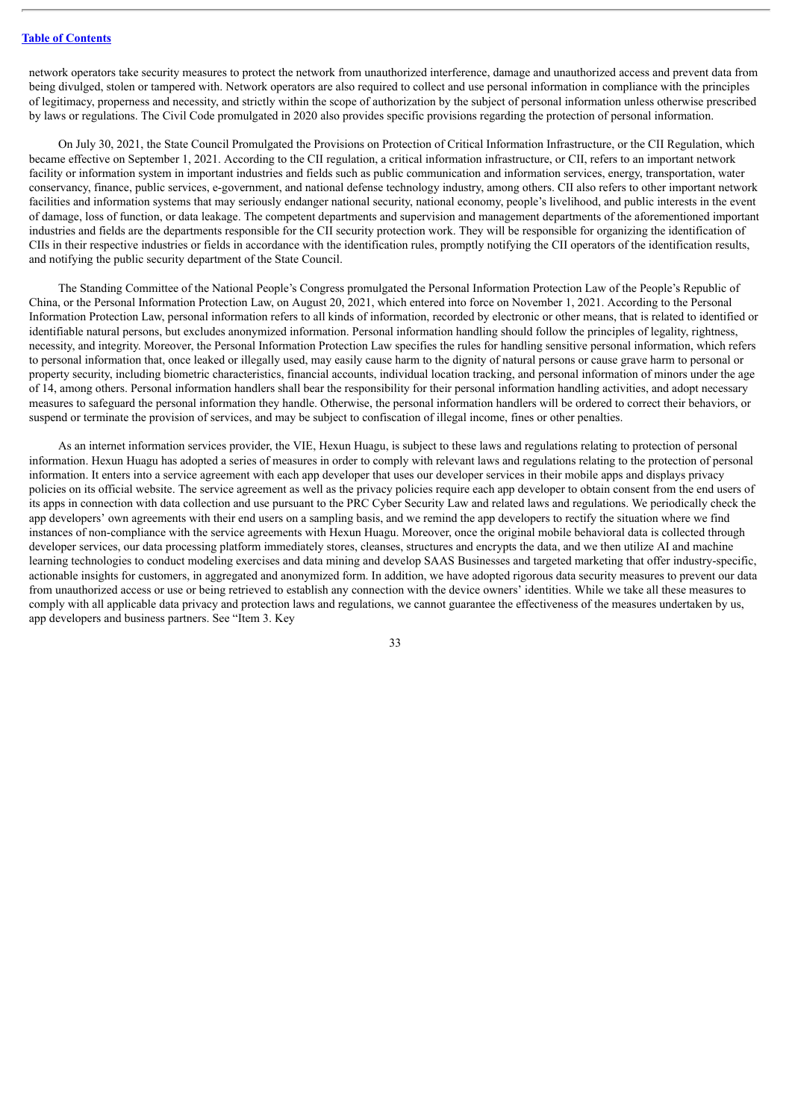network operators take security measures to protect the network from unauthorized interference, damage and unauthorized access and prevent data from being divulged, stolen or tampered with. Network operators are also required to collect and use personal information in compliance with the principles of legitimacy, properness and necessity, and strictly within the scope of authorization by the subject of personal information unless otherwise prescribed by laws or regulations. The Civil Code promulgated in 2020 also provides specific provisions regarding the protection of personal information.

On July 30, 2021, the State Council Promulgated the Provisions on Protection of Critical Information Infrastructure, or the CII Regulation, which became effective on September 1, 2021. According to the CII regulation, a critical information infrastructure, or CII, refers to an important network facility or information system in important industries and fields such as public communication and information services, energy, transportation, water conservancy, finance, public services, e-government, and national defense technology industry, among others. CII also refers to other important network facilities and information systems that may seriously endanger national security, national economy, people's livelihood, and public interests in the event of damage, loss of function, or data leakage. The competent departments and supervision and management departments of the aforementioned important industries and fields are the departments responsible for the CII security protection work. They will be responsible for organizing the identification of CIIs in their respective industries or fields in accordance with the identification rules, promptly notifying the CII operators of the identification results, and notifying the public security department of the State Council.

The Standing Committee of the National People's Congress promulgated the Personal Information Protection Law of the People's Republic of China, or the Personal Information Protection Law, on August 20, 2021, which entered into force on November 1, 2021. According to the Personal Information Protection Law, personal information refers to all kinds of information, recorded by electronic or other means, that is related to identified or identifiable natural persons, but excludes anonymized information. Personal information handling should follow the principles of legality, rightness, necessity, and integrity. Moreover, the Personal Information Protection Law specifies the rules for handling sensitive personal information, which refers to personal information that, once leaked or illegally used, may easily cause harm to the dignity of natural persons or cause grave harm to personal or property security, including biometric characteristics, financial accounts, individual location tracking, and personal information of minors under the age of 14, among others. Personal information handlers shall bear the responsibility for their personal information handling activities, and adopt necessary measures to safeguard the personal information they handle. Otherwise, the personal information handlers will be ordered to correct their behaviors, or suspend or terminate the provision of services, and may be subject to confiscation of illegal income, fines or other penalties.

As an internet information services provider, the VIE, Hexun Huagu, is subject to these laws and regulations relating to protection of personal information. Hexun Huagu has adopted a series of measures in order to comply with relevant laws and regulations relating to the protection of personal information. It enters into a service agreement with each app developer that uses our developer services in their mobile apps and displays privacy policies on its official website. The service agreement as well as the privacy policies require each app developer to obtain consent from the end users of its apps in connection with data collection and use pursuant to the PRC Cyber Security Law and related laws and regulations. We periodically check the app developers' own agreements with their end users on a sampling basis, and we remind the app developers to rectify the situation where we find instances of non-compliance with the service agreements with Hexun Huagu. Moreover, once the original mobile behavioral data is collected through developer services, our data processing platform immediately stores, cleanses, structures and encrypts the data, and we then utilize AI and machine learning technologies to conduct modeling exercises and data mining and develop SAAS Businesses and targeted marketing that offer industry-specific, actionable insights for customers, in aggregated and anonymized form. In addition, we have adopted rigorous data security measures to prevent our data from unauthorized access or use or being retrieved to establish any connection with the device owners' identities. While we take all these measures to comply with all applicable data privacy and protection laws and regulations, we cannot guarantee the effectiveness of the measures undertaken by us, app developers and business partners. See "Item 3. Key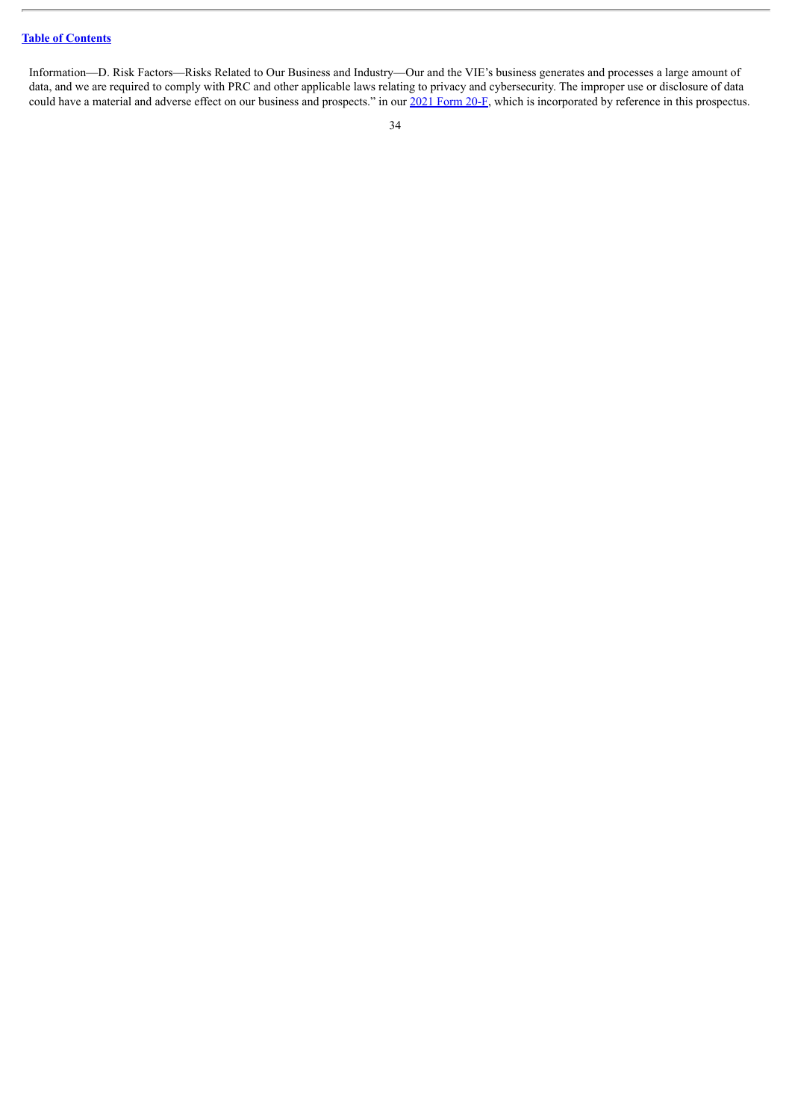Information—D. Risk Factors—Risks Related to Our Business and Industry—Our and the VIE's business generates and processes a large amount of data, and we are required to comply with PRC and other applicable laws relating to privacy and cybersecurity. The improper use or disclosure of data could have a material and adverse effect on our business and prospects." in our 2021 [Form](http://www.sec.gov/ix?doc=/Archives/edgar/data/0001737339/000119312522104903/d217874d20f.htm) 20-F, which is incorporated by reference in this prospectus.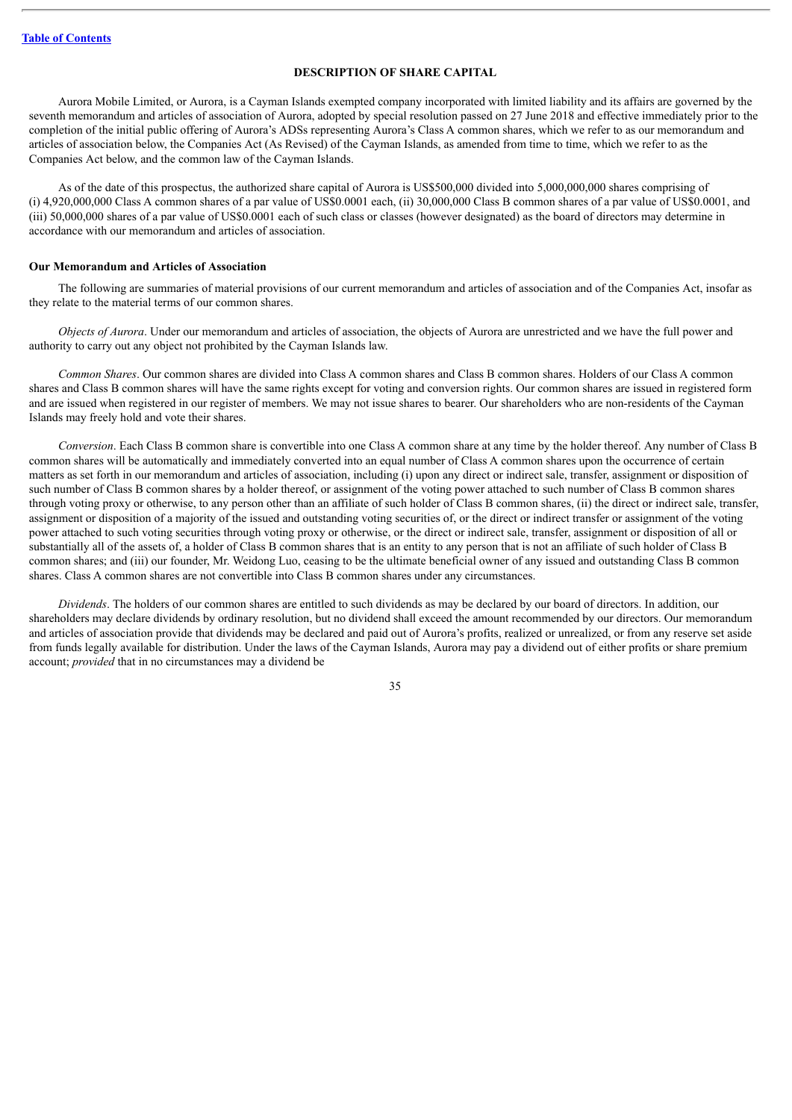## **DESCRIPTION OF SHARE CAPITAL**

Aurora Mobile Limited, or Aurora, is a Cayman Islands exempted company incorporated with limited liability and its affairs are governed by the seventh memorandum and articles of association of Aurora, adopted by special resolution passed on 27 June 2018 and effective immediately prior to the completion of the initial public offering of Aurora's ADSs representing Aurora's Class A common shares, which we refer to as our memorandum and articles of association below, the Companies Act (As Revised) of the Cayman Islands, as amended from time to time, which we refer to as the Companies Act below, and the common law of the Cayman Islands.

As of the date of this prospectus, the authorized share capital of Aurora is US\$500,000 divided into 5,000,000,000 shares comprising of (i) 4,920,000,000 Class A common shares of a par value of US\$0.0001 each, (ii) 30,000,000 Class B common shares of a par value of US\$0.0001, and (iii) 50,000,000 shares of a par value of US\$0.0001 each of such class or classes (however designated) as the board of directors may determine in accordance with our memorandum and articles of association.

#### **Our Memorandum and Articles of Association**

The following are summaries of material provisions of our current memorandum and articles of association and of the Companies Act, insofar as they relate to the material terms of our common shares.

*Objects of Aurora*. Under our memorandum and articles of association, the objects of Aurora are unrestricted and we have the full power and authority to carry out any object not prohibited by the Cayman Islands law.

*Common Shares* Our common shares are divided into Class A common shares and Class B common shares. Holders of our Class A common shares and Class B common shares will have the same rights except for voting and conversion rights. Our common shares are issued in registered form and are issued when registered in our register of members. We may not issue shares to bearer. Our shareholders who are non-residents of the Cayman Islands may freely hold and vote their shares.

*Conversion*. Each Class B common share is convertible into one Class A common share at any time by the holder thereof. Any number of Class B common shares will be automatically and immediately converted into an equal number of Class A common shares upon the occurrence of certain matters as set forth in our memorandum and articles of association, including (i) upon any direct or indirect sale, transfer, assignment or disposition of such number of Class B common shares by a holder thereof, or assignment of the voting power attached to such number of Class B common shares through voting proxy or otherwise, to any person other than an affiliate of such holder of Class B common shares, (ii) the direct or indirect sale, transfer, assignment or disposition of a majority of the issued and outstanding voting securities of, or the direct or indirect transfer or assignment of the voting power attached to such voting securities through voting proxy or otherwise, or the direct or indirect sale, transfer, assignment or disposition of all or substantially all of the assets of, a holder of Class B common shares that is an entity to any person that is not an affiliate of such holder of Class B common shares; and (iii) our founder, Mr. Weidong Luo, ceasing to be the ultimate beneficial owner of any issued and outstanding Class B common shares. Class A common shares are not convertible into Class B common shares under any circumstances.

*Dividends*. The holders of our common shares are entitled to such dividends as may be declared by our board of directors. In addition, our shareholders may declare dividends by ordinary resolution, but no dividend shall exceed the amount recommended by our directors. Our memorandum and articles of association provide that dividends may be declared and paid out of Aurora's profits, realized or unrealized, or from any reserve set aside from funds legally available for distribution. Under the laws of the Cayman Islands, Aurora may pay a dividend out of either profits or share premium account; *provided* that in no circumstances may a dividend be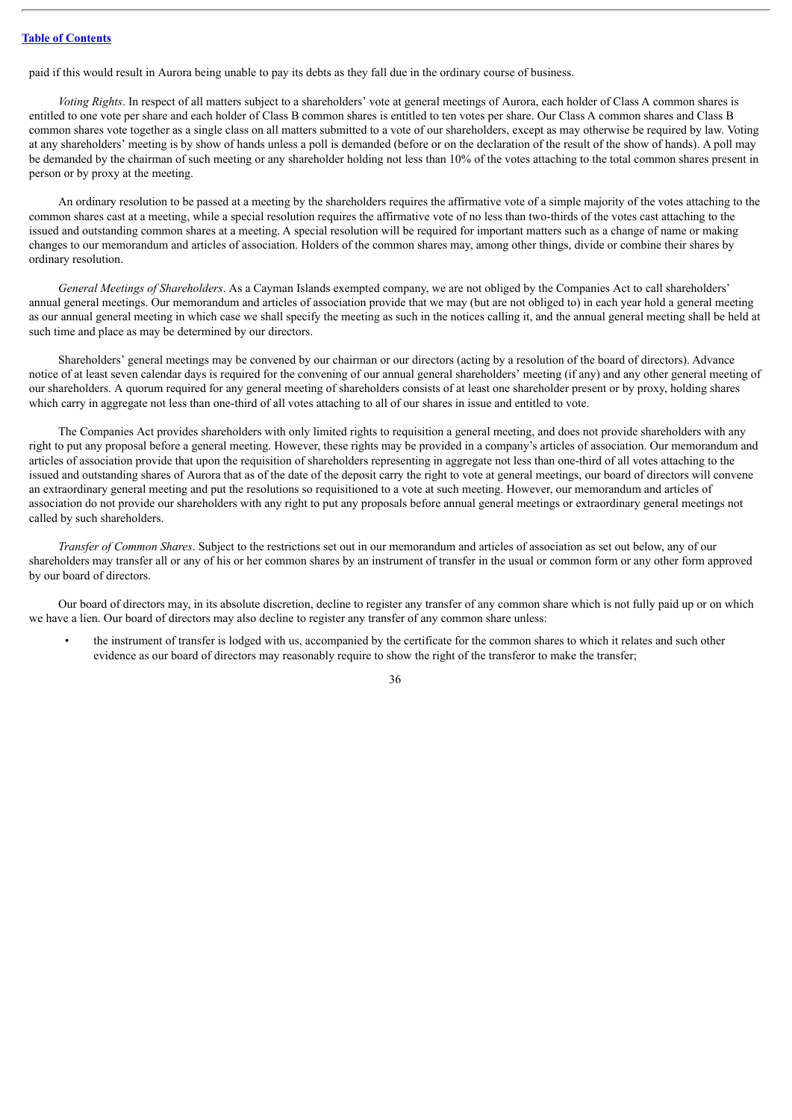paid if this would result in Aurora being unable to pay its debts as they fall due in the ordinary course of business.

*Voting Rights*. In respect of all matters subject to a shareholders' vote at general meetings of Aurora, each holder of Class A common shares is entitled to one vote per share and each holder of Class B common shares is entitled to ten votes per share. Our Class A common shares and Class B common shares vote together as a single class on all matters submitted to a vote of our shareholders, except as may otherwise be required by law. Voting at any shareholders' meeting is by show of hands unless a poll is demanded (before or on the declaration of the result of the show of hands). A poll may be demanded by the chairman of such meeting or any shareholder holding not less than 10% of the votes attaching to the total common shares present in person or by proxy at the meeting.

An ordinary resolution to be passed at a meeting by the shareholders requires the affirmative vote of a simple majority of the votes attaching to the common shares cast at a meeting, while a special resolution requires the affirmative vote of no less than two-thirds of the votes cast attaching to the issued and outstanding common shares at a meeting. A special resolution will be required for important matters such as a change of name or making changes to our memorandum and articles of association. Holders of the common shares may, among other things, divide or combine their shares by ordinary resolution.

*General Meetings of Shareholders*. As a Cayman Islands exempted company, we are not obliged by the Companies Act to call shareholders' annual general meetings. Our memorandum and articles of association provide that we may (but are not obliged to) in each year hold a general meeting as our annual general meeting in which case we shall specify the meeting as such in the notices calling it, and the annual general meeting shall be held at such time and place as may be determined by our directors.

Shareholders' general meetings may be convened by our chairman or our directors (acting by a resolution of the board of directors). Advance notice of at least seven calendar days is required for the convening of our annual general shareholders' meeting (if any) and any other general meeting of our shareholders. A quorum required for any general meeting of shareholders consists of at least one shareholder present or by proxy, holding shares which carry in aggregate not less than one-third of all votes attaching to all of our shares in issue and entitled to vote.

The Companies Act provides shareholders with only limited rights to requisition a general meeting, and does not provide shareholders with any right to put any proposal before a general meeting. However, these rights may be provided in a company's articles of association. Our memorandum and articles of association provide that upon the requisition of shareholders representing in aggregate not less than one-third of all votes attaching to the issued and outstanding shares of Aurora that as of the date of the deposit carry the right to vote at general meetings, our board of directors will convene an extraordinary general meeting and put the resolutions so requisitioned to a vote at such meeting. However, our memorandum and articles of association do not provide our shareholders with any right to put any proposals before annual general meetings or extraordinary general meetings not called by such shareholders.

*Transfer of Common Shares*. Subject to the restrictions set out in our memorandum and articles of association as set out below, any of our shareholders may transfer all or any of his or her common shares by an instrument of transfer in the usual or common form or any other form approved by our board of directors.

Our board of directors may, in its absolute discretion, decline to register any transfer of any common share which is not fully paid up or on which we have a lien. Our board of directors may also decline to register any transfer of any common share unless:

• the instrument of transfer is lodged with us, accompanied by the certificate for the common shares to which it relates and such other evidence as our board of directors may reasonably require to show the right of the transferor to make the transfer;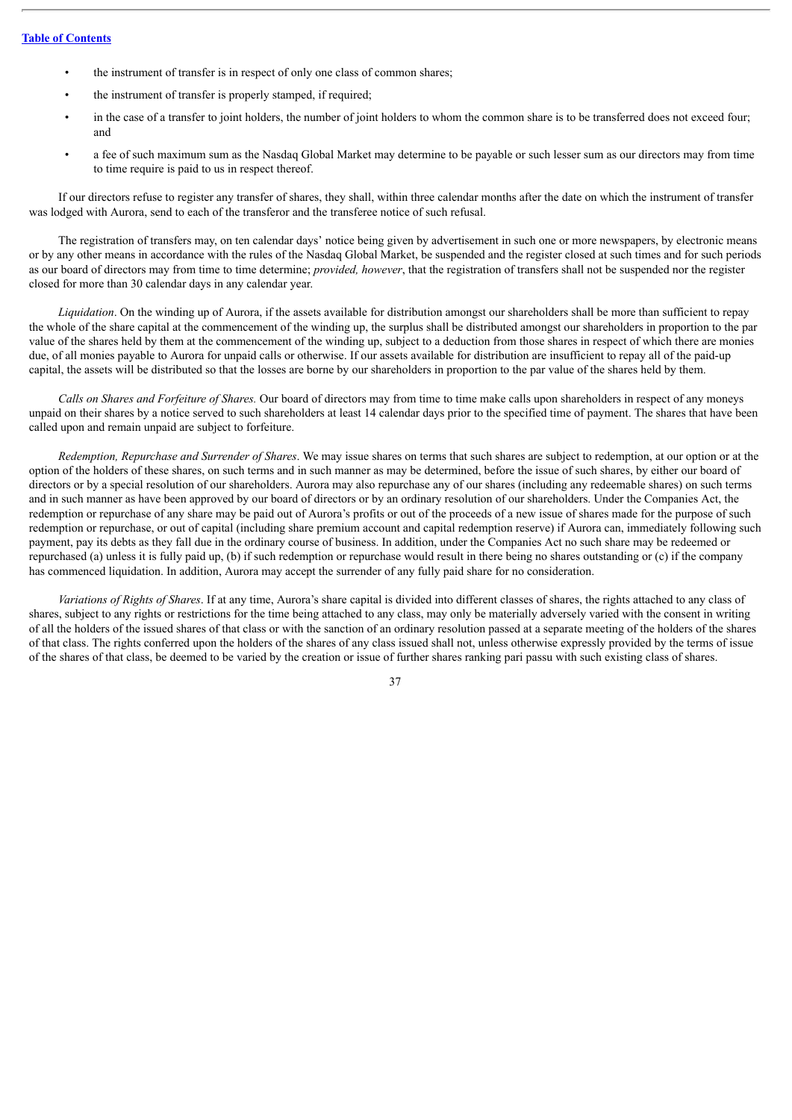- the instrument of transfer is in respect of only one class of common shares;
- the instrument of transfer is properly stamped, if required;
- in the case of a transfer to joint holders, the number of joint holders to whom the common share is to be transferred does not exceed four; and
- a fee of such maximum sum as the Nasdaq Global Market may determine to be payable or such lesser sum as our directors may from time to time require is paid to us in respect thereof.

If our directors refuse to register any transfer of shares, they shall, within three calendar months after the date on which the instrument of transfer was lodged with Aurora, send to each of the transferor and the transferee notice of such refusal.

The registration of transfers may, on ten calendar days' notice being given by advertisement in such one or more newspapers, by electronic means or by any other means in accordance with the rules of the Nasdaq Global Market, be suspended and the register closed at such times and for such periods as our board of directors may from time to time determine; *provided, however*, that the registration of transfers shall not be suspended nor the register closed for more than 30 calendar days in any calendar year.

*Liquidation*. On the winding up of Aurora, if the assets available for distribution amongst our shareholders shall be more than sufficient to repay the whole of the share capital at the commencement of the winding up, the surplus shall be distributed amongst our shareholders in proportion to the par value of the shares held by them at the commencement of the winding up, subject to a deduction from those shares in respect of which there are monies due, of all monies payable to Aurora for unpaid calls or otherwise. If our assets available for distribution are insufficient to repay all of the paid-up capital, the assets will be distributed so that the losses are borne by our shareholders in proportion to the par value of the shares held by them.

*Calls on Shares and Forfeiture of Shares.* Our board of directors may from time to time make calls upon shareholders in respect of any moneys unpaid on their shares by a notice served to such shareholders at least 14 calendar days prior to the specified time of payment. The shares that have been called upon and remain unpaid are subject to forfeiture.

*Redemption, Repurchase and Surrender of Shares*. We may issue shares on terms that such shares are subject to redemption, at our option or at the option of the holders of these shares, on such terms and in such manner as may be determined, before the issue of such shares, by either our board of directors or by a special resolution of our shareholders. Aurora may also repurchase any of our shares (including any redeemable shares) on such terms and in such manner as have been approved by our board of directors or by an ordinary resolution of our shareholders. Under the Companies Act, the redemption or repurchase of any share may be paid out of Aurora's profits or out of the proceeds of a new issue of shares made for the purpose of such redemption or repurchase, or out of capital (including share premium account and capital redemption reserve) if Aurora can, immediately following such payment, pay its debts as they fall due in the ordinary course of business. In addition, under the Companies Act no such share may be redeemed or repurchased (a) unless it is fully paid up, (b) if such redemption or repurchase would result in there being no shares outstanding or (c) if the company has commenced liquidation. In addition, Aurora may accept the surrender of any fully paid share for no consideration.

*Variations of Rights of Shares*. If at any time, Aurora's share capital is divided into different classes of shares, the rights attached to any class of shares, subject to any rights or restrictions for the time being attached to any class, may only be materially adversely varied with the consent in writing of all the holders of the issued shares of that class or with the sanction of an ordinary resolution passed at a separate meeting of the holders of the shares of that class. The rights conferred upon the holders of the shares of any class issued shall not, unless otherwise expressly provided by the terms of issue of the shares of that class, be deemed to be varied by the creation or issue of further shares ranking pari passu with such existing class of shares.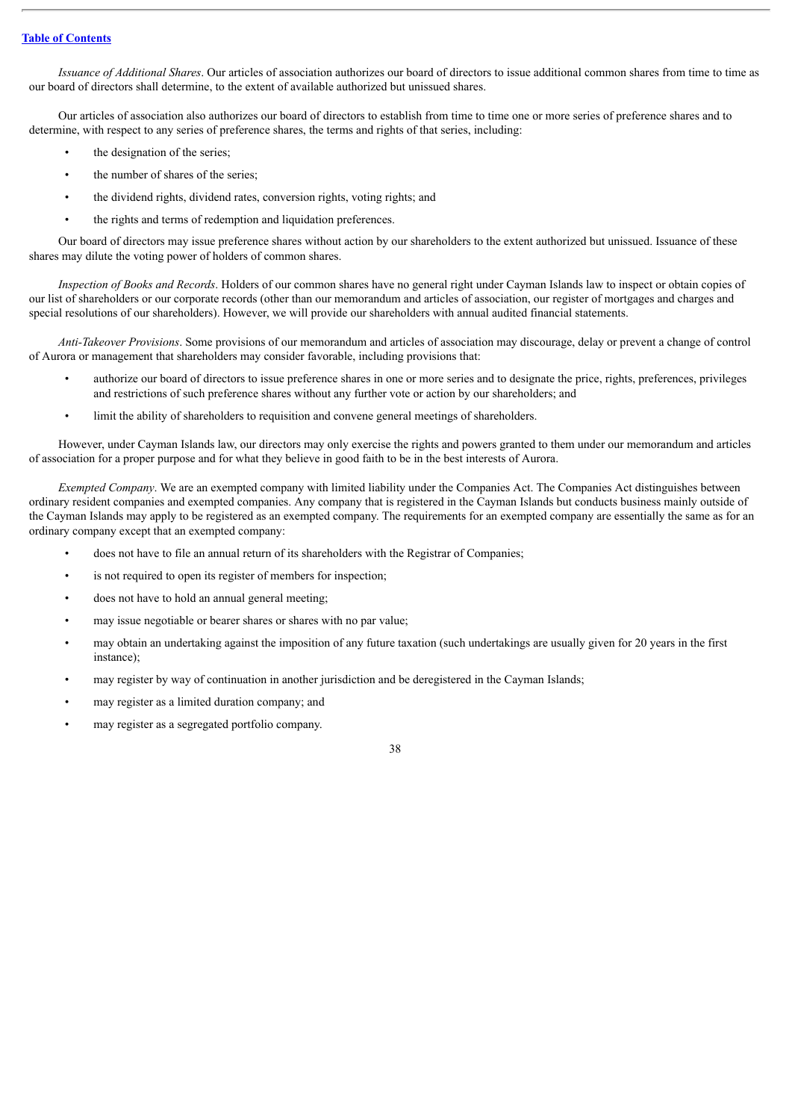*Issuance of Additional Shares*. Our articles of association authorizes our board of directors to issue additional common shares from time to time as our board of directors shall determine, to the extent of available authorized but unissued shares.

Our articles of association also authorizes our board of directors to establish from time to time one or more series of preference shares and to determine, with respect to any series of preference shares, the terms and rights of that series, including:

- the designation of the series;
- the number of shares of the series;
- the dividend rights, dividend rates, conversion rights, voting rights; and
- the rights and terms of redemption and liquidation preferences.

Our board of directors may issue preference shares without action by our shareholders to the extent authorized but unissued. Issuance of these shares may dilute the voting power of holders of common shares.

*Inspection of Books and Records*. Holders of our common shares have no general right under Cayman Islands law to inspect or obtain copies of our list of shareholders or our corporate records (other than our memorandum and articles of association, our register of mortgages and charges and special resolutions of our shareholders). However, we will provide our shareholders with annual audited financial statements.

*Anti-Takeover Provisions*. Some provisions of our memorandum and articles of association may discourage, delay or prevent a change of control of Aurora or management that shareholders may consider favorable, including provisions that:

- authorize our board of directors to issue preference shares in one or more series and to designate the price, rights, preferences, privileges and restrictions of such preference shares without any further vote or action by our shareholders; and
- limit the ability of shareholders to requisition and convene general meetings of shareholders.

However, under Cayman Islands law, our directors may only exercise the rights and powers granted to them under our memorandum and articles of association for a proper purpose and for what they believe in good faith to be in the best interests of Aurora.

*Exempted Company*. We are an exempted company with limited liability under the Companies Act. The Companies Act distinguishes between ordinary resident companies and exempted companies. Any company that is registered in the Cayman Islands but conducts business mainly outside of the Cayman Islands may apply to be registered as an exempted company. The requirements for an exempted company are essentially the same as for an ordinary company except that an exempted company:

- does not have to file an annual return of its shareholders with the Registrar of Companies;
- is not required to open its register of members for inspection;
- does not have to hold an annual general meeting;
- may issue negotiable or bearer shares or shares with no par value;
- may obtain an undertaking against the imposition of any future taxation (such undertakings are usually given for 20 years in the first instance);
- may register by way of continuation in another jurisdiction and be deregistered in the Cayman Islands;
- may register as a limited duration company; and
- may register as a segregated portfolio company.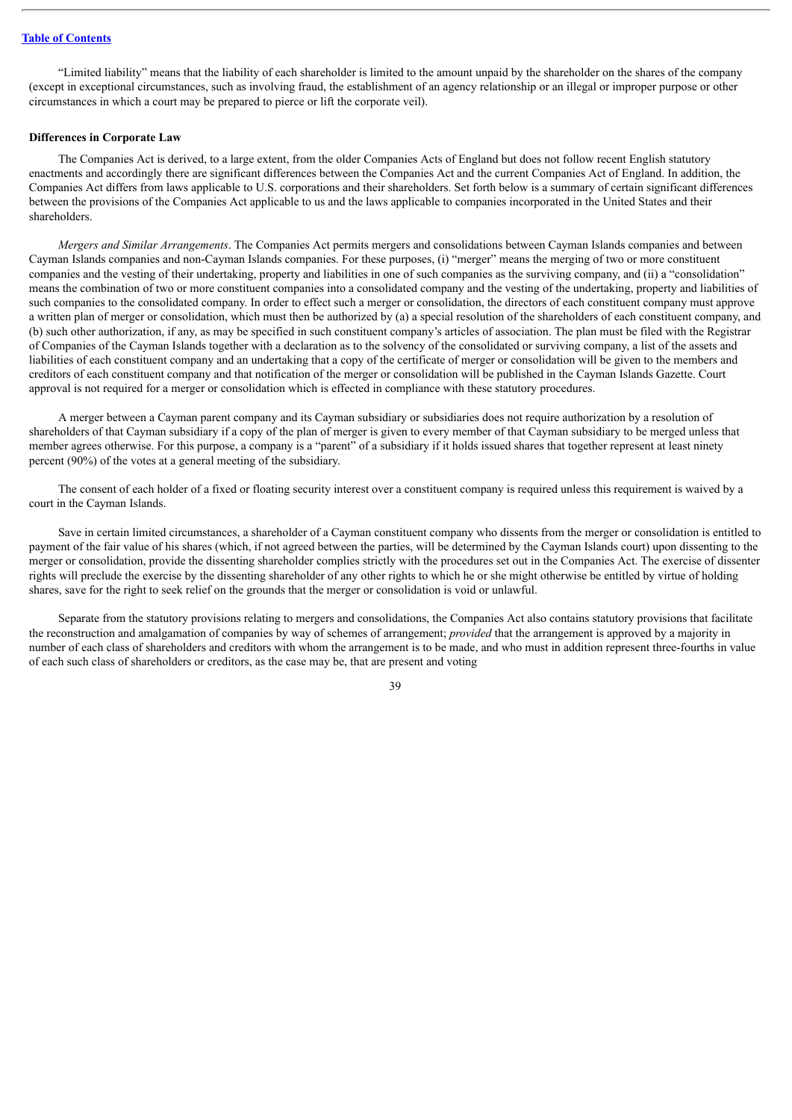"Limited liability" means that the liability of each shareholder is limited to the amount unpaid by the shareholder on the shares of the company (except in exceptional circumstances, such as involving fraud, the establishment of an agency relationship or an illegal or improper purpose or other circumstances in which a court may be prepared to pierce or lift the corporate veil).

### **Differences in Corporate Law**

The Companies Act is derived, to a large extent, from the older Companies Acts of England but does not follow recent English statutory enactments and accordingly there are significant differences between the Companies Act and the current Companies Act of England. In addition, the Companies Act differs from laws applicable to U.S. corporations and their shareholders. Set forth below is a summary of certain significant differences between the provisions of the Companies Act applicable to us and the laws applicable to companies incorporated in the United States and their shareholders.

*Mergers and Similar Arrangements*. The Companies Act permits mergers and consolidations between Cayman Islands companies and between Cayman Islands companies and non-Cayman Islands companies. For these purposes, (i) "merger" means the merging of two or more constituent companies and the vesting of their undertaking, property and liabilities in one of such companies as the surviving company, and (ii) a "consolidation" means the combination of two or more constituent companies into a consolidated company and the vesting of the undertaking, property and liabilities of such companies to the consolidated company. In order to effect such a merger or consolidation, the directors of each constituent company must approve a written plan of merger or consolidation, which must then be authorized by (a) a special resolution of the shareholders of each constituent company, and (b) such other authorization, if any, as may be specified in such constituent company's articles of association. The plan must be filed with the Registrar of Companies of the Cayman Islands together with a declaration as to the solvency of the consolidated or surviving company, a list of the assets and liabilities of each constituent company and an undertaking that a copy of the certificate of merger or consolidation will be given to the members and creditors of each constituent company and that notification of the merger or consolidation will be published in the Cayman Islands Gazette. Court approval is not required for a merger or consolidation which is effected in compliance with these statutory procedures.

A merger between a Cayman parent company and its Cayman subsidiary or subsidiaries does not require authorization by a resolution of shareholders of that Cayman subsidiary if a copy of the plan of merger is given to every member of that Cayman subsidiary to be merged unless that member agrees otherwise. For this purpose, a company is a "parent" of a subsidiary if it holds issued shares that together represent at least ninety percent (90%) of the votes at a general meeting of the subsidiary.

The consent of each holder of a fixed or floating security interest over a constituent company is required unless this requirement is waived by a court in the Cayman Islands.

Save in certain limited circumstances, a shareholder of a Cayman constituent company who dissents from the merger or consolidation is entitled to payment of the fair value of his shares (which, if not agreed between the parties, will be determined by the Cayman Islands court) upon dissenting to the merger or consolidation, provide the dissenting shareholder complies strictly with the procedures set out in the Companies Act. The exercise of dissenter rights will preclude the exercise by the dissenting shareholder of any other rights to which he or she might otherwise be entitled by virtue of holding shares, save for the right to seek relief on the grounds that the merger or consolidation is void or unlawful.

Separate from the statutory provisions relating to mergers and consolidations, the Companies Act also contains statutory provisions that facilitate the reconstruction and amalgamation of companies by way of schemes of arrangement; *provided* that the arrangement is approved by a majority in number of each class of shareholders and creditors with whom the arrangement is to be made, and who must in addition represent three-fourths in value of each such class of shareholders or creditors, as the case may be, that are present and voting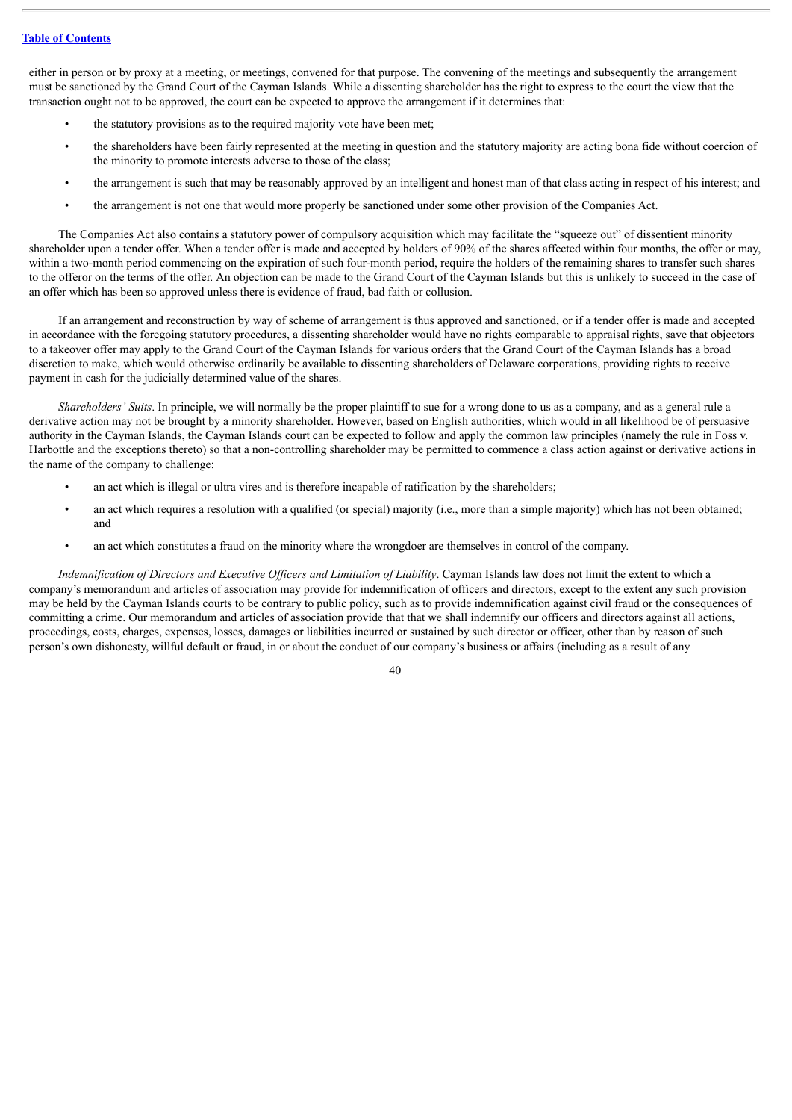either in person or by proxy at a meeting, or meetings, convened for that purpose. The convening of the meetings and subsequently the arrangement must be sanctioned by the Grand Court of the Cayman Islands. While a dissenting shareholder has the right to express to the court the view that the transaction ought not to be approved, the court can be expected to approve the arrangement if it determines that:

- the statutory provisions as to the required majority vote have been met;
- the shareholders have been fairly represented at the meeting in question and the statutory majority are acting bona fide without coercion of the minority to promote interests adverse to those of the class;
- the arrangement is such that may be reasonably approved by an intelligent and honest man of that class acting in respect of his interest; and
- the arrangement is not one that would more properly be sanctioned under some other provision of the Companies Act.

The Companies Act also contains a statutory power of compulsory acquisition which may facilitate the "squeeze out" of dissentient minority shareholder upon a tender offer. When a tender offer is made and accepted by holders of 90% of the shares affected within four months, the offer or may, within a two-month period commencing on the expiration of such four-month period, require the holders of the remaining shares to transfer such shares to the offeror on the terms of the offer. An objection can be made to the Grand Court of the Cayman Islands but this is unlikely to succeed in the case of an offer which has been so approved unless there is evidence of fraud, bad faith or collusion.

If an arrangement and reconstruction by way of scheme of arrangement is thus approved and sanctioned, or if a tender offer is made and accepted in accordance with the foregoing statutory procedures, a dissenting shareholder would have no rights comparable to appraisal rights, save that objectors to a takeover offer may apply to the Grand Court of the Cayman Islands for various orders that the Grand Court of the Cayman Islands has a broad discretion to make, which would otherwise ordinarily be available to dissenting shareholders of Delaware corporations, providing rights to receive payment in cash for the judicially determined value of the shares.

*Shareholders' Suits*. In principle, we will normally be the proper plaintiff to sue for a wrong done to us as a company, and as a general rule a derivative action may not be brought by a minority shareholder. However, based on English authorities, which would in all likelihood be of persuasive authority in the Cayman Islands, the Cayman Islands court can be expected to follow and apply the common law principles (namely the rule in Foss v. Harbottle and the exceptions thereto) so that a non-controlling shareholder may be permitted to commence a class action against or derivative actions in the name of the company to challenge:

- an act which is illegal or ultra vires and is therefore incapable of ratification by the shareholders;
- an act which requires a resolution with a qualified (or special) majority (i.e., more than a simple majority) which has not been obtained; and
- an act which constitutes a fraud on the minority where the wrongdoer are themselves in control of the company.

*Indemnification of Directors and Executive Of icers and Limitation of Liability*. Cayman Islands law does not limit the extent to which a company's memorandum and articles of association may provide for indemnification of officers and directors, except to the extent any such provision may be held by the Cayman Islands courts to be contrary to public policy, such as to provide indemnification against civil fraud or the consequences of committing a crime. Our memorandum and articles of association provide that that we shall indemnify our officers and directors against all actions, proceedings, costs, charges, expenses, losses, damages or liabilities incurred or sustained by such director or officer, other than by reason of such person's own dishonesty, willful default or fraud, in or about the conduct of our company's business or affairs (including as a result of any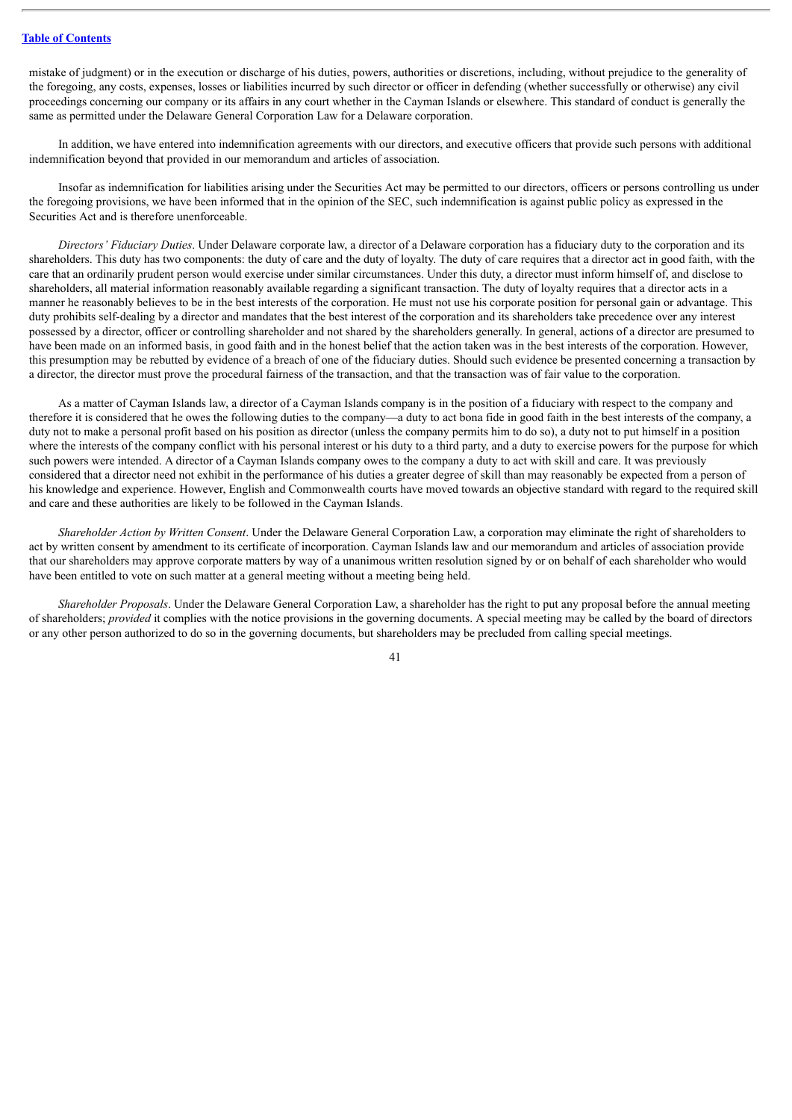mistake of judgment) or in the execution or discharge of his duties, powers, authorities or discretions, including, without prejudice to the generality of the foregoing, any costs, expenses, losses or liabilities incurred by such director or officer in defending (whether successfully or otherwise) any civil proceedings concerning our company or its affairs in any court whether in the Cayman Islands or elsewhere. This standard of conduct is generally the same as permitted under the Delaware General Corporation Law for a Delaware corporation.

In addition, we have entered into indemnification agreements with our directors, and executive officers that provide such persons with additional indemnification beyond that provided in our memorandum and articles of association.

Insofar as indemnification for liabilities arising under the Securities Act may be permitted to our directors, officers or persons controlling us under the foregoing provisions, we have been informed that in the opinion of the SEC, such indemnification is against public policy as expressed in the Securities Act and is therefore unenforceable.

*Directors' Fiduciary Duties*. Under Delaware corporate law, a director of a Delaware corporation has a fiduciary duty to the corporation and its shareholders. This duty has two components: the duty of care and the duty of loyalty. The duty of care requires that a director act in good faith, with the care that an ordinarily prudent person would exercise under similar circumstances. Under this duty, a director must inform himself of, and disclose to shareholders, all material information reasonably available regarding a significant transaction. The duty of loyalty requires that a director acts in a manner he reasonably believes to be in the best interests of the corporation. He must not use his corporate position for personal gain or advantage. This duty prohibits self-dealing by a director and mandates that the best interest of the corporation and its shareholders take precedence over any interest possessed by a director, officer or controlling shareholder and not shared by the shareholders generally. In general, actions of a director are presumed to have been made on an informed basis, in good faith and in the honest belief that the action taken was in the best interests of the corporation. However, this presumption may be rebutted by evidence of a breach of one of the fiduciary duties. Should such evidence be presented concerning a transaction by a director, the director must prove the procedural fairness of the transaction, and that the transaction was of fair value to the corporation.

As a matter of Cayman Islands law, a director of a Cayman Islands company is in the position of a fiduciary with respect to the company and therefore it is considered that he owes the following duties to the company—a duty to act bona fide in good faith in the best interests of the company, a duty not to make a personal profit based on his position as director (unless the company permits him to do so), a duty not to put himself in a position where the interests of the company conflict with his personal interest or his duty to a third party, and a duty to exercise powers for the purpose for which such powers were intended. A director of a Cayman Islands company owes to the company a duty to act with skill and care. It was previously considered that a director need not exhibit in the performance of his duties a greater degree of skill than may reasonably be expected from a person of his knowledge and experience. However, English and Commonwealth courts have moved towards an objective standard with regard to the required skill and care and these authorities are likely to be followed in the Cayman Islands.

*Shareholder Action by Written Consent*. Under the Delaware General Corporation Law, a corporation may eliminate the right of shareholders to act by written consent by amendment to its certificate of incorporation. Cayman Islands law and our memorandum and articles of association provide that our shareholders may approve corporate matters by way of a unanimous written resolution signed by or on behalf of each shareholder who would have been entitled to vote on such matter at a general meeting without a meeting being held.

*Shareholder Proposals*. Under the Delaware General Corporation Law, a shareholder has the right to put any proposal before the annual meeting of shareholders; *provided* it complies with the notice provisions in the governing documents. A special meeting may be called by the board of directors or any other person authorized to do so in the governing documents, but shareholders may be precluded from calling special meetings.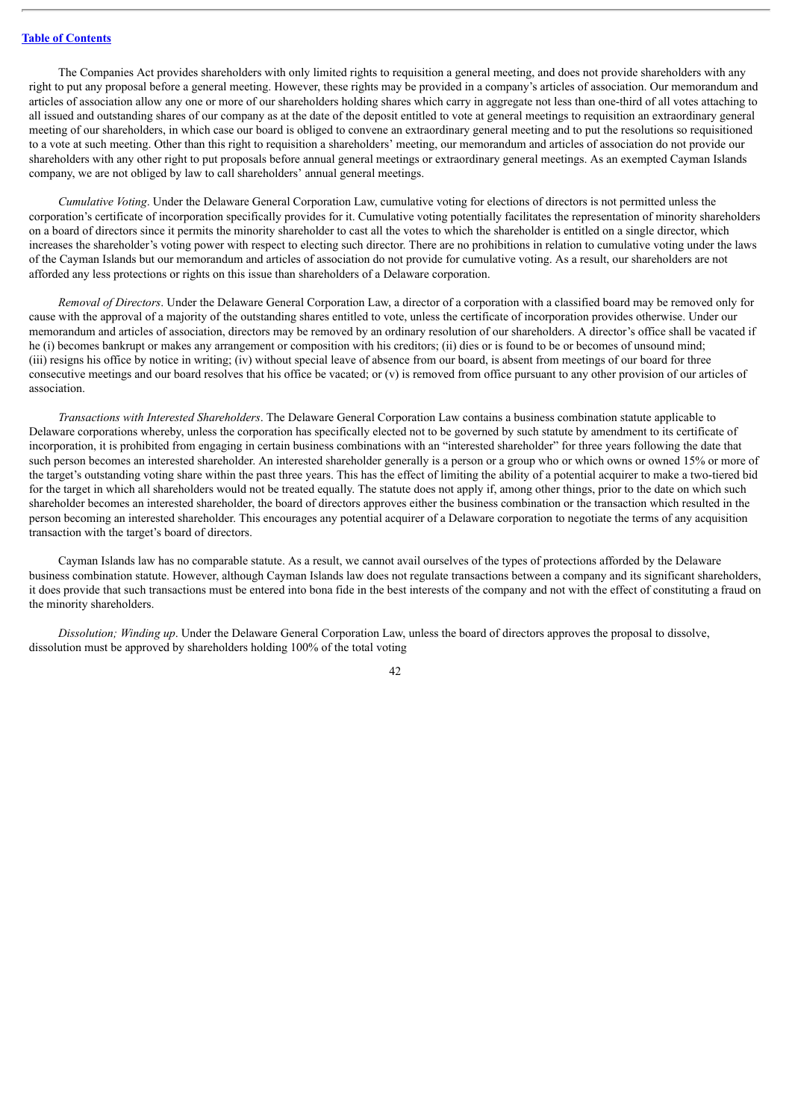The Companies Act provides shareholders with only limited rights to requisition a general meeting, and does not provide shareholders with any right to put any proposal before a general meeting. However, these rights may be provided in a company's articles of association. Our memorandum and articles of association allow any one or more of our shareholders holding shares which carry in aggregate not less than one-third of all votes attaching to all issued and outstanding shares of our company as at the date of the deposit entitled to vote at general meetings to requisition an extraordinary general meeting of our shareholders, in which case our board is obliged to convene an extraordinary general meeting and to put the resolutions so requisitioned to a vote at such meeting. Other than this right to requisition a shareholders' meeting, our memorandum and articles of association do not provide our shareholders with any other right to put proposals before annual general meetings or extraordinary general meetings. As an exempted Cayman Islands company, we are not obliged by law to call shareholders' annual general meetings.

*Cumulative Voting*. Under the Delaware General Corporation Law, cumulative voting for elections of directors is not permitted unless the corporation's certificate of incorporation specifically provides for it. Cumulative voting potentially facilitates the representation of minority shareholders on a board of directors since it permits the minority shareholder to cast all the votes to which the shareholder is entitled on a single director, which increases the shareholder's voting power with respect to electing such director. There are no prohibitions in relation to cumulative voting under the laws of the Cayman Islands but our memorandum and articles of association do not provide for cumulative voting. As a result, our shareholders are not afforded any less protections or rights on this issue than shareholders of a Delaware corporation.

*Removal of Directors*. Under the Delaware General Corporation Law, a director of a corporation with a classified board may be removed only for cause with the approval of a majority of the outstanding shares entitled to vote, unless the certificate of incorporation provides otherwise. Under our memorandum and articles of association, directors may be removed by an ordinary resolution of our shareholders. A director's office shall be vacated if he (i) becomes bankrupt or makes any arrangement or composition with his creditors; (ii) dies or is found to be or becomes of unsound mind; (iii) resigns his office by notice in writing; (iv) without special leave of absence from our board, is absent from meetings of our board for three consecutive meetings and our board resolves that his office be vacated; or (v) is removed from office pursuant to any other provision of our articles of association.

*Transactions with Interested Shareholders*. The Delaware General Corporation Law contains a business combination statute applicable to Delaware corporations whereby, unless the corporation has specifically elected not to be governed by such statute by amendment to its certificate of incorporation, it is prohibited from engaging in certain business combinations with an "interested shareholder" for three years following the date that such person becomes an interested shareholder. An interested shareholder generally is a person or a group who or which owns or owned 15% or more of the target's outstanding voting share within the past three years. This has the effect of limiting the ability of a potential acquirer to make a two-tiered bid for the target in which all shareholders would not be treated equally. The statute does not apply if, among other things, prior to the date on which such shareholder becomes an interested shareholder, the board of directors approves either the business combination or the transaction which resulted in the person becoming an interested shareholder. This encourages any potential acquirer of a Delaware corporation to negotiate the terms of any acquisition transaction with the target's board of directors.

Cayman Islands law has no comparable statute. As a result, we cannot avail ourselves of the types of protections afforded by the Delaware business combination statute. However, although Cayman Islands law does not regulate transactions between a company and its significant shareholders, it does provide that such transactions must be entered into bona fide in the best interests of the company and not with the effect of constituting a fraud on the minority shareholders.

*Dissolution; Winding up*. Under the Delaware General Corporation Law, unless the board of directors approves the proposal to dissolve, dissolution must be approved by shareholders holding 100% of the total voting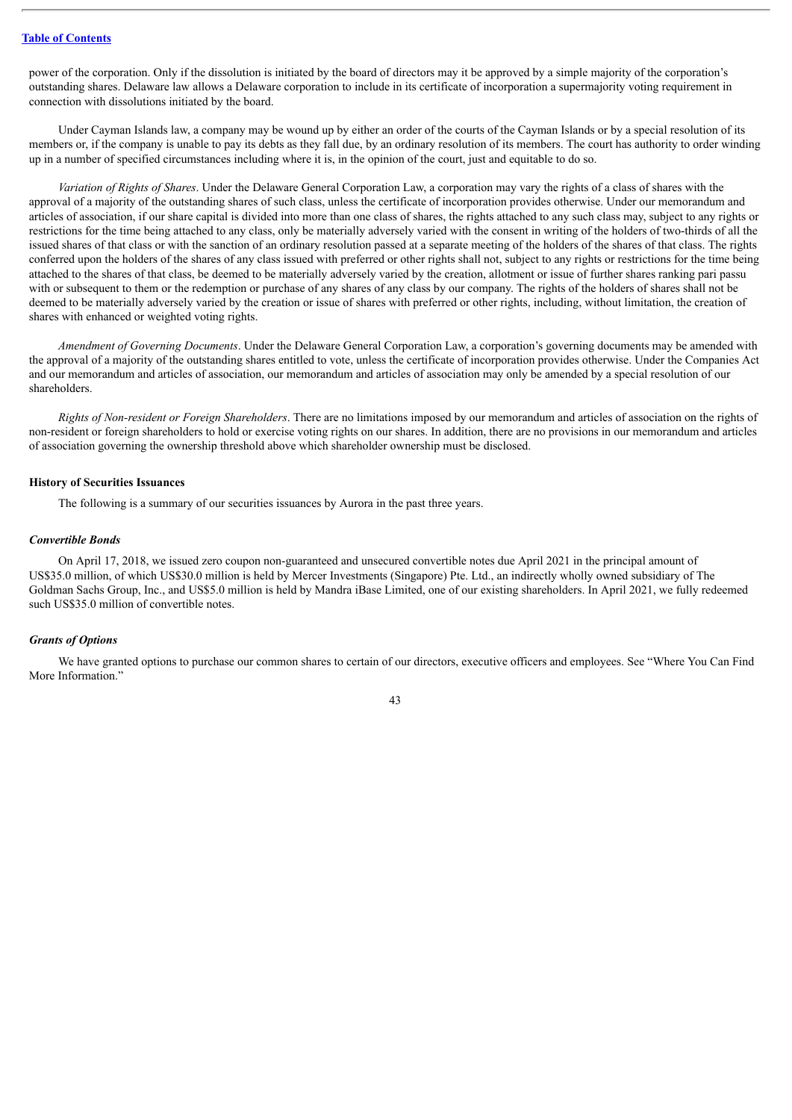power of the corporation. Only if the dissolution is initiated by the board of directors may it be approved by a simple majority of the corporation's outstanding shares. Delaware law allows a Delaware corporation to include in its certificate of incorporation a supermajority voting requirement in connection with dissolutions initiated by the board.

Under Cayman Islands law, a company may be wound up by either an order of the courts of the Cayman Islands or by a special resolution of its members or, if the company is unable to pay its debts as they fall due, by an ordinary resolution of its members. The court has authority to order winding up in a number of specified circumstances including where it is, in the opinion of the court, just and equitable to do so.

*Variation of Rights of Shares*. Under the Delaware General Corporation Law, a corporation may vary the rights of a class of shares with the approval of a majority of the outstanding shares of such class, unless the certificate of incorporation provides otherwise. Under our memorandum and articles of association, if our share capital is divided into more than one class of shares, the rights attached to any such class may, subject to any rights or restrictions for the time being attached to any class, only be materially adversely varied with the consent in writing of the holders of two-thirds of all the issued shares of that class or with the sanction of an ordinary resolution passed at a separate meeting of the holders of the shares of that class. The rights conferred upon the holders of the shares of any class issued with preferred or other rights shall not, subject to any rights or restrictions for the time being attached to the shares of that class, be deemed to be materially adversely varied by the creation, allotment or issue of further shares ranking pari passu with or subsequent to them or the redemption or purchase of any shares of any class by our company. The rights of the holders of shares shall not be deemed to be materially adversely varied by the creation or issue of shares with preferred or other rights, including, without limitation, the creation of shares with enhanced or weighted voting rights.

*Amendment of Governing Documents*. Under the Delaware General Corporation Law, a corporation's governing documents may be amended with the approval of a majority of the outstanding shares entitled to vote, unless the certificate of incorporation provides otherwise. Under the Companies Act and our memorandum and articles of association, our memorandum and articles of association may only be amended by a special resolution of our shareholders.

*Rights of Non-resident or Foreign Shareholders*. There are no limitations imposed by our memorandum and articles of association on the rights of non-resident or foreign shareholders to hold or exercise voting rights on our shares. In addition, there are no provisions in our memorandum and articles of association governing the ownership threshold above which shareholder ownership must be disclosed.

#### **History of Securities Issuances**

The following is a summary of our securities issuances by Aurora in the past three years.

#### *Convertible Bonds*

On April 17, 2018, we issued zero coupon non-guaranteed and unsecured convertible notes due April 2021 in the principal amount of US\$35.0 million, of which US\$30.0 million is held by Mercer Investments (Singapore) Pte. Ltd., an indirectly wholly owned subsidiary of The Goldman Sachs Group, Inc., and US\$5.0 million is held by Mandra iBase Limited, one of our existing shareholders. In April 2021, we fully redeemed such US\$35.0 million of convertible notes.

#### *Grants of Options*

We have granted options to purchase our common shares to certain of our directors, executive officers and employees. See "Where You Can Find More Information."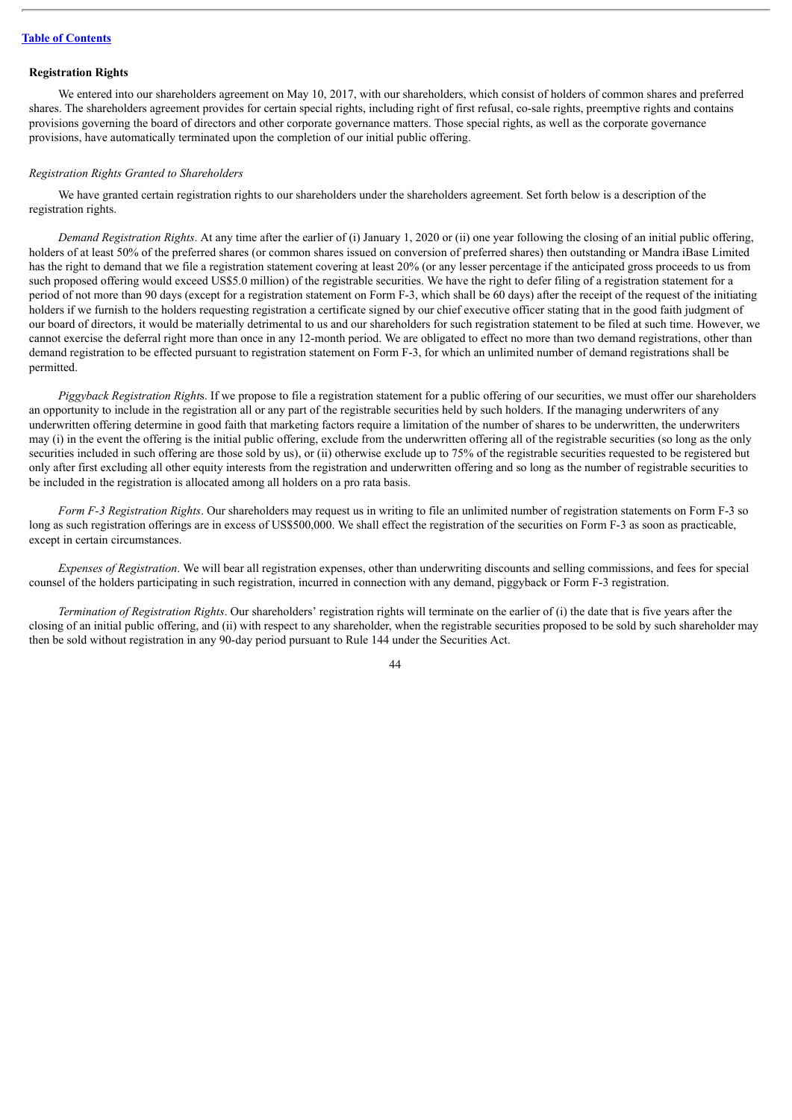#### **Registration Rights**

We entered into our shareholders agreement on May 10, 2017, with our shareholders, which consist of holders of common shares and preferred shares. The shareholders agreement provides for certain special rights, including right of first refusal, co-sale rights, preemptive rights and contains provisions governing the board of directors and other corporate governance matters. Those special rights, as well as the corporate governance provisions, have automatically terminated upon the completion of our initial public offering.

### *Registration Rights Granted to Shareholders*

We have granted certain registration rights to our shareholders under the shareholders agreement. Set forth below is a description of the registration rights.

*Demand Registration Rights*. At any time after the earlier of (i) January 1, 2020 or (ii) one year following the closing of an initial public offering, holders of at least 50% of the preferred shares (or common shares issued on conversion of preferred shares) then outstanding or Mandra iBase Limited has the right to demand that we file a registration statement covering at least 20% (or any lesser percentage if the anticipated gross proceeds to us from such proposed offering would exceed US\$5.0 million) of the registrable securities. We have the right to defer filing of a registration statement for a period of not more than 90 days (except for a registration statement on Form F-3, which shall be 60 days) after the receipt of the request of the initiating holders if we furnish to the holders requesting registration a certificate signed by our chief executive officer stating that in the good faith judgment of our board of directors, it would be materially detrimental to us and our shareholders for such registration statement to be filed at such time. However, we cannot exercise the deferral right more than once in any 12-month period. We are obligated to effect no more than two demand registrations, other than demand registration to be effected pursuant to registration statement on Form F-3, for which an unlimited number of demand registrations shall be permitted.

*Piggyback Registration Right*s. If we propose to file a registration statement for a public offering of our securities, we must offer our shareholders an opportunity to include in the registration all or any part of the registrable securities held by such holders. If the managing underwriters of any underwritten offering determine in good faith that marketing factors require a limitation of the number of shares to be underwritten, the underwriters may (i) in the event the offering is the initial public offering, exclude from the underwritten offering all of the registrable securities (so long as the only securities included in such offering are those sold by us), or (ii) otherwise exclude up to 75% of the registrable securities requested to be registered but only after first excluding all other equity interests from the registration and underwritten offering and so long as the number of registrable securities to be included in the registration is allocated among all holders on a pro rata basis.

*Form F-3 Registration Rights*. Our shareholders may request us in writing to file an unlimited number of registration statements on Form F-3 so long as such registration offerings are in excess of US\$500,000. We shall effect the registration of the securities on Form F-3 as soon as practicable, except in certain circumstances.

*Expenses of Registration*. We will bear all registration expenses, other than underwriting discounts and selling commissions, and fees for special counsel of the holders participating in such registration, incurred in connection with any demand, piggyback or Form F-3 registration.

*Termination of Registration Rights*. Our shareholders' registration rights will terminate on the earlier of (i) the date that is five years after the closing of an initial public offering, and (ii) with respect to any shareholder, when the registrable securities proposed to be sold by such shareholder may then be sold without registration in any 90-day period pursuant to Rule 144 under the Securities Act.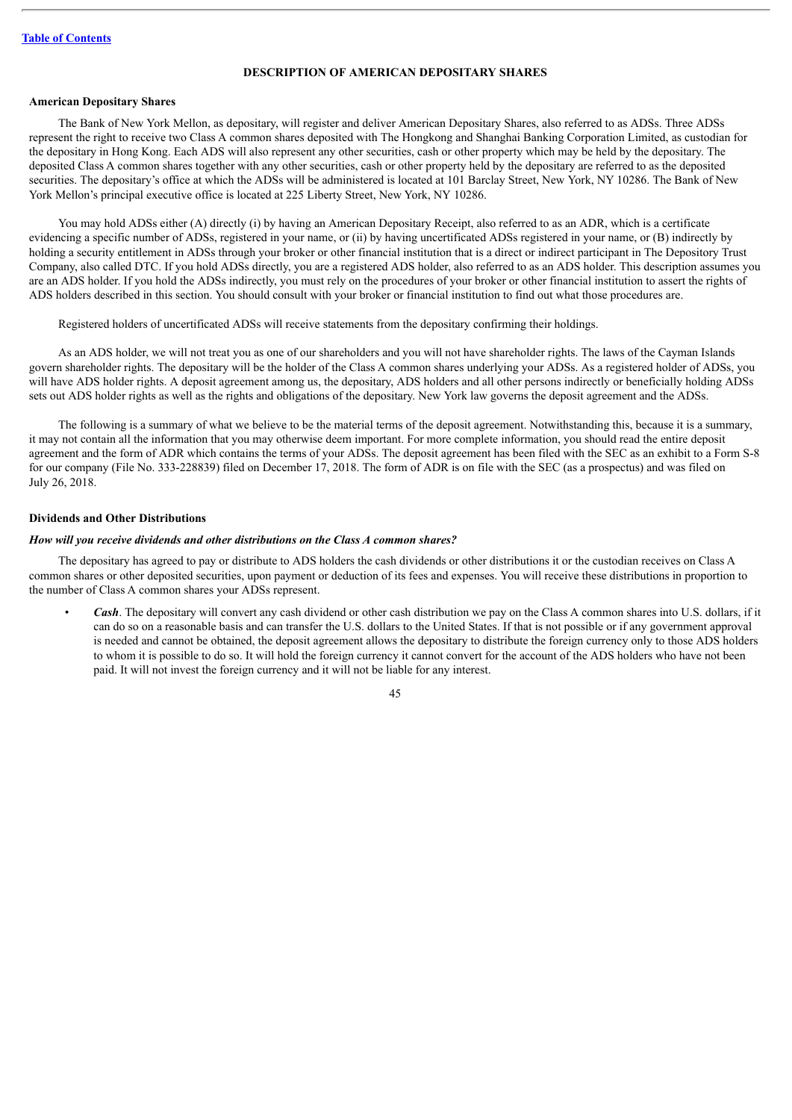## **DESCRIPTION OF AMERICAN DEPOSITARY SHARES**

## **American Depositary Shares**

The Bank of New York Mellon, as depositary, will register and deliver American Depositary Shares, also referred to as ADSs. Three ADSs represent the right to receive two Class A common shares deposited with The Hongkong and Shanghai Banking Corporation Limited, as custodian for the depositary in Hong Kong. Each ADS will also represent any other securities, cash or other property which may be held by the depositary. The deposited Class A common shares together with any other securities, cash or other property held by the depositary are referred to as the deposited securities. The depositary's office at which the ADSs will be administered is located at 101 Barclay Street, New York, NY 10286. The Bank of New York Mellon's principal executive office is located at 225 Liberty Street, New York, NY 10286.

You may hold ADSs either (A) directly (i) by having an American Depositary Receipt, also referred to as an ADR, which is a certificate evidencing a specific number of ADSs, registered in your name, or (ii) by having uncertificated ADSs registered in your name, or (B) indirectly by holding a security entitlement in ADSs through your broker or other financial institution that is a direct or indirect participant in The Depository Trust Company, also called DTC. If you hold ADSs directly, you are a registered ADS holder, also referred to as an ADS holder. This description assumes you are an ADS holder. If you hold the ADSs indirectly, you must rely on the procedures of your broker or other financial institution to assert the rights of ADS holders described in this section. You should consult with your broker or financial institution to find out what those procedures are.

Registered holders of uncertificated ADSs will receive statements from the depositary confirming their holdings.

As an ADS holder, we will not treat you as one of our shareholders and you will not have shareholder rights. The laws of the Cayman Islands govern shareholder rights. The depositary will be the holder of the Class A common shares underlying your ADSs. As a registered holder of ADSs, you will have ADS holder rights. A deposit agreement among us, the depositary, ADS holders and all other persons indirectly or beneficially holding ADSs sets out ADS holder rights as well as the rights and obligations of the depositary. New York law governs the deposit agreement and the ADSs.

The following is a summary of what we believe to be the material terms of the deposit agreement. Notwithstanding this, because it is a summary, it may not contain all the information that you may otherwise deem important. For more complete information, you should read the entire deposit agreement and the form of ADR which contains the terms of your ADSs. The deposit agreement has been filed with the SEC as an exhibit to a Form S-8 for our company (File No. 333-228839) filed on December 17, 2018. The form of ADR is on file with the SEC (as a prospectus) and was filed on July 26, 2018.

### **Dividends and Other Distributions**

#### *How will you receive dividends and other distributions on the Class A common shares?*

The depositary has agreed to pay or distribute to ADS holders the cash dividends or other distributions it or the custodian receives on Class A common shares or other deposited securities, upon payment or deduction of its fees and expenses. You will receive these distributions in proportion to the number of Class A common shares your ADSs represent.

• *Cash*. The depositary will convert any cash dividend or other cash distribution we pay on the Class A common shares into U.S. dollars, if it can do so on a reasonable basis and can transfer the U.S. dollars to the United States. If that is not possible or if any government approval is needed and cannot be obtained, the deposit agreement allows the depositary to distribute the foreign currency only to those ADS holders to whom it is possible to do so. It will hold the foreign currency it cannot convert for the account of the ADS holders who have not been paid. It will not invest the foreign currency and it will not be liable for any interest.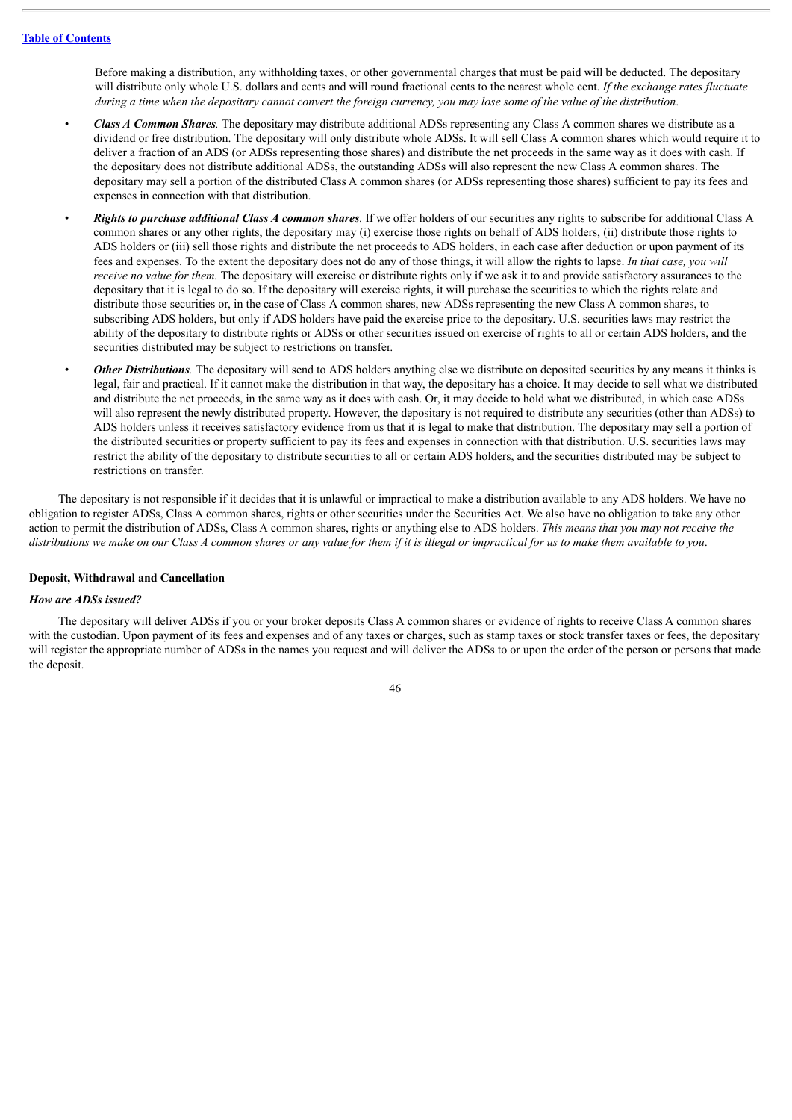Before making a distribution, any withholding taxes, or other governmental charges that must be paid will be deducted. The depositary will distribute only whole U.S. dollars and cents and will round fractional cents to the nearest whole cent. *If the exchange rates fluctuate* during a time when the depositary cannot convert the foreign currency, you may lose some of the value of the distribution.

- *Class A Common Shares.* The depositary may distribute additional ADSs representing any Class A common shares we distribute as a dividend or free distribution. The depositary will only distribute whole ADSs. It will sell Class A common shares which would require it to deliver a fraction of an ADS (or ADSs representing those shares) and distribute the net proceeds in the same way as it does with cash. If the depositary does not distribute additional ADSs, the outstanding ADSs will also represent the new Class A common shares. The depositary may sell a portion of the distributed Class A common shares (or ADSs representing those shares) sufficient to pay its fees and expenses in connection with that distribution.
- *Rights to purchase additional Class A common shares.* If we offer holders of our securities any rights to subscribe for additional Class A common shares or any other rights, the depositary may (i) exercise those rights on behalf of ADS holders, (ii) distribute those rights to ADS holders or (iii) sell those rights and distribute the net proceeds to ADS holders, in each case after deduction or upon payment of its fees and expenses. To the extent the depositary does not do any of those things, it will allow the rights to lapse. *In that case, you will receive no value for them.* The depositary will exercise or distribute rights only if we ask it to and provide satisfactory assurances to the depositary that it is legal to do so. If the depositary will exercise rights, it will purchase the securities to which the rights relate and distribute those securities or, in the case of Class A common shares, new ADSs representing the new Class A common shares, to subscribing ADS holders, but only if ADS holders have paid the exercise price to the depositary. U.S. securities laws may restrict the ability of the depositary to distribute rights or ADSs or other securities issued on exercise of rights to all or certain ADS holders, and the securities distributed may be subject to restrictions on transfer.
- *Other Distributions*. The depositary will send to ADS holders anything else we distribute on deposited securities by any means it thinks is legal, fair and practical. If it cannot make the distribution in that way, the depositary has a choice. It may decide to sell what we distributed and distribute the net proceeds, in the same way as it does with cash. Or, it may decide to hold what we distributed, in which case ADSs will also represent the newly distributed property. However, the depositary is not required to distribute any securities (other than ADSs) to ADS holders unless it receives satisfactory evidence from us that it is legal to make that distribution. The depositary may sell a portion of the distributed securities or property sufficient to pay its fees and expenses in connection with that distribution. U.S. securities laws may restrict the ability of the depositary to distribute securities to all or certain ADS holders, and the securities distributed may be subject to restrictions on transfer.

The depositary is not responsible if it decides that it is unlawful or impractical to make a distribution available to any ADS holders. We have no obligation to register ADSs, Class A common shares, rights or other securities under the Securities Act. We also have no obligation to take any other action to permit the distribution of ADSs, Class A common shares, rights or anything else to ADS holders. *This means that you may not receive the* distributions we make on our Class A common shares or any value for them if it is illegal or impractical for us to make them available to you.

#### **Deposit, Withdrawal and Cancellation**

#### *How are ADSs issued?*

The depositary will deliver ADSs if you or your broker deposits Class A common shares or evidence of rights to receive Class A common shares with the custodian. Upon payment of its fees and expenses and of any taxes or charges, such as stamp taxes or stock transfer taxes or fees, the depositary will register the appropriate number of ADSs in the names you request and will deliver the ADSs to or upon the order of the person or persons that made the deposit.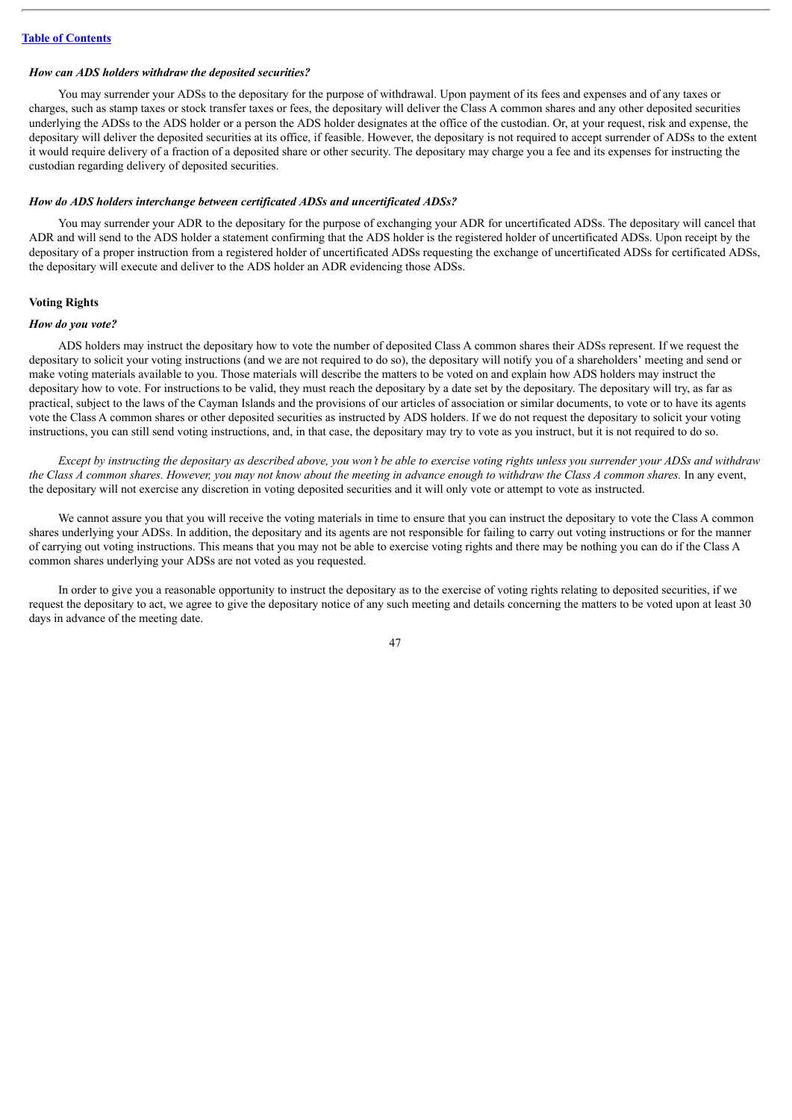#### *How can ADS holders withdraw the deposited securities?*

You may surrender your ADSs to the depositary for the purpose of withdrawal. Upon payment of its fees and expenses and of any taxes or charges, such as stamp taxes or stock transfer taxes or fees, the depositary will deliver the Class A common shares and any other deposited securities underlying the ADSs to the ADS holder or a person the ADS holder designates at the office of the custodian. Or, at your request, risk and expense, the depositary will deliver the deposited securities at its office, if feasible. However, the depositary is not required to accept surrender of ADSs to the extent it would require delivery of a fraction of a deposited share or other security. The depositary may charge you a fee and its expenses for instructing the custodian regarding delivery of deposited securities.

#### *How do ADS holders interchange between certificated ADSs and uncertificated ADSs?*

You may surrender your ADR to the depositary for the purpose of exchanging your ADR for uncertificated ADSs. The depositary will cancel that ADR and will send to the ADS holder a statement confirming that the ADS holder is the registered holder of uncertificated ADSs. Upon receipt by the depositary of a proper instruction from a registered holder of uncertificated ADSs requesting the exchange of uncertificated ADSs for certificated ADSs, the depositary will execute and deliver to the ADS holder an ADR evidencing those ADSs.

### **Voting Rights**

#### *How do you vote?*

ADS holders may instruct the depositary how to vote the number of deposited Class A common shares their ADSs represent. If we request the depositary to solicit your voting instructions (and we are not required to do so), the depositary will notify you of a shareholders' meeting and send or make voting materials available to you. Those materials will describe the matters to be voted on and explain how ADS holders may instruct the depositary how to vote. For instructions to be valid, they must reach the depositary by a date set by the depositary. The depositary will try, as far as practical, subject to the laws of the Cayman Islands and the provisions of our articles of association or similar documents, to vote or to have its agents vote the Class A common shares or other deposited securities as instructed by ADS holders. If we do not request the depositary to solicit your voting instructions, you can still send voting instructions, and, in that case, the depositary may try to vote as you instruct, but it is not required to do so.

Except by instructing the depositary as described above, you won't be able to exercise voting rights unless you surrender your ADSs and withdraw the Class A common shares. However, you may not know about the meeting in advance enough to withdraw the Class A common shares. In any event, the depositary will not exercise any discretion in voting deposited securities and it will only vote or attempt to vote as instructed.

We cannot assure you that you will receive the voting materials in time to ensure that you can instruct the depositary to vote the Class A common shares underlying your ADSs. In addition, the depositary and its agents are not responsible for failing to carry out voting instructions or for the manner of carrying out voting instructions. This means that you may not be able to exercise voting rights and there may be nothing you can do if the Class A common shares underlying your ADSs are not voted as you requested.

In order to give you a reasonable opportunity to instruct the depositary as to the exercise of voting rights relating to deposited securities, if we request the depositary to act, we agree to give the depositary notice of any such meeting and details concerning the matters to be voted upon at least 30 days in advance of the meeting date.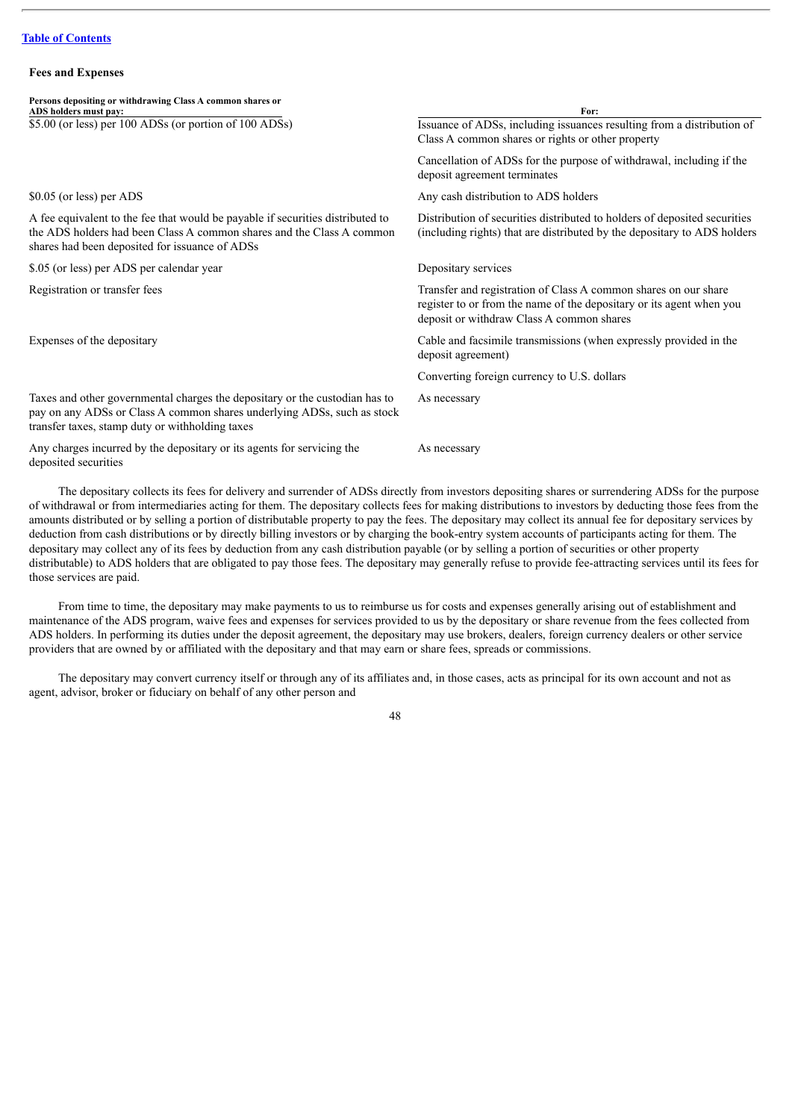#### **Fees and Expenses**

| Persons depositing or withdrawing Class A common shares or<br>ADS holders must pay:                                                                                                                       | For:                                                                                                                                                                                 |  |  |
|-----------------------------------------------------------------------------------------------------------------------------------------------------------------------------------------------------------|--------------------------------------------------------------------------------------------------------------------------------------------------------------------------------------|--|--|
| \$5.00 (or less) per 100 ADSs (or portion of 100 ADSs)                                                                                                                                                    | Issuance of ADSs, including issuances resulting from a distribution of<br>Class A common shares or rights or other property                                                          |  |  |
|                                                                                                                                                                                                           | Cancellation of ADSs for the purpose of withdrawal, including if the<br>deposit agreement terminates                                                                                 |  |  |
| \$0.05 (or less) per ADS                                                                                                                                                                                  | Any cash distribution to ADS holders                                                                                                                                                 |  |  |
| A fee equivalent to the fee that would be payable if securities distributed to<br>the ADS holders had been Class A common shares and the Class A common<br>shares had been deposited for issuance of ADSs | Distribution of securities distributed to holders of deposited securities<br>(including rights) that are distributed by the depositary to ADS holders                                |  |  |
| \$.05 (or less) per ADS per calendar year                                                                                                                                                                 | Depositary services                                                                                                                                                                  |  |  |
| Registration or transfer fees                                                                                                                                                                             | Transfer and registration of Class A common shares on our share<br>register to or from the name of the depositary or its agent when you<br>deposit or withdraw Class A common shares |  |  |
| Expenses of the depositary                                                                                                                                                                                | Cable and facsimile transmissions (when expressly provided in the<br>deposit agreement)                                                                                              |  |  |
|                                                                                                                                                                                                           | Converting foreign currency to U.S. dollars                                                                                                                                          |  |  |
| Taxes and other governmental charges the depositary or the custodian has to<br>pay on any ADSs or Class A common shares underlying ADSs, such as stock<br>transfer taxes, stamp duty or withholding taxes | As necessary                                                                                                                                                                         |  |  |
| Any charges incurred by the depositary or its agents for servicing the<br>deposited securities                                                                                                            | As necessary                                                                                                                                                                         |  |  |

The depositary collects its fees for delivery and surrender of ADSs directly from investors depositing shares or surrendering ADSs for the purpose of withdrawal or from intermediaries acting for them. The depositary collects fees for making distributions to investors by deducting those fees from the amounts distributed or by selling a portion of distributable property to pay the fees. The depositary may collect its annual fee for depositary services by deduction from cash distributions or by directly billing investors or by charging the book-entry system accounts of participants acting for them. The depositary may collect any of its fees by deduction from any cash distribution payable (or by selling a portion of securities or other property distributable) to ADS holders that are obligated to pay those fees. The depositary may generally refuse to provide fee-attracting services until its fees for those services are paid.

From time to time, the depositary may make payments to us to reimburse us for costs and expenses generally arising out of establishment and maintenance of the ADS program, waive fees and expenses for services provided to us by the depositary or share revenue from the fees collected from ADS holders. In performing its duties under the deposit agreement, the depositary may use brokers, dealers, foreign currency dealers or other service providers that are owned by or affiliated with the depositary and that may earn or share fees, spreads or commissions.

The depositary may convert currency itself or through any of its affiliates and, in those cases, acts as principal for its own account and not as agent, advisor, broker or fiduciary on behalf of any other person and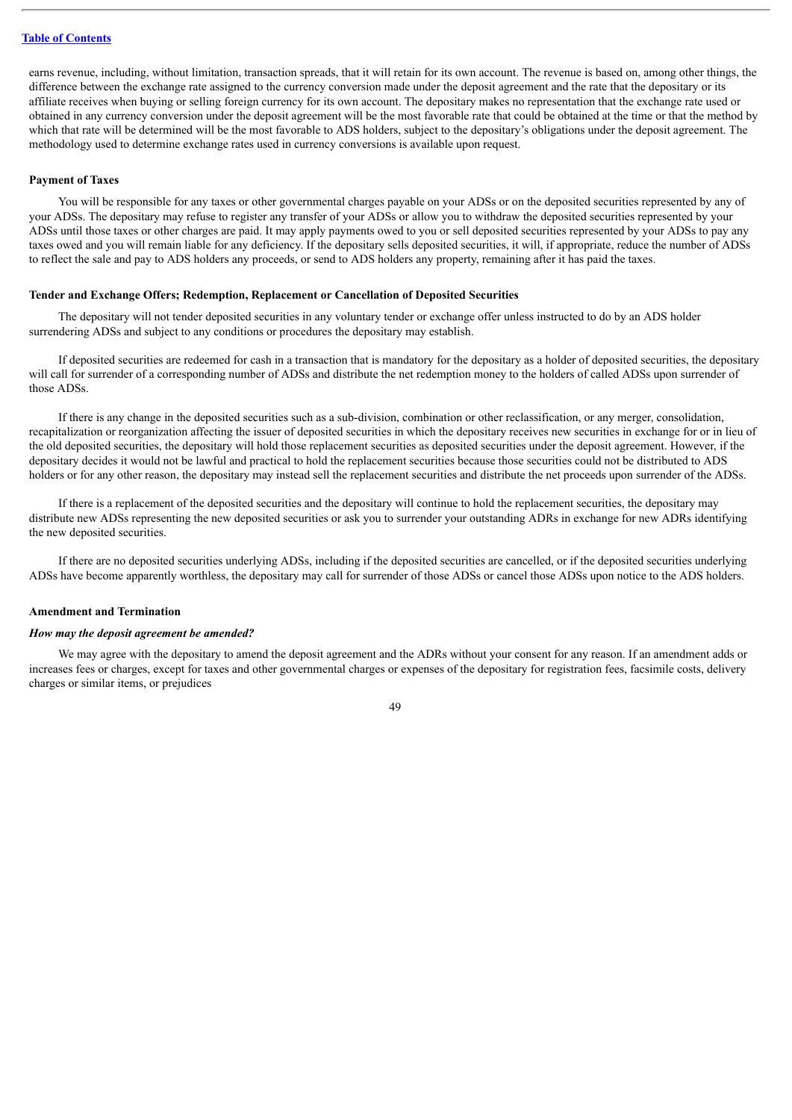earns revenue, including, without limitation, transaction spreads, that it will retain for its own account. The revenue is based on, among other things, the difference between the exchange rate assigned to the currency conversion made under the deposit agreement and the rate that the depositary or its affiliate receives when buying or selling foreign currency for its own account. The depositary makes no representation that the exchange rate used or obtained in any currency conversion under the deposit agreement will be the most favorable rate that could be obtained at the time or that the method by which that rate will be determined will be the most favorable to ADS holders, subject to the depositary's obligations under the deposit agreement. The methodology used to determine exchange rates used in currency conversions is available upon request.

### **Payment of Taxes**

You will be responsible for any taxes or other governmental charges payable on your ADSs or on the deposited securities represented by any of your ADSs. The depositary may refuse to register any transfer of your ADSs or allow you to withdraw the deposited securities represented by your ADSs until those taxes or other charges are paid. It may apply payments owed to you or sell deposited securities represented by your ADSs to pay any taxes owed and you will remain liable for any deficiency. If the depositary sells deposited securities, it will, if appropriate, reduce the number of ADSs to reflect the sale and pay to ADS holders any proceeds, or send to ADS holders any property, remaining after it has paid the taxes.

#### **Tender and Exchange Offers; Redemption, Replacement or Cancellation of Deposited Securities**

The depositary will not tender deposited securities in any voluntary tender or exchange offer unless instructed to do by an ADS holder surrendering ADSs and subject to any conditions or procedures the depositary may establish.

If deposited securities are redeemed for cash in a transaction that is mandatory for the depositary as a holder of deposited securities, the depositary will call for surrender of a corresponding number of ADSs and distribute the net redemption money to the holders of called ADSs upon surrender of those ADSs.

If there is any change in the deposited securities such as a sub-division, combination or other reclassification, or any merger, consolidation, recapitalization or reorganization affecting the issuer of deposited securities in which the depositary receives new securities in exchange for or in lieu of the old deposited securities, the depositary will hold those replacement securities as deposited securities under the deposit agreement. However, if the depositary decides it would not be lawful and practical to hold the replacement securities because those securities could not be distributed to ADS holders or for any other reason, the depositary may instead sell the replacement securities and distribute the net proceeds upon surrender of the ADSs.

If there is a replacement of the deposited securities and the depositary will continue to hold the replacement securities, the depositary may distribute new ADSs representing the new deposited securities or ask you to surrender your outstanding ADRs in exchange for new ADRs identifying the new deposited securities.

If there are no deposited securities underlying ADSs, including if the deposited securities are cancelled, or if the deposited securities underlying ADSs have become apparently worthless, the depositary may call for surrender of those ADSs or cancel those ADSs upon notice to the ADS holders.

#### **Amendment and Termination**

#### *How may the deposit agreement be amended?*

We may agree with the depositary to amend the deposit agreement and the ADRs without your consent for any reason. If an amendment adds or increases fees or charges, except for taxes and other governmental charges or expenses of the depositary for registration fees, facsimile costs, delivery charges or similar items, or prejudices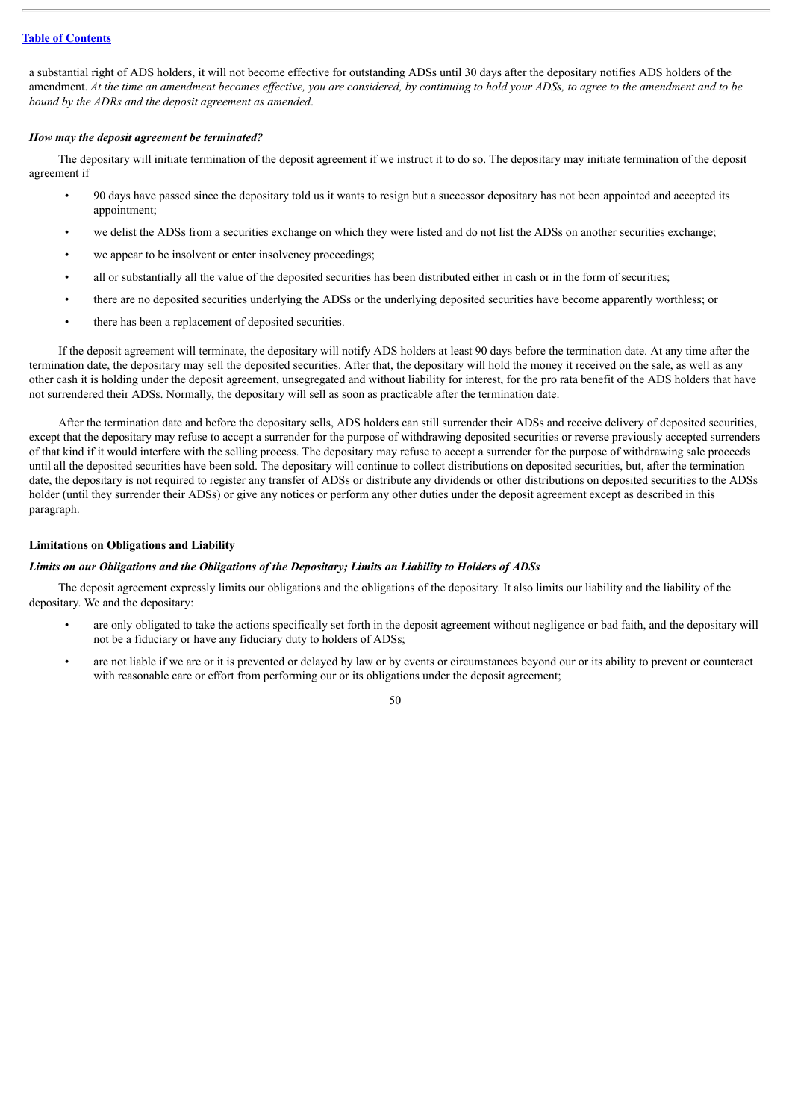a substantial right of ADS holders, it will not become effective for outstanding ADSs until 30 days after the depositary notifies ADS holders of the amendment. At the time an amendment becomes effective, you are considered, by continuing to hold your ADSs, to agree to the amendment and to be *bound by the ADRs and the deposit agreement as amended*.

### *How may the deposit agreement be terminated?*

The depositary will initiate termination of the deposit agreement if we instruct it to do so. The depositary may initiate termination of the deposit agreement if

- 90 days have passed since the depositary told us it wants to resign but a successor depositary has not been appointed and accepted its appointment;
- we delist the ADSs from a securities exchange on which they were listed and do not list the ADSs on another securities exchange;
- we appear to be insolvent or enter insolvency proceedings;
- all or substantially all the value of the deposited securities has been distributed either in cash or in the form of securities;
- there are no deposited securities underlying the ADSs or the underlying deposited securities have become apparently worthless; or
- there has been a replacement of deposited securities.

If the deposit agreement will terminate, the depositary will notify ADS holders at least 90 days before the termination date. At any time after the termination date, the depositary may sell the deposited securities. After that, the depositary will hold the money it received on the sale, as well as any other cash it is holding under the deposit agreement, unsegregated and without liability for interest, for the pro rata benefit of the ADS holders that have not surrendered their ADSs. Normally, the depositary will sell as soon as practicable after the termination date.

After the termination date and before the depositary sells, ADS holders can still surrender their ADSs and receive delivery of deposited securities, except that the depositary may refuse to accept a surrender for the purpose of withdrawing deposited securities or reverse previously accepted surrenders of that kind if it would interfere with the selling process. The depositary may refuse to accept a surrender for the purpose of withdrawing sale proceeds until all the deposited securities have been sold. The depositary will continue to collect distributions on deposited securities, but, after the termination date, the depositary is not required to register any transfer of ADSs or distribute any dividends or other distributions on deposited securities to the ADSs holder (until they surrender their ADSs) or give any notices or perform any other duties under the deposit agreement except as described in this paragraph.

### **Limitations on Obligations and Liability**

#### *Limits on our Obligations and the Obligations of the Depositary; Limits on Liability to Holders of ADSs*

The deposit agreement expressly limits our obligations and the obligations of the depositary. It also limits our liability and the liability of the depositary. We and the depositary:

- are only obligated to take the actions specifically set forth in the deposit agreement without negligence or bad faith, and the depositary will not be a fiduciary or have any fiduciary duty to holders of ADSs;
- are not liable if we are or it is prevented or delayed by law or by events or circumstances beyond our or its ability to prevent or counteract with reasonable care or effort from performing our or its obligations under the deposit agreement;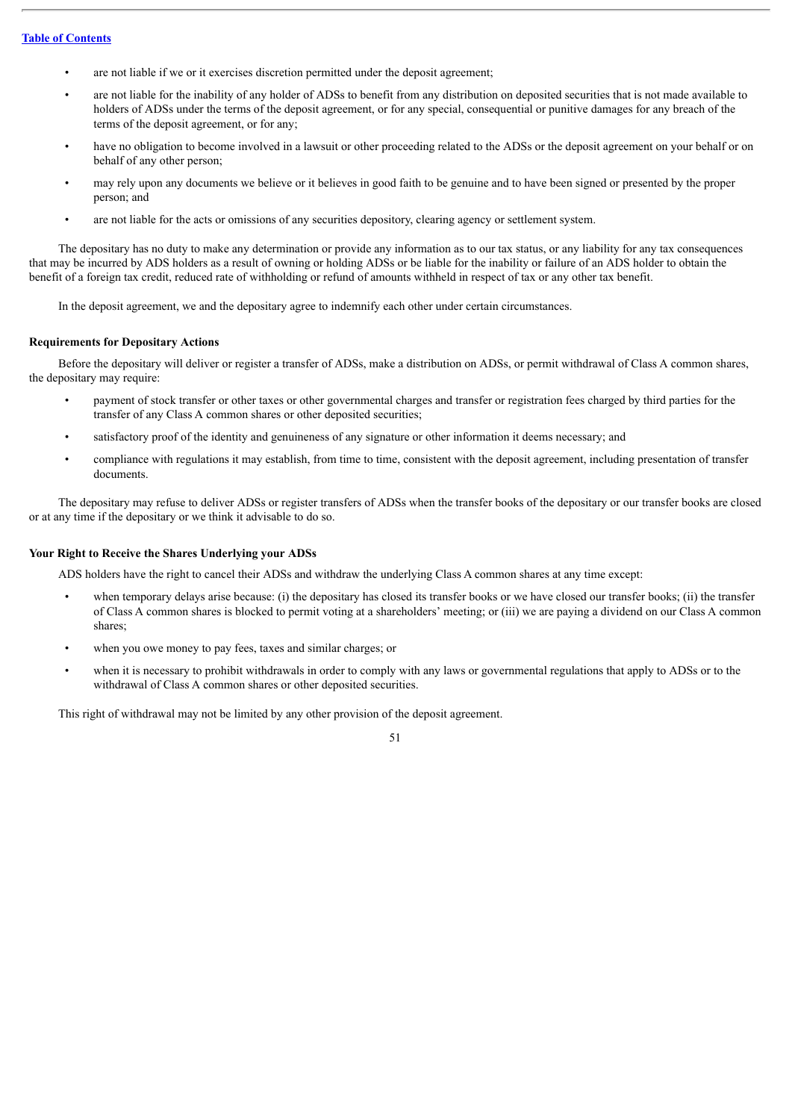- are not liable if we or it exercises discretion permitted under the deposit agreement;
- are not liable for the inability of any holder of ADSs to benefit from any distribution on deposited securities that is not made available to holders of ADSs under the terms of the deposit agreement, or for any special, consequential or punitive damages for any breach of the terms of the deposit agreement, or for any;
- have no obligation to become involved in a lawsuit or other proceeding related to the ADSs or the deposit agreement on your behalf or on behalf of any other person;
- may rely upon any documents we believe or it believes in good faith to be genuine and to have been signed or presented by the proper person; and
- are not liable for the acts or omissions of any securities depository, clearing agency or settlement system.

The depositary has no duty to make any determination or provide any information as to our tax status, or any liability for any tax consequences that may be incurred by ADS holders as a result of owning or holding ADSs or be liable for the inability or failure of an ADS holder to obtain the benefit of a foreign tax credit, reduced rate of withholding or refund of amounts withheld in respect of tax or any other tax benefit.

In the deposit agreement, we and the depositary agree to indemnify each other under certain circumstances.

#### **Requirements for Depositary Actions**

Before the depositary will deliver or register a transfer of ADSs, make a distribution on ADSs, or permit withdrawal of Class A common shares, the depositary may require:

- payment of stock transfer or other taxes or other governmental charges and transfer or registration fees charged by third parties for the transfer of any Class A common shares or other deposited securities;
- satisfactory proof of the identity and genuineness of any signature or other information it deems necessary; and
- compliance with regulations it may establish, from time to time, consistent with the deposit agreement, including presentation of transfer documents.

The depositary may refuse to deliver ADSs or register transfers of ADSs when the transfer books of the depositary or our transfer books are closed or at any time if the depositary or we think it advisable to do so.

#### **Your Right to Receive the Shares Underlying your ADSs**

ADS holders have the right to cancel their ADSs and withdraw the underlying Class A common shares at any time except:

- when temporary delays arise because: (i) the depositary has closed its transfer books or we have closed our transfer books; (ii) the transfer of Class A common shares is blocked to permit voting at a shareholders' meeting; or (iii) we are paying a dividend on our Class A common shares;
- when you owe money to pay fees, taxes and similar charges; or
- when it is necessary to prohibit withdrawals in order to comply with any laws or governmental regulations that apply to ADSs or to the withdrawal of Class A common shares or other deposited securities.

This right of withdrawal may not be limited by any other provision of the deposit agreement.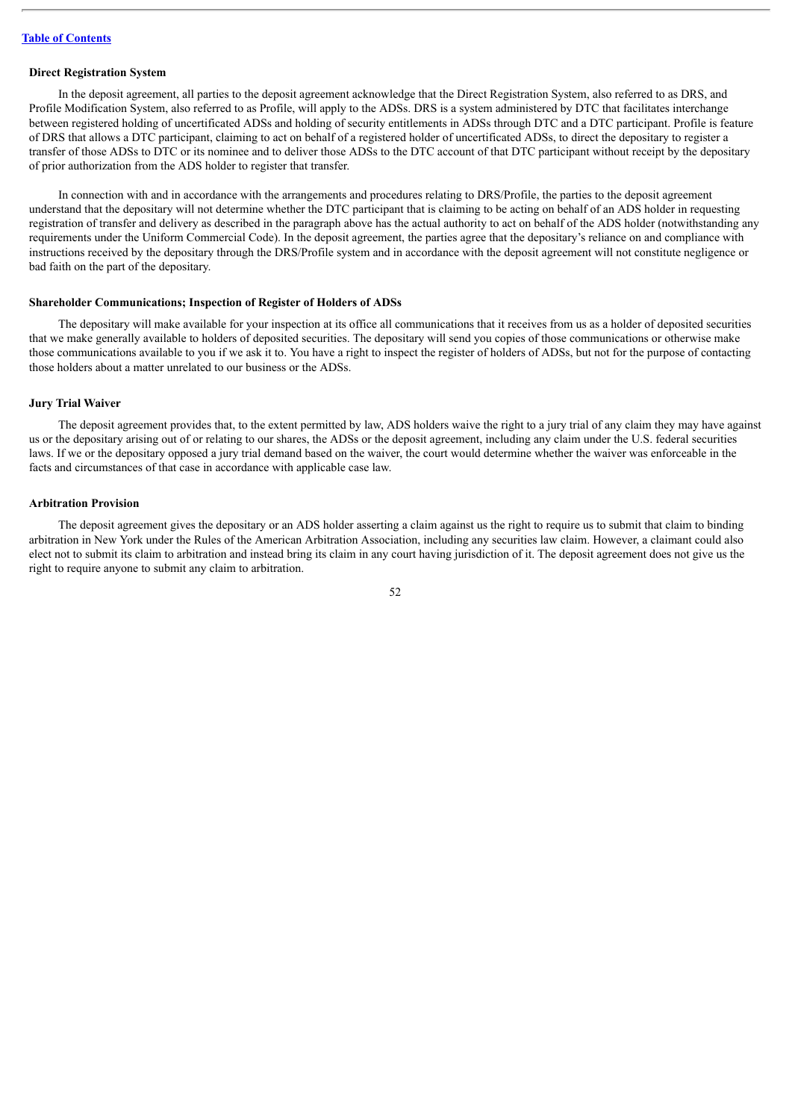#### **Direct Registration System**

In the deposit agreement, all parties to the deposit agreement acknowledge that the Direct Registration System, also referred to as DRS, and Profile Modification System, also referred to as Profile, will apply to the ADSs. DRS is a system administered by DTC that facilitates interchange between registered holding of uncertificated ADSs and holding of security entitlements in ADSs through DTC and a DTC participant. Profile is feature of DRS that allows a DTC participant, claiming to act on behalf of a registered holder of uncertificated ADSs, to direct the depositary to register a transfer of those ADSs to DTC or its nominee and to deliver those ADSs to the DTC account of that DTC participant without receipt by the depositary of prior authorization from the ADS holder to register that transfer.

In connection with and in accordance with the arrangements and procedures relating to DRS/Profile, the parties to the deposit agreement understand that the depositary will not determine whether the DTC participant that is claiming to be acting on behalf of an ADS holder in requesting registration of transfer and delivery as described in the paragraph above has the actual authority to act on behalf of the ADS holder (notwithstanding any requirements under the Uniform Commercial Code). In the deposit agreement, the parties agree that the depositary's reliance on and compliance with instructions received by the depositary through the DRS/Profile system and in accordance with the deposit agreement will not constitute negligence or bad faith on the part of the depositary.

### **Shareholder Communications; Inspection of Register of Holders of ADSs**

The depositary will make available for your inspection at its office all communications that it receives from us as a holder of deposited securities that we make generally available to holders of deposited securities. The depositary will send you copies of those communications or otherwise make those communications available to you if we ask it to. You have a right to inspect the register of holders of ADSs, but not for the purpose of contacting those holders about a matter unrelated to our business or the ADSs.

#### **Jury Trial Waiver**

The deposit agreement provides that, to the extent permitted by law, ADS holders waive the right to a jury trial of any claim they may have against us or the depositary arising out of or relating to our shares, the ADSs or the deposit agreement, including any claim under the U.S. federal securities laws. If we or the depositary opposed a jury trial demand based on the waiver, the court would determine whether the waiver was enforceable in the facts and circumstances of that case in accordance with applicable case law.

#### **Arbitration Provision**

The deposit agreement gives the depositary or an ADS holder asserting a claim against us the right to require us to submit that claim to binding arbitration in New York under the Rules of the American Arbitration Association, including any securities law claim. However, a claimant could also elect not to submit its claim to arbitration and instead bring its claim in any court having jurisdiction of it. The deposit agreement does not give us the right to require anyone to submit any claim to arbitration.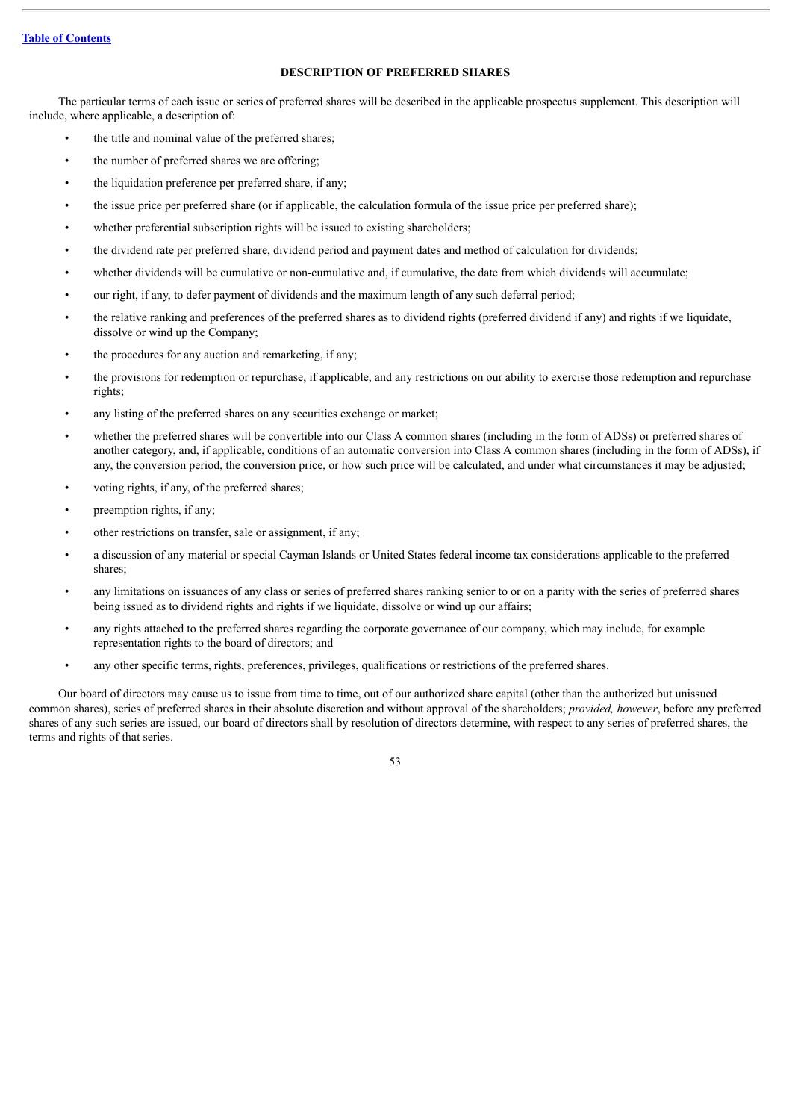## **DESCRIPTION OF PREFERRED SHARES**

The particular terms of each issue or series of preferred shares will be described in the applicable prospectus supplement. This description will include, where applicable, a description of:

- the title and nominal value of the preferred shares;
- the number of preferred shares we are offering;
- the liquidation preference per preferred share, if any;
- the issue price per preferred share (or if applicable, the calculation formula of the issue price per preferred share);
- whether preferential subscription rights will be issued to existing shareholders;
- the dividend rate per preferred share, dividend period and payment dates and method of calculation for dividends;
- whether dividends will be cumulative or non-cumulative and, if cumulative, the date from which dividends will accumulate;
- our right, if any, to defer payment of dividends and the maximum length of any such deferral period;
- the relative ranking and preferences of the preferred shares as to dividend rights (preferred dividend if any) and rights if we liquidate, dissolve or wind up the Company;
- the procedures for any auction and remarketing, if any;
- the provisions for redemption or repurchase, if applicable, and any restrictions on our ability to exercise those redemption and repurchase rights:
- any listing of the preferred shares on any securities exchange or market;
- whether the preferred shares will be convertible into our Class A common shares (including in the form of ADSs) or preferred shares of another category, and, if applicable, conditions of an automatic conversion into Class A common shares (including in the form of ADSs), if any, the conversion period, the conversion price, or how such price will be calculated, and under what circumstances it may be adjusted;
- voting rights, if any, of the preferred shares;
- preemption rights, if any;
- other restrictions on transfer, sale or assignment, if any;
- a discussion of any material or special Cayman Islands or United States federal income tax considerations applicable to the preferred shares;
- any limitations on issuances of any class or series of preferred shares ranking senior to or on a parity with the series of preferred shares being issued as to dividend rights and rights if we liquidate, dissolve or wind up our affairs;
- any rights attached to the preferred shares regarding the corporate governance of our company, which may include, for example representation rights to the board of directors; and
- any other specific terms, rights, preferences, privileges, qualifications or restrictions of the preferred shares.

Our board of directors may cause us to issue from time to time, out of our authorized share capital (other than the authorized but unissued common shares), series of preferred shares in their absolute discretion and without approval of the shareholders; *provided, however*, before any preferred shares of any such series are issued, our board of directors shall by resolution of directors determine, with respect to any series of preferred shares, the terms and rights of that series.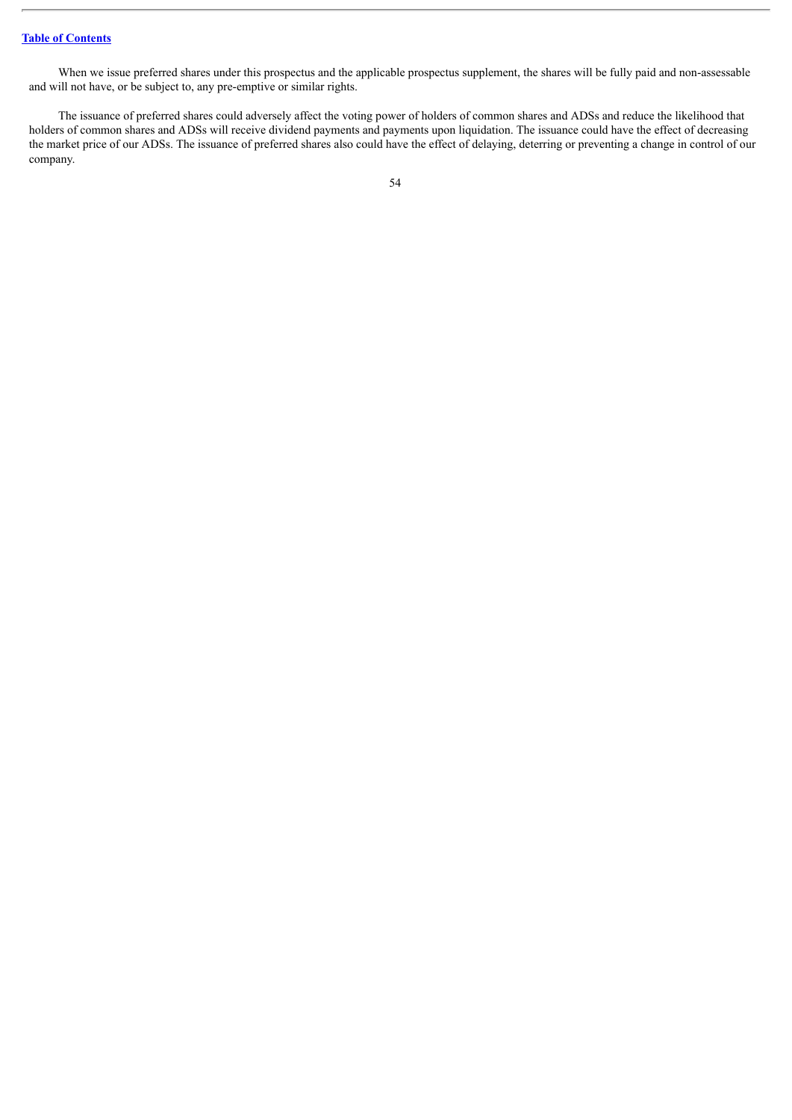When we issue preferred shares under this prospectus and the applicable prospectus supplement, the shares will be fully paid and non-assessable and will not have, or be subject to, any pre-emptive or similar rights.

The issuance of preferred shares could adversely affect the voting power of holders of common shares and ADSs and reduce the likelihood that holders of common shares and ADSs will receive dividend payments and payments upon liquidation. The issuance could have the effect of decreasing the market price of our ADSs. The issuance of preferred shares also could have the effect of delaying, deterring or preventing a change in control of our company.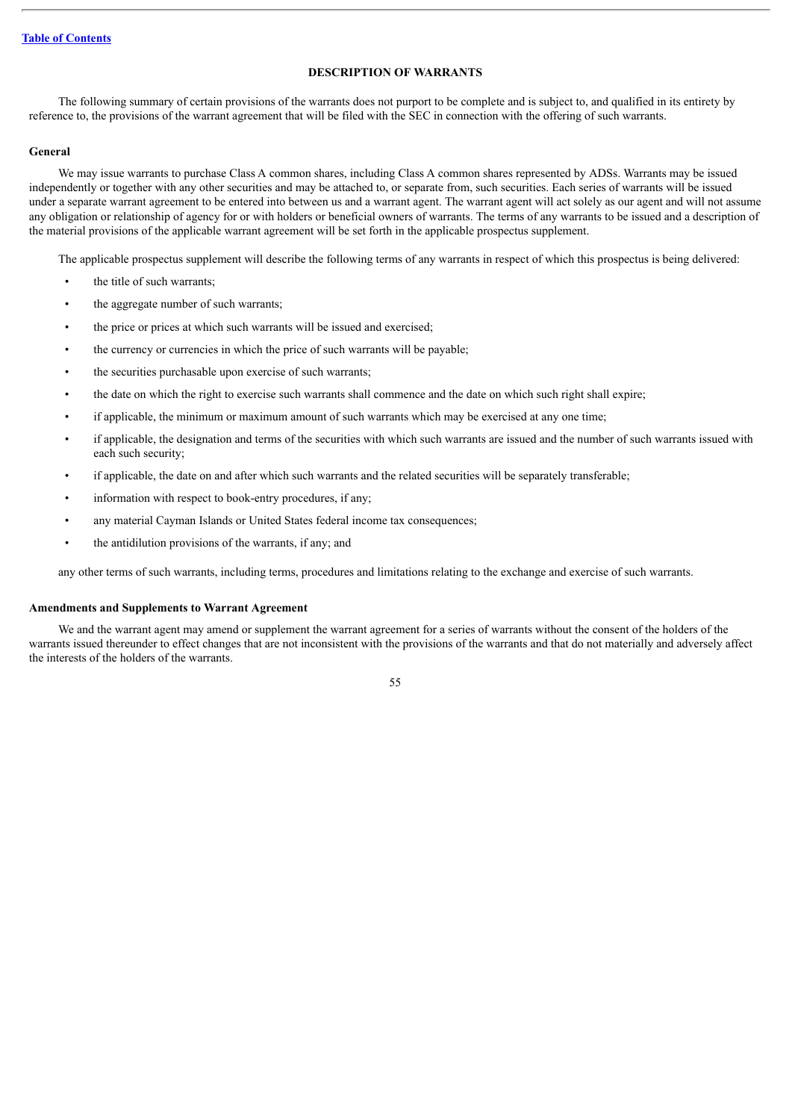## **DESCRIPTION OF WARRANTS**

The following summary of certain provisions of the warrants does not purport to be complete and is subject to, and qualified in its entirety by reference to, the provisions of the warrant agreement that will be filed with the SEC in connection with the offering of such warrants.

## **General**

We may issue warrants to purchase Class A common shares, including Class A common shares represented by ADSs. Warrants may be issued independently or together with any other securities and may be attached to, or separate from, such securities. Each series of warrants will be issued under a separate warrant agreement to be entered into between us and a warrant agent. The warrant agent will act solely as our agent and will not assume any obligation or relationship of agency for or with holders or beneficial owners of warrants. The terms of any warrants to be issued and a description of the material provisions of the applicable warrant agreement will be set forth in the applicable prospectus supplement.

The applicable prospectus supplement will describe the following terms of any warrants in respect of which this prospectus is being delivered:

- the title of such warrants;
- the aggregate number of such warrants;
- the price or prices at which such warrants will be issued and exercised;
- the currency or currencies in which the price of such warrants will be payable;
- the securities purchasable upon exercise of such warrants;
- the date on which the right to exercise such warrants shall commence and the date on which such right shall expire;
- if applicable, the minimum or maximum amount of such warrants which may be exercised at any one time;
- if applicable, the designation and terms of the securities with which such warrants are issued and the number of such warrants issued with each such security;
- if applicable, the date on and after which such warrants and the related securities will be separately transferable;
- information with respect to book-entry procedures, if any;
- any material Cayman Islands or United States federal income tax consequences;
- the antidilution provisions of the warrants, if any; and

any other terms of such warrants, including terms, procedures and limitations relating to the exchange and exercise of such warrants.

#### **Amendments and Supplements to Warrant Agreement**

We and the warrant agent may amend or supplement the warrant agreement for a series of warrants without the consent of the holders of the warrants issued thereunder to effect changes that are not inconsistent with the provisions of the warrants and that do not materially and adversely affect the interests of the holders of the warrants.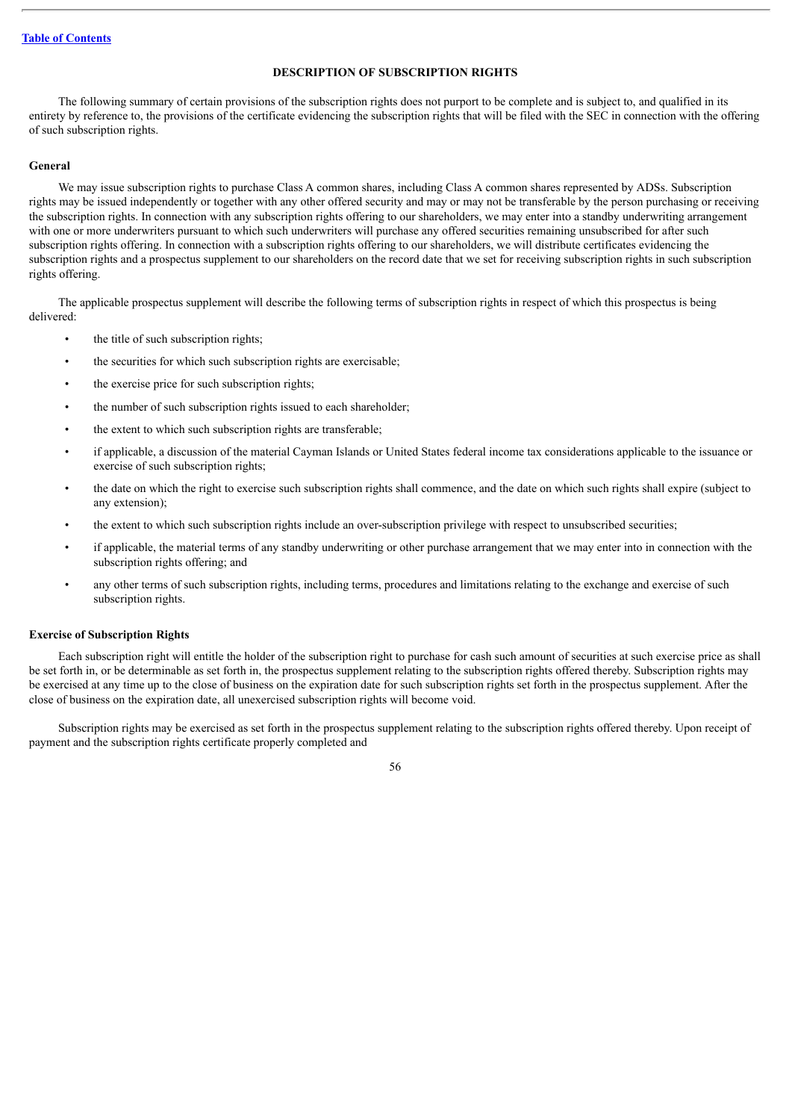## **DESCRIPTION OF SUBSCRIPTION RIGHTS**

The following summary of certain provisions of the subscription rights does not purport to be complete and is subject to, and qualified in its entirety by reference to, the provisions of the certificate evidencing the subscription rights that will be filed with the SEC in connection with the offering of such subscription rights.

#### **General**

We may issue subscription rights to purchase Class A common shares, including Class A common shares represented by ADSs. Subscription rights may be issued independently or together with any other offered security and may or may not be transferable by the person purchasing or receiving the subscription rights. In connection with any subscription rights offering to our shareholders, we may enter into a standby underwriting arrangement with one or more underwriters pursuant to which such underwriters will purchase any offered securities remaining unsubscribed for after such subscription rights offering. In connection with a subscription rights offering to our shareholders, we will distribute certificates evidencing the subscription rights and a prospectus supplement to our shareholders on the record date that we set for receiving subscription rights in such subscription rights offering.

The applicable prospectus supplement will describe the following terms of subscription rights in respect of which this prospectus is being delivered:

- the title of such subscription rights;
- the securities for which such subscription rights are exercisable;
- the exercise price for such subscription rights;
- the number of such subscription rights issued to each shareholder;
- the extent to which such subscription rights are transferable;
- if applicable, a discussion of the material Cayman Islands or United States federal income tax considerations applicable to the issuance or exercise of such subscription rights;
- the date on which the right to exercise such subscription rights shall commence, and the date on which such rights shall expire (subject to any extension);
- the extent to which such subscription rights include an over-subscription privilege with respect to unsubscribed securities;
- if applicable, the material terms of any standby underwriting or other purchase arrangement that we may enter into in connection with the subscription rights offering; and
- any other terms of such subscription rights, including terms, procedures and limitations relating to the exchange and exercise of such subscription rights.

### **Exercise of Subscription Rights**

Each subscription right will entitle the holder of the subscription right to purchase for cash such amount of securities at such exercise price as shall be set forth in, or be determinable as set forth in, the prospectus supplement relating to the subscription rights offered thereby. Subscription rights may be exercised at any time up to the close of business on the expiration date for such subscription rights set forth in the prospectus supplement. After the close of business on the expiration date, all unexercised subscription rights will become void.

Subscription rights may be exercised as set forth in the prospectus supplement relating to the subscription rights offered thereby. Upon receipt of payment and the subscription rights certificate properly completed and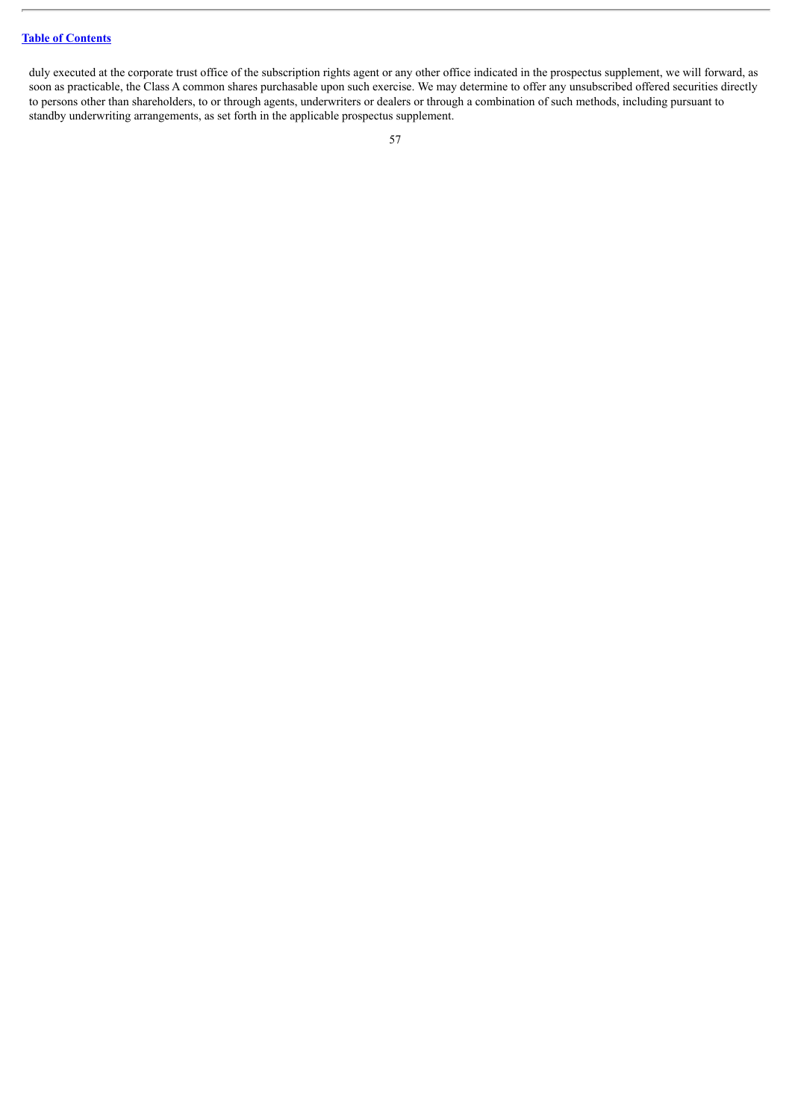duly executed at the corporate trust office of the subscription rights agent or any other office indicated in the prospectus supplement, we will forward, as soon as practicable, the Class A common shares purchasable upon such exercise. We may determine to offer any unsubscribed offered securities directly to persons other than shareholders, to or through agents, underwriters or dealers or through a combination of such methods, including pursuant to standby underwriting arrangements, as set forth in the applicable prospectus supplement.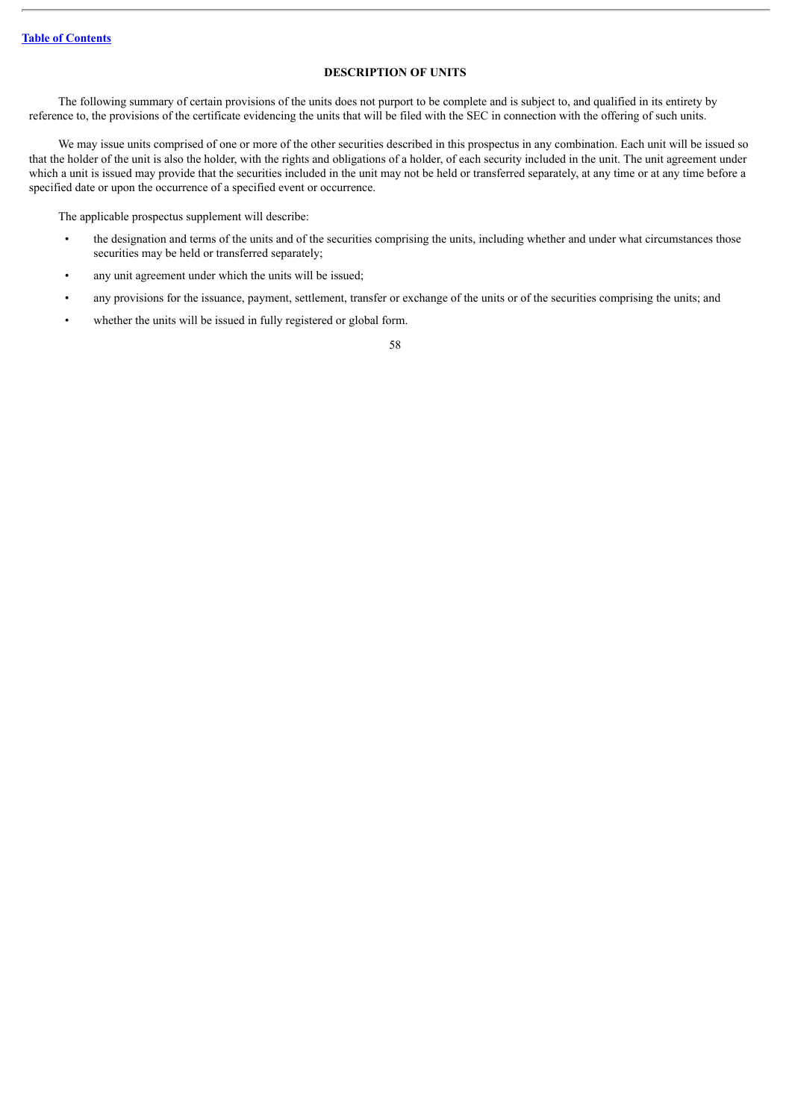## **DESCRIPTION OF UNITS**

The following summary of certain provisions of the units does not purport to be complete and is subject to, and qualified in its entirety by reference to, the provisions of the certificate evidencing the units that will be filed with the SEC in connection with the offering of such units.

We may issue units comprised of one or more of the other securities described in this prospectus in any combination. Each unit will be issued so that the holder of the unit is also the holder, with the rights and obligations of a holder, of each security included in the unit. The unit agreement under which a unit is issued may provide that the securities included in the unit may not be held or transferred separately, at any time or at any time before a specified date or upon the occurrence of a specified event or occurrence.

The applicable prospectus supplement will describe:

- the designation and terms of the units and of the securities comprising the units, including whether and under what circumstances those securities may be held or transferred separately;
- any unit agreement under which the units will be issued;
- any provisions for the issuance, payment, settlement, transfer or exchange of the units or of the securities comprising the units; and
- whether the units will be issued in fully registered or global form.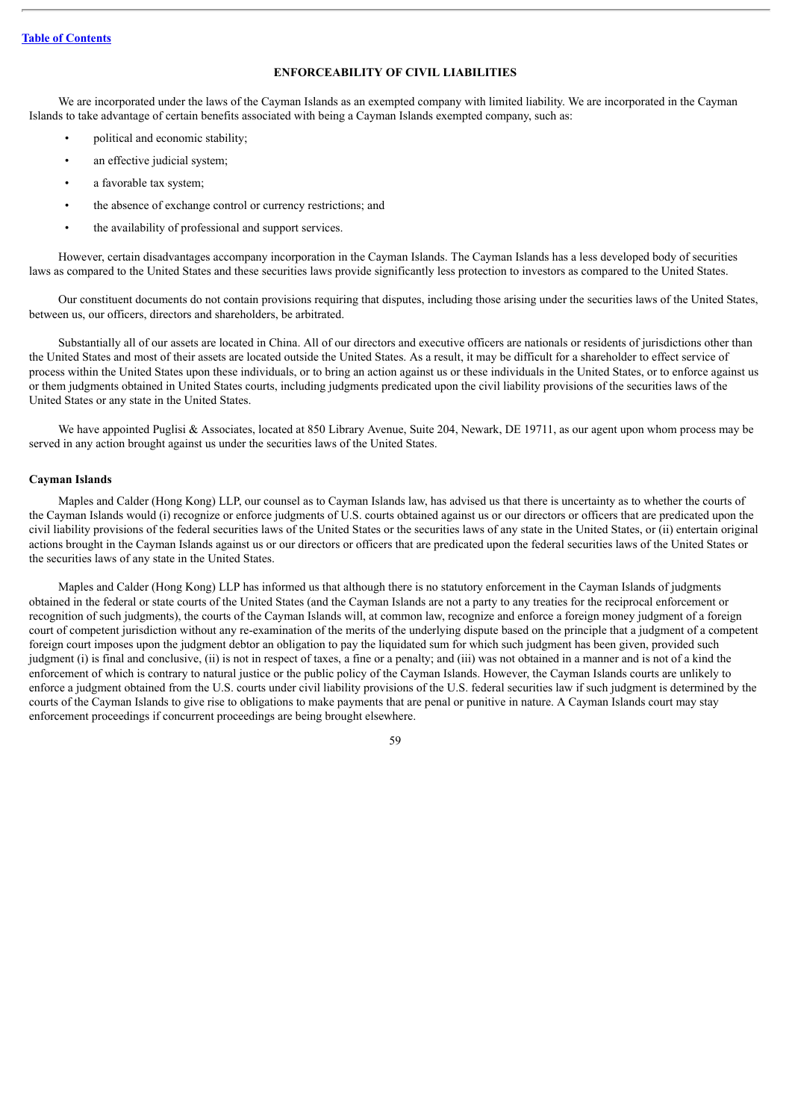## **ENFORCEABILITY OF CIVIL LIABILITIES**

We are incorporated under the laws of the Cayman Islands as an exempted company with limited liability. We are incorporated in the Cayman Islands to take advantage of certain benefits associated with being a Cayman Islands exempted company, such as:

- political and economic stability;
- an effective judicial system;
- a favorable tax system;
- the absence of exchange control or currency restrictions; and
- the availability of professional and support services.

However, certain disadvantages accompany incorporation in the Cayman Islands. The Cayman Islands has a less developed body of securities laws as compared to the United States and these securities laws provide significantly less protection to investors as compared to the United States.

Our constituent documents do not contain provisions requiring that disputes, including those arising under the securities laws of the United States, between us, our officers, directors and shareholders, be arbitrated.

Substantially all of our assets are located in China. All of our directors and executive officers are nationals or residents of jurisdictions other than the United States and most of their assets are located outside the United States. As a result, it may be difficult for a shareholder to effect service of process within the United States upon these individuals, or to bring an action against us or these individuals in the United States, or to enforce against us or them judgments obtained in United States courts, including judgments predicated upon the civil liability provisions of the securities laws of the United States or any state in the United States.

We have appointed Puglisi & Associates, located at 850 Library Avenue, Suite 204, Newark, DE 19711, as our agent upon whom process may be served in any action brought against us under the securities laws of the United States.

#### **Cayman Islands**

Maples and Calder (Hong Kong) LLP, our counsel as to Cayman Islands law, has advised us that there is uncertainty as to whether the courts of the Cayman Islands would (i) recognize or enforce judgments of U.S. courts obtained against us or our directors or officers that are predicated upon the civil liability provisions of the federal securities laws of the United States or the securities laws of any state in the United States, or (ii) entertain original actions brought in the Cayman Islands against us or our directors or officers that are predicated upon the federal securities laws of the United States or the securities laws of any state in the United States.

Maples and Calder (Hong Kong) LLP has informed us that although there is no statutory enforcement in the Cayman Islands of judgments obtained in the federal or state courts of the United States (and the Cayman Islands are not a party to any treaties for the reciprocal enforcement or recognition of such judgments), the courts of the Cayman Islands will, at common law, recognize and enforce a foreign money judgment of a foreign court of competent jurisdiction without any re-examination of the merits of the underlying dispute based on the principle that a judgment of a competent foreign court imposes upon the judgment debtor an obligation to pay the liquidated sum for which such judgment has been given, provided such judgment (i) is final and conclusive, (ii) is not in respect of taxes, a fine or a penalty; and (iii) was not obtained in a manner and is not of a kind the enforcement of which is contrary to natural justice or the public policy of the Cayman Islands. However, the Cayman Islands courts are unlikely to enforce a judgment obtained from the U.S. courts under civil liability provisions of the U.S. federal securities law if such judgment is determined by the courts of the Cayman Islands to give rise to obligations to make payments that are penal or punitive in nature. A Cayman Islands court may stay enforcement proceedings if concurrent proceedings are being brought elsewhere.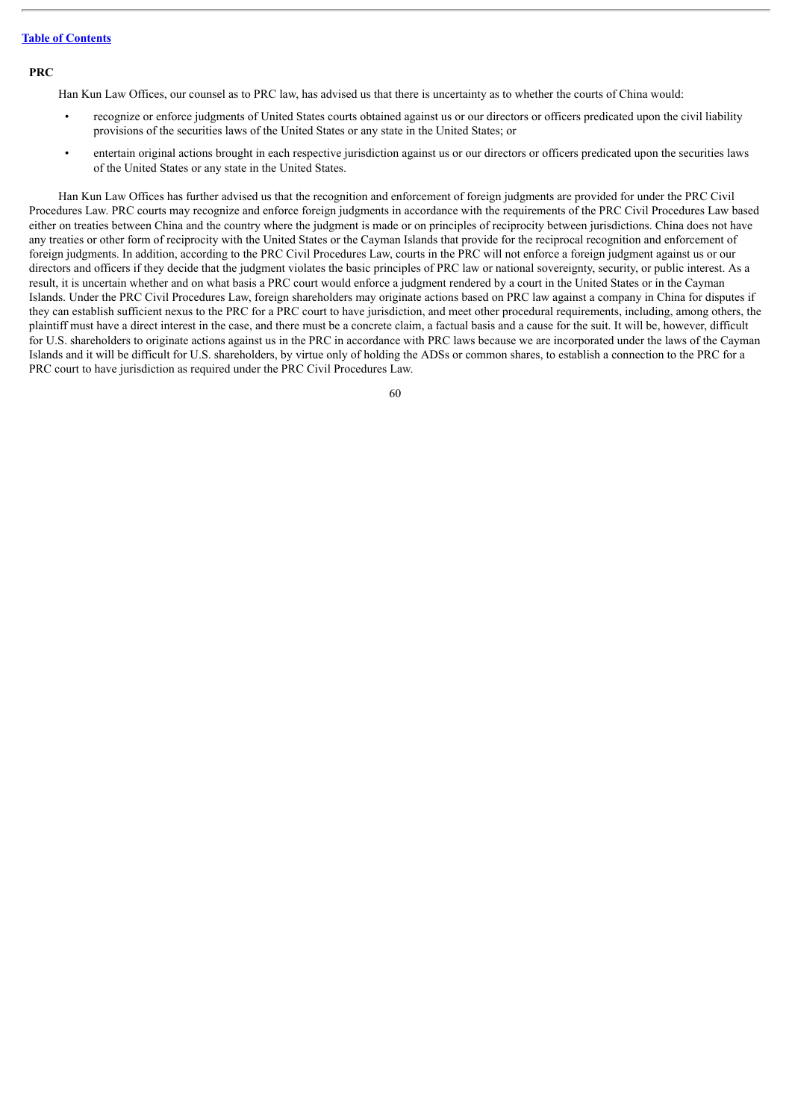## **PRC**

Han Kun Law Offices, our counsel as to PRC law, has advised us that there is uncertainty as to whether the courts of China would:

- recognize or enforce judgments of United States courts obtained against us or our directors or officers predicated upon the civil liability provisions of the securities laws of the United States or any state in the United States; or
- entertain original actions brought in each respective jurisdiction against us or our directors or officers predicated upon the securities laws of the United States or any state in the United States.

Han Kun Law Offices has further advised us that the recognition and enforcement of foreign judgments are provided for under the PRC Civil Procedures Law. PRC courts may recognize and enforce foreign judgments in accordance with the requirements of the PRC Civil Procedures Law based either on treaties between China and the country where the judgment is made or on principles of reciprocity between jurisdictions. China does not have any treaties or other form of reciprocity with the United States or the Cayman Islands that provide for the reciprocal recognition and enforcement of foreign judgments. In addition, according to the PRC Civil Procedures Law, courts in the PRC will not enforce a foreign judgment against us or our directors and officers if they decide that the judgment violates the basic principles of PRC law or national sovereignty, security, or public interest. As a result, it is uncertain whether and on what basis a PRC court would enforce a judgment rendered by a court in the United States or in the Cayman Islands. Under the PRC Civil Procedures Law, foreign shareholders may originate actions based on PRC law against a company in China for disputes if they can establish sufficient nexus to the PRC for a PRC court to have jurisdiction, and meet other procedural requirements, including, among others, the plaintiff must have a direct interest in the case, and there must be a concrete claim, a factual basis and a cause for the suit. It will be, however, difficult for U.S. shareholders to originate actions against us in the PRC in accordance with PRC laws because we are incorporated under the laws of the Cayman Islands and it will be difficult for U.S. shareholders, by virtue only of holding the ADSs or common shares, to establish a connection to the PRC for a PRC court to have jurisdiction as required under the PRC Civil Procedures Law.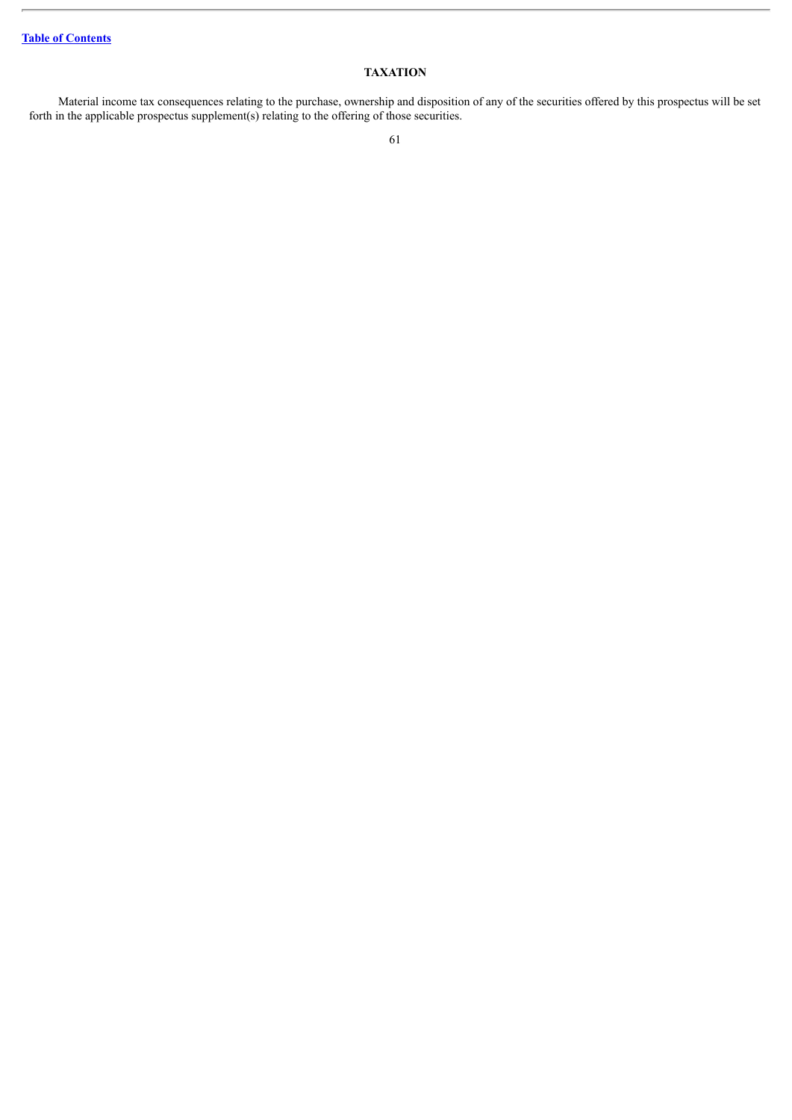# **TAXATION**

Material income tax consequences relating to the purchase, ownership and disposition of any of the securities offered by this prospectus will be set forth in the applicable prospectus supplement(s) relating to the offering of those securities.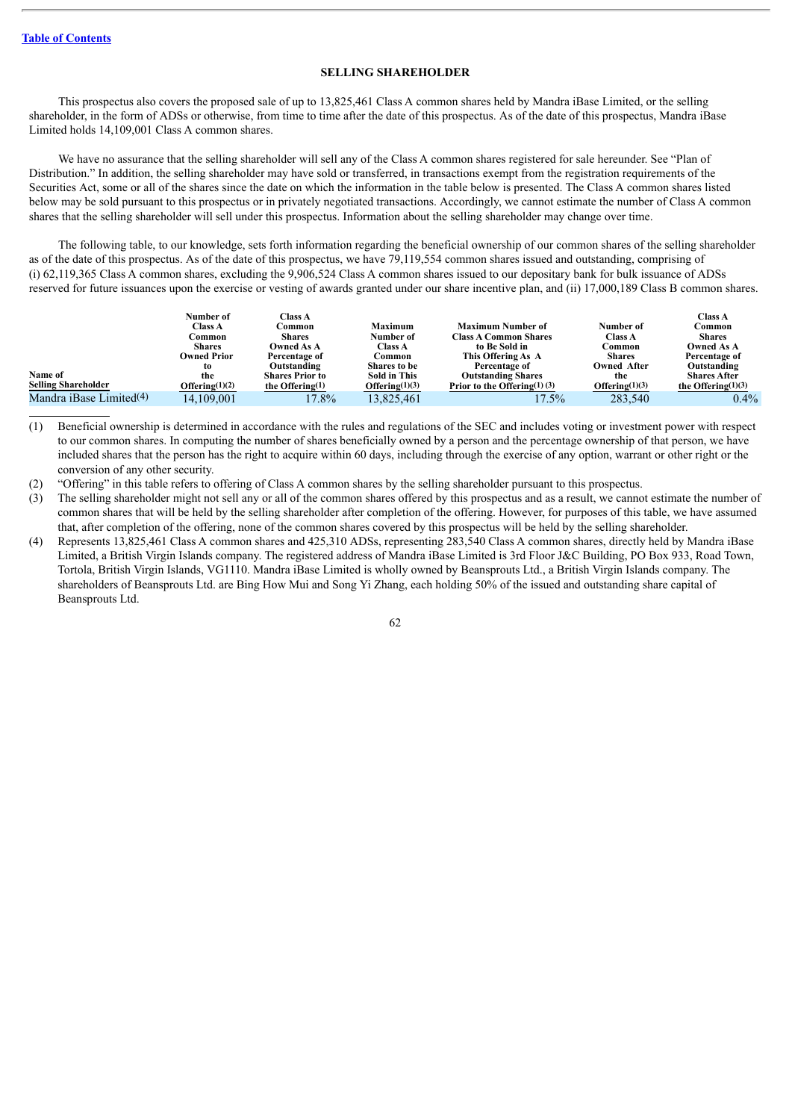## **SELLING SHAREHOLDER**

This prospectus also covers the proposed sale of up to 13,825,461 Class A common shares held by Mandra iBase Limited, or the selling shareholder, in the form of ADSs or otherwise, from time to time after the date of this prospectus. As of the date of this prospectus, Mandra iBase Limited holds 14,109,001 Class A common shares.

We have no assurance that the selling shareholder will sell any of the Class A common shares registered for sale hereunder. See "Plan of Distribution." In addition, the selling shareholder may have sold or transferred, in transactions exempt from the registration requirements of the Securities Act, some or all of the shares since the date on which the information in the table below is presented. The Class A common shares listed below may be sold pursuant to this prospectus or in privately negotiated transactions. Accordingly, we cannot estimate the number of Class A common shares that the selling shareholder will sell under this prospectus. Information about the selling shareholder may change over time.

The following table, to our knowledge, sets forth information regarding the beneficial ownership of our common shares of the selling shareholder as of the date of this prospectus. As of the date of this prospectus, we have 79,119,554 common shares issued and outstanding, comprising of (i) 62,119,365 Class A common shares, excluding the 9,906,524 Class A common shares issued to our depositary bank for bulk issuance of ADSs reserved for future issuances upon the exercise or vesting of awards granted under our share incentive plan, and (ii) 17,000,189 Class B common shares.

|                            | Number of          | Class A                |                     |                                   |                    | <b>Class A</b>        |
|----------------------------|--------------------|------------------------|---------------------|-----------------------------------|--------------------|-----------------------|
|                            | Class A            | ∴ommon                 | <b>Maximum</b>      | <b>Maximum Number of</b>          | Number of          | Common                |
|                            | .`ommon            | <b>Shares</b>          | Number of           | <b>Class A Common Shares</b>      | <b>Class A</b>     | <b>Shares</b>         |
|                            | <b>Shares</b>      | Owned As A             | Class A             | to Be Sold in                     | Common             | <b>Owned As A</b>     |
|                            | <b>Owned Prior</b> | Percentage of          | .`ommon             | This Offering As A                | <b>Shares</b>      | Percentage of         |
|                            | to                 | Outstanding            | <b>Shares to be</b> | Percentage of                     | <b>Owned After</b> | Outstanding           |
| Name of                    | the                | <b>Shares Prior to</b> | <b>Sold in This</b> | <b>Outstanding Shares</b>         | the                | <b>Shares After</b>   |
| <b>Selling Shareholder</b> | Offering $(1)(2)$  | the Offering $(1)$     | Offering $(1)(3)$   | Prior to the Offering $(1)$ $(3)$ | Offering $(1)(3)$  | the Offering $(1)(3)$ |
| Mandra iBase Limited $(4)$ | 14,109,001         | $17.8\%$               | 13.825.461          | $17.5\%$                          | 283.540            | $0.4\%$               |

(1) Beneficial ownership is determined in accordance with the rules and regulations of the SEC and includes voting or investment power with respect to our common shares. In computing the number of shares beneficially owned by a person and the percentage ownership of that person, we have included shares that the person has the right to acquire within 60 days, including through the exercise of any option, warrant or other right or the conversion of any other security.

(2) "Offering" in this table refers to offering of Class A common shares by the selling shareholder pursuant to this prospectus.

(3) The selling shareholder might not sell any or all of the common shares offered by this prospectus and as a result, we cannot estimate the number of common shares that will be held by the selling shareholder after completion of the offering. However, for purposes of this table, we have assumed that, after completion of the offering, none of the common shares covered by this prospectus will be held by the selling shareholder.

(4) Represents 13,825,461 Class A common shares and 425,310 ADSs, representing 283,540 Class A common shares, directly held by Mandra iBase Limited, a British Virgin Islands company. The registered address of Mandra iBase Limited is 3rd Floor J&C Building, PO Box 933, Road Town, Tortola, British Virgin Islands, VG1110. Mandra iBase Limited is wholly owned by Beansprouts Ltd., a British Virgin Islands company. The shareholders of Beansprouts Ltd. are Bing How Mui and Song Yi Zhang, each holding 50% of the issued and outstanding share capital of Beansprouts Ltd.

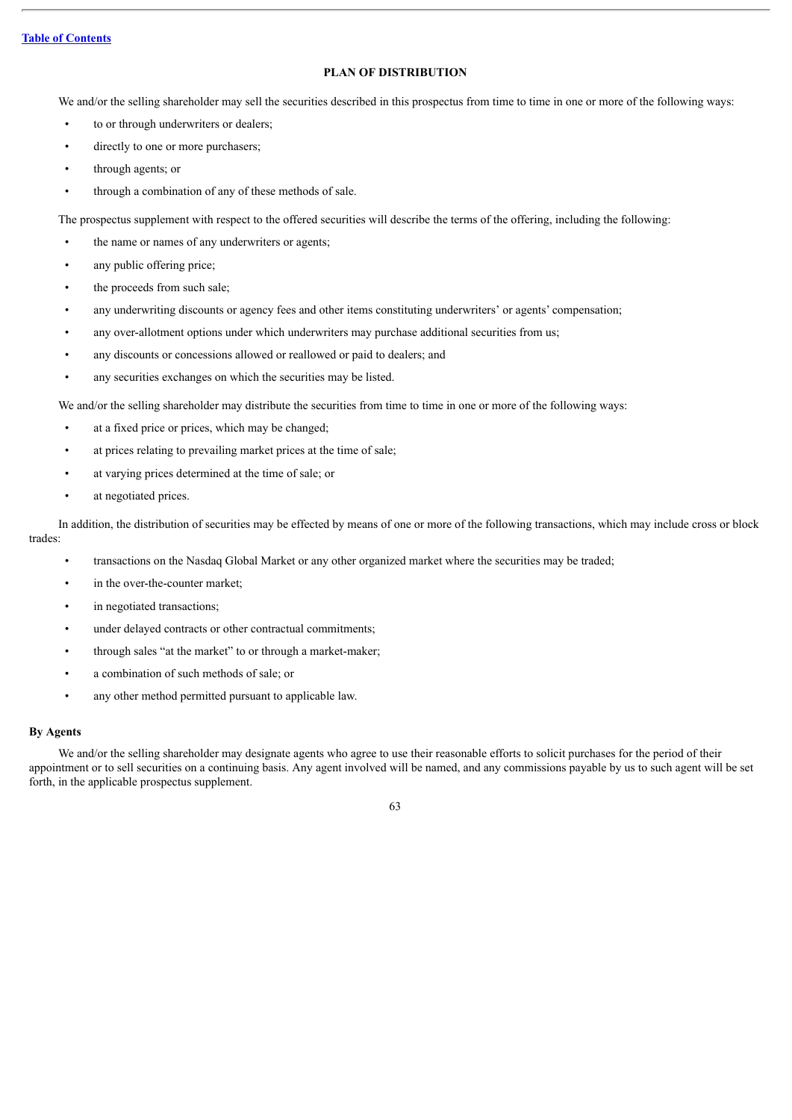## **PLAN OF DISTRIBUTION**

We and/or the selling shareholder may sell the securities described in this prospectus from time to time in one or more of the following ways:

- to or through underwriters or dealers;
- directly to one or more purchasers;
- through agents; or
- through a combination of any of these methods of sale.

The prospectus supplement with respect to the offered securities will describe the terms of the offering, including the following:

- the name or names of any underwriters or agents;
- any public offering price;
- the proceeds from such sale;
- any underwriting discounts or agency fees and other items constituting underwriters' or agents' compensation;
- any over-allotment options under which underwriters may purchase additional securities from us;
- any discounts or concessions allowed or reallowed or paid to dealers; and
- any securities exchanges on which the securities may be listed.

We and/or the selling shareholder may distribute the securities from time to time in one or more of the following ways:

- at a fixed price or prices, which may be changed;
- at prices relating to prevailing market prices at the time of sale;
- at varying prices determined at the time of sale; or
- at negotiated prices.

In addition, the distribution of securities may be effected by means of one or more of the following transactions, which may include cross or block trades:

- transactions on the Nasdaq Global Market or any other organized market where the securities may be traded;
- in the over-the-counter market;
- in negotiated transactions;
- under delayed contracts or other contractual commitments;
- through sales "at the market" to or through a market-maker;
- a combination of such methods of sale; or
- any other method permitted pursuant to applicable law.

#### **By Agents**

We and/or the selling shareholder may designate agents who agree to use their reasonable efforts to solicit purchases for the period of their appointment or to sell securities on a continuing basis. Any agent involved will be named, and any commissions payable by us to such agent will be set forth, in the applicable prospectus supplement.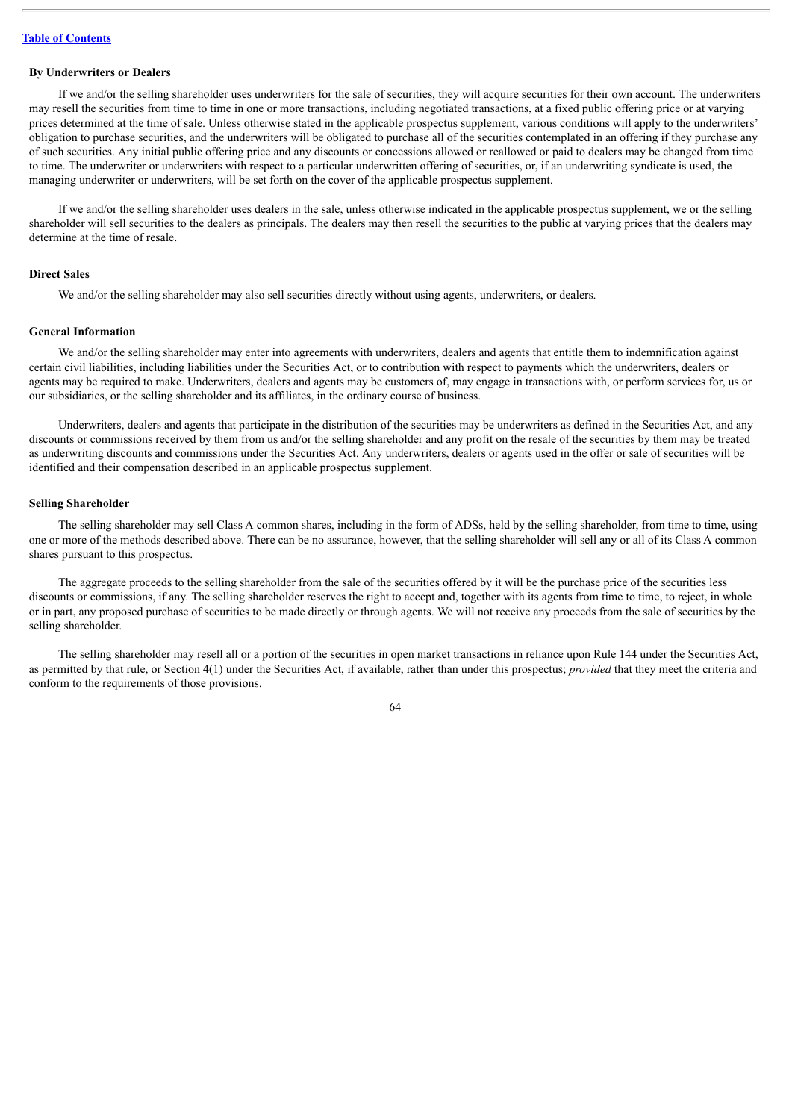#### **By Underwriters or Dealers**

If we and/or the selling shareholder uses underwriters for the sale of securities, they will acquire securities for their own account. The underwriters may resell the securities from time to time in one or more transactions, including negotiated transactions, at a fixed public offering price or at varying prices determined at the time of sale. Unless otherwise stated in the applicable prospectus supplement, various conditions will apply to the underwriters' obligation to purchase securities, and the underwriters will be obligated to purchase all of the securities contemplated in an offering if they purchase any of such securities. Any initial public offering price and any discounts or concessions allowed or reallowed or paid to dealers may be changed from time to time. The underwriter or underwriters with respect to a particular underwritten offering of securities, or, if an underwriting syndicate is used, the managing underwriter or underwriters, will be set forth on the cover of the applicable prospectus supplement.

If we and/or the selling shareholder uses dealers in the sale, unless otherwise indicated in the applicable prospectus supplement, we or the selling shareholder will sell securities to the dealers as principals. The dealers may then resell the securities to the public at varying prices that the dealers may determine at the time of resale.

#### **Direct Sales**

We and/or the selling shareholder may also sell securities directly without using agents, underwriters, or dealers.

#### **General Information**

We and/or the selling shareholder may enter into agreements with underwriters, dealers and agents that entitle them to indemnification against certain civil liabilities, including liabilities under the Securities Act, or to contribution with respect to payments which the underwriters, dealers or agents may be required to make. Underwriters, dealers and agents may be customers of, may engage in transactions with, or perform services for, us or our subsidiaries, or the selling shareholder and its affiliates, in the ordinary course of business.

Underwriters, dealers and agents that participate in the distribution of the securities may be underwriters as defined in the Securities Act, and any discounts or commissions received by them from us and/or the selling shareholder and any profit on the resale of the securities by them may be treated as underwriting discounts and commissions under the Securities Act. Any underwriters, dealers or agents used in the offer or sale of securities will be identified and their compensation described in an applicable prospectus supplement.

### **Selling Shareholder**

The selling shareholder may sell Class A common shares, including in the form of ADSs, held by the selling shareholder, from time to time, using one or more of the methods described above. There can be no assurance, however, that the selling shareholder will sell any or all of its Class A common shares pursuant to this prospectus.

The aggregate proceeds to the selling shareholder from the sale of the securities offered by it will be the purchase price of the securities less discounts or commissions, if any. The selling shareholder reserves the right to accept and, together with its agents from time to time, to reject, in whole or in part, any proposed purchase of securities to be made directly or through agents. We will not receive any proceeds from the sale of securities by the selling shareholder.

The selling shareholder may resell all or a portion of the securities in open market transactions in reliance upon Rule 144 under the Securities Act, as permitted by that rule, or Section 4(1) under the Securities Act, if available, rather than under this prospectus; *provided* that they meet the criteria and conform to the requirements of those provisions.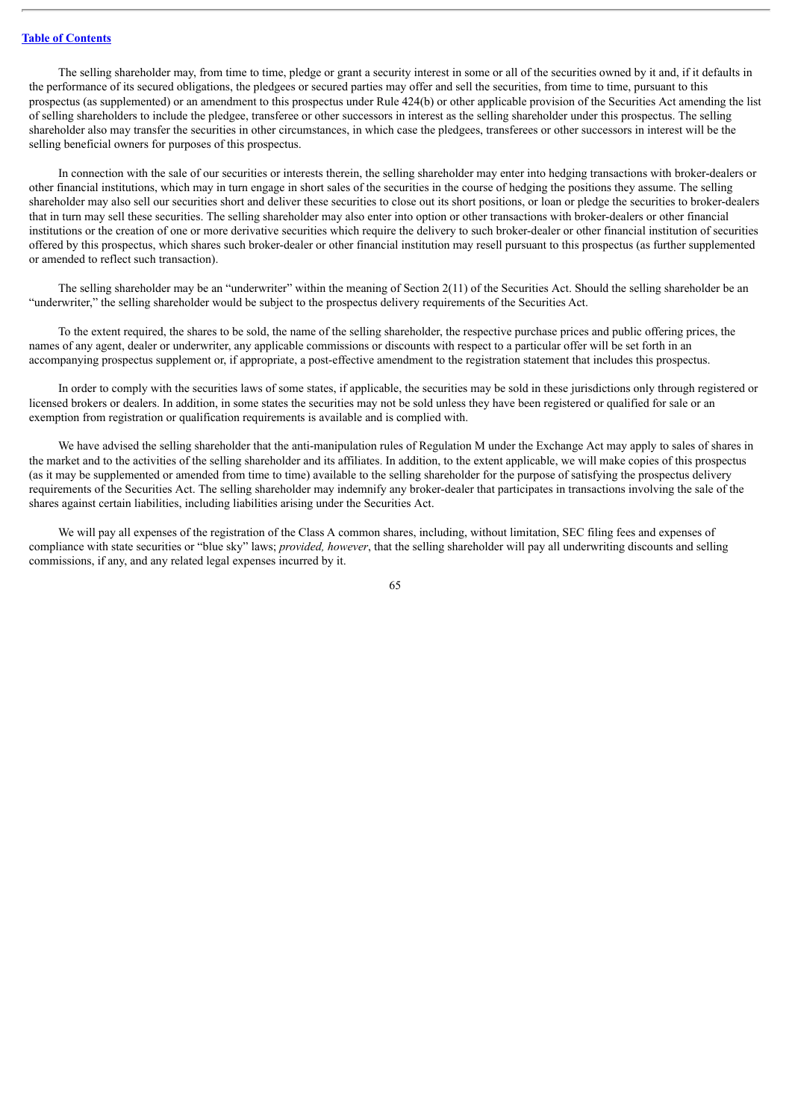The selling shareholder may, from time to time, pledge or grant a security interest in some or all of the securities owned by it and, if it defaults in the performance of its secured obligations, the pledgees or secured parties may offer and sell the securities, from time to time, pursuant to this prospectus (as supplemented) or an amendment to this prospectus under Rule 424(b) or other applicable provision of the Securities Act amending the list of selling shareholders to include the pledgee, transferee or other successors in interest as the selling shareholder under this prospectus. The selling shareholder also may transfer the securities in other circumstances, in which case the pledgees, transferees or other successors in interest will be the selling beneficial owners for purposes of this prospectus.

In connection with the sale of our securities or interests therein, the selling shareholder may enter into hedging transactions with broker-dealers or other financial institutions, which may in turn engage in short sales of the securities in the course of hedging the positions they assume. The selling shareholder may also sell our securities short and deliver these securities to close out its short positions, or loan or pledge the securities to broker-dealers that in turn may sell these securities. The selling shareholder may also enter into option or other transactions with broker-dealers or other financial institutions or the creation of one or more derivative securities which require the delivery to such broker-dealer or other financial institution of securities offered by this prospectus, which shares such broker-dealer or other financial institution may resell pursuant to this prospectus (as further supplemented or amended to reflect such transaction).

The selling shareholder may be an "underwriter" within the meaning of Section 2(11) of the Securities Act. Should the selling shareholder be an "underwriter," the selling shareholder would be subject to the prospectus delivery requirements of the Securities Act.

To the extent required, the shares to be sold, the name of the selling shareholder, the respective purchase prices and public offering prices, the names of any agent, dealer or underwriter, any applicable commissions or discounts with respect to a particular offer will be set forth in an accompanying prospectus supplement or, if appropriate, a post-effective amendment to the registration statement that includes this prospectus.

In order to comply with the securities laws of some states, if applicable, the securities may be sold in these jurisdictions only through registered or licensed brokers or dealers. In addition, in some states the securities may not be sold unless they have been registered or qualified for sale or an exemption from registration or qualification requirements is available and is complied with.

We have advised the selling shareholder that the anti-manipulation rules of Regulation M under the Exchange Act may apply to sales of shares in the market and to the activities of the selling shareholder and its affiliates. In addition, to the extent applicable, we will make copies of this prospectus (as it may be supplemented or amended from time to time) available to the selling shareholder for the purpose of satisfying the prospectus delivery requirements of the Securities Act. The selling shareholder may indemnify any broker-dealer that participates in transactions involving the sale of the shares against certain liabilities, including liabilities arising under the Securities Act.

We will pay all expenses of the registration of the Class A common shares, including, without limitation, SEC filing fees and expenses of compliance with state securities or "blue sky" laws; *provided, however*, that the selling shareholder will pay all underwriting discounts and selling commissions, if any, and any related legal expenses incurred by it.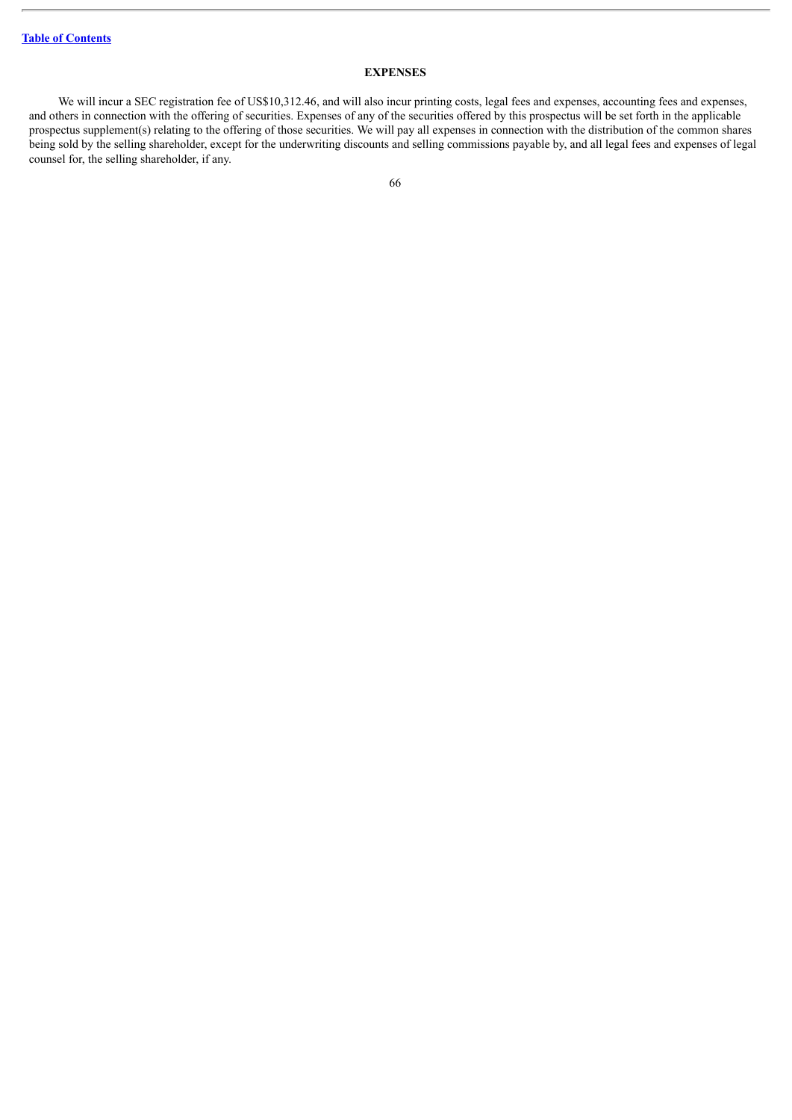# **EXPENSES**

We will incur a SEC registration fee of US\$10,312.46, and will also incur printing costs, legal fees and expenses, accounting fees and expenses, and others in connection with the offering of securities. Expenses of any of the securities offered by this prospectus will be set forth in the applicable prospectus supplement(s) relating to the offering of those securities. We will pay all expenses in connection with the distribution of the common shares being sold by the selling shareholder, except for the underwriting discounts and selling commissions payable by, and all legal fees and expenses of legal counsel for, the selling shareholder, if any.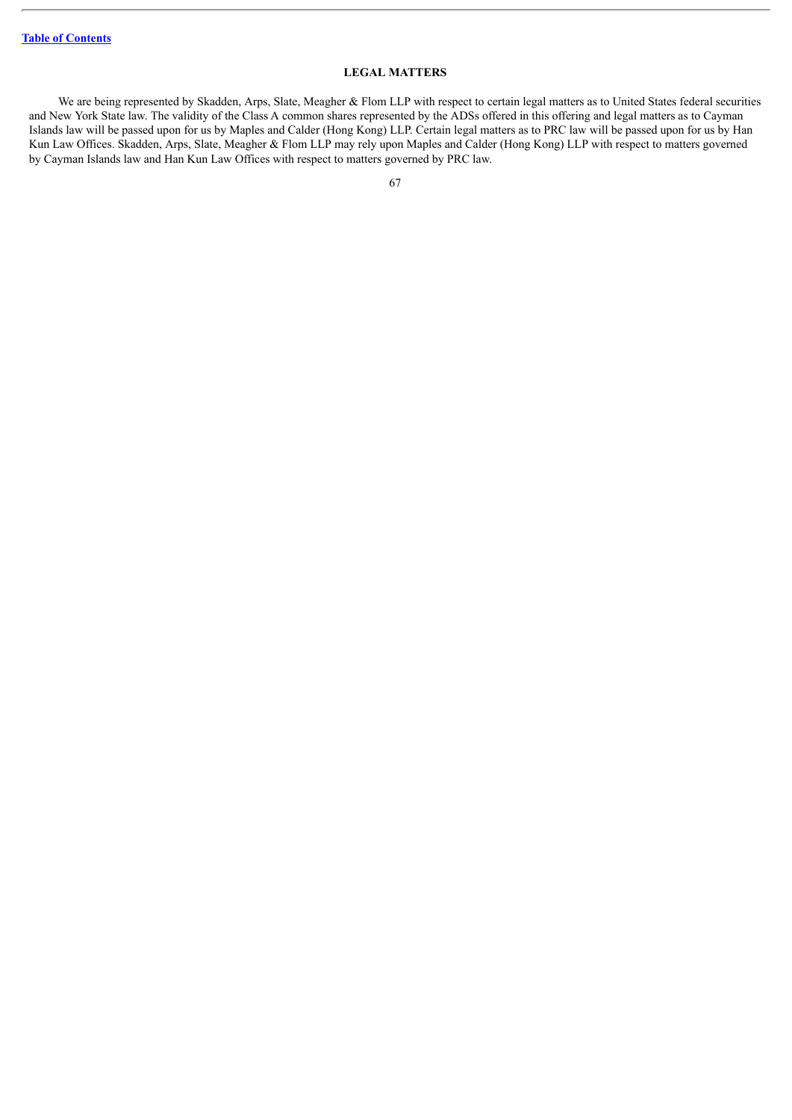## **LEGAL MATTERS**

We are being represented by Skadden, Arps, Slate, Meagher & Flom LLP with respect to certain legal matters as to United States federal securities and New York State law. The validity of the Class A common shares represented by the ADSs offered in this offering and legal matters as to Cayman Islands law will be passed upon for us by Maples and Calder (Hong Kong) LLP. Certain legal matters as to PRC law will be passed upon for us by Han Kun Law Offices. Skadden, Arps, Slate, Meagher & Flom LLP may rely upon Maples and Calder (Hong Kong) LLP with respect to matters governed by Cayman Islands law and Han Kun Law Offices with respect to matters governed by PRC law.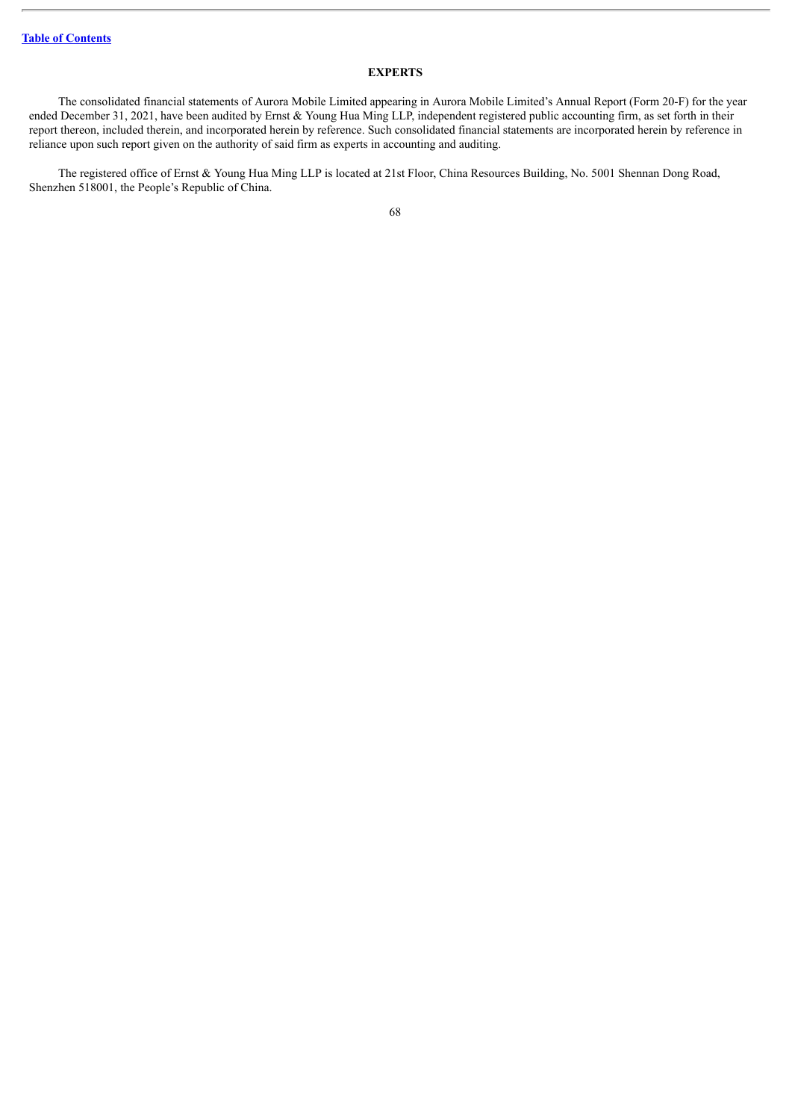# **EXPERTS**

The consolidated financial statements of Aurora Mobile Limited appearing in Aurora Mobile Limited's Annual Report (Form 20-F) for the year ended December 31, 2021, have been audited by Ernst & Young Hua Ming LLP, independent registered public accounting firm, as set forth in their report thereon, included therein, and incorporated herein by reference. Such consolidated financial statements are incorporated herein by reference in reliance upon such report given on the authority of said firm as experts in accounting and auditing.

The registered office of Ernst & Young Hua Ming LLP is located at 21st Floor, China Resources Building, No. 5001 Shennan Dong Road, Shenzhen 518001, the People's Republic of China.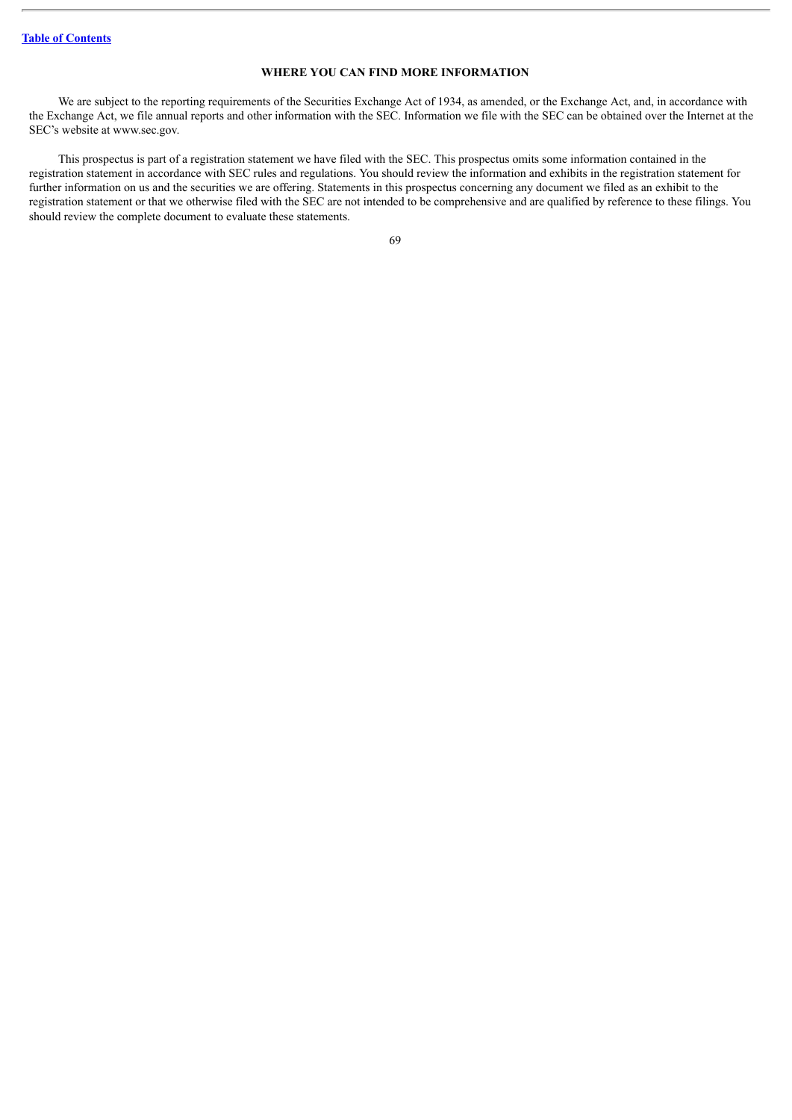# **WHERE YOU CAN FIND MORE INFORMATION**

We are subject to the reporting requirements of the Securities Exchange Act of 1934, as amended, or the Exchange Act, and, in accordance with the Exchange Act, we file annual reports and other information with the SEC. Information we file with the SEC can be obtained over the Internet at the SEC's website at www.sec.gov.

This prospectus is part of a registration statement we have filed with the SEC. This prospectus omits some information contained in the registration statement in accordance with SEC rules and regulations. You should review the information and exhibits in the registration statement for further information on us and the securities we are offering. Statements in this prospectus concerning any document we filed as an exhibit to the registration statement or that we otherwise filed with the SEC are not intended to be comprehensive and are qualified by reference to these filings. You should review the complete document to evaluate these statements.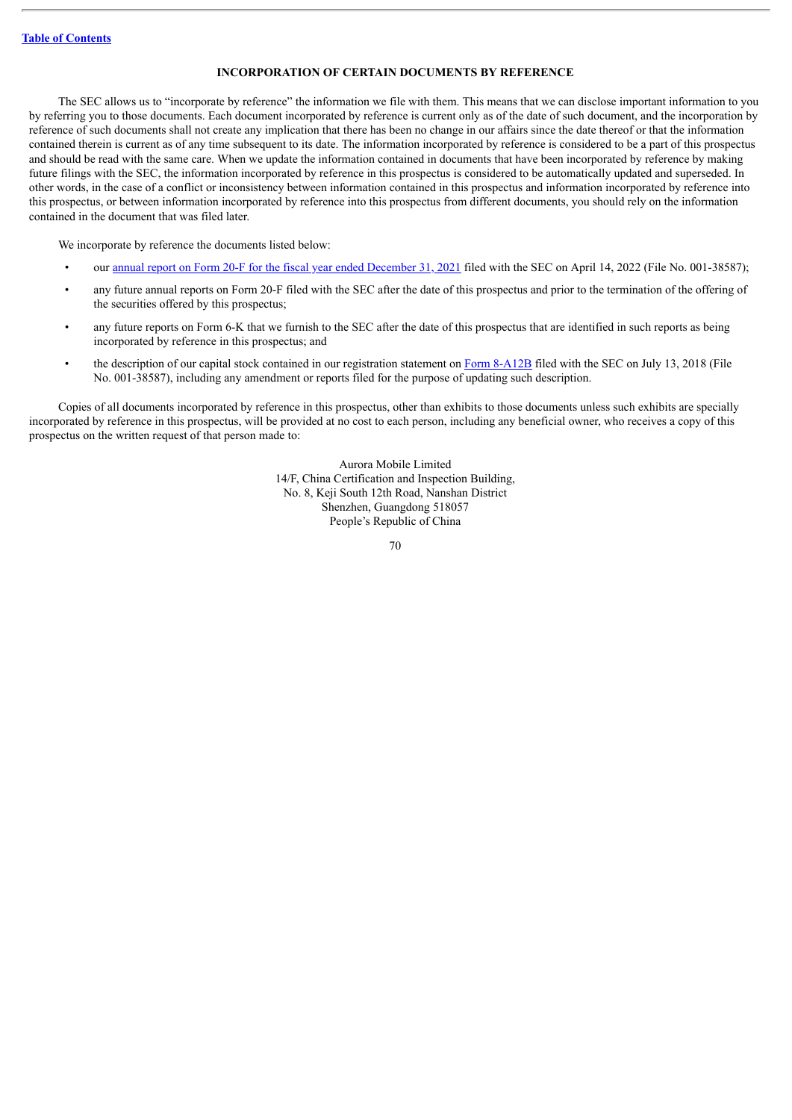### **INCORPORATION OF CERTAIN DOCUMENTS BY REFERENCE**

The SEC allows us to "incorporate by reference" the information we file with them. This means that we can disclose important information to you by referring you to those documents. Each document incorporated by reference is current only as of the date of such document, and the incorporation by reference of such documents shall not create any implication that there has been no change in our affairs since the date thereof or that the information contained therein is current as of any time subsequent to its date. The information incorporated by reference is considered to be a part of this prospectus and should be read with the same care. When we update the information contained in documents that have been incorporated by reference by making future filings with the SEC, the information incorporated by reference in this prospectus is considered to be automatically updated and superseded. In other words, in the case of a conflict or inconsistency between information contained in this prospectus and information incorporated by reference into this prospectus, or between information incorporated by reference into this prospectus from different documents, you should rely on the information contained in the document that was filed later.

We incorporate by reference the documents listed below:

- our <u>annual report on Form 20-F for the fiscal year ended [December](http://www.sec.gov/ix?doc=/Archives/edgar/data/0001737339/000119312522104903/d217874d20f.htm) 31, 2021</u> filed with the SEC on April 14, 2022 (File No. 001-38587);
- any future annual reports on Form 20-F filed with the SEC after the date of this prospectus and prior to the termination of the offering of the securities offered by this prospectus;
- any future reports on Form 6-K that we furnish to the SEC after the date of this prospectus that are identified in such reports as being incorporated by reference in this prospectus; and
- the description of our capital stock contained in our registration statement on Form [8-A12B](http://www.sec.gov/Archives/edgar/data/0001737339/000119312518217878/d352582d8a12b.htm) filed with the SEC on July 13, 2018 (File No. 001-38587), including any amendment or reports filed for the purpose of updating such description.

Copies of all documents incorporated by reference in this prospectus, other than exhibits to those documents unless such exhibits are specially incorporated by reference in this prospectus, will be provided at no cost to each person, including any beneficial owner, who receives a copy of this prospectus on the written request of that person made to:

> Aurora Mobile Limited 14/F, China Certification and Inspection Building, No. 8, Keji South 12th Road, Nanshan District Shenzhen, Guangdong 518057 People's Republic of China

> > 70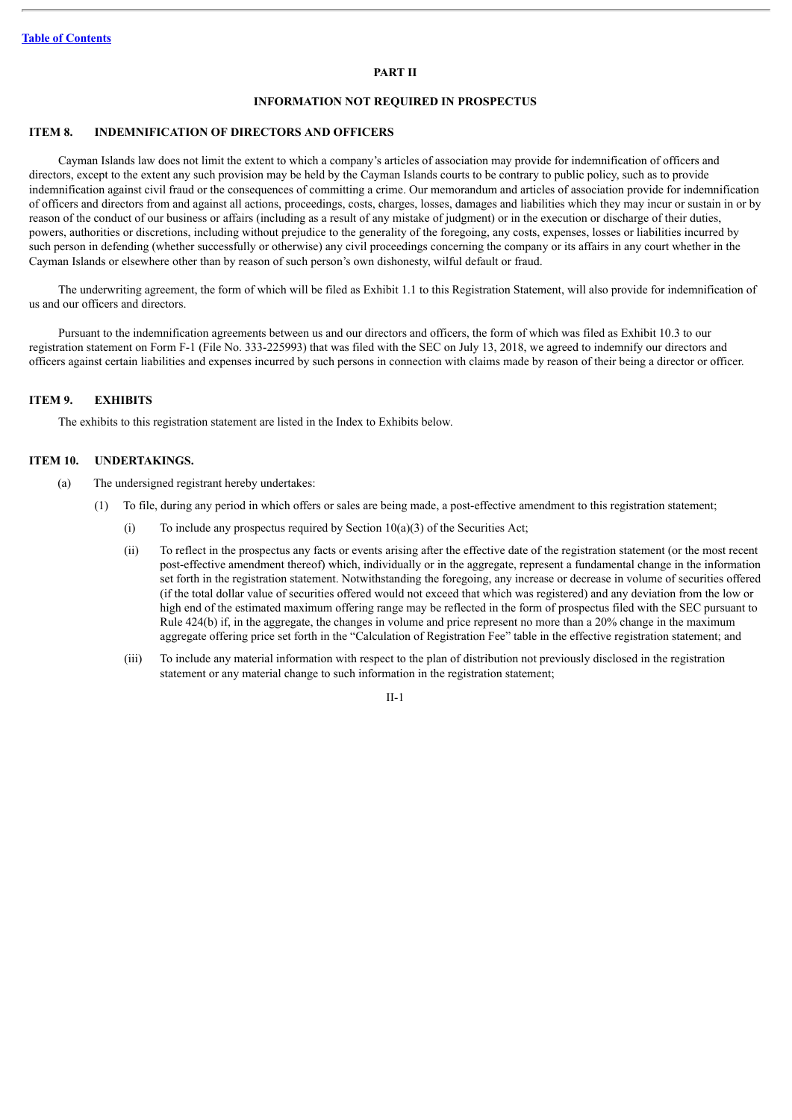### **PART II**

### **INFORMATION NOT REQUIRED IN PROSPECTUS**

# **ITEM 8. INDEMNIFICATION OF DIRECTORS AND OFFICERS**

Cayman Islands law does not limit the extent to which a company's articles of association may provide for indemnification of officers and directors, except to the extent any such provision may be held by the Cayman Islands courts to be contrary to public policy, such as to provide indemnification against civil fraud or the consequences of committing a crime. Our memorandum and articles of association provide for indemnification of officers and directors from and against all actions, proceedings, costs, charges, losses, damages and liabilities which they may incur or sustain in or by reason of the conduct of our business or affairs (including as a result of any mistake of judgment) or in the execution or discharge of their duties, powers, authorities or discretions, including without prejudice to the generality of the foregoing, any costs, expenses, losses or liabilities incurred by such person in defending (whether successfully or otherwise) any civil proceedings concerning the company or its affairs in any court whether in the Cayman Islands or elsewhere other than by reason of such person's own dishonesty, wilful default or fraud.

The underwriting agreement, the form of which will be filed as Exhibit 1.1 to this Registration Statement, will also provide for indemnification of us and our officers and directors.

Pursuant to the indemnification agreements between us and our directors and officers, the form of which was filed as Exhibit 10.3 to our registration statement on Form F-1 (File No. 333-225993) that was filed with the SEC on July 13, 2018, we agreed to indemnify our directors and officers against certain liabilities and expenses incurred by such persons in connection with claims made by reason of their being a director or officer.

## **ITEM 9. EXHIBITS**

The exhibits to this registration statement are listed in the Index to Exhibits below.

# **ITEM 10. UNDERTAKINGS.**

- (a) The undersigned registrant hereby undertakes:
	- (1) To file, during any period in which offers or sales are being made, a post-effective amendment to this registration statement;
		- (i) To include any prospectus required by Section  $10(a)(3)$  of the Securities Act;
		- (ii) To reflect in the prospectus any facts or events arising after the effective date of the registration statement (or the most recent post-effective amendment thereof) which, individually or in the aggregate, represent a fundamental change in the information set forth in the registration statement. Notwithstanding the foregoing, any increase or decrease in volume of securities offered (if the total dollar value of securities offered would not exceed that which was registered) and any deviation from the low or high end of the estimated maximum offering range may be reflected in the form of prospectus filed with the SEC pursuant to Rule 424(b) if, in the aggregate, the changes in volume and price represent no more than a 20% change in the maximum aggregate offering price set forth in the "Calculation of Registration Fee" table in the effective registration statement; and
		- (iii) To include any material information with respect to the plan of distribution not previously disclosed in the registration statement or any material change to such information in the registration statement;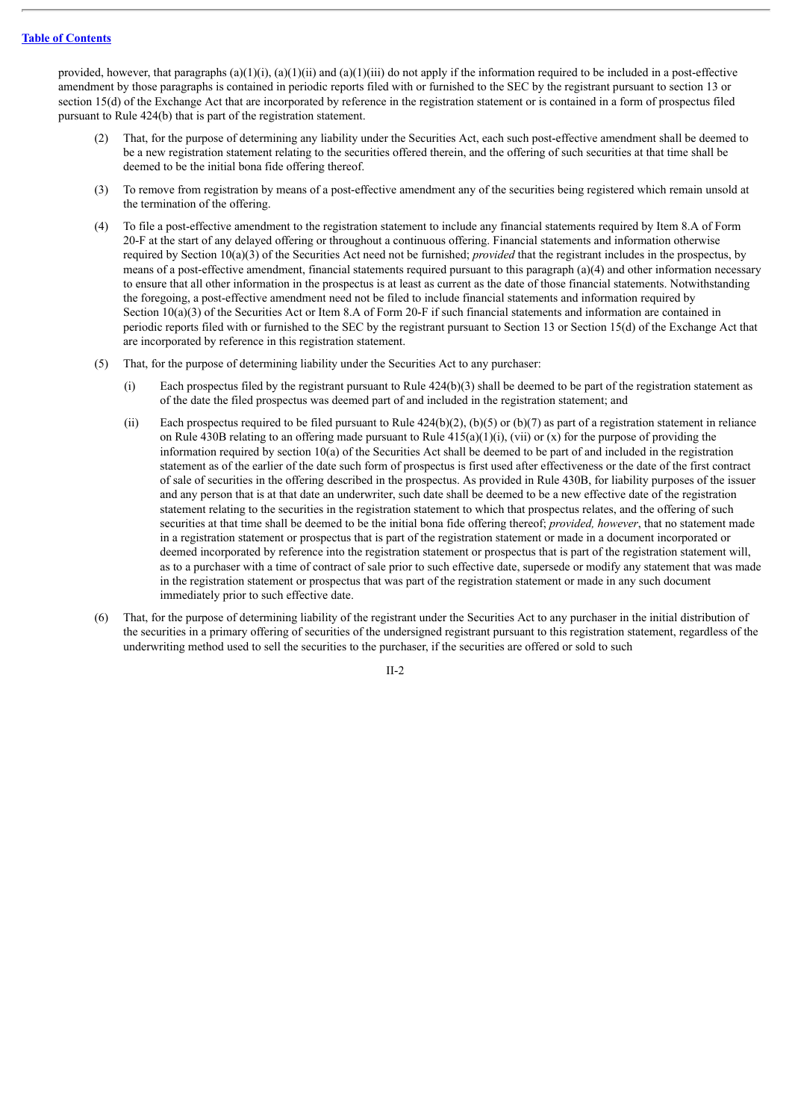provided, however, that paragraphs  $(a)(1)(i)$ ,  $(a)(1)(ii)$  and  $(a)(1)(iii)$  do not apply if the information required to be included in a post-effective amendment by those paragraphs is contained in periodic reports filed with or furnished to the SEC by the registrant pursuant to section 13 or section 15(d) of the Exchange Act that are incorporated by reference in the registration statement or is contained in a form of prospectus filed pursuant to Rule 424(b) that is part of the registration statement.

- (2) That, for the purpose of determining any liability under the Securities Act, each such post-effective amendment shall be deemed to be a new registration statement relating to the securities offered therein, and the offering of such securities at that time shall be deemed to be the initial bona fide offering thereof.
- (3) To remove from registration by means of a post-effective amendment any of the securities being registered which remain unsold at the termination of the offering.
- (4) To file a post-effective amendment to the registration statement to include any financial statements required by Item 8.A of Form 20-F at the start of any delayed offering or throughout a continuous offering. Financial statements and information otherwise required by Section 10(a)(3) of the Securities Act need not be furnished; *provided* that the registrant includes in the prospectus, by means of a post-effective amendment, financial statements required pursuant to this paragraph (a)(4) and other information necessary to ensure that all other information in the prospectus is at least as current as the date of those financial statements. Notwithstanding the foregoing, a post-effective amendment need not be filed to include financial statements and information required by Section 10(a)(3) of the Securities Act or Item 8.A of Form 20-F if such financial statements and information are contained in periodic reports filed with or furnished to the SEC by the registrant pursuant to Section 13 or Section 15(d) of the Exchange Act that are incorporated by reference in this registration statement.
- (5) That, for the purpose of determining liability under the Securities Act to any purchaser:
	- (i) Each prospectus filed by the registrant pursuant to Rule  $424(b)(3)$  shall be deemed to be part of the registration statement as of the date the filed prospectus was deemed part of and included in the registration statement; and
	- (ii) Each prospectus required to be filed pursuant to Rule  $424(b)(2)$ , (b)(5) or (b)(7) as part of a registration statement in reliance on Rule 430B relating to an offering made pursuant to Rule  $415(a)(1)(i)$ , (vii) or (x) for the purpose of providing the information required by section  $10(a)$  of the Securities Act shall be deemed to be part of and included in the registration statement as of the earlier of the date such form of prospectus is first used after effectiveness or the date of the first contract of sale of securities in the offering described in the prospectus. As provided in Rule 430B, for liability purposes of the issuer and any person that is at that date an underwriter, such date shall be deemed to be a new effective date of the registration statement relating to the securities in the registration statement to which that prospectus relates, and the offering of such securities at that time shall be deemed to be the initial bona fide offering thereof; *provided, however*, that no statement made in a registration statement or prospectus that is part of the registration statement or made in a document incorporated or deemed incorporated by reference into the registration statement or prospectus that is part of the registration statement will, as to a purchaser with a time of contract of sale prior to such effective date, supersede or modify any statement that was made in the registration statement or prospectus that was part of the registration statement or made in any such document immediately prior to such effective date.
- (6) That, for the purpose of determining liability of the registrant under the Securities Act to any purchaser in the initial distribution of the securities in a primary offering of securities of the undersigned registrant pursuant to this registration statement, regardless of the underwriting method used to sell the securities to the purchaser, if the securities are offered or sold to such

 $IL2$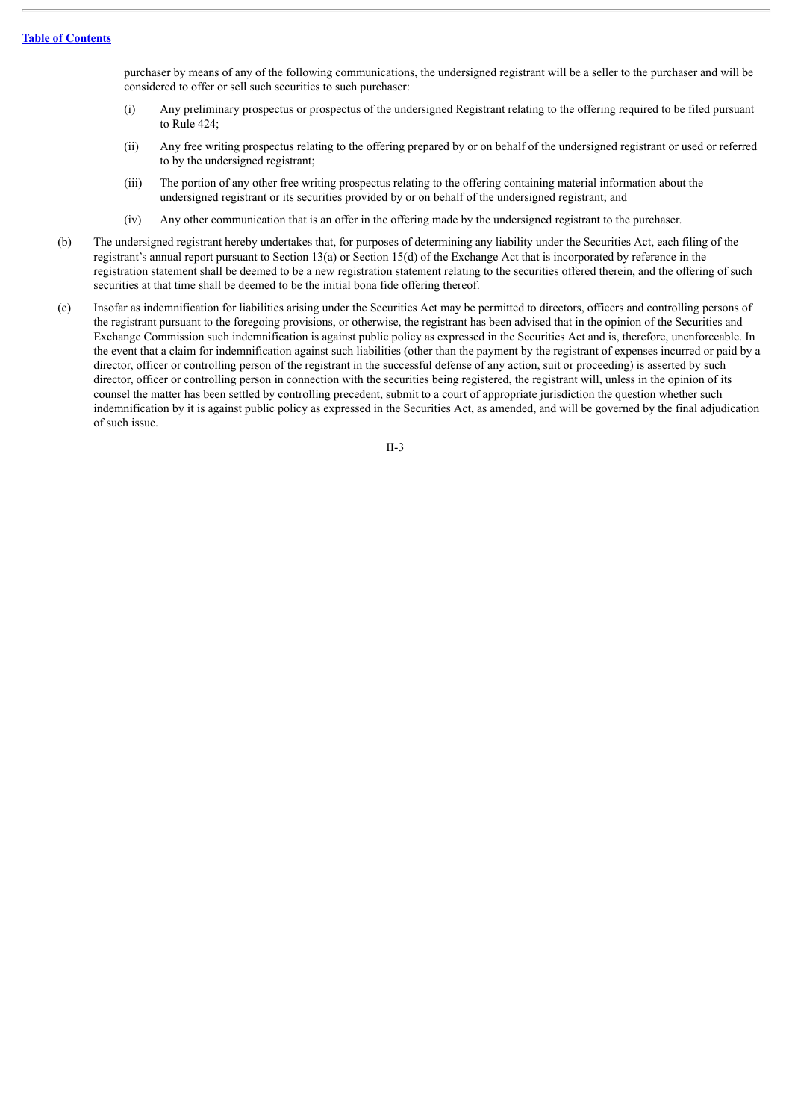purchaser by means of any of the following communications, the undersigned registrant will be a seller to the purchaser and will be considered to offer or sell such securities to such purchaser:

- (i) Any preliminary prospectus or prospectus of the undersigned Registrant relating to the offering required to be filed pursuant to Rule 424;
- (ii) Any free writing prospectus relating to the offering prepared by or on behalf of the undersigned registrant or used or referred to by the undersigned registrant;
- (iii) The portion of any other free writing prospectus relating to the offering containing material information about the undersigned registrant or its securities provided by or on behalf of the undersigned registrant; and
- (iv) Any other communication that is an offer in the offering made by the undersigned registrant to the purchaser.
- (b) The undersigned registrant hereby undertakes that, for purposes of determining any liability under the Securities Act, each filing of the registrant's annual report pursuant to Section 13(a) or Section 15(d) of the Exchange Act that is incorporated by reference in the registration statement shall be deemed to be a new registration statement relating to the securities offered therein, and the offering of such securities at that time shall be deemed to be the initial bona fide offering thereof.
- (c) Insofar as indemnification for liabilities arising under the Securities Act may be permitted to directors, officers and controlling persons of the registrant pursuant to the foregoing provisions, or otherwise, the registrant has been advised that in the opinion of the Securities and Exchange Commission such indemnification is against public policy as expressed in the Securities Act and is, therefore, unenforceable. In the event that a claim for indemnification against such liabilities (other than the payment by the registrant of expenses incurred or paid by a director, officer or controlling person of the registrant in the successful defense of any action, suit or proceeding) is asserted by such director, officer or controlling person in connection with the securities being registered, the registrant will, unless in the opinion of its counsel the matter has been settled by controlling precedent, submit to a court of appropriate jurisdiction the question whether such indemnification by it is against public policy as expressed in the Securities Act, as amended, and will be governed by the final adjudication of such issue.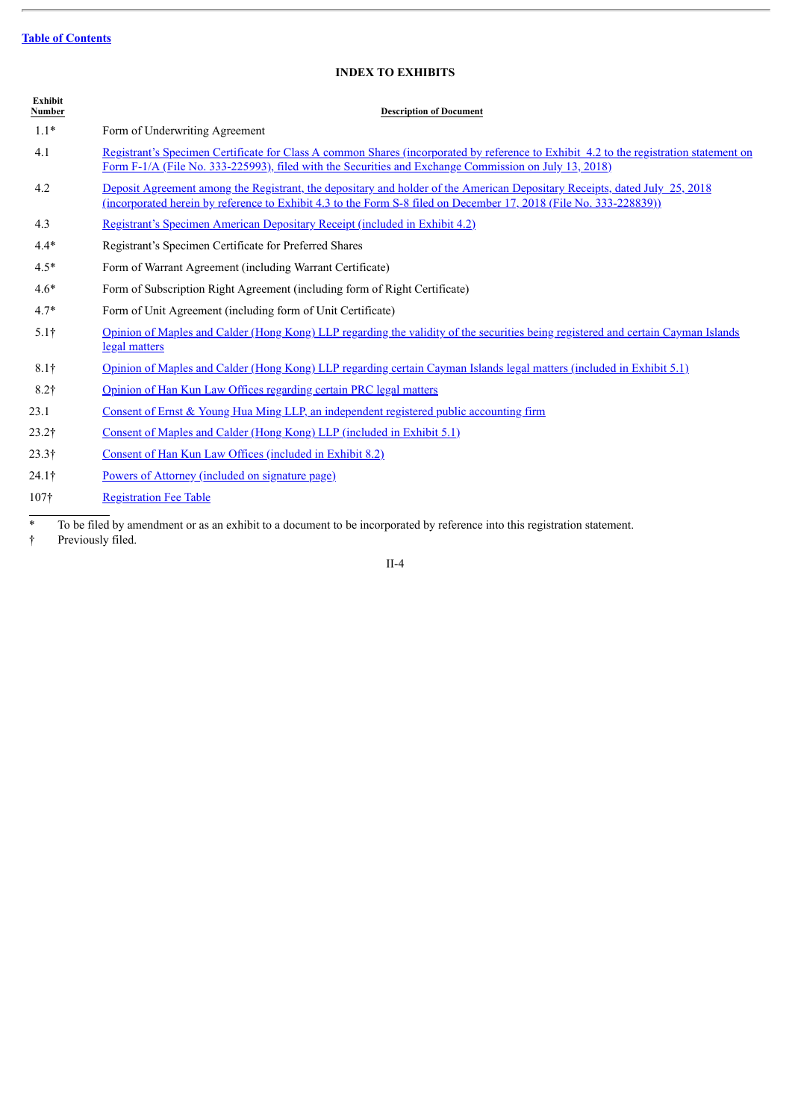# **INDEX TO EXHIBITS**

| Exhibit<br>Number | <b>Description of Document</b>                                                                                                                                                                                                                   |
|-------------------|--------------------------------------------------------------------------------------------------------------------------------------------------------------------------------------------------------------------------------------------------|
| $1.1*$            | Form of Underwriting Agreement                                                                                                                                                                                                                   |
| 4.1               | Registrant's Specimen Certificate for Class A common Shares (incorporated by reference to Exhibit 4.2 to the registration statement on<br>Form F-1/A (File No. 333-225993), filed with the Securities and Exchange Commission on July 13, 2018)  |
| 4.2               | Deposit Agreement among the Registrant, the depositary and holder of the American Depositary Receipts, dated July 25, 2018<br>(incorporated herein by reference to Exhibit 4.3 to the Form S-8 filed on December 17, 2018 (File No. 333-228839)) |
| 4.3               | Registrant's Specimen American Depositary Receipt (included in Exhibit 4.2)                                                                                                                                                                      |
| $4.4*$            | Registrant's Specimen Certificate for Preferred Shares                                                                                                                                                                                           |
| $4.5*$            | Form of Warrant Agreement (including Warrant Certificate)                                                                                                                                                                                        |
| $4.6*$            | Form of Subscription Right Agreement (including form of Right Certificate)                                                                                                                                                                       |
| $4.7*$            | Form of Unit Agreement (including form of Unit Certificate)                                                                                                                                                                                      |
| $5.1\dagger$      | Opinion of Maples and Calder (Hong Kong) LLP regarding the validity of the securities being registered and certain Cayman Islands<br>legal matters                                                                                               |
| $8.1\dagger$      | Opinion of Maples and Calder (Hong Kong) LLP regarding certain Cayman Islands legal matters (included in Exhibit 5.1)                                                                                                                            |
| $8.2\dagger$      | Opinion of Han Kun Law Offices regarding certain PRC legal matters                                                                                                                                                                               |
| 23.1              | <u>Consent of Ernst &amp; Young Hua Ming LLP, an independent registered public accounting firm</u>                                                                                                                                               |
| $23.2$ †          | Consent of Maples and Calder (Hong Kong) LLP (included in Exhibit 5.1)                                                                                                                                                                           |
| $23.3\dagger$     | Consent of Han Kun Law Offices (included in Exhibit 8.2)                                                                                                                                                                                         |
| 24.1†             | Powers of Attorney (included on signature page)                                                                                                                                                                                                  |
|                   |                                                                                                                                                                                                                                                  |

107† [Registration](http://www.sec.gov/Archives/edgar/data/0001737339/000119312522130825/d193106dexfilingfees.htm) Fee Table

\* To be filed by amendment or as an exhibit to a document to be incorporated by reference into this registration statement.

† Previously filed.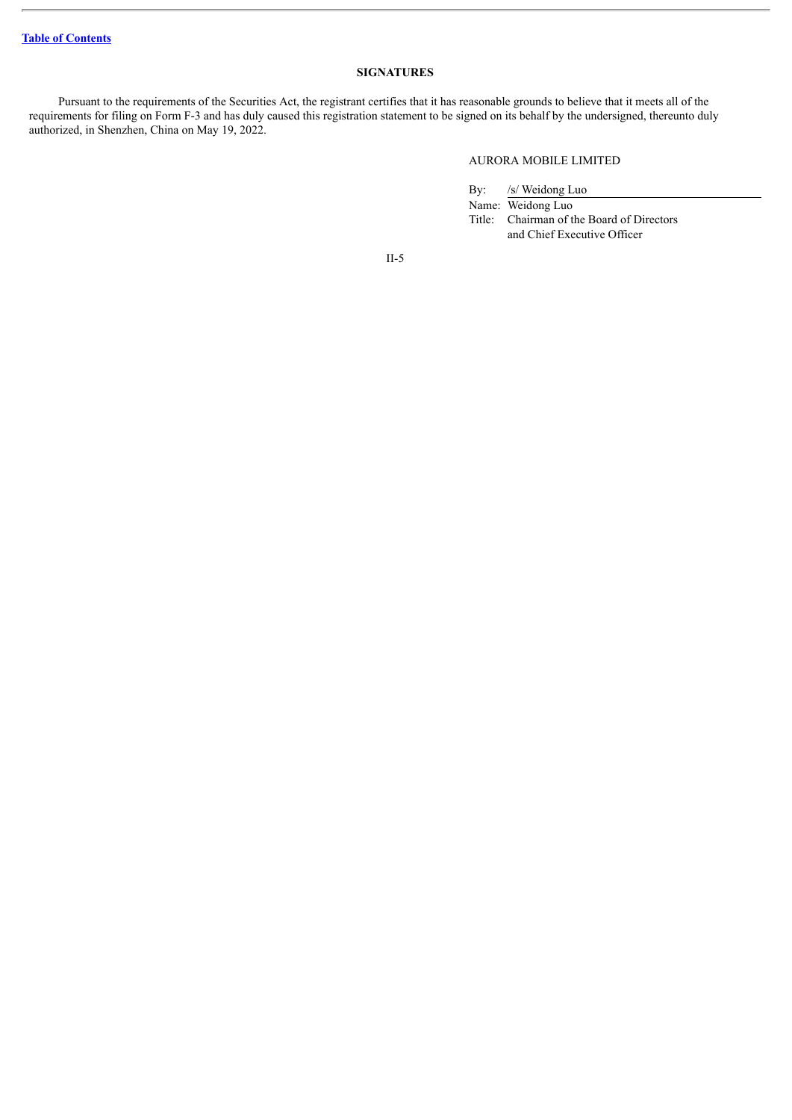## **SIGNATURES**

Pursuant to the requirements of the Securities Act, the registrant certifies that it has reasonable grounds to believe that it meets all of the requirements for filing on Form F-3 and has duly caused this registration statement to be signed on its behalf by the undersigned, thereunto duly authorized, in Shenzhen, China on May 19, 2022.

### AURORA MOBILE LIMITED

By: /s/ Weidong Luo

Name: Weidong Luo

Title: Chairman of the Board of Directors and Chief Executive Officer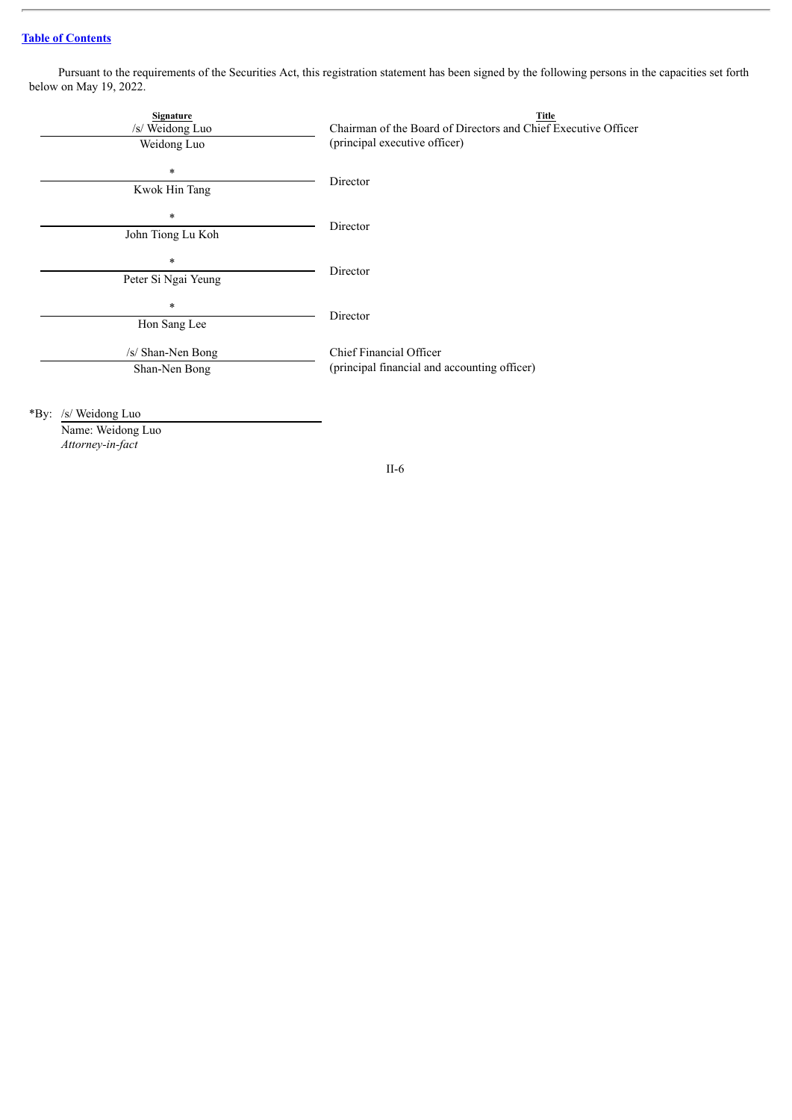## **Table of [Contents](#page-2-0)**

Pursuant to the requirements of the Securities Act, this registration statement has been signed by the following persons in the capacities set forth below on May 19, 2022.

| <b>Signature</b><br>/s/ Weidong Luo<br>Weidong Luo | <b>Title</b><br>Chairman of the Board of Directors and Chief Executive Officer<br>(principal executive officer) |
|----------------------------------------------------|-----------------------------------------------------------------------------------------------------------------|
| $\ast$<br>Kwok Hin Tang                            | Director                                                                                                        |
| $\ast$<br>John Tiong Lu Koh                        | Director                                                                                                        |
| $\ast$<br>Peter Si Ngai Yeung                      | Director                                                                                                        |
| $\ast$<br>Hon Sang Lee                             | Director                                                                                                        |
| /s/ Shan-Nen Bong<br>Shan-Nen Bong                 | Chief Financial Officer<br>(principal financial and accounting officer)                                         |
| *By: /s/ Weidong Luo                               |                                                                                                                 |

Name: Weidong Luo *Attorney-in-fact*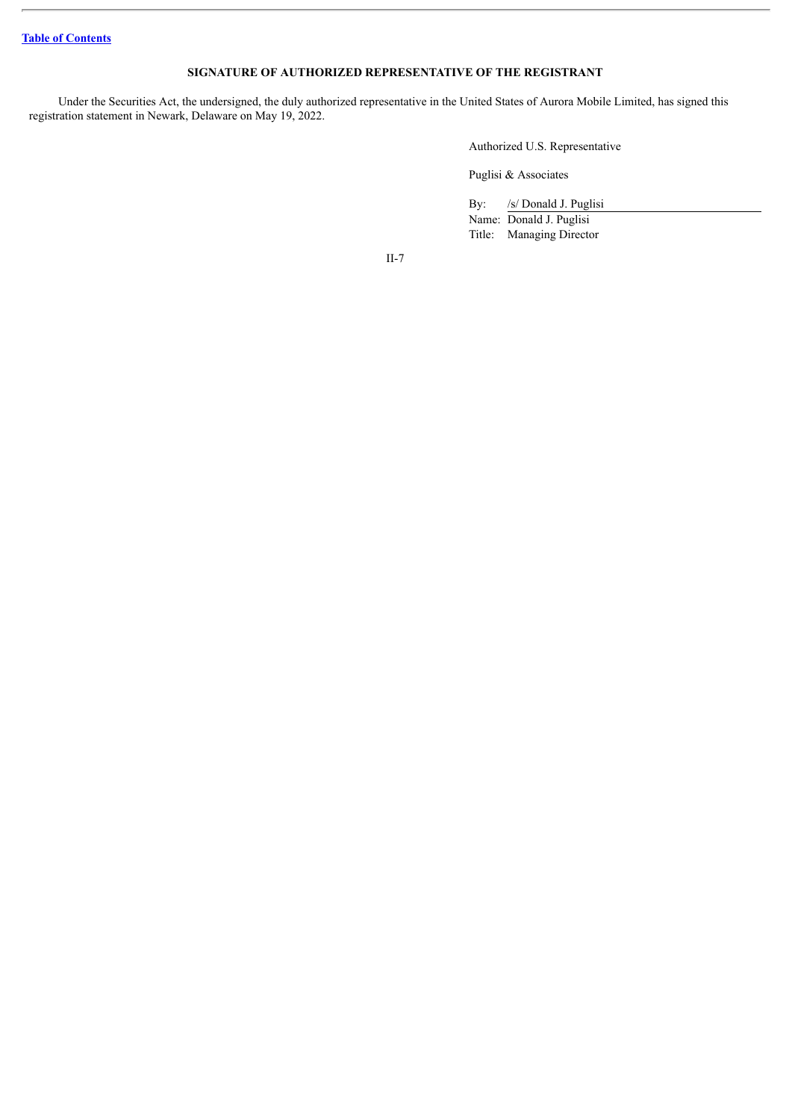## **SIGNATURE OF AUTHORIZED REPRESENTATIVE OF THE REGISTRANT**

Under the Securities Act, the undersigned, the duly authorized representative in the United States of Aurora Mobile Limited, has signed this registration statement in Newark, Delaware on May 19, 2022.

Authorized U.S. Representative

Puglisi & Associates

By: /s/ Donald J. Puglisi Name: Donald J. Puglisi Title: Managing Director